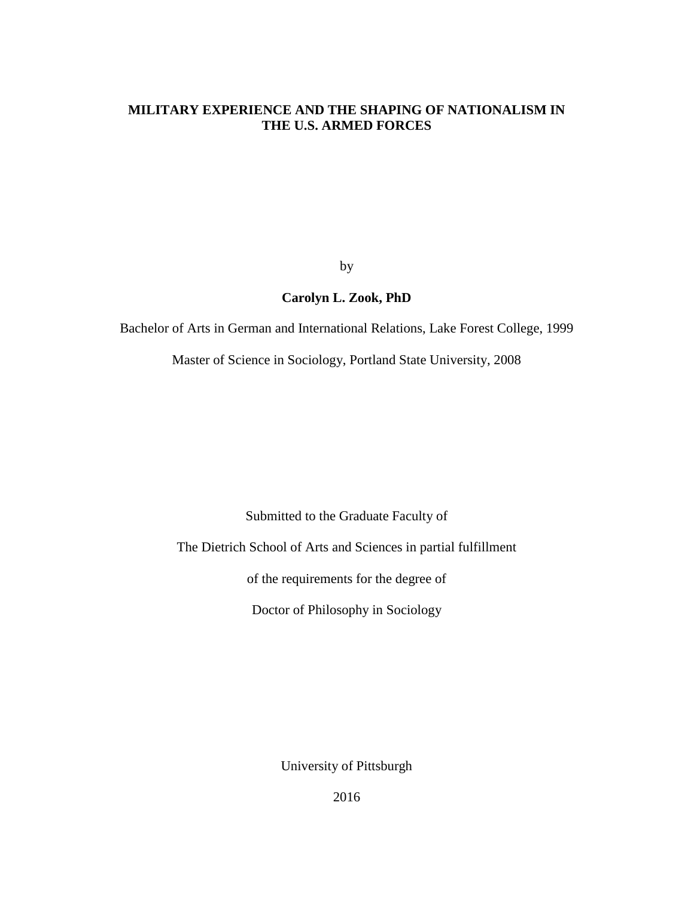## **MILITARY EXPERIENCE AND THE SHAPING OF NATIONALISM IN THE U.S. ARMED FORCES**

by

# **Carolyn L. Zook, PhD**

Bachelor of Arts in German and International Relations, Lake Forest College, 1999

Master of Science in Sociology, Portland State University, 2008

Submitted to the Graduate Faculty of

The Dietrich School of Arts and Sciences in partial fulfillment

of the requirements for the degree of

Doctor of Philosophy in Sociology

University of Pittsburgh

2016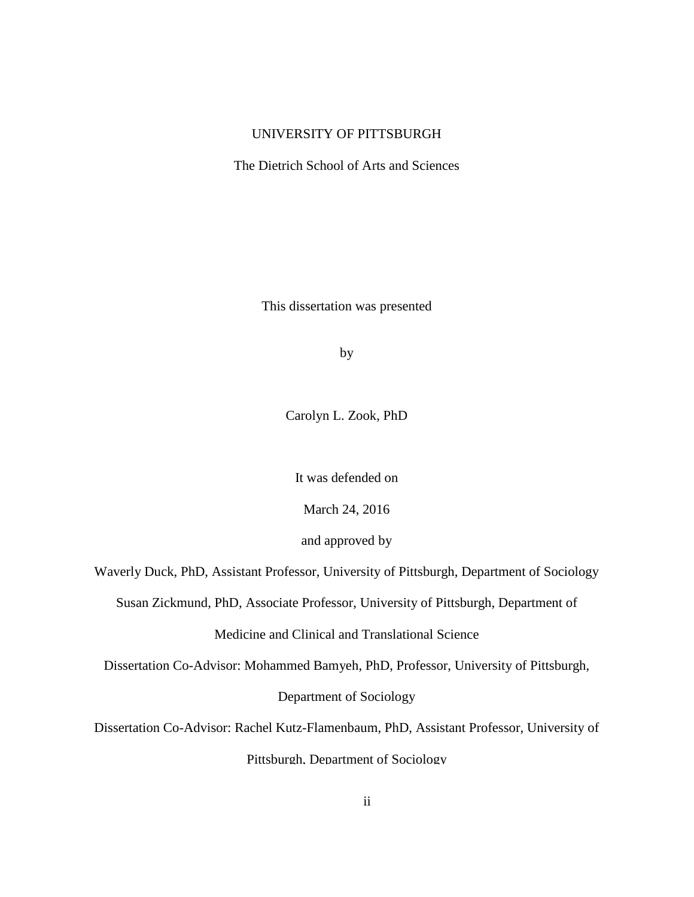## UNIVERSITY OF PITTSBURGH

The Dietrich School of Arts and Sciences

This dissertation was presented

by

Carolyn L. Zook, PhD

It was defended on

March 24, 2016

and approved by

Waverly Duck, PhD, Assistant Professor, University of Pittsburgh, Department of Sociology

Susan Zickmund, PhD, Associate Professor, University of Pittsburgh, Department of

Medicine and Clinical and Translational Science

Dissertation Co-Advisor: Mohammed Bamyeh, PhD, Professor, University of Pittsburgh,

Department of Sociology

Dissertation Co-Advisor: Rachel Kutz-Flamenbaum, PhD, Assistant Professor, University of

Pittsburgh, Department of Sociology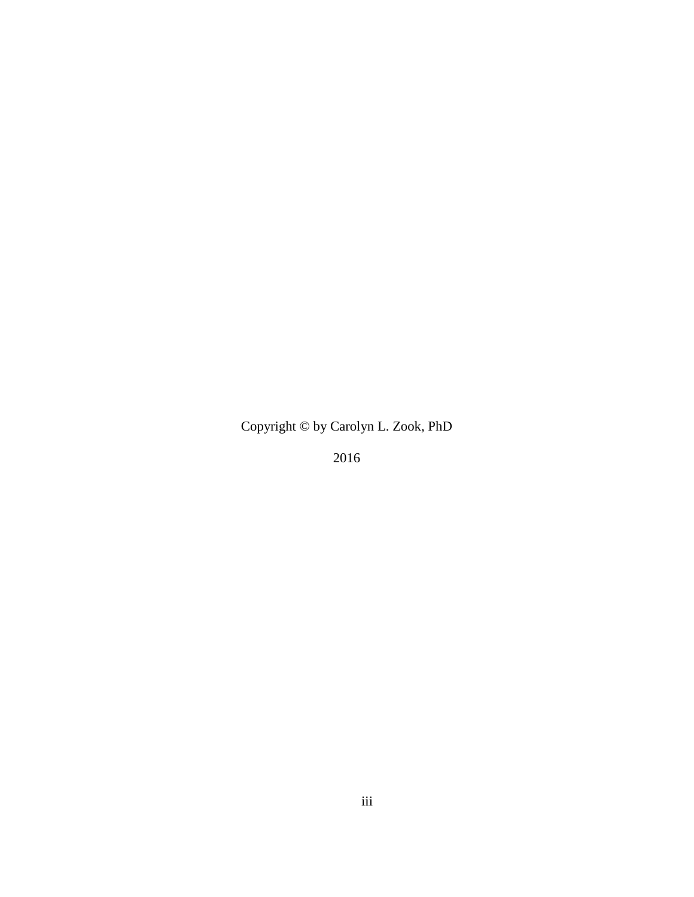Copyright © by Carolyn L. Zook, PhD

2016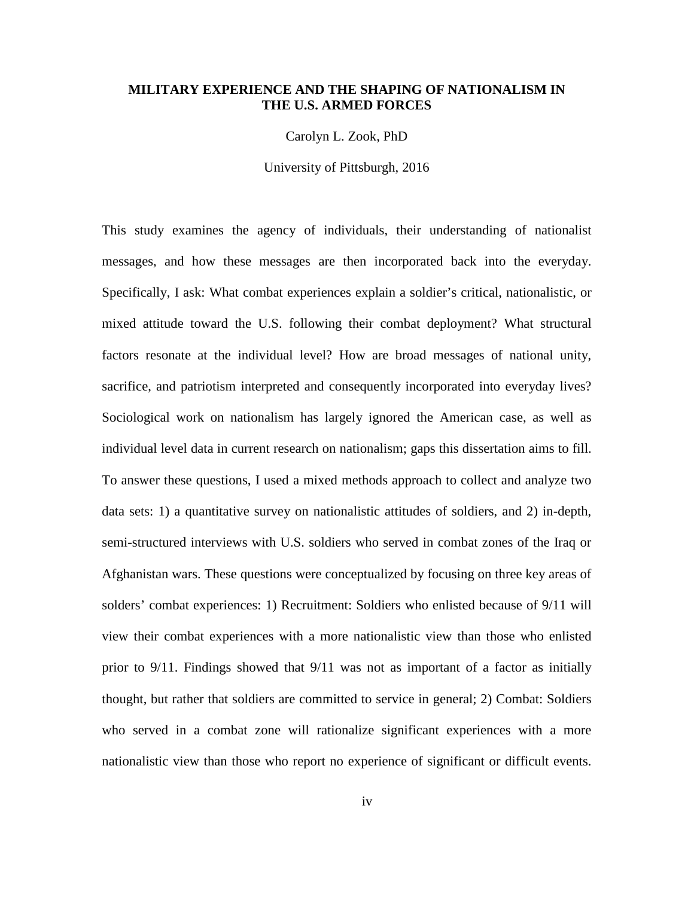### **MILITARY EXPERIENCE AND THE SHAPING OF NATIONALISM IN THE U.S. ARMED FORCES**

Carolyn L. Zook, PhD

University of Pittsburgh, 2016

This study examines the agency of individuals, their understanding of nationalist messages, and how these messages are then incorporated back into the everyday. Specifically, I ask: What combat experiences explain a soldier's critical, nationalistic, or mixed attitude toward the U.S. following their combat deployment? What structural factors resonate at the individual level? How are broad messages of national unity, sacrifice, and patriotism interpreted and consequently incorporated into everyday lives? Sociological work on nationalism has largely ignored the American case, as well as individual level data in current research on nationalism; gaps this dissertation aims to fill. To answer these questions, I used a mixed methods approach to collect and analyze two data sets: 1) a quantitative survey on nationalistic attitudes of soldiers, and 2) in-depth, semi-structured interviews with U.S. soldiers who served in combat zones of the Iraq or Afghanistan wars. These questions were conceptualized by focusing on three key areas of solders' combat experiences: 1) Recruitment: Soldiers who enlisted because of 9/11 will view their combat experiences with a more nationalistic view than those who enlisted prior to 9/11. Findings showed that 9/11 was not as important of a factor as initially thought, but rather that soldiers are committed to service in general; 2) Combat: Soldiers who served in a combat zone will rationalize significant experiences with a more nationalistic view than those who report no experience of significant or difficult events.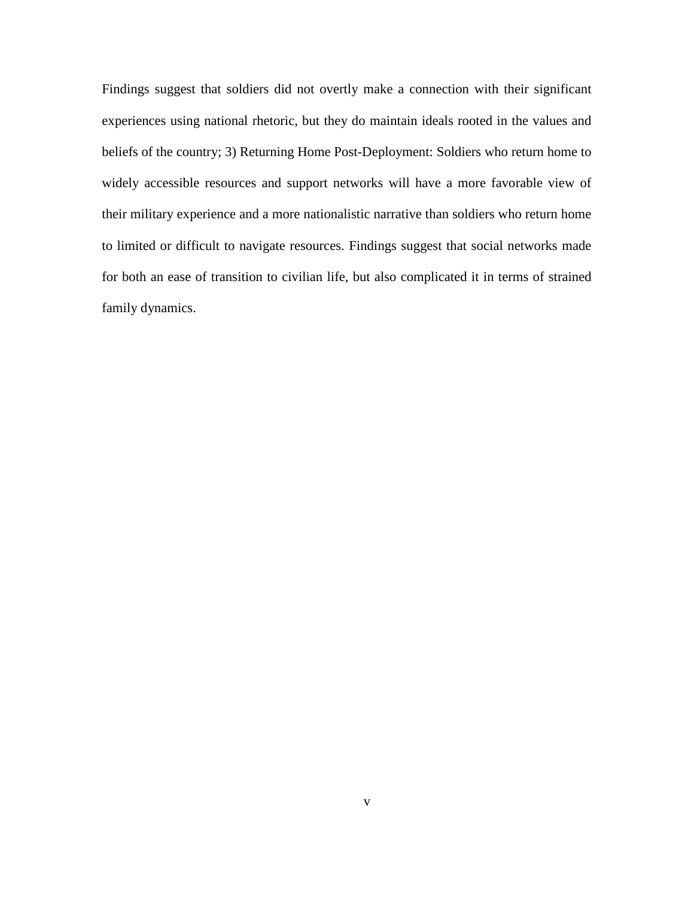Findings suggest that soldiers did not overtly make a connection with their significant experiences using national rhetoric, but they do maintain ideals rooted in the values and beliefs of the country; 3) Returning Home Post-Deployment: Soldiers who return home to widely accessible resources and support networks will have a more favorable view of their military experience and a more nationalistic narrative than soldiers who return home to limited or difficult to navigate resources. Findings suggest that social networks made for both an ease of transition to civilian life, but also complicated it in terms of strained family dynamics.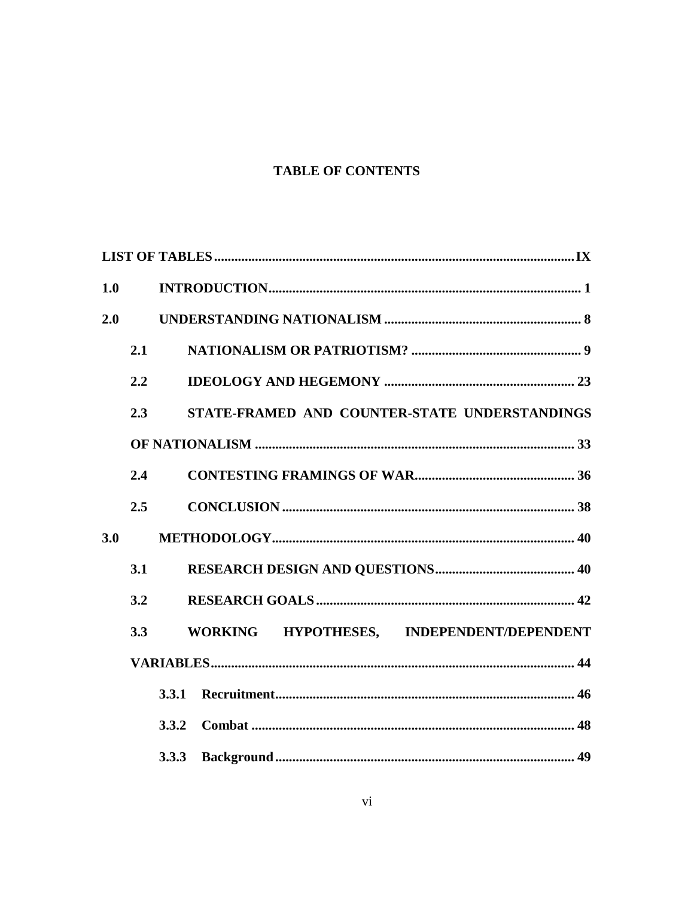# **TABLE OF CONTENTS**

| 1.0 |              |                                               |  |
|-----|--------------|-----------------------------------------------|--|
| 2.0 |              |                                               |  |
|     | 2.1          |                                               |  |
|     | 2.2          |                                               |  |
|     | 2.3          | STATE-FRAMED AND COUNTER-STATE UNDERSTANDINGS |  |
|     |              |                                               |  |
|     | 2.4          |                                               |  |
|     | 2.5          |                                               |  |
| 3.0 |              |                                               |  |
|     | 3.1          |                                               |  |
|     | 3.2          |                                               |  |
|     | 3.3          | WORKING HYPOTHESES, INDEPENDENT/DEPENDENT     |  |
|     |              |                                               |  |
|     | <b>3.3.1</b> |                                               |  |
|     |              |                                               |  |
|     |              |                                               |  |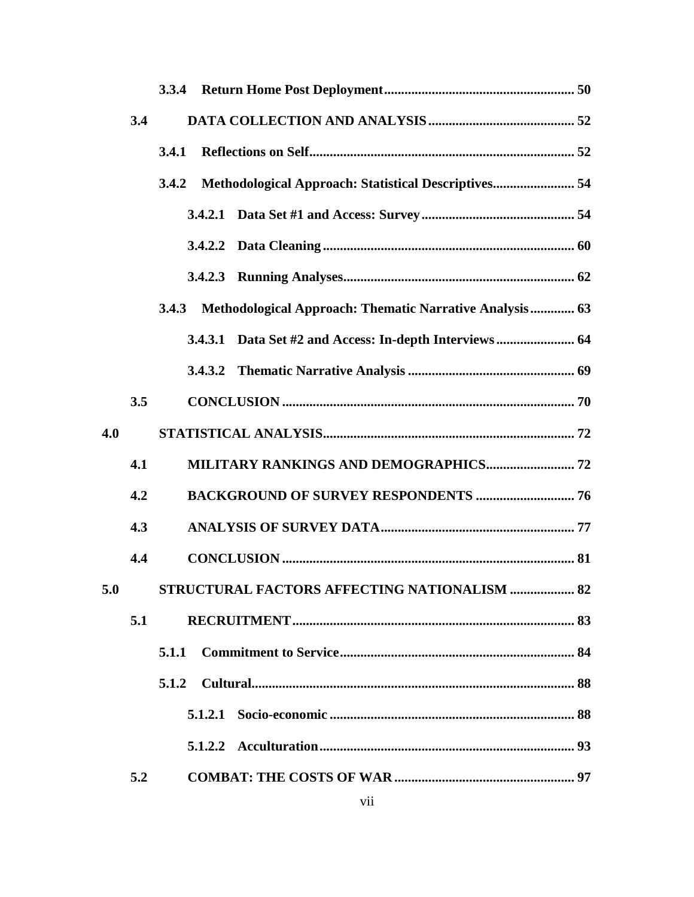|     | 3.4 |                                                                  |  |
|-----|-----|------------------------------------------------------------------|--|
|     |     | 3.4.1                                                            |  |
|     |     | Methodological Approach: Statistical Descriptives 54<br>3.4.2    |  |
|     |     |                                                                  |  |
|     |     |                                                                  |  |
|     |     |                                                                  |  |
|     |     | Methodological Approach: Thematic Narrative Analysis 63<br>3.4.3 |  |
|     |     | 3.4.3.1 Data Set #2 and Access: In-depth Interviews 64           |  |
|     |     | 3.4.3.2                                                          |  |
|     | 3.5 |                                                                  |  |
| 4.0 |     |                                                                  |  |
|     | 4.1 |                                                                  |  |
|     | 4.2 | <b>BACKGROUND OF SURVEY RESPONDENTS  76</b>                      |  |
|     | 4.3 |                                                                  |  |
|     | 4.4 |                                                                  |  |
|     |     | 5.0 STRUCTURAL FACTORS AFFECTING NATIONALISM  82                 |  |
|     | 5.1 |                                                                  |  |
|     |     | 5.1.1                                                            |  |
|     |     |                                                                  |  |
|     |     |                                                                  |  |
|     |     |                                                                  |  |
|     | 5.2 |                                                                  |  |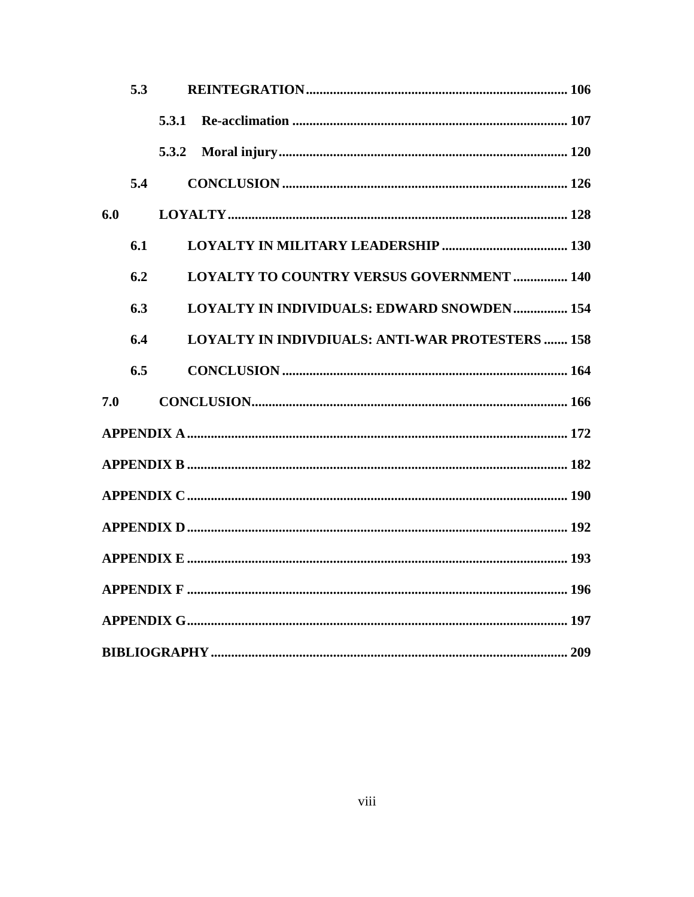|     | 5.3 |       |                                                         |  |
|-----|-----|-------|---------------------------------------------------------|--|
|     |     | 5.3.1 |                                                         |  |
|     |     | 5.3.2 |                                                         |  |
|     | 5.4 |       |                                                         |  |
| 6.0 |     |       |                                                         |  |
|     | 6.1 |       |                                                         |  |
|     | 6.2 |       | <b>LOYALTY TO COUNTRY VERSUS GOVERNMENT  140</b>        |  |
|     | 6.3 |       | <b>LOYALTY IN INDIVIDUALS: EDWARD SNOWDEN 154</b>       |  |
|     | 6.4 |       | <b>LOYALTY IN INDIVDIUALS: ANTI-WAR PROTESTERS  158</b> |  |
|     | 6.5 |       |                                                         |  |
| 7.0 |     |       |                                                         |  |
|     |     |       |                                                         |  |
|     |     |       |                                                         |  |
|     |     |       |                                                         |  |
|     |     |       |                                                         |  |
|     |     |       |                                                         |  |
|     |     |       |                                                         |  |
|     |     |       |                                                         |  |
|     |     |       |                                                         |  |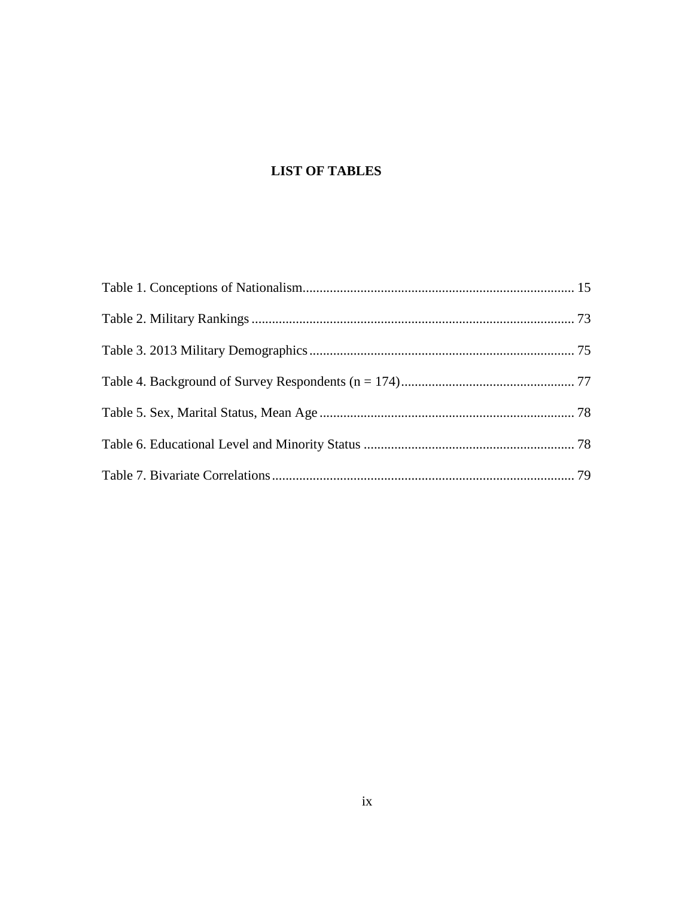# <span id="page-8-0"></span>**LIST OF TABLES**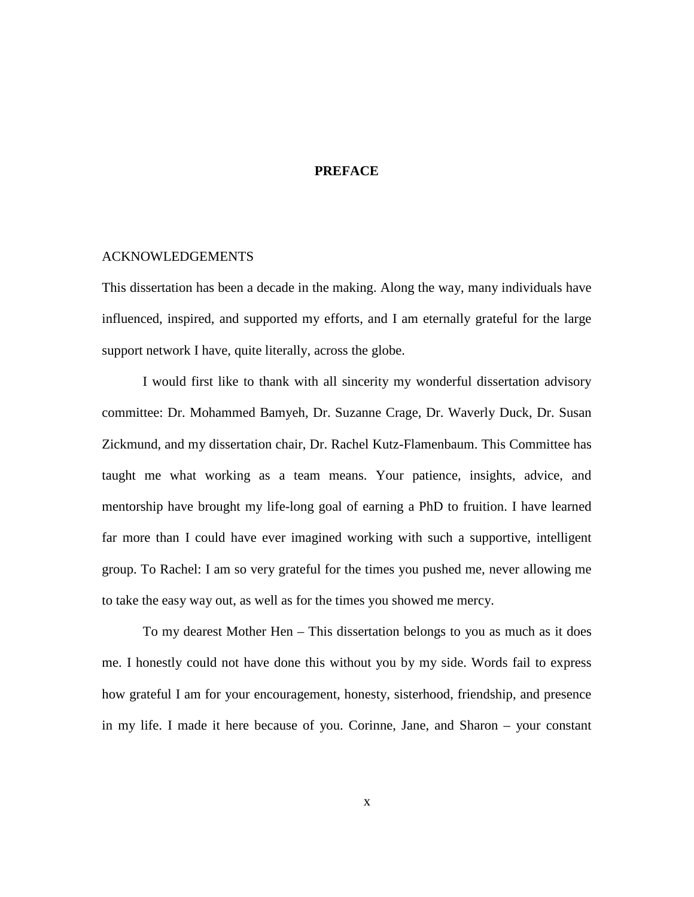#### **PREFACE**

#### ACKNOWLEDGEMENTS

This dissertation has been a decade in the making. Along the way, many individuals have influenced, inspired, and supported my efforts, and I am eternally grateful for the large support network I have, quite literally, across the globe.

I would first like to thank with all sincerity my wonderful dissertation advisory committee: Dr. Mohammed Bamyeh, Dr. Suzanne Crage, Dr. Waverly Duck, Dr. Susan Zickmund, and my dissertation chair, Dr. Rachel Kutz-Flamenbaum. This Committee has taught me what working as a team means. Your patience, insights, advice, and mentorship have brought my life-long goal of earning a PhD to fruition. I have learned far more than I could have ever imagined working with such a supportive, intelligent group. To Rachel: I am so very grateful for the times you pushed me, never allowing me to take the easy way out, as well as for the times you showed me mercy.

To my dearest Mother Hen – This dissertation belongs to you as much as it does me. I honestly could not have done this without you by my side. Words fail to express how grateful I am for your encouragement, honesty, sisterhood, friendship, and presence in my life. I made it here because of you. Corinne, Jane, and Sharon – your constant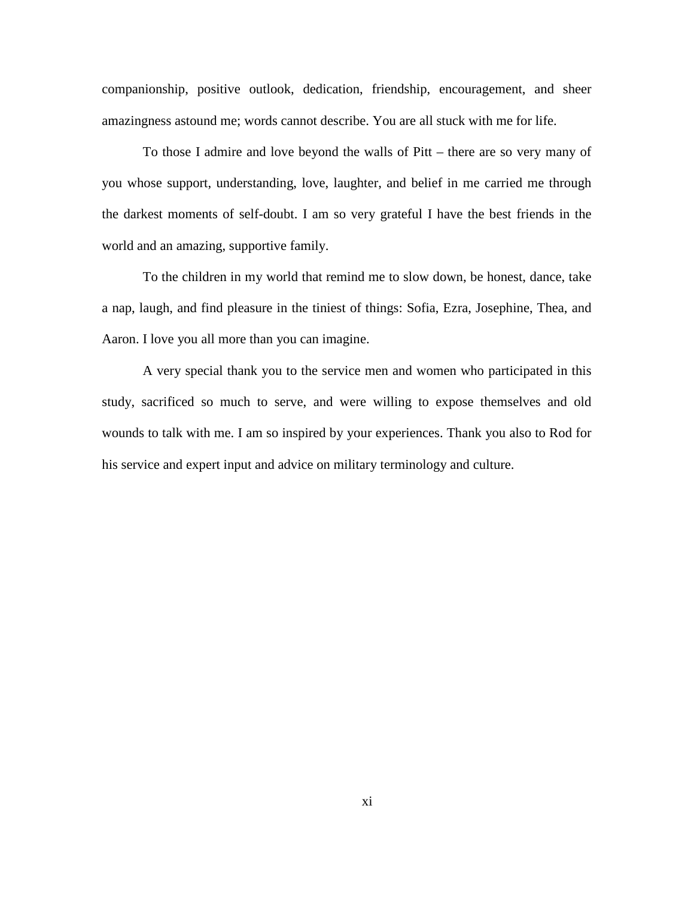companionship, positive outlook, dedication, friendship, encouragement, and sheer amazingness astound me; words cannot describe. You are all stuck with me for life.

To those I admire and love beyond the walls of Pitt – there are so very many of you whose support, understanding, love, laughter, and belief in me carried me through the darkest moments of self-doubt. I am so very grateful I have the best friends in the world and an amazing, supportive family.

To the children in my world that remind me to slow down, be honest, dance, take a nap, laugh, and find pleasure in the tiniest of things: Sofia, Ezra, Josephine, Thea, and Aaron. I love you all more than you can imagine.

A very special thank you to the service men and women who participated in this study, sacrificed so much to serve, and were willing to expose themselves and old wounds to talk with me. I am so inspired by your experiences. Thank you also to Rod for his service and expert input and advice on military terminology and culture.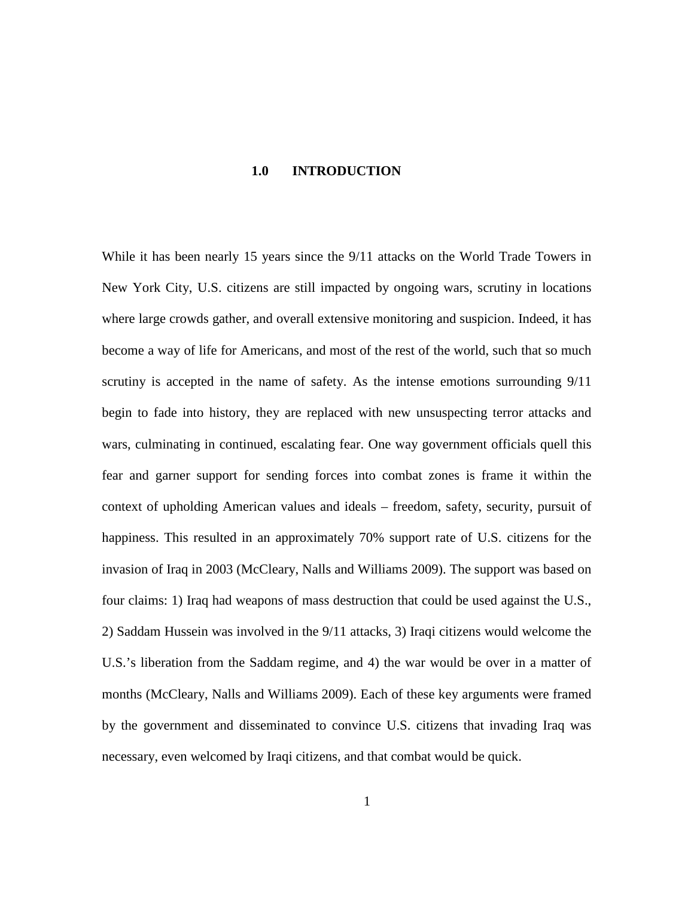#### **1.0 INTRODUCTION**

<span id="page-11-0"></span>While it has been nearly 15 years since the 9/11 attacks on the World Trade Towers in New York City, U.S. citizens are still impacted by ongoing wars, scrutiny in locations where large crowds gather, and overall extensive monitoring and suspicion. Indeed, it has become a way of life for Americans, and most of the rest of the world, such that so much scrutiny is accepted in the name of safety. As the intense emotions surrounding 9/11 begin to fade into history, they are replaced with new unsuspecting terror attacks and wars, culminating in continued, escalating fear. One way government officials quell this fear and garner support for sending forces into combat zones is frame it within the context of upholding American values and ideals – freedom, safety, security, pursuit of happiness. This resulted in an approximately 70% support rate of U.S. citizens for the invasion of Iraq in 2003 (McCleary, Nalls and Williams 2009). The support was based on four claims: 1) Iraq had weapons of mass destruction that could be used against the U.S., 2) Saddam Hussein was involved in the 9/11 attacks, 3) Iraqi citizens would welcome the U.S.'s liberation from the Saddam regime, and 4) the war would be over in a matter of months (McCleary, Nalls and Williams 2009). Each of these key arguments were framed by the government and disseminated to convince U.S. citizens that invading Iraq was necessary, even welcomed by Iraqi citizens, and that combat would be quick.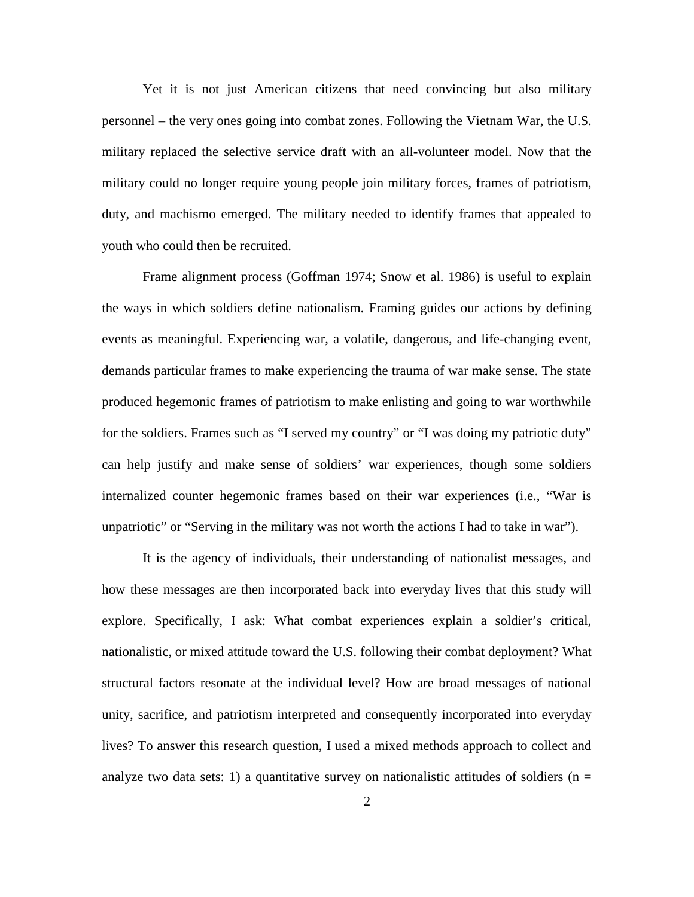Yet it is not just American citizens that need convincing but also military personnel – the very ones going into combat zones. Following the Vietnam War, the U.S. military replaced the selective service draft with an all-volunteer model. Now that the military could no longer require young people join military forces, frames of patriotism, duty, and machismo emerged. The military needed to identify frames that appealed to youth who could then be recruited.

Frame alignment process (Goffman 1974; Snow et al. 1986) is useful to explain the ways in which soldiers define nationalism. Framing guides our actions by defining events as meaningful. Experiencing war, a volatile, dangerous, and life-changing event, demands particular frames to make experiencing the trauma of war make sense. The state produced hegemonic frames of patriotism to make enlisting and going to war worthwhile for the soldiers. Frames such as "I served my country" or "I was doing my patriotic duty" can help justify and make sense of soldiers' war experiences, though some soldiers internalized counter hegemonic frames based on their war experiences (i.e., "War is unpatriotic" or "Serving in the military was not worth the actions I had to take in war").

It is the agency of individuals, their understanding of nationalist messages, and how these messages are then incorporated back into everyday lives that this study will explore. Specifically, I ask: What combat experiences explain a soldier's critical, nationalistic, or mixed attitude toward the U.S. following their combat deployment? What structural factors resonate at the individual level? How are broad messages of national unity, sacrifice, and patriotism interpreted and consequently incorporated into everyday lives? To answer this research question, I used a mixed methods approach to collect and analyze two data sets: 1) a quantitative survey on nationalistic attitudes of soldiers ( $n =$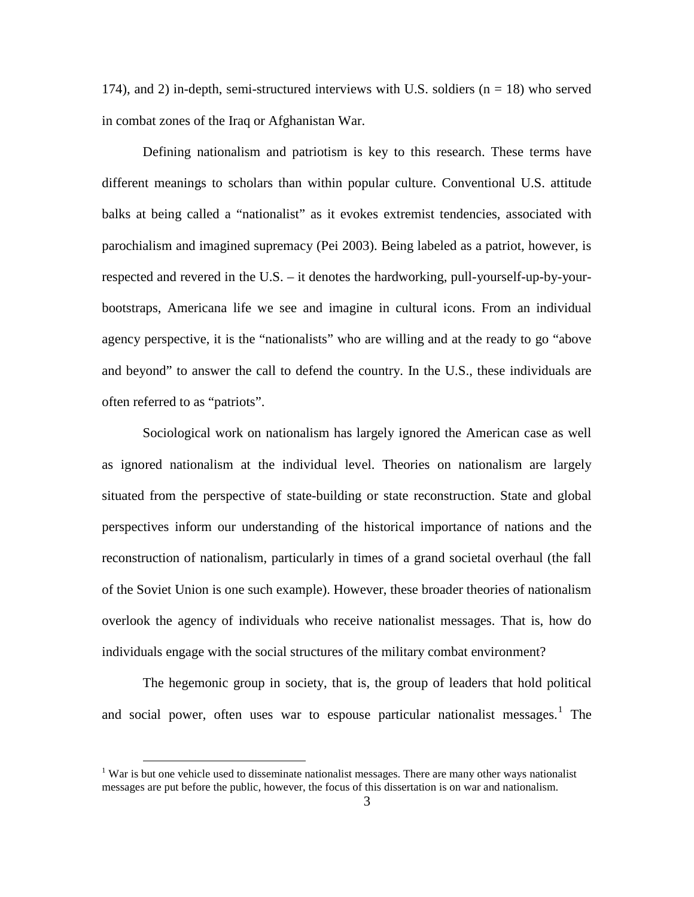174), and 2) in-depth, semi-structured interviews with U.S. soldiers  $(n = 18)$  who served in combat zones of the Iraq or Afghanistan War.

Defining nationalism and patriotism is key to this research. These terms have different meanings to scholars than within popular culture. Conventional U.S. attitude balks at being called a "nationalist" as it evokes extremist tendencies, associated with parochialism and imagined supremacy (Pei 2003). Being labeled as a patriot, however, is respected and revered in the U.S. – it denotes the hardworking, pull-yourself-up-by-yourbootstraps, Americana life we see and imagine in cultural icons. From an individual agency perspective, it is the "nationalists" who are willing and at the ready to go "above and beyond" to answer the call to defend the country. In the U.S., these individuals are often referred to as "patriots".

Sociological work on nationalism has largely ignored the American case as well as ignored nationalism at the individual level. Theories on nationalism are largely situated from the perspective of state-building or state reconstruction. State and global perspectives inform our understanding of the historical importance of nations and the reconstruction of nationalism, particularly in times of a grand societal overhaul (the fall of the Soviet Union is one such example). However, these broader theories of nationalism overlook the agency of individuals who receive nationalist messages. That is, how do individuals engage with the social structures of the military combat environment?

The hegemonic group in society, that is, the group of leaders that hold political and social power, often uses war to espouse particular nationalist messages.<sup>[1](#page-13-0)</sup> The

<span id="page-13-0"></span><sup>&</sup>lt;sup>1</sup> War is but one vehicle used to disseminate nationalist messages. There are many other ways nationalist messages are put before the public, however, the focus of this dissertation is on war and nationalism.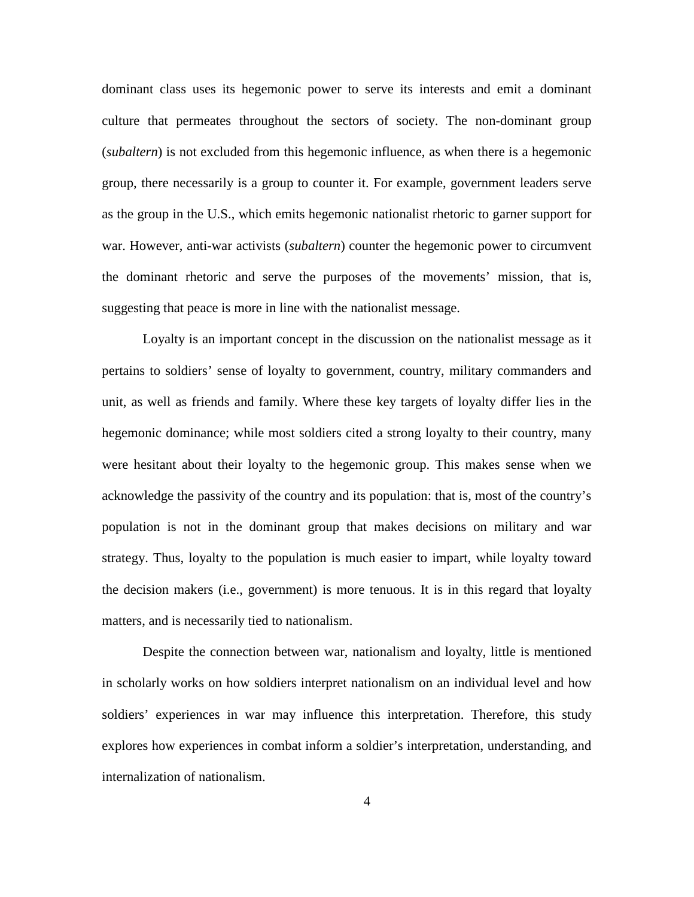dominant class uses its hegemonic power to serve its interests and emit a dominant culture that permeates throughout the sectors of society. The non-dominant group (*subaltern*) is not excluded from this hegemonic influence, as when there is a hegemonic group, there necessarily is a group to counter it. For example, government leaders serve as the group in the U.S., which emits hegemonic nationalist rhetoric to garner support for war. However, anti-war activists (*subaltern*) counter the hegemonic power to circumvent the dominant rhetoric and serve the purposes of the movements' mission, that is, suggesting that peace is more in line with the nationalist message.

Loyalty is an important concept in the discussion on the nationalist message as it pertains to soldiers' sense of loyalty to government, country, military commanders and unit, as well as friends and family. Where these key targets of loyalty differ lies in the hegemonic dominance; while most soldiers cited a strong loyalty to their country, many were hesitant about their loyalty to the hegemonic group. This makes sense when we acknowledge the passivity of the country and its population: that is, most of the country's population is not in the dominant group that makes decisions on military and war strategy. Thus, loyalty to the population is much easier to impart, while loyalty toward the decision makers (i.e., government) is more tenuous. It is in this regard that loyalty matters, and is necessarily tied to nationalism.

Despite the connection between war, nationalism and loyalty, little is mentioned in scholarly works on how soldiers interpret nationalism on an individual level and how soldiers' experiences in war may influence this interpretation. Therefore, this study explores how experiences in combat inform a soldier's interpretation, understanding, and internalization of nationalism.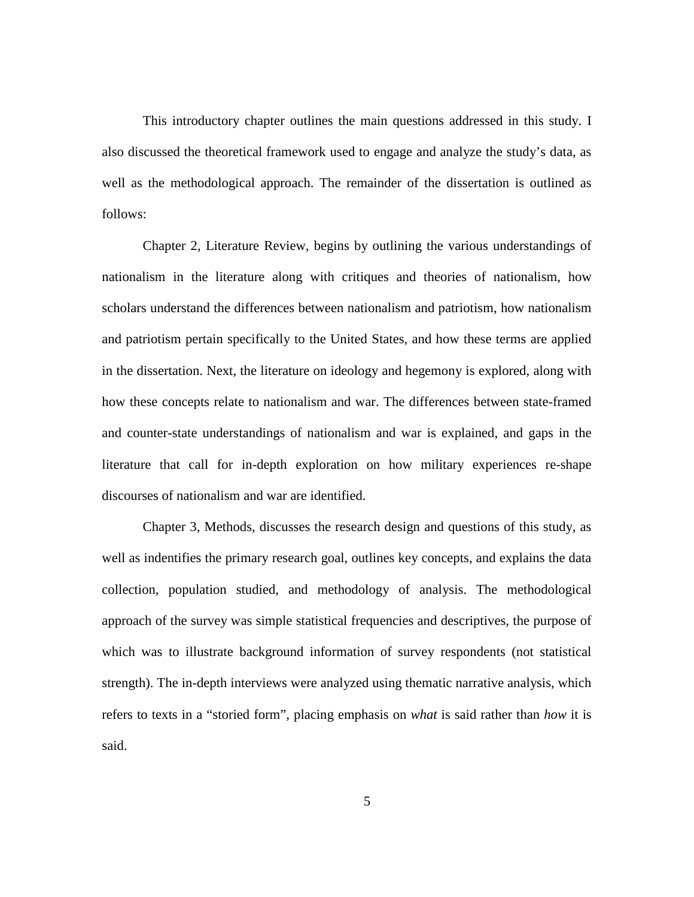This introductory chapter outlines the main questions addressed in this study. I also discussed the theoretical framework used to engage and analyze the study's data, as well as the methodological approach. The remainder of the dissertation is outlined as follows:

Chapter 2, Literature Review, begins by outlining the various understandings of nationalism in the literature along with critiques and theories of nationalism, how scholars understand the differences between nationalism and patriotism, how nationalism and patriotism pertain specifically to the United States, and how these terms are applied in the dissertation. Next, the literature on ideology and hegemony is explored, along with how these concepts relate to nationalism and war. The differences between state-framed and counter-state understandings of nationalism and war is explained, and gaps in the literature that call for in-depth exploration on how military experiences re-shape discourses of nationalism and war are identified.

Chapter 3, Methods, discusses the research design and questions of this study, as well as indentifies the primary research goal, outlines key concepts, and explains the data collection, population studied, and methodology of analysis. The methodological approach of the survey was simple statistical frequencies and descriptives, the purpose of which was to illustrate background information of survey respondents (not statistical strength). The in-depth interviews were analyzed using thematic narrative analysis, which refers to texts in a "storied form", placing emphasis on *what* is said rather than *how* it is said.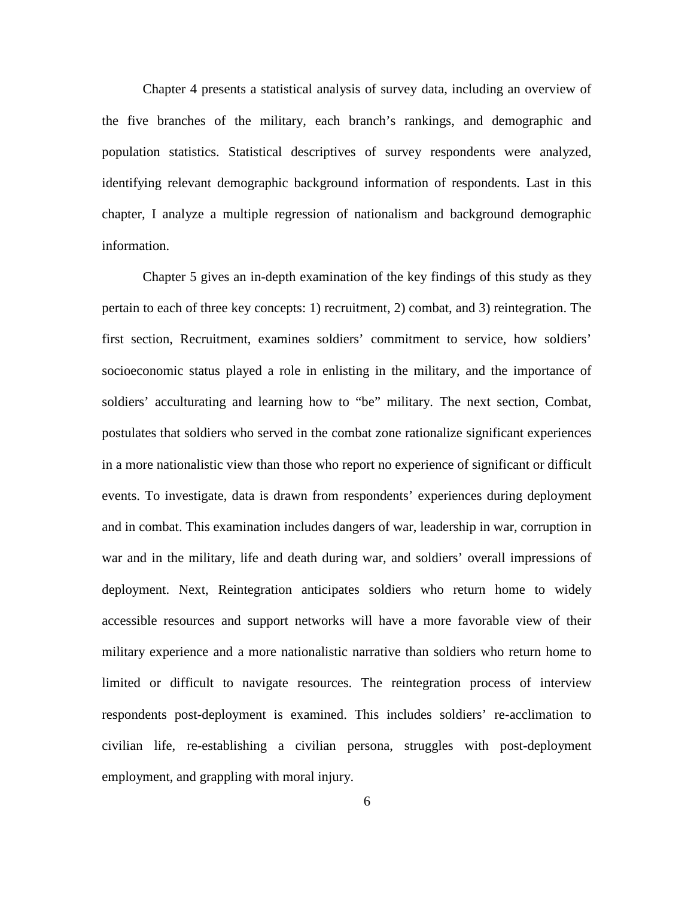Chapter 4 presents a statistical analysis of survey data, including an overview of the five branches of the military, each branch's rankings, and demographic and population statistics. Statistical descriptives of survey respondents were analyzed, identifying relevant demographic background information of respondents. Last in this chapter, I analyze a multiple regression of nationalism and background demographic information.

Chapter 5 gives an in-depth examination of the key findings of this study as they pertain to each of three key concepts: 1) recruitment, 2) combat, and 3) reintegration. The first section, Recruitment, examines soldiers' commitment to service, how soldiers' socioeconomic status played a role in enlisting in the military, and the importance of soldiers' acculturating and learning how to "be" military. The next section, Combat, postulates that soldiers who served in the combat zone rationalize significant experiences in a more nationalistic view than those who report no experience of significant or difficult events. To investigate, data is drawn from respondents' experiences during deployment and in combat. This examination includes dangers of war, leadership in war, corruption in war and in the military, life and death during war, and soldiers' overall impressions of deployment. Next, Reintegration anticipates soldiers who return home to widely accessible resources and support networks will have a more favorable view of their military experience and a more nationalistic narrative than soldiers who return home to limited or difficult to navigate resources. The reintegration process of interview respondents post-deployment is examined. This includes soldiers' re-acclimation to civilian life, re-establishing a civilian persona, struggles with post-deployment employment, and grappling with moral injury.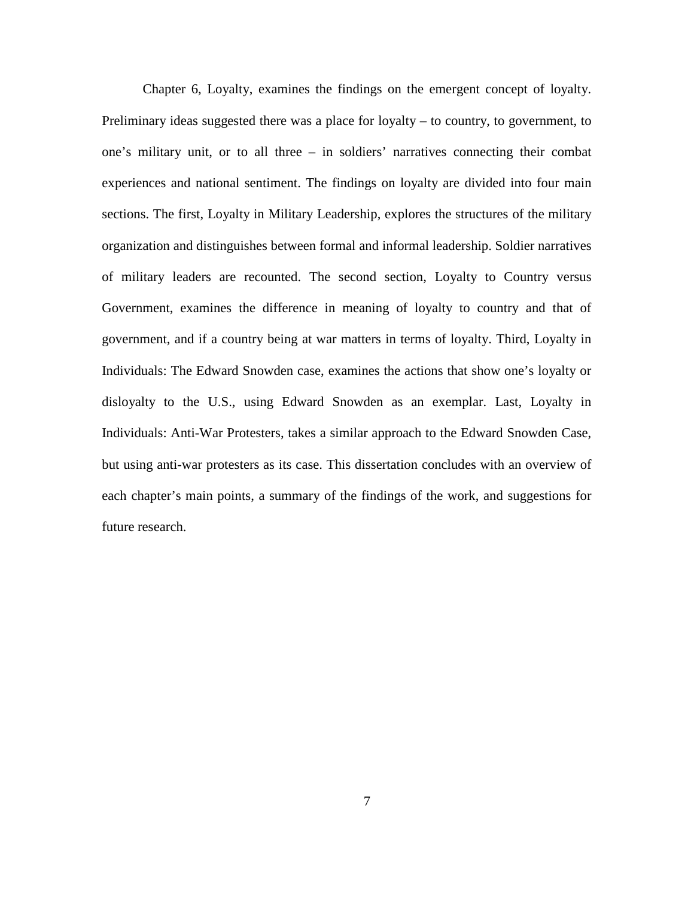Chapter 6, Loyalty, examines the findings on the emergent concept of loyalty. Preliminary ideas suggested there was a place for loyalty – to country, to government, to one's military unit, or to all three – in soldiers' narratives connecting their combat experiences and national sentiment. The findings on loyalty are divided into four main sections. The first, Loyalty in Military Leadership, explores the structures of the military organization and distinguishes between formal and informal leadership. Soldier narratives of military leaders are recounted. The second section, Loyalty to Country versus Government, examines the difference in meaning of loyalty to country and that of government, and if a country being at war matters in terms of loyalty. Third, Loyalty in Individuals: The Edward Snowden case, examines the actions that show one's loyalty or disloyalty to the U.S., using Edward Snowden as an exemplar. Last, Loyalty in Individuals: Anti-War Protesters, takes a similar approach to the Edward Snowden Case, but using anti-war protesters as its case. This dissertation concludes with an overview of each chapter's main points, a summary of the findings of the work, and suggestions for future research.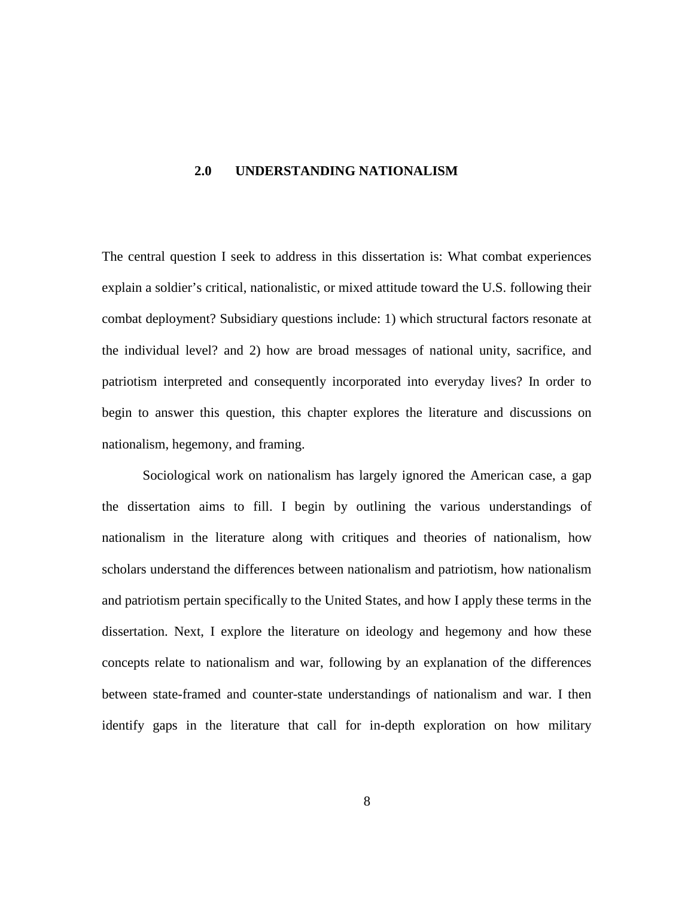#### <span id="page-18-0"></span>**2.0 UNDERSTANDING NATIONALISM**

The central question I seek to address in this dissertation is: What combat experiences explain a soldier's critical, nationalistic, or mixed attitude toward the U.S. following their combat deployment? Subsidiary questions include: 1) which structural factors resonate at the individual level? and 2) how are broad messages of national unity, sacrifice, and patriotism interpreted and consequently incorporated into everyday lives? In order to begin to answer this question, this chapter explores the literature and discussions on nationalism, hegemony, and framing.

Sociological work on nationalism has largely ignored the American case, a gap the dissertation aims to fill. I begin by outlining the various understandings of nationalism in the literature along with critiques and theories of nationalism, how scholars understand the differences between nationalism and patriotism, how nationalism and patriotism pertain specifically to the United States, and how I apply these terms in the dissertation. Next, I explore the literature on ideology and hegemony and how these concepts relate to nationalism and war, following by an explanation of the differences between state-framed and counter-state understandings of nationalism and war. I then identify gaps in the literature that call for in-depth exploration on how military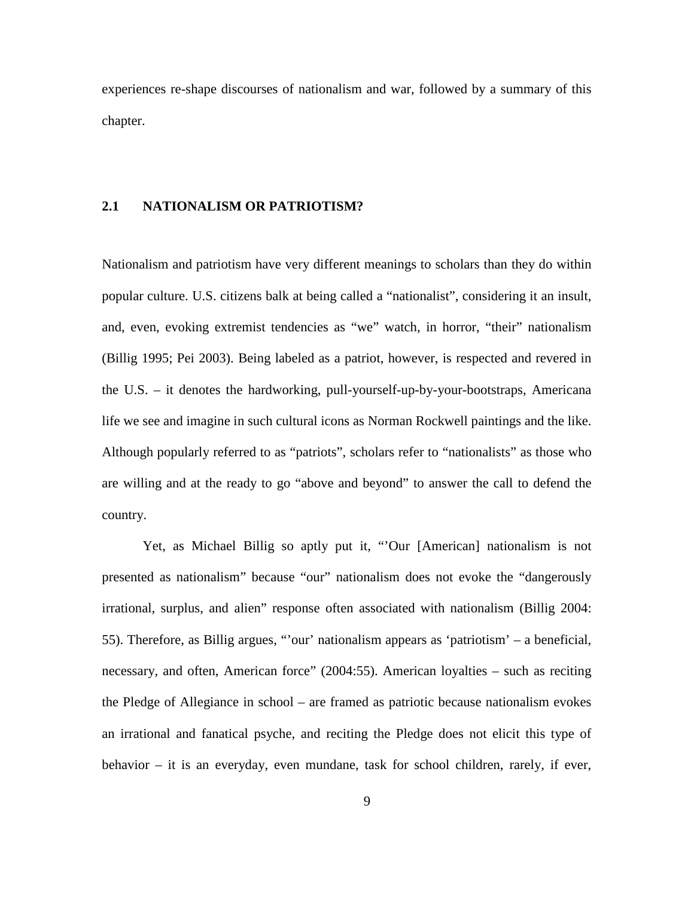experiences re-shape discourses of nationalism and war, followed by a summary of this chapter.

### <span id="page-19-0"></span>**2.1 NATIONALISM OR PATRIOTISM?**

Nationalism and patriotism have very different meanings to scholars than they do within popular culture. U.S. citizens balk at being called a "nationalist", considering it an insult, and, even, evoking extremist tendencies as "we" watch, in horror, "their" nationalism (Billig 1995; Pei 2003). Being labeled as a patriot, however, is respected and revered in the U.S. – it denotes the hardworking, pull-yourself-up-by-your-bootstraps, Americana life we see and imagine in such cultural icons as Norman Rockwell paintings and the like. Although popularly referred to as "patriots", scholars refer to "nationalists" as those who are willing and at the ready to go "above and beyond" to answer the call to defend the country.

Yet, as Michael Billig so aptly put it, "'Our [American] nationalism is not presented as nationalism" because "our" nationalism does not evoke the "dangerously irrational, surplus, and alien" response often associated with nationalism (Billig 2004: 55). Therefore, as Billig argues, "'our' nationalism appears as 'patriotism' – a beneficial, necessary, and often, American force" (2004:55). American loyalties – such as reciting the Pledge of Allegiance in school – are framed as patriotic because nationalism evokes an irrational and fanatical psyche, and reciting the Pledge does not elicit this type of behavior – it is an everyday, even mundane, task for school children, rarely, if ever,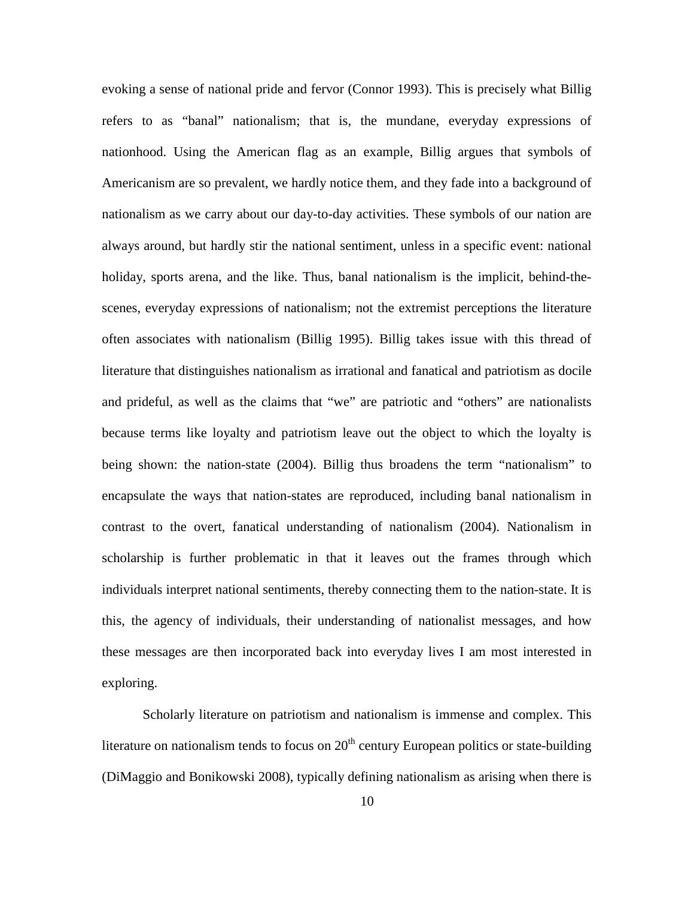evoking a sense of national pride and fervor (Connor 1993). This is precisely what Billig refers to as "banal" nationalism; that is, the mundane, everyday expressions of nationhood. Using the American flag as an example, Billig argues that symbols of Americanism are so prevalent, we hardly notice them, and they fade into a background of nationalism as we carry about our day-to-day activities. These symbols of our nation are always around, but hardly stir the national sentiment, unless in a specific event: national holiday, sports arena, and the like. Thus, banal nationalism is the implicit, behind-thescenes, everyday expressions of nationalism; not the extremist perceptions the literature often associates with nationalism (Billig 1995). Billig takes issue with this thread of literature that distinguishes nationalism as irrational and fanatical and patriotism as docile and prideful, as well as the claims that "we" are patriotic and "others" are nationalists because terms like loyalty and patriotism leave out the object to which the loyalty is being shown: the nation-state (2004). Billig thus broadens the term "nationalism" to encapsulate the ways that nation-states are reproduced, including banal nationalism in contrast to the overt, fanatical understanding of nationalism (2004). Nationalism in scholarship is further problematic in that it leaves out the frames through which individuals interpret national sentiments, thereby connecting them to the nation-state. It is this, the agency of individuals, their understanding of nationalist messages, and how these messages are then incorporated back into everyday lives I am most interested in exploring.

Scholarly literature on patriotism and nationalism is immense and complex. This literature on nationalism tends to focus on  $20<sup>th</sup>$  century European politics or state-building (DiMaggio and Bonikowski 2008), typically defining nationalism as arising when there is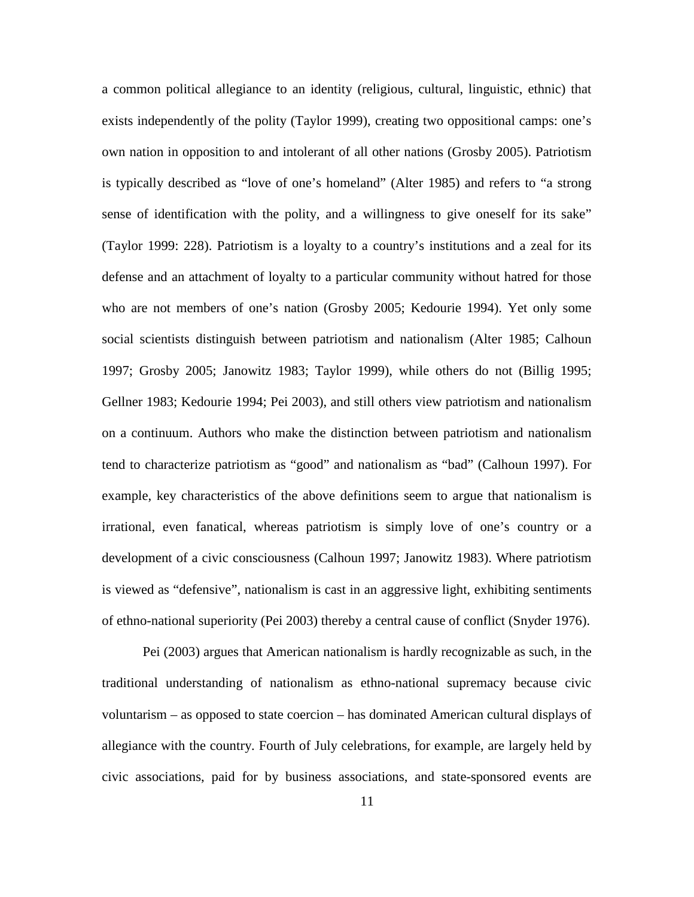a common political allegiance to an identity (religious, cultural, linguistic, ethnic) that exists independently of the polity (Taylor 1999), creating two oppositional camps: one's own nation in opposition to and intolerant of all other nations (Grosby 2005). Patriotism is typically described as "love of one's homeland" (Alter 1985) and refers to "a strong sense of identification with the polity, and a willingness to give oneself for its sake" (Taylor 1999: 228). Patriotism is a loyalty to a country's institutions and a zeal for its defense and an attachment of loyalty to a particular community without hatred for those who are not members of one's nation (Grosby 2005; Kedourie 1994). Yet only some social scientists distinguish between patriotism and nationalism (Alter 1985; Calhoun 1997; Grosby 2005; Janowitz 1983; Taylor 1999), while others do not (Billig 1995; Gellner 1983; Kedourie 1994; Pei 2003), and still others view patriotism and nationalism on a continuum. Authors who make the distinction between patriotism and nationalism tend to characterize patriotism as "good" and nationalism as "bad" (Calhoun 1997). For example, key characteristics of the above definitions seem to argue that nationalism is irrational, even fanatical, whereas patriotism is simply love of one's country or a development of a civic consciousness (Calhoun 1997; Janowitz 1983). Where patriotism is viewed as "defensive", nationalism is cast in an aggressive light, exhibiting sentiments of ethno-national superiority (Pei 2003) thereby a central cause of conflict (Snyder 1976).

Pei (2003) argues that American nationalism is hardly recognizable as such, in the traditional understanding of nationalism as ethno-national supremacy because civic voluntarism – as opposed to state coercion – has dominated American cultural displays of allegiance with the country. Fourth of July celebrations, for example, are largely held by civic associations, paid for by business associations, and state-sponsored events are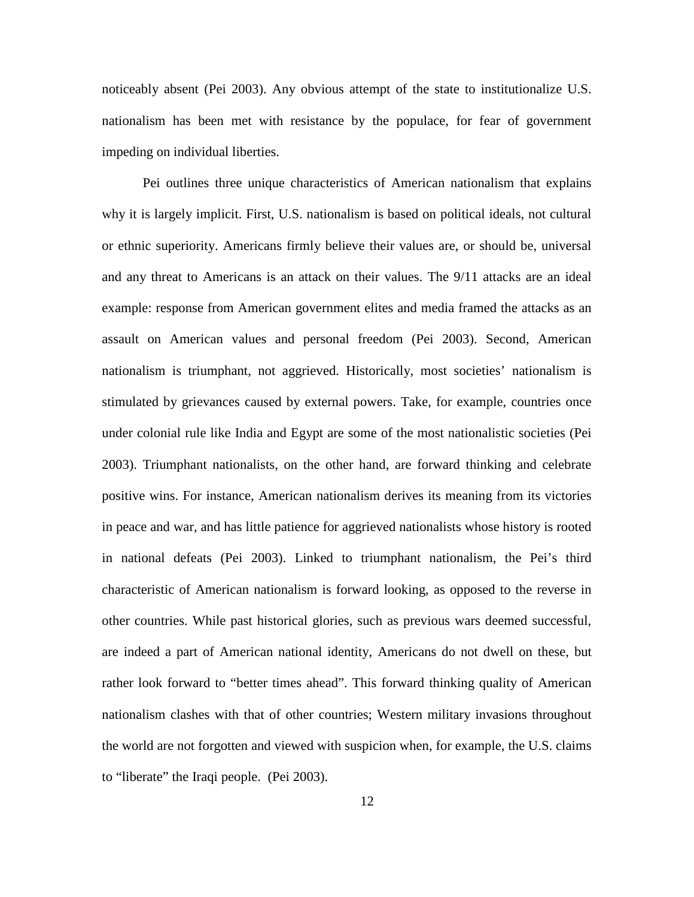noticeably absent (Pei 2003). Any obvious attempt of the state to institutionalize U.S. nationalism has been met with resistance by the populace, for fear of government impeding on individual liberties.

Pei outlines three unique characteristics of American nationalism that explains why it is largely implicit. First, U.S. nationalism is based on political ideals, not cultural or ethnic superiority. Americans firmly believe their values are, or should be, universal and any threat to Americans is an attack on their values. The 9/11 attacks are an ideal example: response from American government elites and media framed the attacks as an assault on American values and personal freedom (Pei 2003). Second, American nationalism is triumphant, not aggrieved. Historically, most societies' nationalism is stimulated by grievances caused by external powers. Take, for example, countries once under colonial rule like India and Egypt are some of the most nationalistic societies (Pei 2003). Triumphant nationalists, on the other hand, are forward thinking and celebrate positive wins. For instance, American nationalism derives its meaning from its victories in peace and war, and has little patience for aggrieved nationalists whose history is rooted in national defeats (Pei 2003). Linked to triumphant nationalism, the Pei's third characteristic of American nationalism is forward looking, as opposed to the reverse in other countries. While past historical glories, such as previous wars deemed successful, are indeed a part of American national identity, Americans do not dwell on these, but rather look forward to "better times ahead". This forward thinking quality of American nationalism clashes with that of other countries; Western military invasions throughout the world are not forgotten and viewed with suspicion when, for example, the U.S. claims to "liberate" the Iraqi people. (Pei 2003).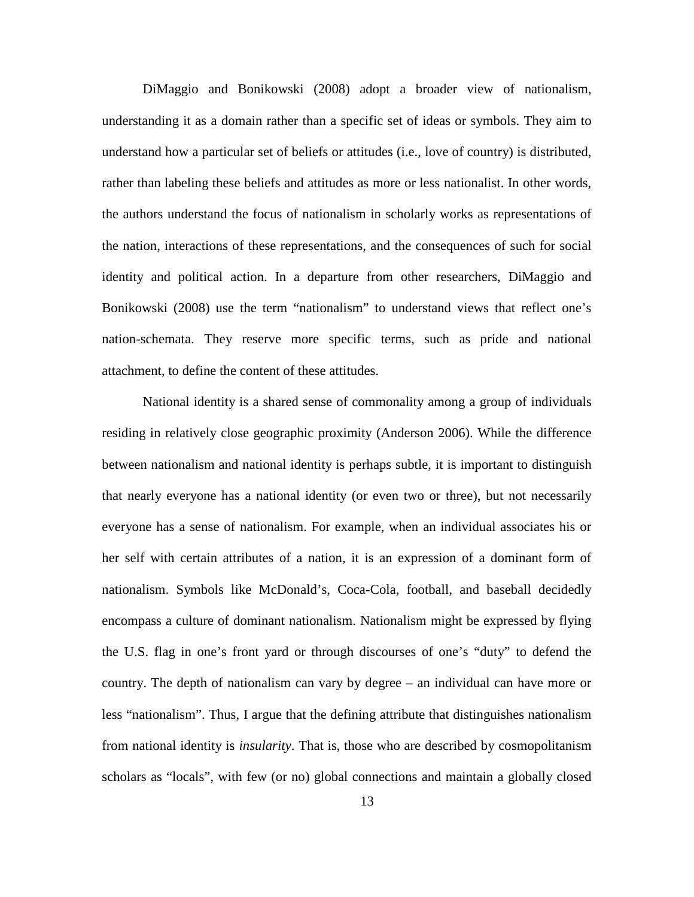DiMaggio and Bonikowski (2008) adopt a broader view of nationalism, understanding it as a domain rather than a specific set of ideas or symbols. They aim to understand how a particular set of beliefs or attitudes (i.e., love of country) is distributed, rather than labeling these beliefs and attitudes as more or less nationalist. In other words, the authors understand the focus of nationalism in scholarly works as representations of the nation, interactions of these representations, and the consequences of such for social identity and political action. In a departure from other researchers, DiMaggio and Bonikowski (2008) use the term "nationalism" to understand views that reflect one's nation-schemata. They reserve more specific terms, such as pride and national attachment, to define the content of these attitudes.

National identity is a shared sense of commonality among a group of individuals residing in relatively close geographic proximity (Anderson 2006). While the difference between nationalism and national identity is perhaps subtle, it is important to distinguish that nearly everyone has a national identity (or even two or three), but not necessarily everyone has a sense of nationalism. For example, when an individual associates his or her self with certain attributes of a nation, it is an expression of a dominant form of nationalism. Symbols like McDonald's, Coca-Cola, football, and baseball decidedly encompass a culture of dominant nationalism. Nationalism might be expressed by flying the U.S. flag in one's front yard or through discourses of one's "duty" to defend the country. The depth of nationalism can vary by degree – an individual can have more or less "nationalism". Thus, I argue that the defining attribute that distinguishes nationalism from national identity is *insularity*. That is, those who are described by cosmopolitanism scholars as "locals", with few (or no) global connections and maintain a globally closed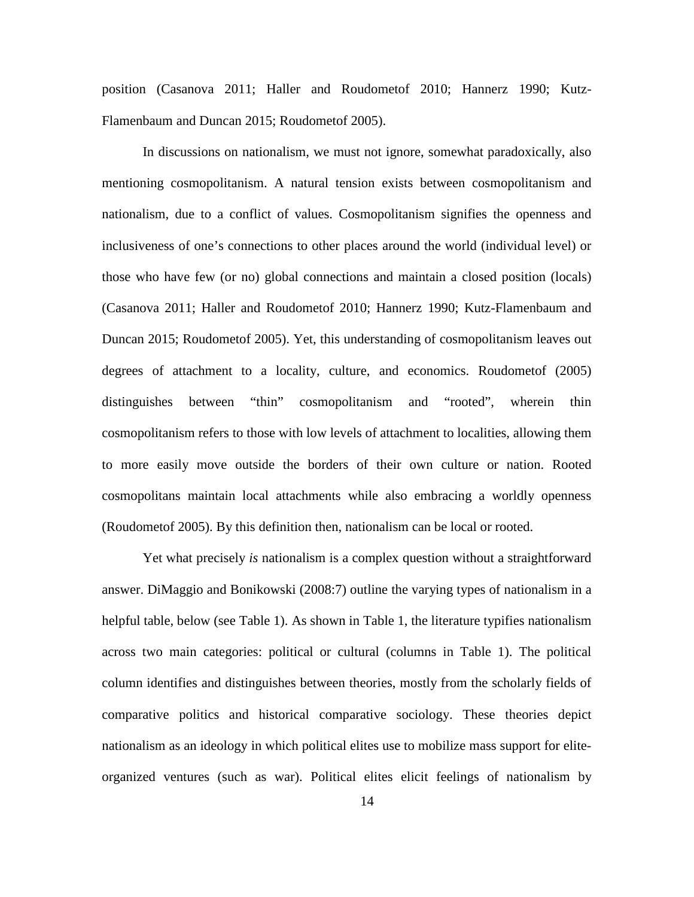position (Casanova 2011; Haller and Roudometof 2010; Hannerz 1990; Kutz-Flamenbaum and Duncan 2015; Roudometof 2005).

In discussions on nationalism, we must not ignore, somewhat paradoxically, also mentioning cosmopolitanism. A natural tension exists between cosmopolitanism and nationalism, due to a conflict of values. Cosmopolitanism signifies the openness and inclusiveness of one's connections to other places around the world (individual level) or those who have few (or no) global connections and maintain a closed position (locals) (Casanova 2011; Haller and Roudometof 2010; Hannerz 1990; Kutz-Flamenbaum and Duncan 2015; Roudometof 2005). Yet, this understanding of cosmopolitanism leaves out degrees of attachment to a locality, culture, and economics. Roudometof (2005) distinguishes between "thin" cosmopolitanism and "rooted", wherein thin cosmopolitanism refers to those with low levels of attachment to localities, allowing them to more easily move outside the borders of their own culture or nation. Rooted cosmopolitans maintain local attachments while also embracing a worldly openness (Roudometof 2005). By this definition then, nationalism can be local or rooted.

Yet what precisely *is* nationalism is a complex question without a straightforward answer. DiMaggio and Bonikowski (2008:7) outline the varying types of nationalism in a helpful table, below (see Table 1). As shown in Table 1, the literature typifies nationalism across two main categories: political or cultural (columns in Table 1). The political column identifies and distinguishes between theories, mostly from the scholarly fields of comparative politics and historical comparative sociology. These theories depict nationalism as an ideology in which political elites use to mobilize mass support for eliteorganized ventures (such as war). Political elites elicit feelings of nationalism by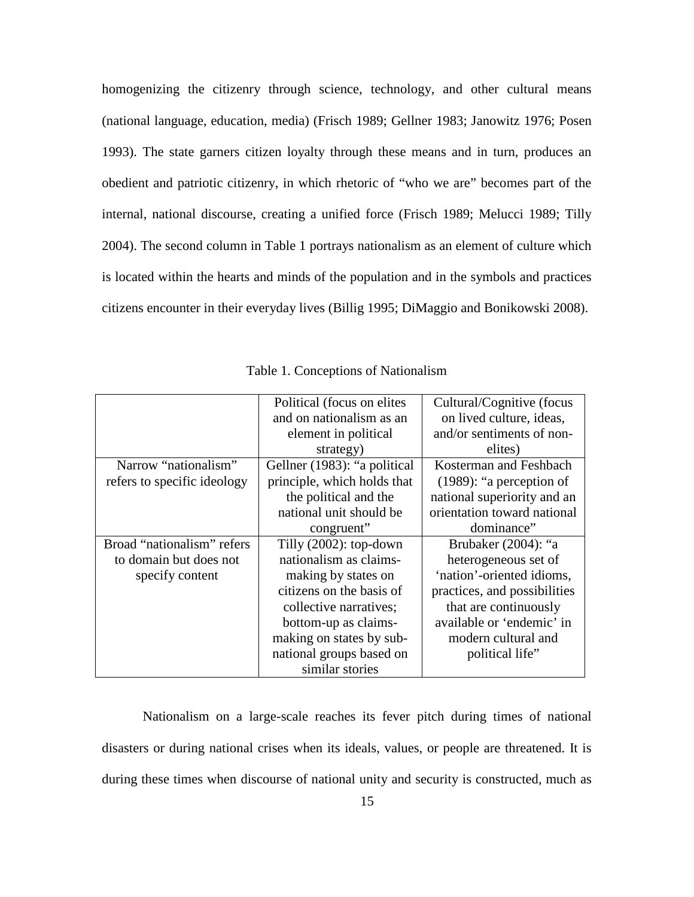homogenizing the citizenry through science, technology, and other cultural means (national language, education, media) (Frisch 1989; Gellner 1983; Janowitz 1976; Posen 1993). The state garners citizen loyalty through these means and in turn, produces an obedient and patriotic citizenry, in which rhetoric of "who we are" becomes part of the internal, national discourse, creating a unified force (Frisch 1989; Melucci 1989; Tilly 2004). The second column in Table 1 portrays nationalism as an element of culture which is located within the hearts and minds of the population and in the symbols and practices citizens encounter in their everyday lives (Billig 1995; DiMaggio and Bonikowski 2008).

<span id="page-25-0"></span>

|                             | Political (focus on elites)  | Cultural/Cognitive (focus    |
|-----------------------------|------------------------------|------------------------------|
|                             | and on nationalism as an     | on lived culture, ideas,     |
|                             | element in political         | and/or sentiments of non-    |
|                             | strategy)                    | elites)                      |
| Narrow "nationalism"        | Gellner (1983): "a political | Kosterman and Feshbach       |
| refers to specific ideology | principle, which holds that  | $(1989)$ : "a perception of  |
|                             | the political and the        | national superiority and an  |
|                             | national unit should be      | orientation toward national  |
|                             | congruent"                   | dominance"                   |
| Broad "nationalism" refers  | Tilly $(2002)$ : top-down    | Brubaker $(2004)$ : "a       |
| to domain but does not      | nationalism as claims-       | heterogeneous set of         |
| specify content             | making by states on          | 'nation'-oriented idioms,    |
|                             | citizens on the basis of     | practices, and possibilities |
|                             | collective narratives;       | that are continuously        |
|                             | bottom-up as claims-         | available or 'endemic' in    |
|                             | making on states by sub-     | modern cultural and          |
|                             |                              |                              |
|                             | national groups based on     | political life"              |

Table 1. Conceptions of Nationalism

Nationalism on a large-scale reaches its fever pitch during times of national disasters or during national crises when its ideals, values, or people are threatened. It is during these times when discourse of national unity and security is constructed, much as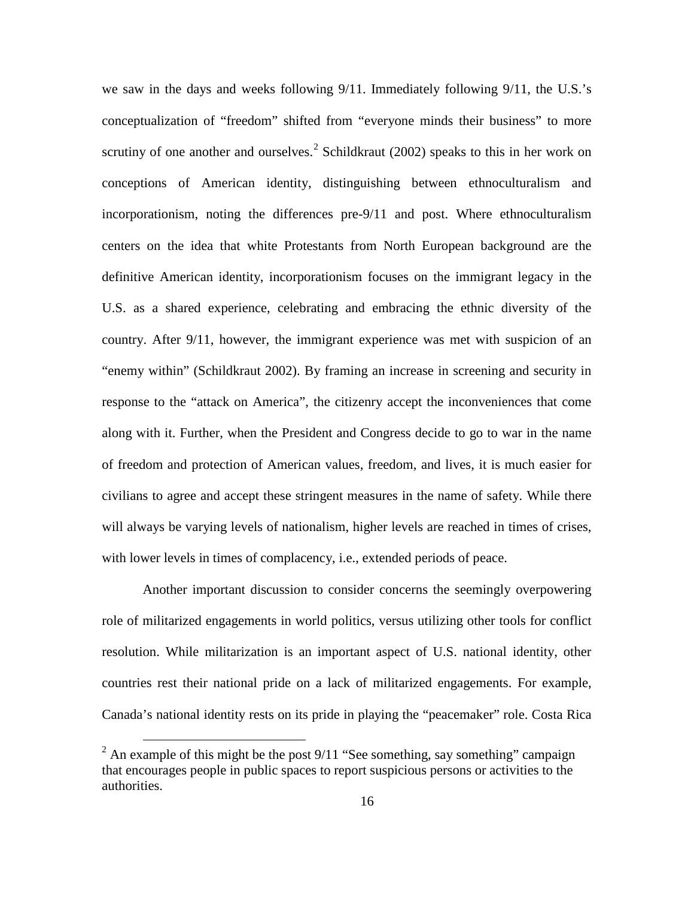we saw in the days and weeks following 9/11. Immediately following 9/11, the U.S.'s conceptualization of "freedom" shifted from "everyone minds their business" to more scrutiny of one another and ourselves.<sup>[2](#page-26-0)</sup> Schildkraut (2002) speaks to this in her work on conceptions of American identity, distinguishing between ethnoculturalism and incorporationism, noting the differences pre-9/11 and post. Where ethnoculturalism centers on the idea that white Protestants from North European background are the definitive American identity, incorporationism focuses on the immigrant legacy in the U.S. as a shared experience, celebrating and embracing the ethnic diversity of the country. After 9/11, however, the immigrant experience was met with suspicion of an "enemy within" (Schildkraut 2002). By framing an increase in screening and security in response to the "attack on America", the citizenry accept the inconveniences that come along with it. Further, when the President and Congress decide to go to war in the name of freedom and protection of American values, freedom, and lives, it is much easier for civilians to agree and accept these stringent measures in the name of safety. While there will always be varying levels of nationalism, higher levels are reached in times of crises, with lower levels in times of complacency, i.e., extended periods of peace.

Another important discussion to consider concerns the seemingly overpowering role of militarized engagements in world politics, versus utilizing other tools for conflict resolution. While militarization is an important aspect of U.S. national identity, other countries rest their national pride on a lack of militarized engagements. For example, Canada's national identity rests on its pride in playing the "peacemaker" role. Costa Rica

<span id="page-26-0"></span><sup>&</sup>lt;sup>2</sup> An example of this might be the post  $9/11$  "See something, say something" campaign that encourages people in public spaces to report suspicious persons or activities to the authorities.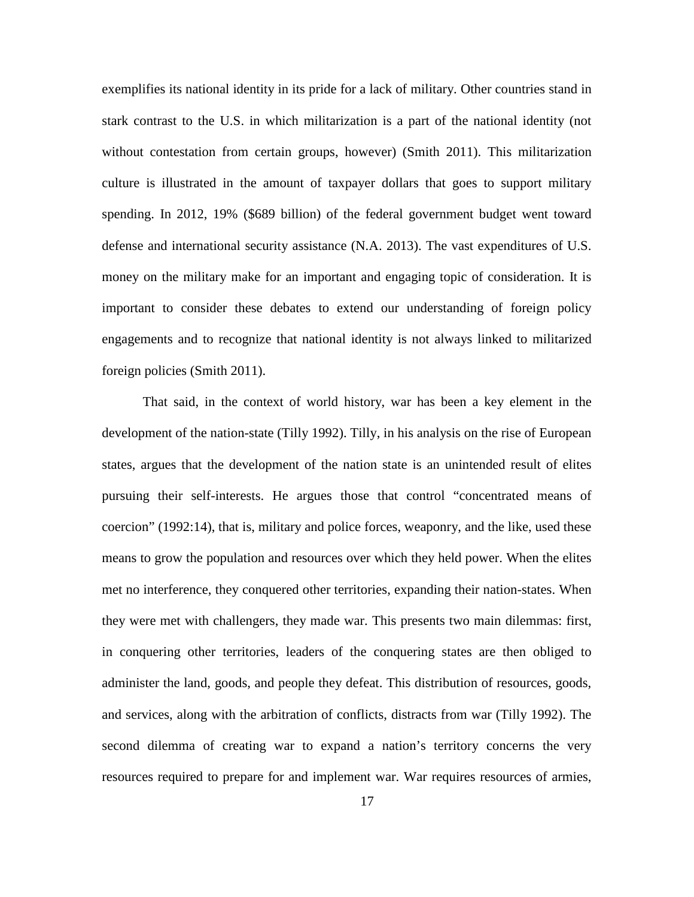exemplifies its national identity in its pride for a lack of military. Other countries stand in stark contrast to the U.S. in which militarization is a part of the national identity (not without contestation from certain groups, however) (Smith 2011). This militarization culture is illustrated in the amount of taxpayer dollars that goes to support military spending. In 2012, 19% (\$689 billion) of the federal government budget went toward defense and international security assistance (N.A. 2013). The vast expenditures of U.S. money on the military make for an important and engaging topic of consideration. It is important to consider these debates to extend our understanding of foreign policy engagements and to recognize that national identity is not always linked to militarized foreign policies (Smith 2011).

That said, in the context of world history, war has been a key element in the development of the nation-state (Tilly 1992). Tilly, in his analysis on the rise of European states, argues that the development of the nation state is an unintended result of elites pursuing their self-interests. He argues those that control "concentrated means of coercion" (1992:14), that is, military and police forces, weaponry, and the like, used these means to grow the population and resources over which they held power. When the elites met no interference, they conquered other territories, expanding their nation-states. When they were met with challengers, they made war. This presents two main dilemmas: first, in conquering other territories, leaders of the conquering states are then obliged to administer the land, goods, and people they defeat. This distribution of resources, goods, and services, along with the arbitration of conflicts, distracts from war (Tilly 1992). The second dilemma of creating war to expand a nation's territory concerns the very resources required to prepare for and implement war. War requires resources of armies,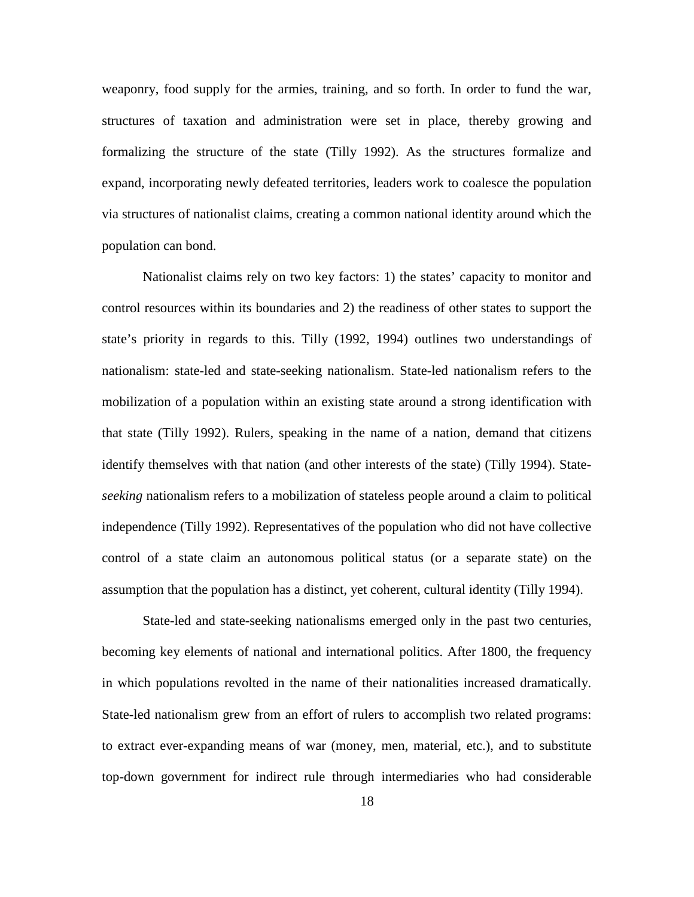weaponry, food supply for the armies, training, and so forth. In order to fund the war, structures of taxation and administration were set in place, thereby growing and formalizing the structure of the state (Tilly 1992). As the structures formalize and expand, incorporating newly defeated territories, leaders work to coalesce the population via structures of nationalist claims, creating a common national identity around which the population can bond.

Nationalist claims rely on two key factors: 1) the states' capacity to monitor and control resources within its boundaries and 2) the readiness of other states to support the state's priority in regards to this. Tilly (1992, 1994) outlines two understandings of nationalism: state-led and state-seeking nationalism. State-led nationalism refers to the mobilization of a population within an existing state around a strong identification with that state (Tilly 1992). Rulers, speaking in the name of a nation, demand that citizens identify themselves with that nation (and other interests of the state) (Tilly 1994). State*seeking* nationalism refers to a mobilization of stateless people around a claim to political independence (Tilly 1992). Representatives of the population who did not have collective control of a state claim an autonomous political status (or a separate state) on the assumption that the population has a distinct, yet coherent, cultural identity (Tilly 1994).

State-led and state-seeking nationalisms emerged only in the past two centuries, becoming key elements of national and international politics. After 1800, the frequency in which populations revolted in the name of their nationalities increased dramatically. State-led nationalism grew from an effort of rulers to accomplish two related programs: to extract ever-expanding means of war (money, men, material, etc.), and to substitute top-down government for indirect rule through intermediaries who had considerable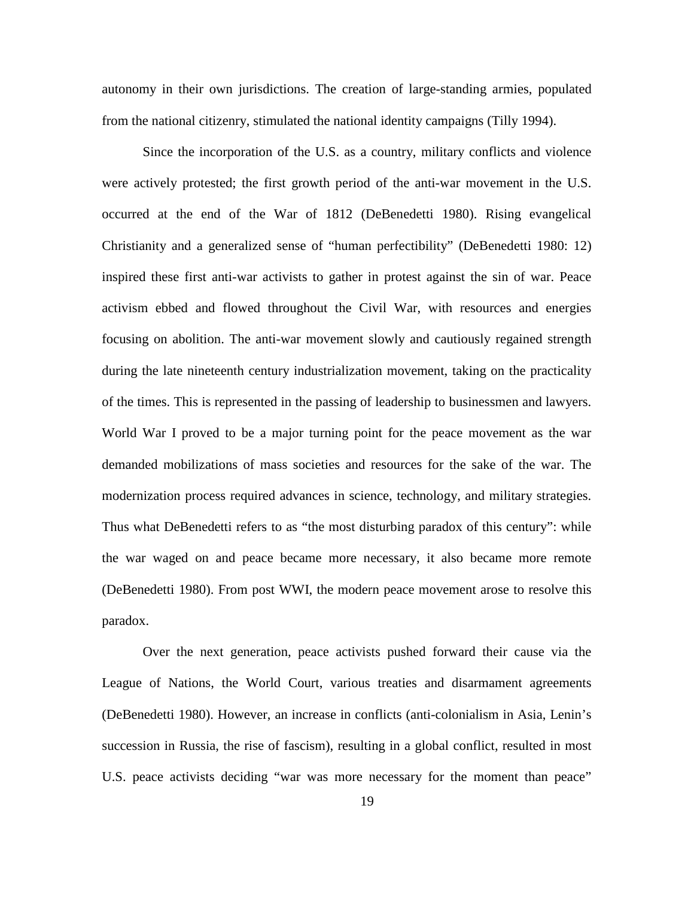autonomy in their own jurisdictions. The creation of large-standing armies, populated from the national citizenry, stimulated the national identity campaigns (Tilly 1994).

Since the incorporation of the U.S. as a country, military conflicts and violence were actively protested; the first growth period of the anti-war movement in the U.S. occurred at the end of the War of 1812 (DeBenedetti 1980). Rising evangelical Christianity and a generalized sense of "human perfectibility" (DeBenedetti 1980: 12) inspired these first anti-war activists to gather in protest against the sin of war. Peace activism ebbed and flowed throughout the Civil War, with resources and energies focusing on abolition. The anti-war movement slowly and cautiously regained strength during the late nineteenth century industrialization movement, taking on the practicality of the times. This is represented in the passing of leadership to businessmen and lawyers. World War I proved to be a major turning point for the peace movement as the war demanded mobilizations of mass societies and resources for the sake of the war. The modernization process required advances in science, technology, and military strategies. Thus what DeBenedetti refers to as "the most disturbing paradox of this century": while the war waged on and peace became more necessary, it also became more remote (DeBenedetti 1980). From post WWI, the modern peace movement arose to resolve this paradox.

Over the next generation, peace activists pushed forward their cause via the League of Nations, the World Court, various treaties and disarmament agreements (DeBenedetti 1980). However, an increase in conflicts (anti-colonialism in Asia, Lenin's succession in Russia, the rise of fascism), resulting in a global conflict, resulted in most U.S. peace activists deciding "war was more necessary for the moment than peace"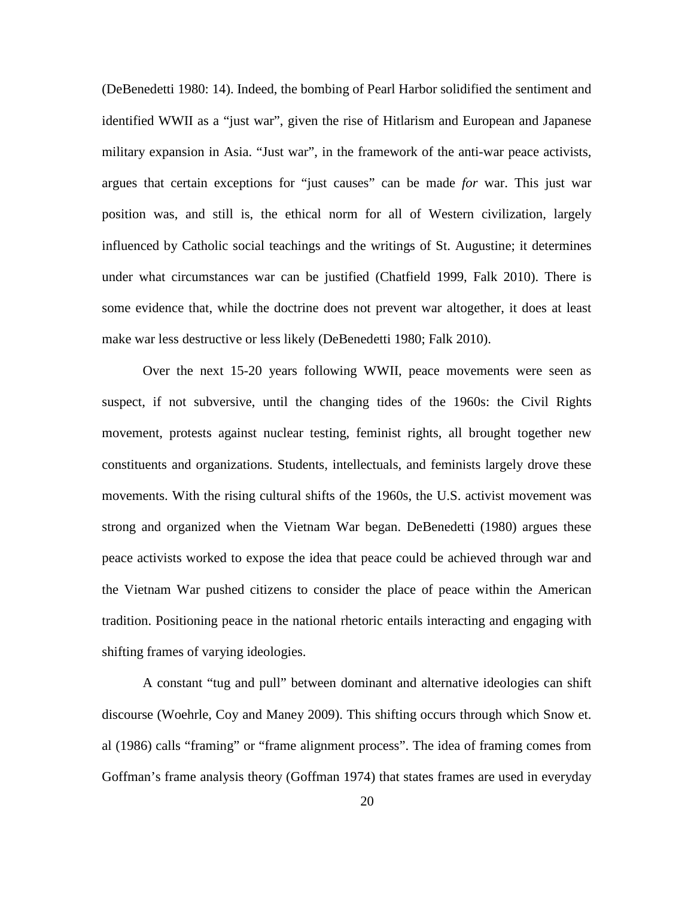(DeBenedetti 1980: 14). Indeed, the bombing of Pearl Harbor solidified the sentiment and identified WWII as a "just war", given the rise of Hitlarism and European and Japanese military expansion in Asia. "Just war", in the framework of the anti-war peace activists, argues that certain exceptions for "just causes" can be made *for* war. This just war position was, and still is, the ethical norm for all of Western civilization, largely influenced by Catholic social teachings and the writings of St. Augustine; it determines under what circumstances war can be justified (Chatfield 1999, Falk 2010). There is some evidence that, while the doctrine does not prevent war altogether, it does at least make war less destructive or less likely (DeBenedetti 1980; Falk 2010).

Over the next 15-20 years following WWII, peace movements were seen as suspect, if not subversive, until the changing tides of the 1960s: the Civil Rights movement, protests against nuclear testing, feminist rights, all brought together new constituents and organizations. Students, intellectuals, and feminists largely drove these movements. With the rising cultural shifts of the 1960s, the U.S. activist movement was strong and organized when the Vietnam War began. DeBenedetti (1980) argues these peace activists worked to expose the idea that peace could be achieved through war and the Vietnam War pushed citizens to consider the place of peace within the American tradition. Positioning peace in the national rhetoric entails interacting and engaging with shifting frames of varying ideologies.

A constant "tug and pull" between dominant and alternative ideologies can shift discourse (Woehrle, Coy and Maney 2009). This shifting occurs through which Snow et. al (1986) calls "framing" or "frame alignment process". The idea of framing comes from Goffman's frame analysis theory (Goffman 1974) that states frames are used in everyday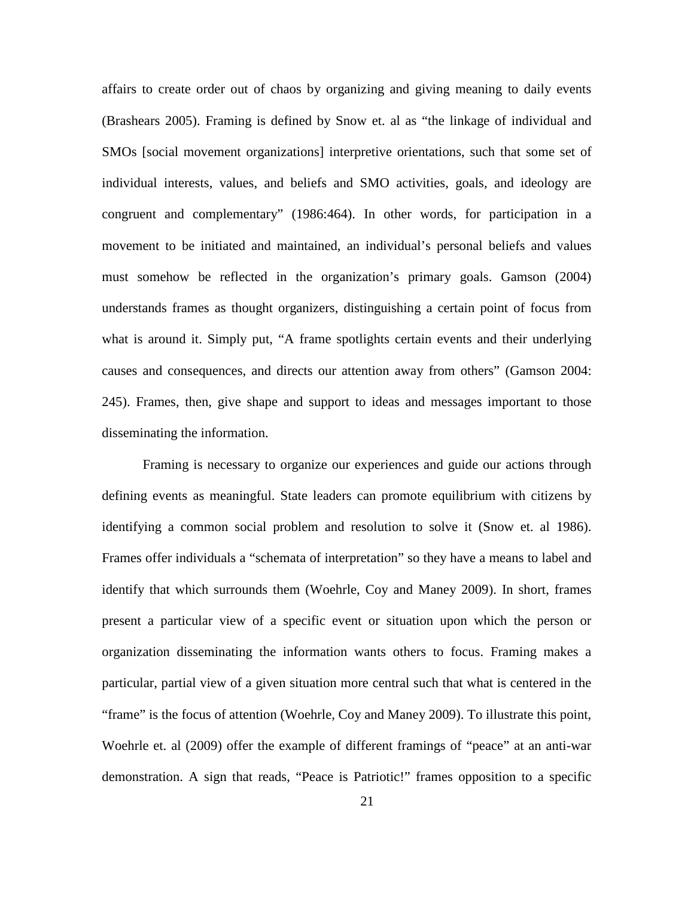affairs to create order out of chaos by organizing and giving meaning to daily events (Brashears 2005). Framing is defined by Snow et. al as "the linkage of individual and SMOs [social movement organizations] interpretive orientations, such that some set of individual interests, values, and beliefs and SMO activities, goals, and ideology are congruent and complementary" (1986:464). In other words, for participation in a movement to be initiated and maintained, an individual's personal beliefs and values must somehow be reflected in the organization's primary goals. Gamson (2004) understands frames as thought organizers, distinguishing a certain point of focus from what is around it. Simply put, "A frame spotlights certain events and their underlying causes and consequences, and directs our attention away from others" (Gamson 2004: 245). Frames, then, give shape and support to ideas and messages important to those disseminating the information.

Framing is necessary to organize our experiences and guide our actions through defining events as meaningful. State leaders can promote equilibrium with citizens by identifying a common social problem and resolution to solve it (Snow et. al 1986). Frames offer individuals a "schemata of interpretation" so they have a means to label and identify that which surrounds them (Woehrle, Coy and Maney 2009). In short, frames present a particular view of a specific event or situation upon which the person or organization disseminating the information wants others to focus. Framing makes a particular, partial view of a given situation more central such that what is centered in the "frame" is the focus of attention (Woehrle, Coy and Maney 2009). To illustrate this point, Woehrle et. al (2009) offer the example of different framings of "peace" at an anti-war demonstration. A sign that reads, "Peace is Patriotic!" frames opposition to a specific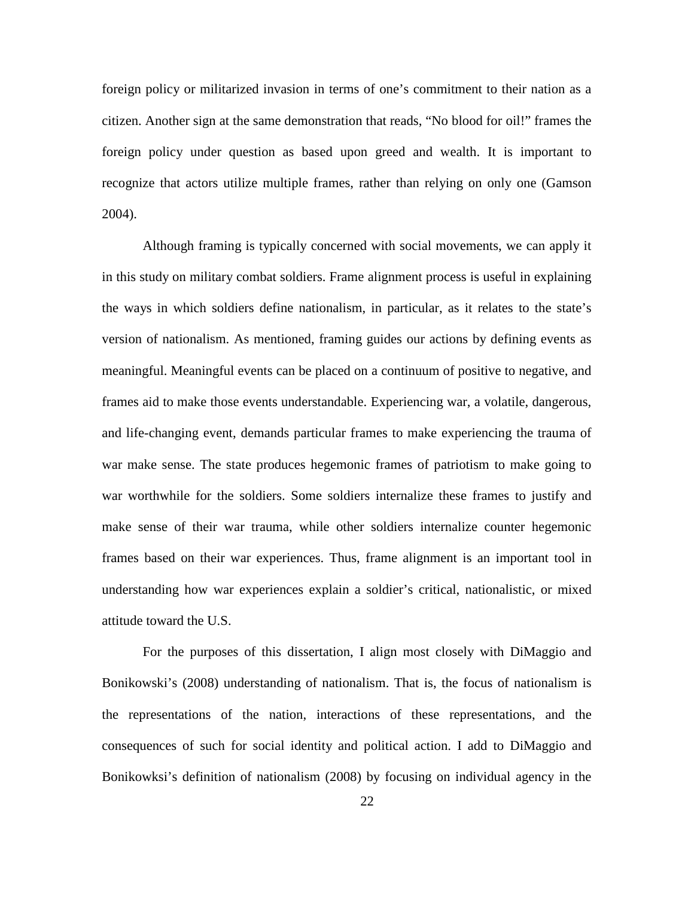foreign policy or militarized invasion in terms of one's commitment to their nation as a citizen. Another sign at the same demonstration that reads, "No blood for oil!" frames the foreign policy under question as based upon greed and wealth. It is important to recognize that actors utilize multiple frames, rather than relying on only one (Gamson 2004).

Although framing is typically concerned with social movements, we can apply it in this study on military combat soldiers. Frame alignment process is useful in explaining the ways in which soldiers define nationalism, in particular, as it relates to the state's version of nationalism. As mentioned, framing guides our actions by defining events as meaningful. Meaningful events can be placed on a continuum of positive to negative, and frames aid to make those events understandable. Experiencing war, a volatile, dangerous, and life-changing event, demands particular frames to make experiencing the trauma of war make sense. The state produces hegemonic frames of patriotism to make going to war worthwhile for the soldiers. Some soldiers internalize these frames to justify and make sense of their war trauma, while other soldiers internalize counter hegemonic frames based on their war experiences. Thus, frame alignment is an important tool in understanding how war experiences explain a soldier's critical, nationalistic, or mixed attitude toward the U.S.

For the purposes of this dissertation, I align most closely with DiMaggio and Bonikowski's (2008) understanding of nationalism. That is, the focus of nationalism is the representations of the nation, interactions of these representations, and the consequences of such for social identity and political action. I add to DiMaggio and Bonikowksi's definition of nationalism (2008) by focusing on individual agency in the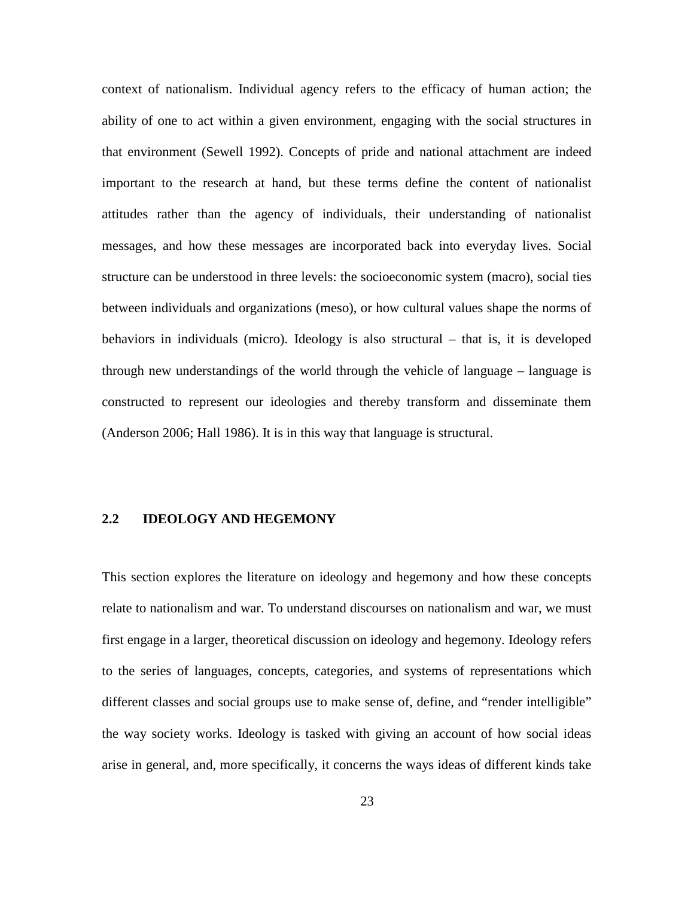context of nationalism. Individual agency refers to the efficacy of human action; the ability of one to act within a given environment, engaging with the social structures in that environment (Sewell 1992). Concepts of pride and national attachment are indeed important to the research at hand, but these terms define the content of nationalist attitudes rather than the agency of individuals, their understanding of nationalist messages, and how these messages are incorporated back into everyday lives. Social structure can be understood in three levels: the socioeconomic system (macro), social ties between individuals and organizations (meso), or how cultural values shape the norms of behaviors in individuals (micro). Ideology is also structural – that is, it is developed through new understandings of the world through the vehicle of language – language is constructed to represent our ideologies and thereby transform and disseminate them (Anderson 2006; Hall 1986). It is in this way that language is structural.

## <span id="page-33-0"></span>**2.2 IDEOLOGY AND HEGEMONY**

This section explores the literature on ideology and hegemony and how these concepts relate to nationalism and war. To understand discourses on nationalism and war, we must first engage in a larger, theoretical discussion on ideology and hegemony. Ideology refers to the series of languages, concepts, categories, and systems of representations which different classes and social groups use to make sense of, define, and "render intelligible" the way society works. Ideology is tasked with giving an account of how social ideas arise in general, and, more specifically, it concerns the ways ideas of different kinds take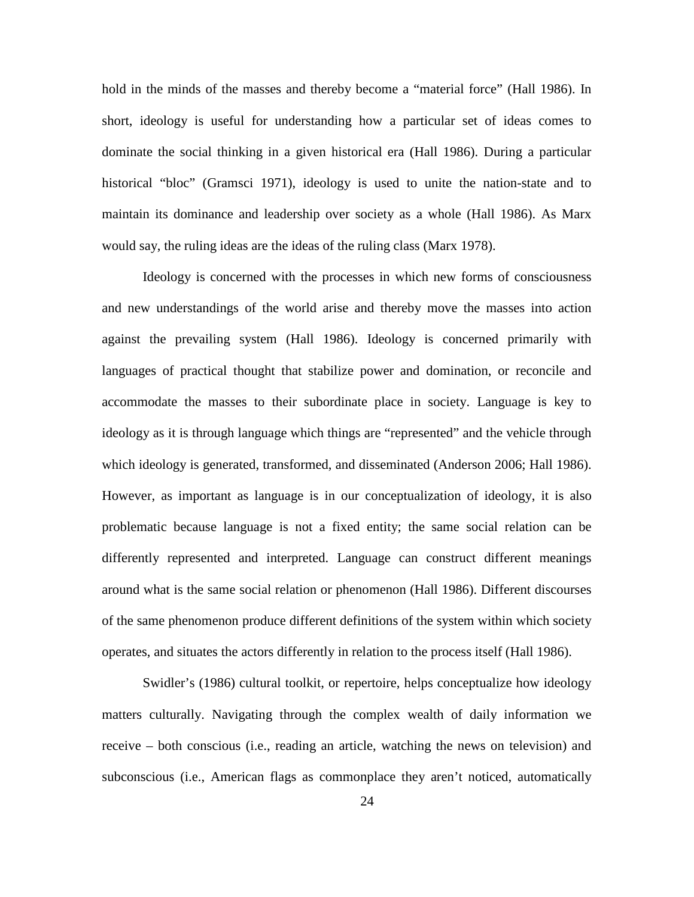hold in the minds of the masses and thereby become a "material force" (Hall 1986). In short, ideology is useful for understanding how a particular set of ideas comes to dominate the social thinking in a given historical era (Hall 1986). During a particular historical "bloc" (Gramsci 1971), ideology is used to unite the nation-state and to maintain its dominance and leadership over society as a whole (Hall 1986). As Marx would say, the ruling ideas are the ideas of the ruling class (Marx 1978).

Ideology is concerned with the processes in which new forms of consciousness and new understandings of the world arise and thereby move the masses into action against the prevailing system (Hall 1986). Ideology is concerned primarily with languages of practical thought that stabilize power and domination, or reconcile and accommodate the masses to their subordinate place in society. Language is key to ideology as it is through language which things are "represented" and the vehicle through which ideology is generated, transformed, and disseminated (Anderson 2006; Hall 1986). However, as important as language is in our conceptualization of ideology, it is also problematic because language is not a fixed entity; the same social relation can be differently represented and interpreted. Language can construct different meanings around what is the same social relation or phenomenon (Hall 1986). Different discourses of the same phenomenon produce different definitions of the system within which society operates, and situates the actors differently in relation to the process itself (Hall 1986).

Swidler's (1986) cultural toolkit, or repertoire, helps conceptualize how ideology matters culturally. Navigating through the complex wealth of daily information we receive – both conscious (i.e., reading an article, watching the news on television) and subconscious (i.e., American flags as commonplace they aren't noticed, automatically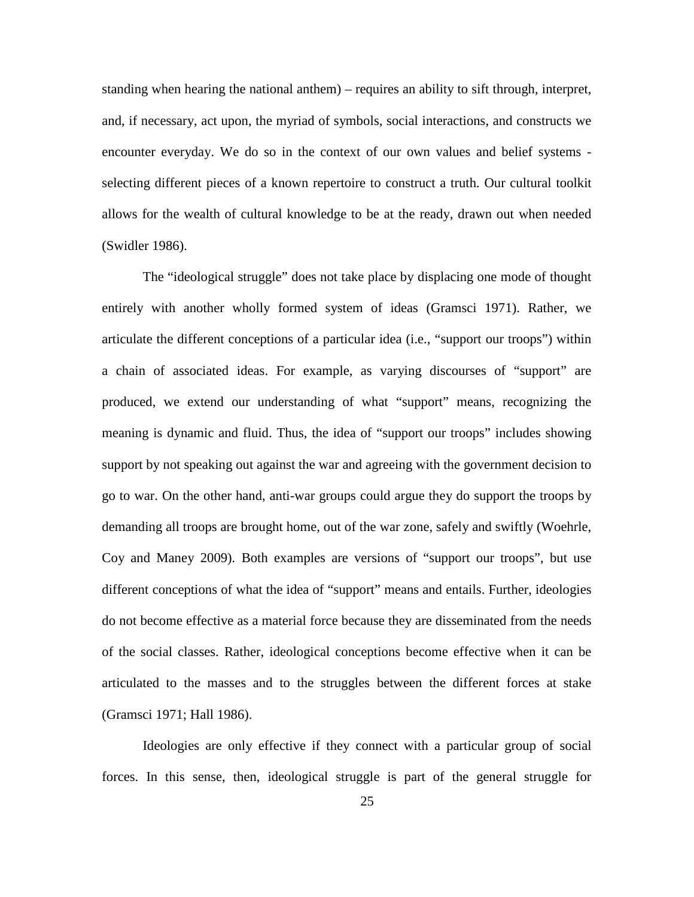standing when hearing the national anthem) – requires an ability to sift through, interpret, and, if necessary, act upon, the myriad of symbols, social interactions, and constructs we encounter everyday. We do so in the context of our own values and belief systems selecting different pieces of a known repertoire to construct a truth. Our cultural toolkit allows for the wealth of cultural knowledge to be at the ready, drawn out when needed (Swidler 1986).

The "ideological struggle" does not take place by displacing one mode of thought entirely with another wholly formed system of ideas (Gramsci 1971). Rather, we articulate the different conceptions of a particular idea (i.e., "support our troops") within a chain of associated ideas. For example, as varying discourses of "support" are produced, we extend our understanding of what "support" means, recognizing the meaning is dynamic and fluid. Thus, the idea of "support our troops" includes showing support by not speaking out against the war and agreeing with the government decision to go to war. On the other hand, anti-war groups could argue they do support the troops by demanding all troops are brought home, out of the war zone, safely and swiftly (Woehrle, Coy and Maney 2009). Both examples are versions of "support our troops", but use different conceptions of what the idea of "support" means and entails. Further, ideologies do not become effective as a material force because they are disseminated from the needs of the social classes. Rather, ideological conceptions become effective when it can be articulated to the masses and to the struggles between the different forces at stake (Gramsci 1971; Hall 1986).

Ideologies are only effective if they connect with a particular group of social forces. In this sense, then, ideological struggle is part of the general struggle for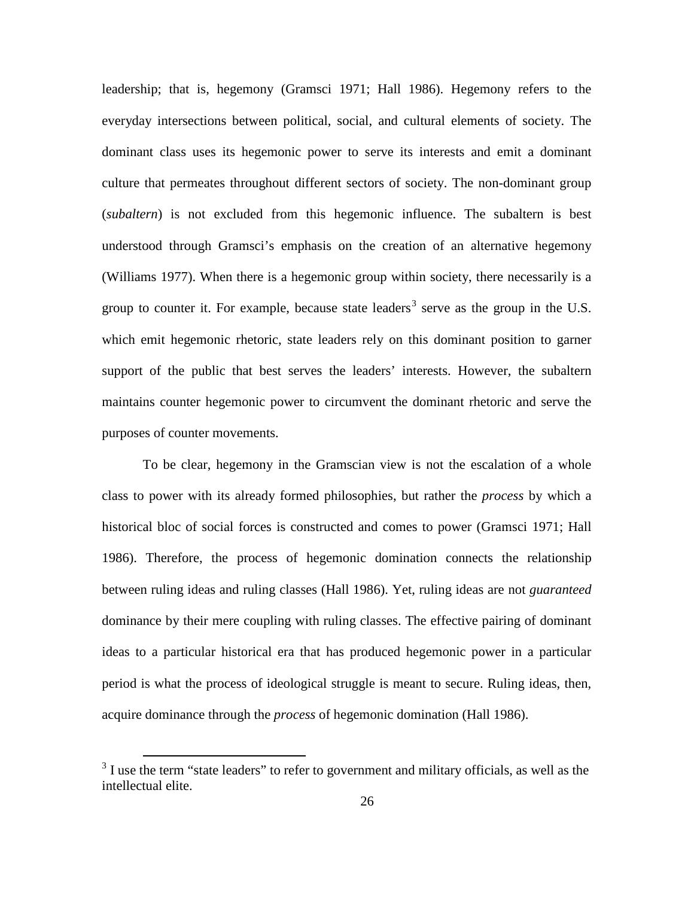leadership; that is, hegemony (Gramsci 1971; Hall 1986). Hegemony refers to the everyday intersections between political, social, and cultural elements of society. The dominant class uses its hegemonic power to serve its interests and emit a dominant culture that permeates throughout different sectors of society. The non-dominant group (*subaltern*) is not excluded from this hegemonic influence. The subaltern is best understood through Gramsci's emphasis on the creation of an alternative hegemony (Williams 1977). When there is a hegemonic group within society, there necessarily is a group to counter it. For example, because state leaders<sup>[3](#page-36-0)</sup> serve as the group in the U.S. which emit hegemonic rhetoric, state leaders rely on this dominant position to garner support of the public that best serves the leaders' interests. However, the subaltern maintains counter hegemonic power to circumvent the dominant rhetoric and serve the purposes of counter movements.

To be clear, hegemony in the Gramscian view is not the escalation of a whole class to power with its already formed philosophies, but rather the *process* by which a historical bloc of social forces is constructed and comes to power (Gramsci 1971; Hall 1986). Therefore, the process of hegemonic domination connects the relationship between ruling ideas and ruling classes (Hall 1986). Yet, ruling ideas are not *guaranteed* dominance by their mere coupling with ruling classes. The effective pairing of dominant ideas to a particular historical era that has produced hegemonic power in a particular period is what the process of ideological struggle is meant to secure. Ruling ideas, then, acquire dominance through the *process* of hegemonic domination (Hall 1986).

<span id="page-36-0"></span> $3$  I use the term "state leaders" to refer to government and military officials, as well as the intellectual elite.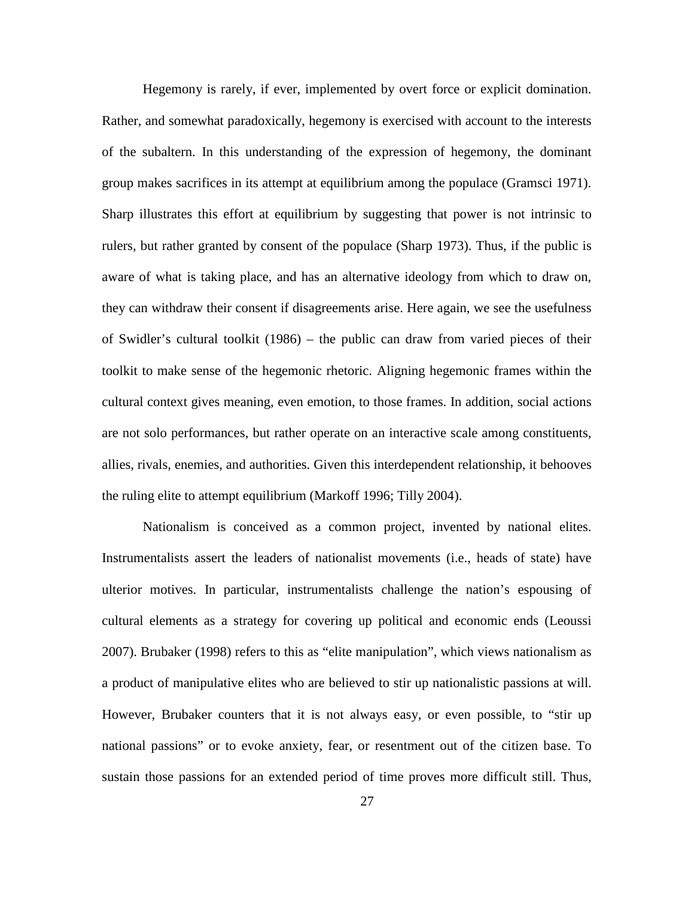Hegemony is rarely, if ever, implemented by overt force or explicit domination. Rather, and somewhat paradoxically, hegemony is exercised with account to the interests of the subaltern. In this understanding of the expression of hegemony, the dominant group makes sacrifices in its attempt at equilibrium among the populace (Gramsci 1971). Sharp illustrates this effort at equilibrium by suggesting that power is not intrinsic to rulers, but rather granted by consent of the populace (Sharp 1973). Thus, if the public is aware of what is taking place, and has an alternative ideology from which to draw on, they can withdraw their consent if disagreements arise. Here again, we see the usefulness of Swidler's cultural toolkit (1986) – the public can draw from varied pieces of their toolkit to make sense of the hegemonic rhetoric. Aligning hegemonic frames within the cultural context gives meaning, even emotion, to those frames. In addition, social actions are not solo performances, but rather operate on an interactive scale among constituents, allies, rivals, enemies, and authorities. Given this interdependent relationship, it behooves the ruling elite to attempt equilibrium (Markoff 1996; Tilly 2004).

Nationalism is conceived as a common project, invented by national elites. Instrumentalists assert the leaders of nationalist movements (i.e., heads of state) have ulterior motives. In particular, instrumentalists challenge the nation's espousing of cultural elements as a strategy for covering up political and economic ends (Leoussi 2007). Brubaker (1998) refers to this as "elite manipulation", which views nationalism as a product of manipulative elites who are believed to stir up nationalistic passions at will. However, Brubaker counters that it is not always easy, or even possible, to "stir up national passions" or to evoke anxiety, fear, or resentment out of the citizen base. To sustain those passions for an extended period of time proves more difficult still. Thus,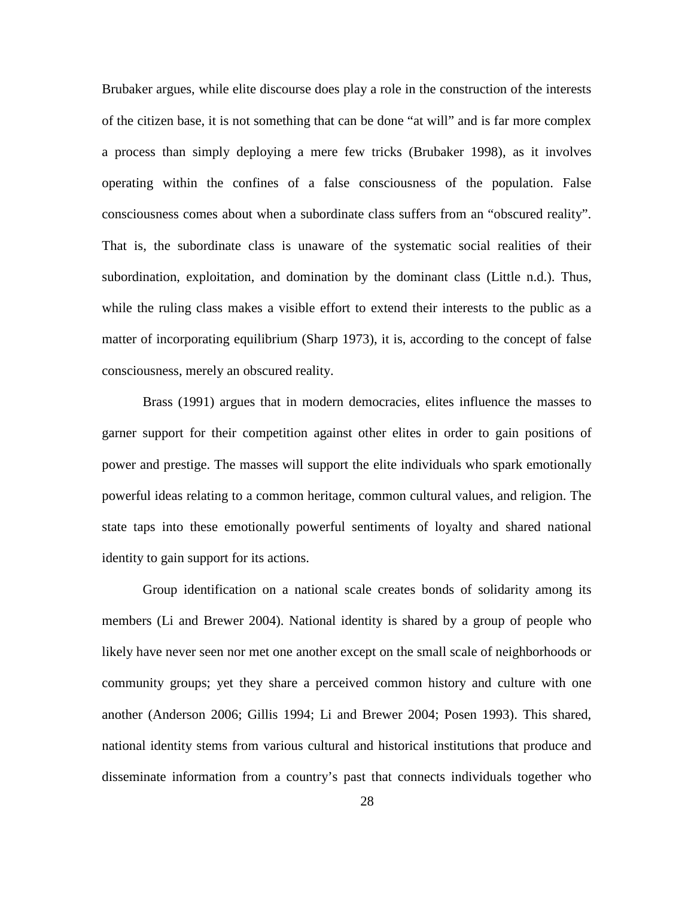Brubaker argues, while elite discourse does play a role in the construction of the interests of the citizen base, it is not something that can be done "at will" and is far more complex a process than simply deploying a mere few tricks (Brubaker 1998), as it involves operating within the confines of a false consciousness of the population. False consciousness comes about when a subordinate class suffers from an "obscured reality". That is, the subordinate class is unaware of the systematic social realities of their subordination, exploitation, and domination by the dominant class (Little n.d.). Thus, while the ruling class makes a visible effort to extend their interests to the public as a matter of incorporating equilibrium (Sharp 1973), it is, according to the concept of false consciousness, merely an obscured reality.

Brass (1991) argues that in modern democracies, elites influence the masses to garner support for their competition against other elites in order to gain positions of power and prestige. The masses will support the elite individuals who spark emotionally powerful ideas relating to a common heritage, common cultural values, and religion. The state taps into these emotionally powerful sentiments of loyalty and shared national identity to gain support for its actions.

Group identification on a national scale creates bonds of solidarity among its members (Li and Brewer 2004). National identity is shared by a group of people who likely have never seen nor met one another except on the small scale of neighborhoods or community groups; yet they share a perceived common history and culture with one another (Anderson 2006; Gillis 1994; Li and Brewer 2004; Posen 1993). This shared, national identity stems from various cultural and historical institutions that produce and disseminate information from a country's past that connects individuals together who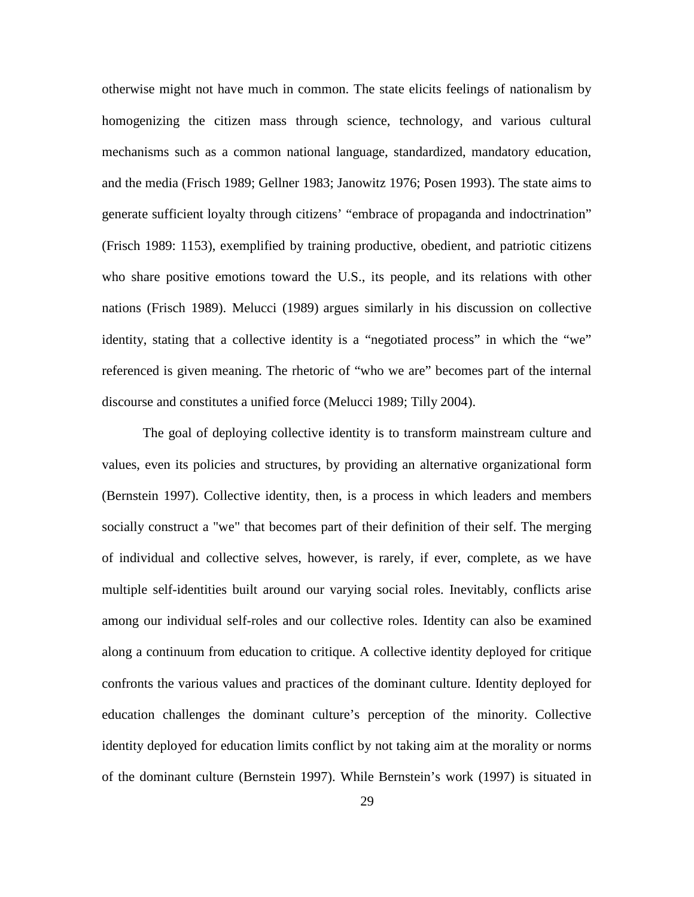otherwise might not have much in common. The state elicits feelings of nationalism by homogenizing the citizen mass through science, technology, and various cultural mechanisms such as a common national language, standardized, mandatory education, and the media (Frisch 1989; Gellner 1983; Janowitz 1976; Posen 1993). The state aims to generate sufficient loyalty through citizens' "embrace of propaganda and indoctrination" (Frisch 1989: 1153), exemplified by training productive, obedient, and patriotic citizens who share positive emotions toward the U.S., its people, and its relations with other nations (Frisch 1989). Melucci (1989) argues similarly in his discussion on collective identity, stating that a collective identity is a "negotiated process" in which the "we" referenced is given meaning. The rhetoric of "who we are" becomes part of the internal discourse and constitutes a unified force (Melucci 1989; Tilly 2004).

The goal of deploying collective identity is to transform mainstream culture and values, even its policies and structures, by providing an alternative organizational form (Bernstein 1997). Collective identity, then, is a process in which leaders and members socially construct a "we" that becomes part of their definition of their self. The merging of individual and collective selves, however, is rarely, if ever, complete, as we have multiple self-identities built around our varying social roles. Inevitably, conflicts arise among our individual self-roles and our collective roles. Identity can also be examined along a continuum from education to critique. A collective identity deployed for critique confronts the various values and practices of the dominant culture. Identity deployed for education challenges the dominant culture's perception of the minority. Collective identity deployed for education limits conflict by not taking aim at the morality or norms of the dominant culture (Bernstein 1997). While Bernstein's work (1997) is situated in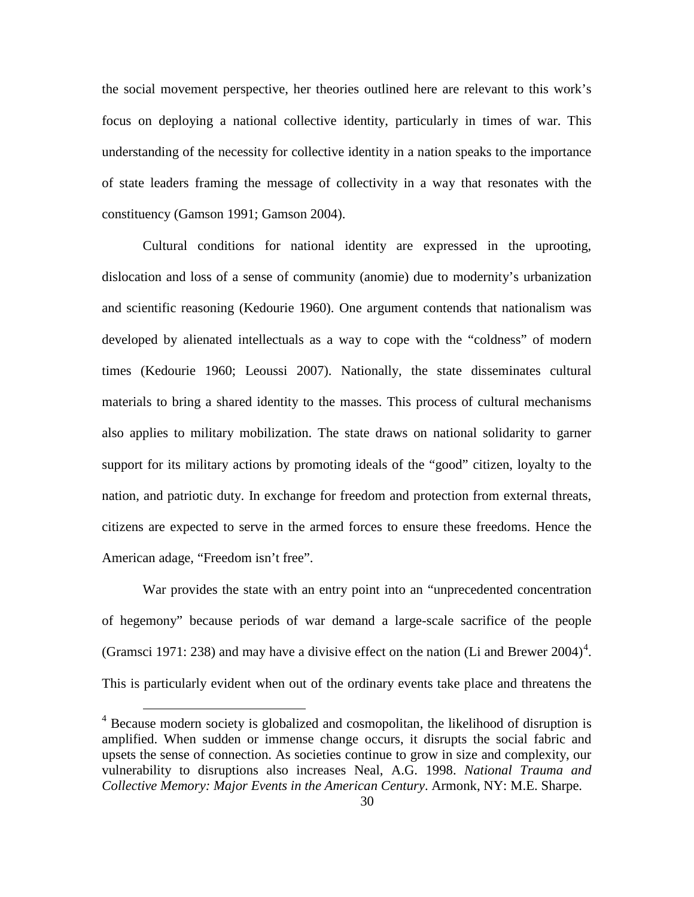the social movement perspective, her theories outlined here are relevant to this work's focus on deploying a national collective identity, particularly in times of war. This understanding of the necessity for collective identity in a nation speaks to the importance of state leaders framing the message of collectivity in a way that resonates with the constituency (Gamson 1991; Gamson 2004).

Cultural conditions for national identity are expressed in the uprooting, dislocation and loss of a sense of community (anomie) due to modernity's urbanization and scientific reasoning (Kedourie 1960). One argument contends that nationalism was developed by alienated intellectuals as a way to cope with the "coldness" of modern times (Kedourie 1960; Leoussi 2007). Nationally, the state disseminates cultural materials to bring a shared identity to the masses. This process of cultural mechanisms also applies to military mobilization. The state draws on national solidarity to garner support for its military actions by promoting ideals of the "good" citizen, loyalty to the nation, and patriotic duty. In exchange for freedom and protection from external threats, citizens are expected to serve in the armed forces to ensure these freedoms. Hence the American adage, "Freedom isn't free".

War provides the state with an entry point into an "unprecedented concentration of hegemony" because periods of war demand a large-scale sacrifice of the people (Gramsci 1971: 238) and may have a divisive effect on the nation (Li and Brewer 200[4](#page-40-0))<sup>4</sup>. This is particularly evident when out of the ordinary events take place and threatens the

<span id="page-40-0"></span> $4$  Because modern society is globalized and cosmopolitan, the likelihood of disruption is amplified. When sudden or immense change occurs, it disrupts the social fabric and upsets the sense of connection. As societies continue to grow in size and complexity, our vulnerability to disruptions also increases Neal, A.G. 1998. *National Trauma and Collective Memory: Major Events in the American Century*. Armonk, NY: M.E. Sharpe.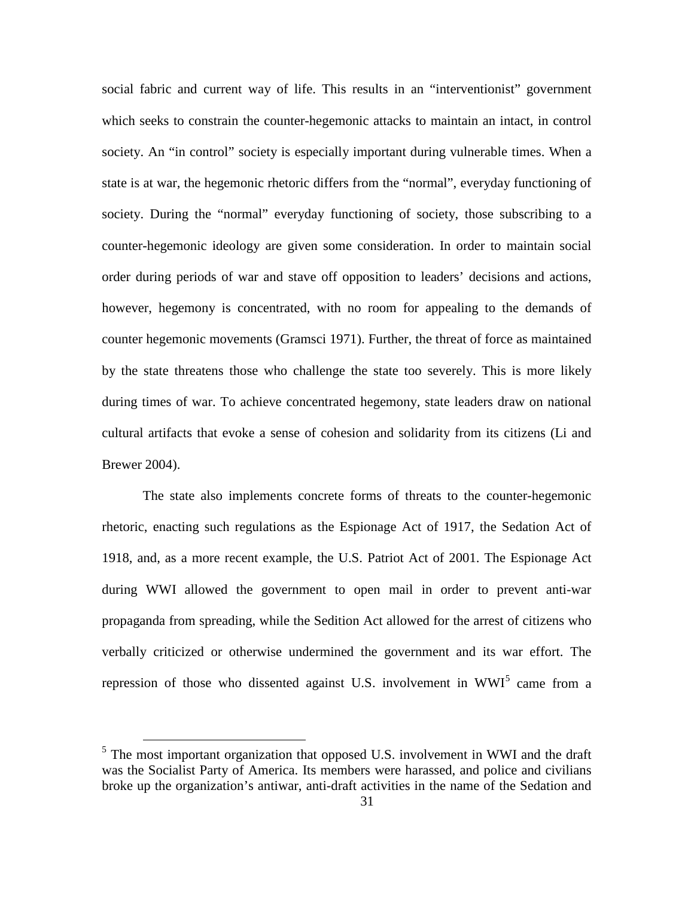social fabric and current way of life. This results in an "interventionist" government which seeks to constrain the counter-hegemonic attacks to maintain an intact, in control society. An "in control" society is especially important during vulnerable times. When a state is at war, the hegemonic rhetoric differs from the "normal", everyday functioning of society. During the "normal" everyday functioning of society, those subscribing to a counter-hegemonic ideology are given some consideration. In order to maintain social order during periods of war and stave off opposition to leaders' decisions and actions, however, hegemony is concentrated, with no room for appealing to the demands of counter hegemonic movements (Gramsci 1971). Further, the threat of force as maintained by the state threatens those who challenge the state too severely. This is more likely during times of war. To achieve concentrated hegemony, state leaders draw on national cultural artifacts that evoke a sense of cohesion and solidarity from its citizens (Li and Brewer 2004).

The state also implements concrete forms of threats to the counter-hegemonic rhetoric, enacting such regulations as the Espionage Act of 1917, the Sedation Act of 1918, and, as a more recent example, the U.S. Patriot Act of 2001. The Espionage Act during WWI allowed the government to open mail in order to prevent anti-war propaganda from spreading, while the Sedition Act allowed for the arrest of citizens who verbally criticized or otherwise undermined the government and its war effort. The repression of those who dissented against U.S. involvement in  $WWI<sup>5</sup>$  $WWI<sup>5</sup>$  $WWI<sup>5</sup>$  came from a

<span id="page-41-0"></span> $<sup>5</sup>$  The most important organization that opposed U.S. involvement in WWI and the draft</sup> was the Socialist Party of America. Its members were harassed, and police and civilians broke up the organization's antiwar, anti-draft activities in the name of the Sedation and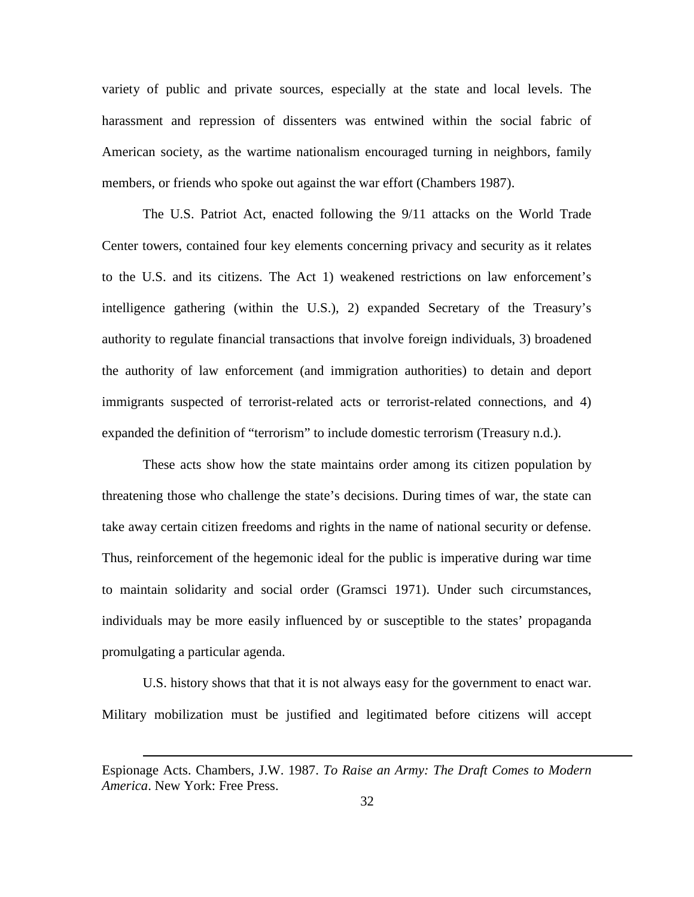variety of public and private sources, especially at the state and local levels. The harassment and repression of dissenters was entwined within the social fabric of American society, as the wartime nationalism encouraged turning in neighbors, family members, or friends who spoke out against the war effort (Chambers 1987).

The U.S. Patriot Act, enacted following the 9/11 attacks on the World Trade Center towers, contained four key elements concerning privacy and security as it relates to the U.S. and its citizens. The Act 1) weakened restrictions on law enforcement's intelligence gathering (within the U.S.), 2) expanded Secretary of the Treasury's authority to regulate financial transactions that involve foreign individuals, 3) broadened the authority of law enforcement (and immigration authorities) to detain and deport immigrants suspected of terrorist-related acts or terrorist-related connections, and 4) expanded the definition of "terrorism" to include domestic terrorism (Treasury n.d.).

These acts show how the state maintains order among its citizen population by threatening those who challenge the state's decisions. During times of war, the state can take away certain citizen freedoms and rights in the name of national security or defense. Thus, reinforcement of the hegemonic ideal for the public is imperative during war time to maintain solidarity and social order (Gramsci 1971). Under such circumstances, individuals may be more easily influenced by or susceptible to the states' propaganda promulgating a particular agenda.

U.S. history shows that that it is not always easy for the government to enact war. Military mobilization must be justified and legitimated before citizens will accept

<u>.</u>

Espionage Acts. Chambers, J.W. 1987. *To Raise an Army: The Draft Comes to Modern America*. New York: Free Press.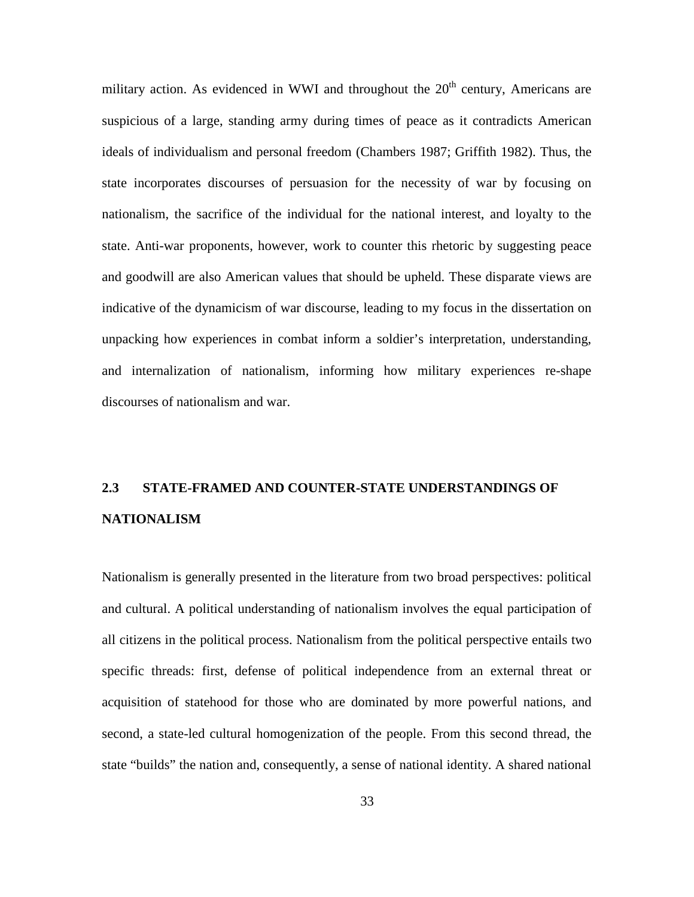military action. As evidenced in WWI and throughout the  $20<sup>th</sup>$  century, Americans are suspicious of a large, standing army during times of peace as it contradicts American ideals of individualism and personal freedom (Chambers 1987; Griffith 1982). Thus, the state incorporates discourses of persuasion for the necessity of war by focusing on nationalism, the sacrifice of the individual for the national interest, and loyalty to the state. Anti-war proponents, however, work to counter this rhetoric by suggesting peace and goodwill are also American values that should be upheld. These disparate views are indicative of the dynamicism of war discourse, leading to my focus in the dissertation on unpacking how experiences in combat inform a soldier's interpretation, understanding, and internalization of nationalism, informing how military experiences re-shape discourses of nationalism and war.

# **2.3 STATE-FRAMED AND COUNTER-STATE UNDERSTANDINGS OF NATIONALISM**

Nationalism is generally presented in the literature from two broad perspectives: political and cultural. A political understanding of nationalism involves the equal participation of all citizens in the political process. Nationalism from the political perspective entails two specific threads: first, defense of political independence from an external threat or acquisition of statehood for those who are dominated by more powerful nations, and second, a state-led cultural homogenization of the people. From this second thread, the state "builds" the nation and, consequently, a sense of national identity. A shared national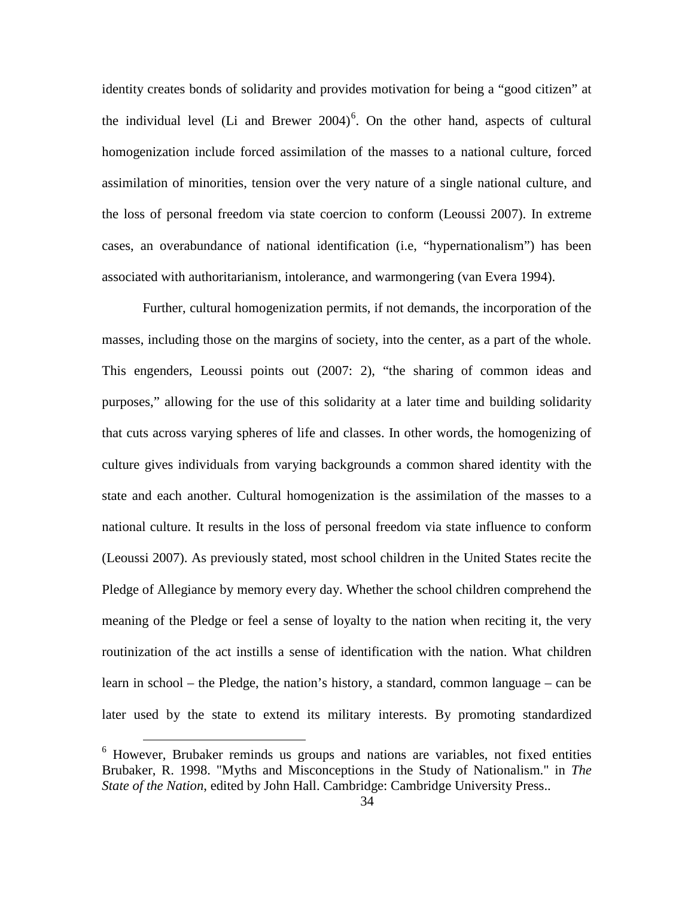identity creates bonds of solidarity and provides motivation for being a "good citizen" at the individual level (Li and Brewer  $2004$ <sup>[6](#page-44-0)</sup>. On the other hand, aspects of cultural homogenization include forced assimilation of the masses to a national culture, forced assimilation of minorities, tension over the very nature of a single national culture, and the loss of personal freedom via state coercion to conform (Leoussi 2007). In extreme cases, an overabundance of national identification (i.e, "hypernationalism") has been associated with authoritarianism, intolerance, and warmongering (van Evera 1994).

Further, cultural homogenization permits, if not demands, the incorporation of the masses, including those on the margins of society, into the center, as a part of the whole. This engenders, Leoussi points out (2007: 2), "the sharing of common ideas and purposes," allowing for the use of this solidarity at a later time and building solidarity that cuts across varying spheres of life and classes. In other words, the homogenizing of culture gives individuals from varying backgrounds a common shared identity with the state and each another. Cultural homogenization is the assimilation of the masses to a national culture. It results in the loss of personal freedom via state influence to conform (Leoussi 2007). As previously stated, most school children in the United States recite the Pledge of Allegiance by memory every day. Whether the school children comprehend the meaning of the Pledge or feel a sense of loyalty to the nation when reciting it, the very routinization of the act instills a sense of identification with the nation. What children learn in school – the Pledge, the nation's history, a standard, common language – can be later used by the state to extend its military interests. By promoting standardized

<span id="page-44-0"></span><sup>&</sup>lt;sup>6</sup> However, Brubaker reminds us groups and nations are variables, not fixed entities Brubaker, R. 1998. "Myths and Misconceptions in the Study of Nationalism." in *The State of the Nation*, edited by John Hall. Cambridge: Cambridge University Press..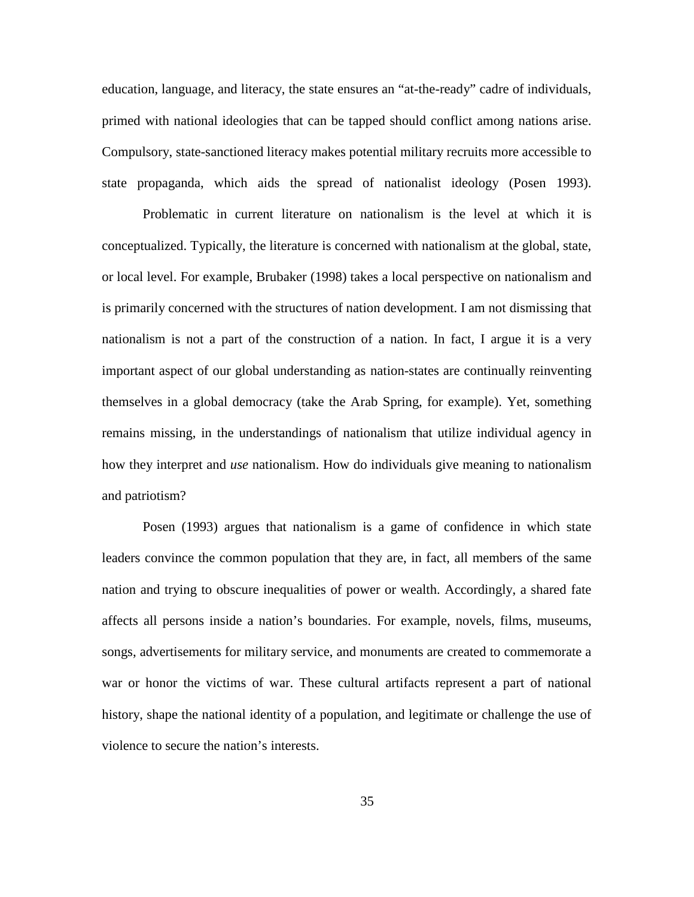education, language, and literacy, the state ensures an "at-the-ready" cadre of individuals, primed with national ideologies that can be tapped should conflict among nations arise. Compulsory, state-sanctioned literacy makes potential military recruits more accessible to state propaganda, which aids the spread of nationalist ideology (Posen 1993).

Problematic in current literature on nationalism is the level at which it is conceptualized. Typically, the literature is concerned with nationalism at the global, state, or local level. For example, Brubaker (1998) takes a local perspective on nationalism and is primarily concerned with the structures of nation development. I am not dismissing that nationalism is not a part of the construction of a nation. In fact, I argue it is a very important aspect of our global understanding as nation-states are continually reinventing themselves in a global democracy (take the Arab Spring, for example). Yet, something remains missing, in the understandings of nationalism that utilize individual agency in how they interpret and *use* nationalism. How do individuals give meaning to nationalism and patriotism?

Posen (1993) argues that nationalism is a game of confidence in which state leaders convince the common population that they are, in fact, all members of the same nation and trying to obscure inequalities of power or wealth. Accordingly, a shared fate affects all persons inside a nation's boundaries. For example, novels, films, museums, songs, advertisements for military service, and monuments are created to commemorate a war or honor the victims of war. These cultural artifacts represent a part of national history, shape the national identity of a population, and legitimate or challenge the use of violence to secure the nation's interests.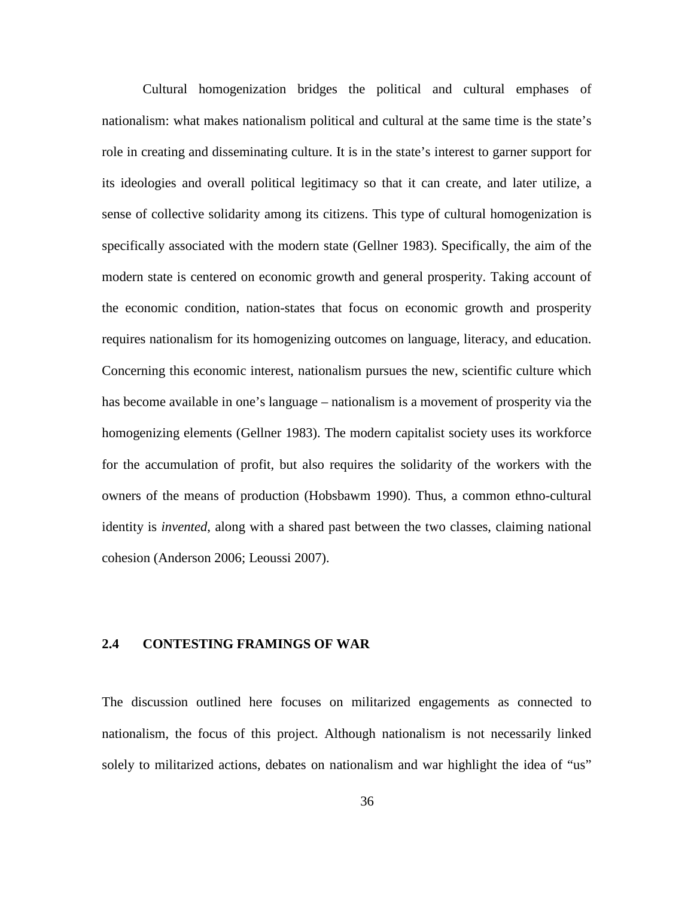Cultural homogenization bridges the political and cultural emphases of nationalism: what makes nationalism political and cultural at the same time is the state's role in creating and disseminating culture. It is in the state's interest to garner support for its ideologies and overall political legitimacy so that it can create, and later utilize, a sense of collective solidarity among its citizens. This type of cultural homogenization is specifically associated with the modern state (Gellner 1983). Specifically, the aim of the modern state is centered on economic growth and general prosperity. Taking account of the economic condition, nation-states that focus on economic growth and prosperity requires nationalism for its homogenizing outcomes on language, literacy, and education. Concerning this economic interest, nationalism pursues the new, scientific culture which has become available in one's language – nationalism is a movement of prosperity via the homogenizing elements (Gellner 1983). The modern capitalist society uses its workforce for the accumulation of profit, but also requires the solidarity of the workers with the owners of the means of production (Hobsbawm 1990). Thus, a common ethno-cultural identity is *invented*, along with a shared past between the two classes, claiming national cohesion (Anderson 2006; Leoussi 2007).

# **2.4 CONTESTING FRAMINGS OF WAR**

The discussion outlined here focuses on militarized engagements as connected to nationalism, the focus of this project. Although nationalism is not necessarily linked solely to militarized actions, debates on nationalism and war highlight the idea of "us"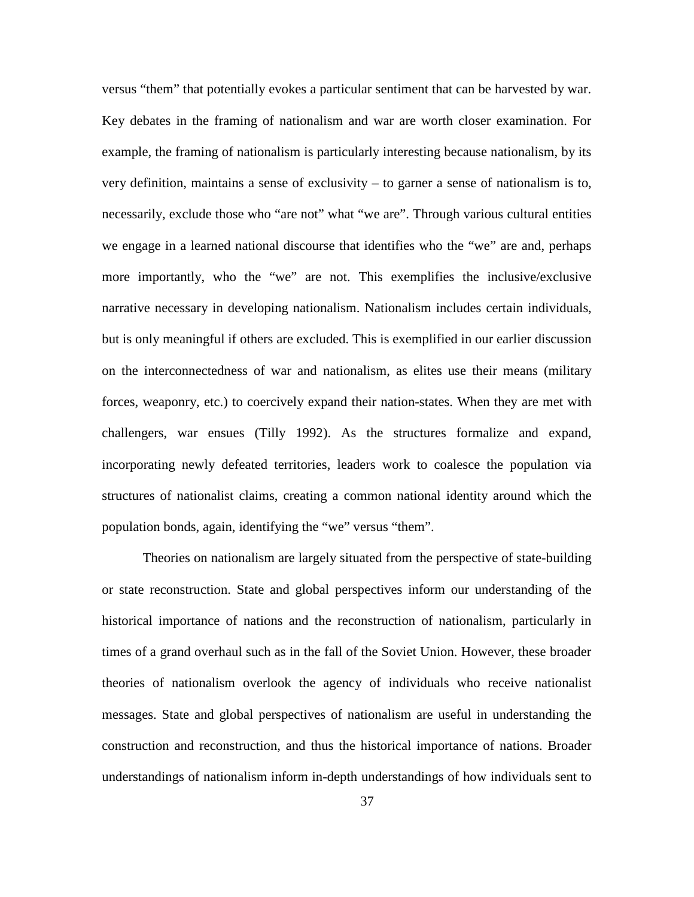versus "them" that potentially evokes a particular sentiment that can be harvested by war. Key debates in the framing of nationalism and war are worth closer examination. For example, the framing of nationalism is particularly interesting because nationalism, by its very definition, maintains a sense of exclusivity – to garner a sense of nationalism is to, necessarily, exclude those who "are not" what "we are". Through various cultural entities we engage in a learned national discourse that identifies who the "we" are and, perhaps more importantly, who the "we" are not. This exemplifies the inclusive/exclusive narrative necessary in developing nationalism. Nationalism includes certain individuals, but is only meaningful if others are excluded. This is exemplified in our earlier discussion on the interconnectedness of war and nationalism, as elites use their means (military forces, weaponry, etc.) to coercively expand their nation-states. When they are met with challengers, war ensues (Tilly 1992). As the structures formalize and expand, incorporating newly defeated territories, leaders work to coalesce the population via structures of nationalist claims, creating a common national identity around which the population bonds, again, identifying the "we" versus "them".

Theories on nationalism are largely situated from the perspective of state-building or state reconstruction. State and global perspectives inform our understanding of the historical importance of nations and the reconstruction of nationalism, particularly in times of a grand overhaul such as in the fall of the Soviet Union. However, these broader theories of nationalism overlook the agency of individuals who receive nationalist messages. State and global perspectives of nationalism are useful in understanding the construction and reconstruction, and thus the historical importance of nations. Broader understandings of nationalism inform in-depth understandings of how individuals sent to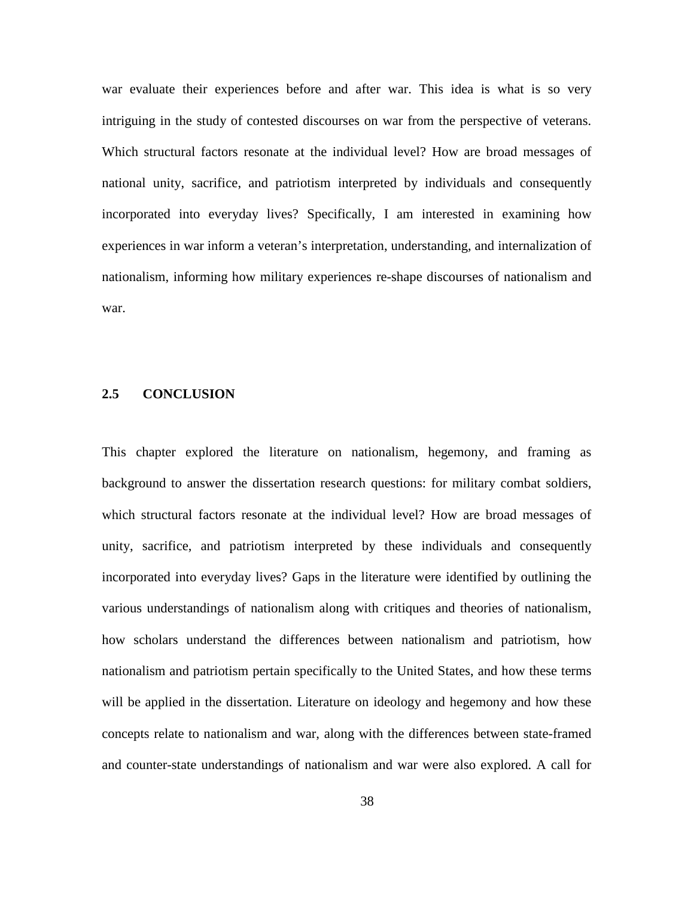war evaluate their experiences before and after war. This idea is what is so very intriguing in the study of contested discourses on war from the perspective of veterans. Which structural factors resonate at the individual level? How are broad messages of national unity, sacrifice, and patriotism interpreted by individuals and consequently incorporated into everyday lives? Specifically, I am interested in examining how experiences in war inform a veteran's interpretation, understanding, and internalization of nationalism, informing how military experiences re-shape discourses of nationalism and war.

## **2.5 CONCLUSION**

This chapter explored the literature on nationalism, hegemony, and framing as background to answer the dissertation research questions: for military combat soldiers, which structural factors resonate at the individual level? How are broad messages of unity, sacrifice, and patriotism interpreted by these individuals and consequently incorporated into everyday lives? Gaps in the literature were identified by outlining the various understandings of nationalism along with critiques and theories of nationalism, how scholars understand the differences between nationalism and patriotism, how nationalism and patriotism pertain specifically to the United States, and how these terms will be applied in the dissertation. Literature on ideology and hegemony and how these concepts relate to nationalism and war, along with the differences between state-framed and counter-state understandings of nationalism and war were also explored. A call for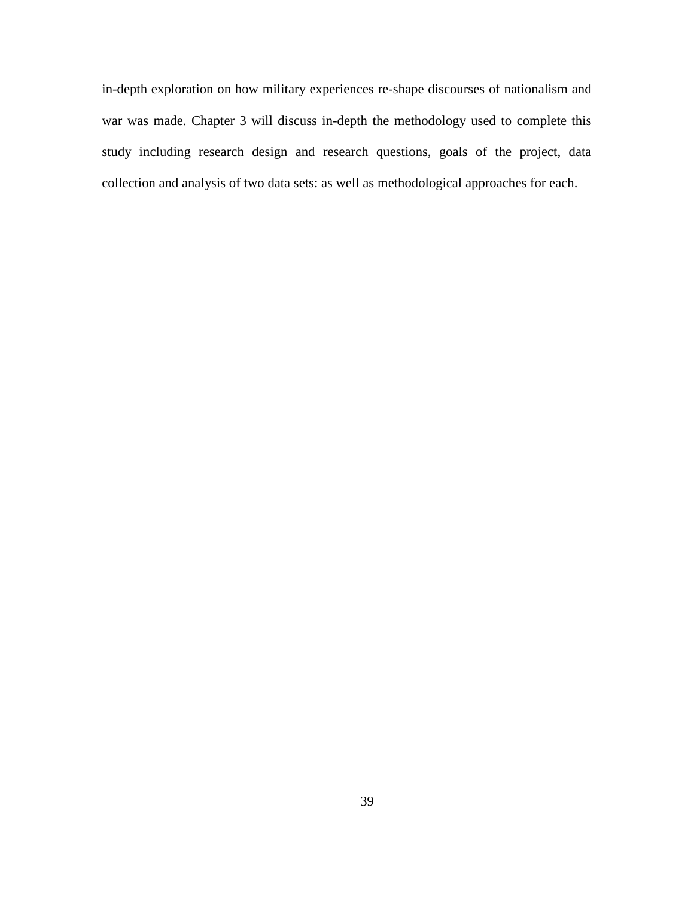in-depth exploration on how military experiences re-shape discourses of nationalism and war was made. Chapter 3 will discuss in-depth the methodology used to complete this study including research design and research questions, goals of the project, data collection and analysis of two data sets: as well as methodological approaches for each.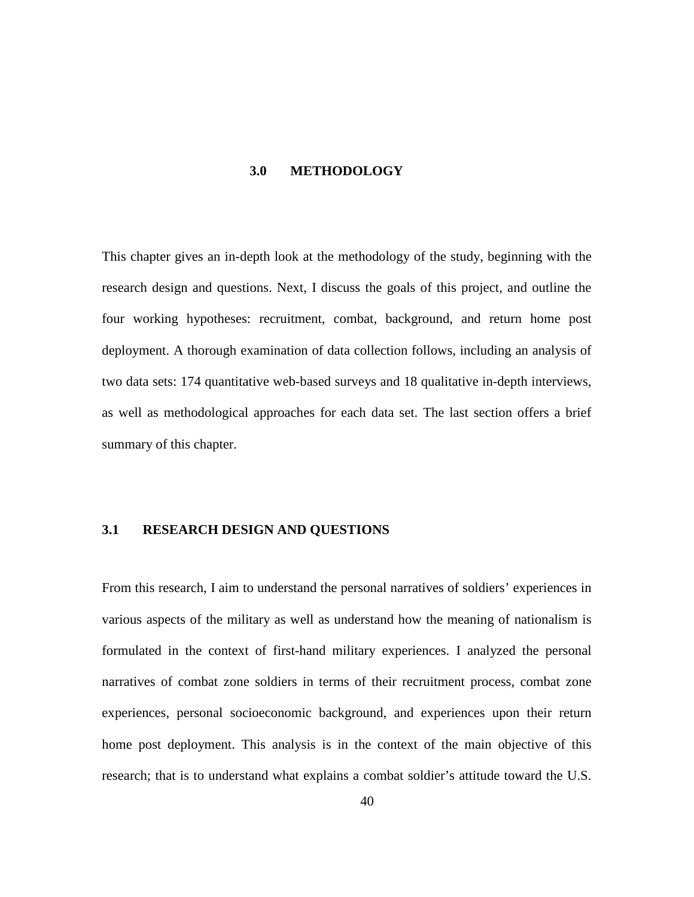#### **3.0 METHODOLOGY**

This chapter gives an in-depth look at the methodology of the study, beginning with the research design and questions. Next, I discuss the goals of this project, and outline the four working hypotheses: recruitment, combat, background, and return home post deployment. A thorough examination of data collection follows, including an analysis of two data sets: 174 quantitative web-based surveys and 18 qualitative in-depth interviews, as well as methodological approaches for each data set. The last section offers a brief summary of this chapter.

## **3.1 RESEARCH DESIGN AND QUESTIONS**

From this research, I aim to understand the personal narratives of soldiers' experiences in various aspects of the military as well as understand how the meaning of nationalism is formulated in the context of first-hand military experiences. I analyzed the personal narratives of combat zone soldiers in terms of their recruitment process, combat zone experiences, personal socioeconomic background, and experiences upon their return home post deployment. This analysis is in the context of the main objective of this research; that is to understand what explains a combat soldier's attitude toward the U.S.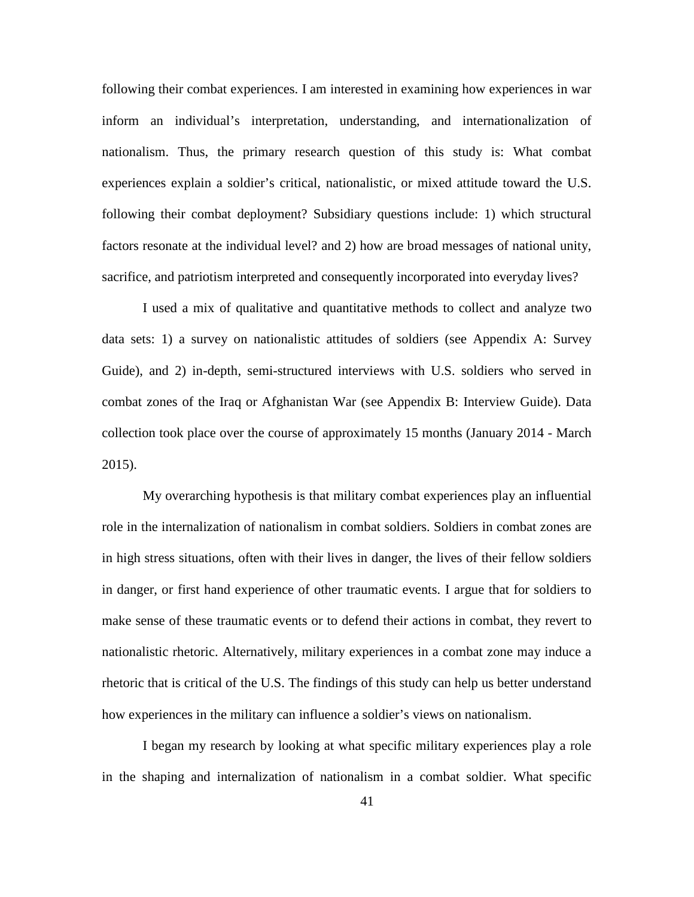following their combat experiences. I am interested in examining how experiences in war inform an individual's interpretation, understanding, and internationalization of nationalism. Thus, the primary research question of this study is: What combat experiences explain a soldier's critical, nationalistic, or mixed attitude toward the U.S. following their combat deployment? Subsidiary questions include: 1) which structural factors resonate at the individual level? and 2) how are broad messages of national unity, sacrifice, and patriotism interpreted and consequently incorporated into everyday lives?

I used a mix of qualitative and quantitative methods to collect and analyze two data sets: 1) a survey on nationalistic attitudes of soldiers (see Appendix A: Survey Guide), and 2) in-depth, semi-structured interviews with U.S. soldiers who served in combat zones of the Iraq or Afghanistan War (see Appendix B: Interview Guide). Data collection took place over the course of approximately 15 months (January 2014 - March 2015).

My overarching hypothesis is that military combat experiences play an influential role in the internalization of nationalism in combat soldiers. Soldiers in combat zones are in high stress situations, often with their lives in danger, the lives of their fellow soldiers in danger, or first hand experience of other traumatic events. I argue that for soldiers to make sense of these traumatic events or to defend their actions in combat, they revert to nationalistic rhetoric. Alternatively, military experiences in a combat zone may induce a rhetoric that is critical of the U.S. The findings of this study can help us better understand how experiences in the military can influence a soldier's views on nationalism.

I began my research by looking at what specific military experiences play a role in the shaping and internalization of nationalism in a combat soldier. What specific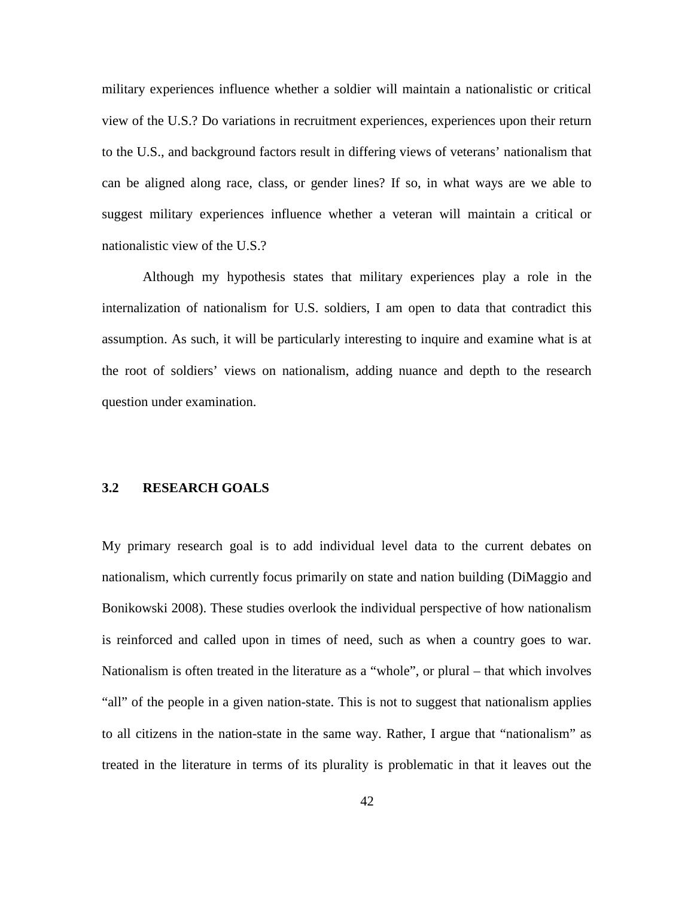military experiences influence whether a soldier will maintain a nationalistic or critical view of the U.S.? Do variations in recruitment experiences, experiences upon their return to the U.S., and background factors result in differing views of veterans' nationalism that can be aligned along race, class, or gender lines? If so, in what ways are we able to suggest military experiences influence whether a veteran will maintain a critical or nationalistic view of the U.S.?

Although my hypothesis states that military experiences play a role in the internalization of nationalism for U.S. soldiers, I am open to data that contradict this assumption. As such, it will be particularly interesting to inquire and examine what is at the root of soldiers' views on nationalism, adding nuance and depth to the research question under examination.

# **3.2 RESEARCH GOALS**

My primary research goal is to add individual level data to the current debates on nationalism, which currently focus primarily on state and nation building (DiMaggio and Bonikowski 2008). These studies overlook the individual perspective of how nationalism is reinforced and called upon in times of need, such as when a country goes to war. Nationalism is often treated in the literature as a "whole", or plural – that which involves "all" of the people in a given nation-state. This is not to suggest that nationalism applies to all citizens in the nation-state in the same way. Rather, I argue that "nationalism" as treated in the literature in terms of its plurality is problematic in that it leaves out the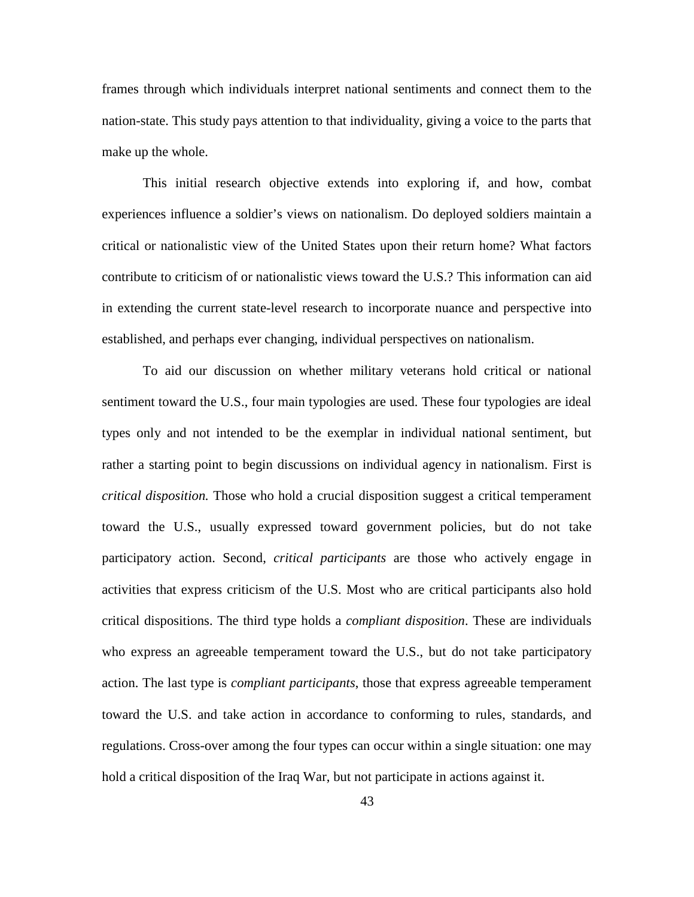frames through which individuals interpret national sentiments and connect them to the nation-state. This study pays attention to that individuality, giving a voice to the parts that make up the whole.

This initial research objective extends into exploring if, and how, combat experiences influence a soldier's views on nationalism. Do deployed soldiers maintain a critical or nationalistic view of the United States upon their return home? What factors contribute to criticism of or nationalistic views toward the U.S.? This information can aid in extending the current state-level research to incorporate nuance and perspective into established, and perhaps ever changing, individual perspectives on nationalism.

To aid our discussion on whether military veterans hold critical or national sentiment toward the U.S., four main typologies are used. These four typologies are ideal types only and not intended to be the exemplar in individual national sentiment, but rather a starting point to begin discussions on individual agency in nationalism. First is *critical disposition.* Those who hold a crucial disposition suggest a critical temperament toward the U.S., usually expressed toward government policies, but do not take participatory action. Second, *critical participants* are those who actively engage in activities that express criticism of the U.S. Most who are critical participants also hold critical dispositions. The third type holds a *compliant disposition*. These are individuals who express an agreeable temperament toward the U.S., but do not take participatory action. The last type is *compliant participants*, those that express agreeable temperament toward the U.S. and take action in accordance to conforming to rules, standards, and regulations. Cross-over among the four types can occur within a single situation: one may hold a critical disposition of the Iraq War, but not participate in actions against it.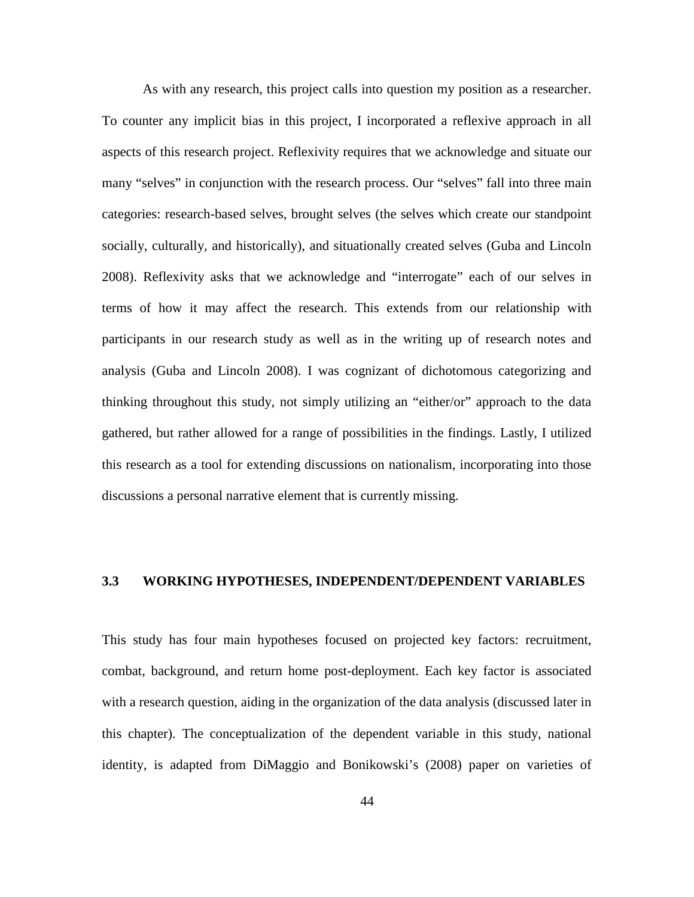As with any research, this project calls into question my position as a researcher. To counter any implicit bias in this project, I incorporated a reflexive approach in all aspects of this research project. Reflexivity requires that we acknowledge and situate our many "selves" in conjunction with the research process. Our "selves" fall into three main categories: research-based selves, brought selves (the selves which create our standpoint socially, culturally, and historically), and situationally created selves (Guba and Lincoln 2008). Reflexivity asks that we acknowledge and "interrogate" each of our selves in terms of how it may affect the research. This extends from our relationship with participants in our research study as well as in the writing up of research notes and analysis (Guba and Lincoln 2008). I was cognizant of dichotomous categorizing and thinking throughout this study, not simply utilizing an "either/or" approach to the data gathered, but rather allowed for a range of possibilities in the findings. Lastly, I utilized this research as a tool for extending discussions on nationalism, incorporating into those discussions a personal narrative element that is currently missing.

# **3.3 WORKING HYPOTHESES, INDEPENDENT/DEPENDENT VARIABLES**

This study has four main hypotheses focused on projected key factors: recruitment, combat, background, and return home post-deployment. Each key factor is associated with a research question, aiding in the organization of the data analysis (discussed later in this chapter). The conceptualization of the dependent variable in this study, national identity, is adapted from DiMaggio and Bonikowski's (2008) paper on varieties of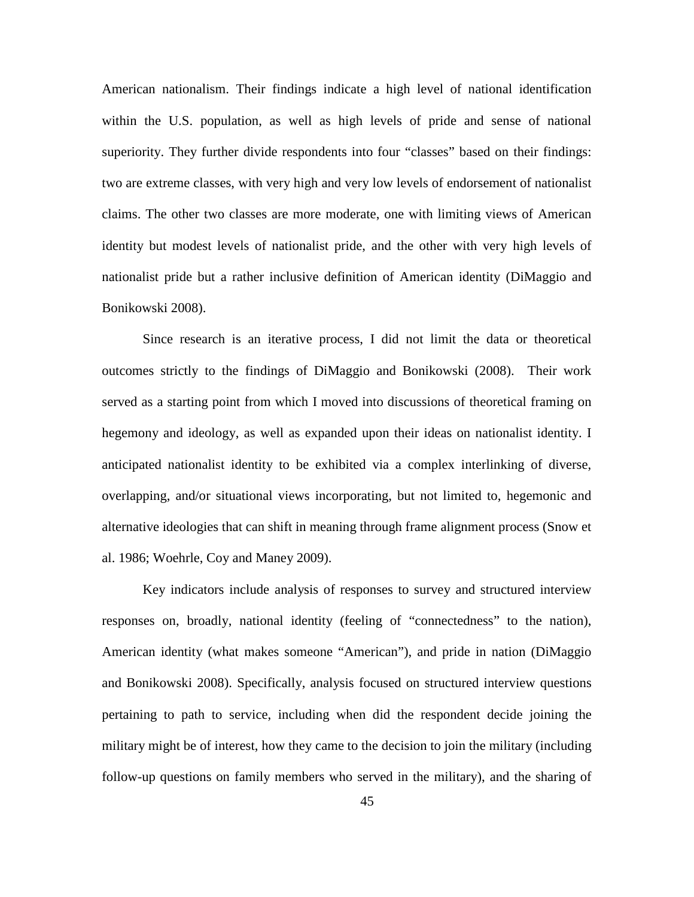American nationalism. Their findings indicate a high level of national identification within the U.S. population, as well as high levels of pride and sense of national superiority. They further divide respondents into four "classes" based on their findings: two are extreme classes, with very high and very low levels of endorsement of nationalist claims. The other two classes are more moderate, one with limiting views of American identity but modest levels of nationalist pride, and the other with very high levels of nationalist pride but a rather inclusive definition of American identity (DiMaggio and Bonikowski 2008).

Since research is an iterative process, I did not limit the data or theoretical outcomes strictly to the findings of DiMaggio and Bonikowski (2008). Their work served as a starting point from which I moved into discussions of theoretical framing on hegemony and ideology, as well as expanded upon their ideas on nationalist identity. I anticipated nationalist identity to be exhibited via a complex interlinking of diverse, overlapping, and/or situational views incorporating, but not limited to, hegemonic and alternative ideologies that can shift in meaning through frame alignment process (Snow et al. 1986; Woehrle, Coy and Maney 2009).

Key indicators include analysis of responses to survey and structured interview responses on, broadly, national identity (feeling of "connectedness" to the nation), American identity (what makes someone "American"), and pride in nation (DiMaggio and Bonikowski 2008). Specifically, analysis focused on structured interview questions pertaining to path to service, including when did the respondent decide joining the military might be of interest, how they came to the decision to join the military (including follow-up questions on family members who served in the military), and the sharing of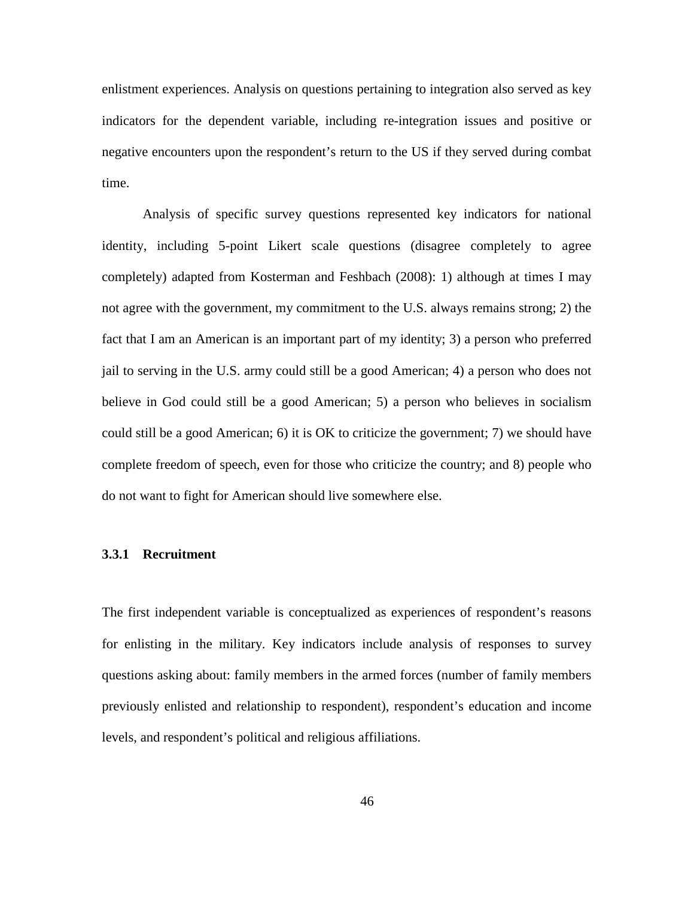enlistment experiences. Analysis on questions pertaining to integration also served as key indicators for the dependent variable, including re-integration issues and positive or negative encounters upon the respondent's return to the US if they served during combat time.

Analysis of specific survey questions represented key indicators for national identity, including 5-point Likert scale questions (disagree completely to agree completely) adapted from Kosterman and Feshbach (2008): 1) although at times I may not agree with the government, my commitment to the U.S. always remains strong; 2) the fact that I am an American is an important part of my identity; 3) a person who preferred jail to serving in the U.S. army could still be a good American; 4) a person who does not believe in God could still be a good American; 5) a person who believes in socialism could still be a good American; 6) it is OK to criticize the government; 7) we should have complete freedom of speech, even for those who criticize the country; and 8) people who do not want to fight for American should live somewhere else.

# **3.3.1 Recruitment**

The first independent variable is conceptualized as experiences of respondent's reasons for enlisting in the military. Key indicators include analysis of responses to survey questions asking about: family members in the armed forces (number of family members previously enlisted and relationship to respondent), respondent's education and income levels, and respondent's political and religious affiliations.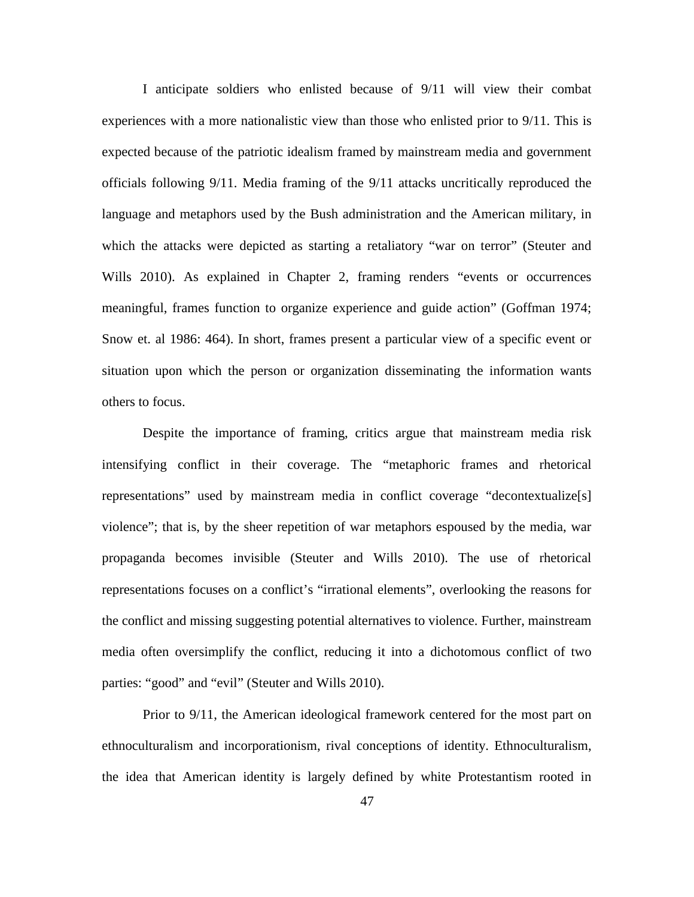I anticipate soldiers who enlisted because of 9/11 will view their combat experiences with a more nationalistic view than those who enlisted prior to 9/11. This is expected because of the patriotic idealism framed by mainstream media and government officials following 9/11. Media framing of the 9/11 attacks uncritically reproduced the language and metaphors used by the Bush administration and the American military, in which the attacks were depicted as starting a retaliatory "war on terror" (Steuter and Wills 2010). As explained in Chapter 2, framing renders "events or occurrences meaningful, frames function to organize experience and guide action" (Goffman 1974; Snow et. al 1986: 464). In short, frames present a particular view of a specific event or situation upon which the person or organization disseminating the information wants others to focus.

Despite the importance of framing, critics argue that mainstream media risk intensifying conflict in their coverage. The "metaphoric frames and rhetorical representations" used by mainstream media in conflict coverage "decontextualize[s] violence"; that is, by the sheer repetition of war metaphors espoused by the media, war propaganda becomes invisible (Steuter and Wills 2010). The use of rhetorical representations focuses on a conflict's "irrational elements", overlooking the reasons for the conflict and missing suggesting potential alternatives to violence. Further, mainstream media often oversimplify the conflict, reducing it into a dichotomous conflict of two parties: "good" and "evil" (Steuter and Wills 2010).

Prior to 9/11, the American ideological framework centered for the most part on ethnoculturalism and incorporationism, rival conceptions of identity. Ethnoculturalism, the idea that American identity is largely defined by white Protestantism rooted in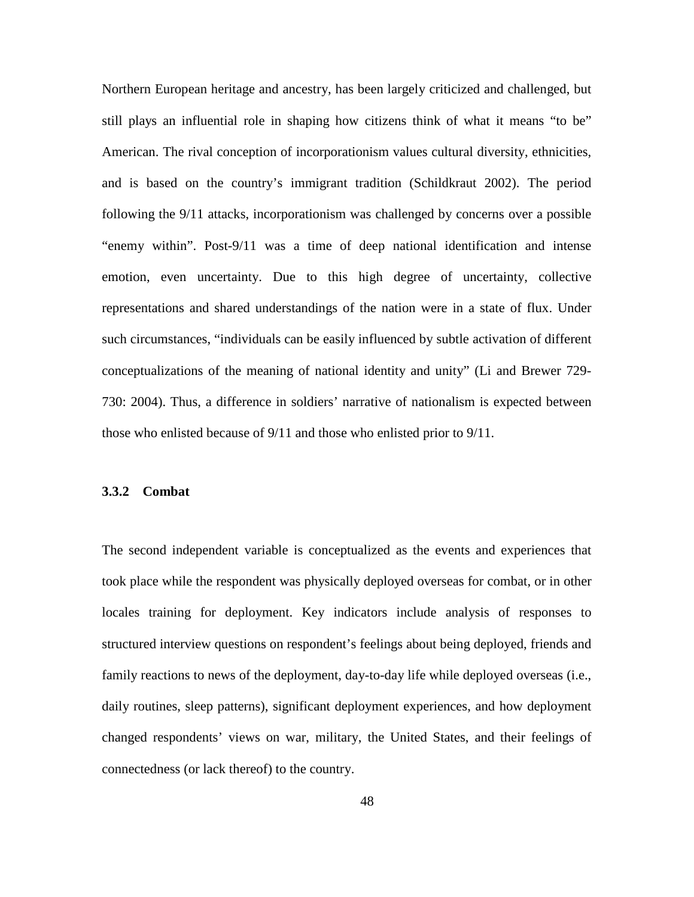Northern European heritage and ancestry, has been largely criticized and challenged, but still plays an influential role in shaping how citizens think of what it means "to be" American. The rival conception of incorporationism values cultural diversity, ethnicities, and is based on the country's immigrant tradition (Schildkraut 2002). The period following the 9/11 attacks, incorporationism was challenged by concerns over a possible "enemy within". Post-9/11 was a time of deep national identification and intense emotion, even uncertainty. Due to this high degree of uncertainty, collective representations and shared understandings of the nation were in a state of flux. Under such circumstances, "individuals can be easily influenced by subtle activation of different conceptualizations of the meaning of national identity and unity" (Li and Brewer 729- 730: 2004). Thus, a difference in soldiers' narrative of nationalism is expected between those who enlisted because of 9/11 and those who enlisted prior to 9/11.

### **3.3.2 Combat**

The second independent variable is conceptualized as the events and experiences that took place while the respondent was physically deployed overseas for combat, or in other locales training for deployment. Key indicators include analysis of responses to structured interview questions on respondent's feelings about being deployed, friends and family reactions to news of the deployment, day-to-day life while deployed overseas (i.e., daily routines, sleep patterns), significant deployment experiences, and how deployment changed respondents' views on war, military, the United States, and their feelings of connectedness (or lack thereof) to the country.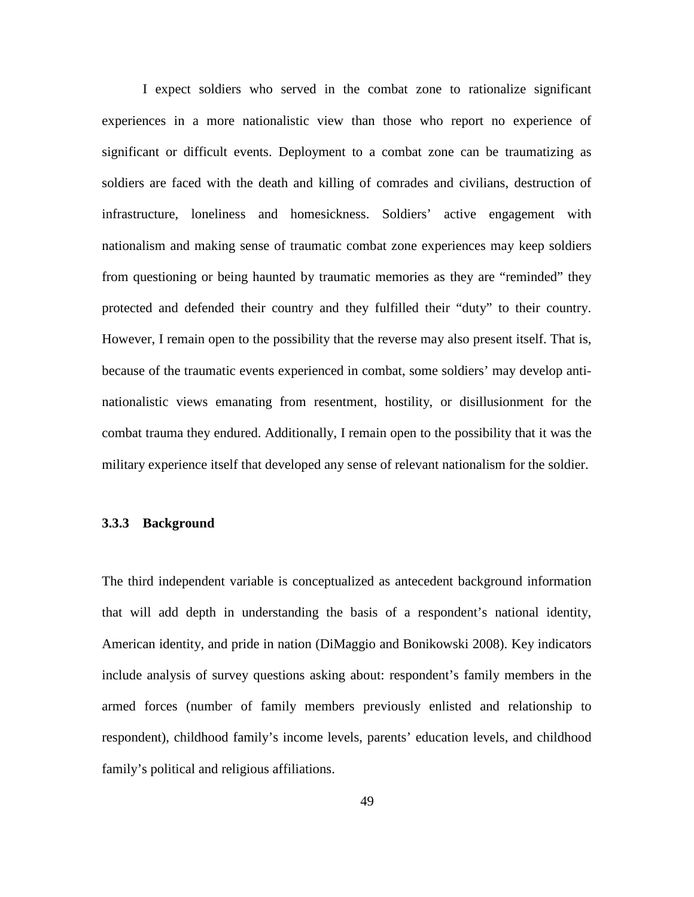I expect soldiers who served in the combat zone to rationalize significant experiences in a more nationalistic view than those who report no experience of significant or difficult events. Deployment to a combat zone can be traumatizing as soldiers are faced with the death and killing of comrades and civilians, destruction of infrastructure, loneliness and homesickness. Soldiers' active engagement with nationalism and making sense of traumatic combat zone experiences may keep soldiers from questioning or being haunted by traumatic memories as they are "reminded" they protected and defended their country and they fulfilled their "duty" to their country. However, I remain open to the possibility that the reverse may also present itself. That is, because of the traumatic events experienced in combat, some soldiers' may develop antinationalistic views emanating from resentment, hostility, or disillusionment for the combat trauma they endured. Additionally, I remain open to the possibility that it was the military experience itself that developed any sense of relevant nationalism for the soldier.

## **3.3.3 Background**

The third independent variable is conceptualized as antecedent background information that will add depth in understanding the basis of a respondent's national identity, American identity, and pride in nation (DiMaggio and Bonikowski 2008). Key indicators include analysis of survey questions asking about: respondent's family members in the armed forces (number of family members previously enlisted and relationship to respondent), childhood family's income levels, parents' education levels, and childhood family's political and religious affiliations.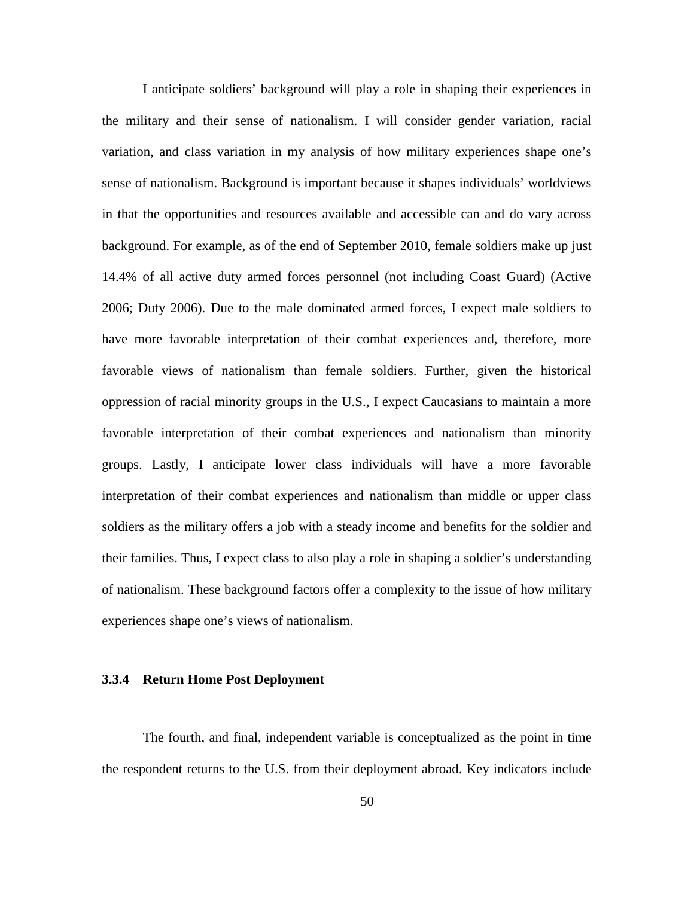I anticipate soldiers' background will play a role in shaping their experiences in the military and their sense of nationalism. I will consider gender variation, racial variation, and class variation in my analysis of how military experiences shape one's sense of nationalism. Background is important because it shapes individuals' worldviews in that the opportunities and resources available and accessible can and do vary across background. For example, as of the end of September 2010, female soldiers make up just 14.4% of all active duty armed forces personnel (not including Coast Guard) (Active 2006; Duty 2006). Due to the male dominated armed forces, I expect male soldiers to have more favorable interpretation of their combat experiences and, therefore, more favorable views of nationalism than female soldiers. Further, given the historical oppression of racial minority groups in the U.S., I expect Caucasians to maintain a more favorable interpretation of their combat experiences and nationalism than minority groups. Lastly, I anticipate lower class individuals will have a more favorable interpretation of their combat experiences and nationalism than middle or upper class soldiers as the military offers a job with a steady income and benefits for the soldier and their families. Thus, I expect class to also play a role in shaping a soldier's understanding of nationalism. These background factors offer a complexity to the issue of how military experiences shape one's views of nationalism.

## **3.3.4 Return Home Post Deployment**

The fourth, and final, independent variable is conceptualized as the point in time the respondent returns to the U.S. from their deployment abroad. Key indicators include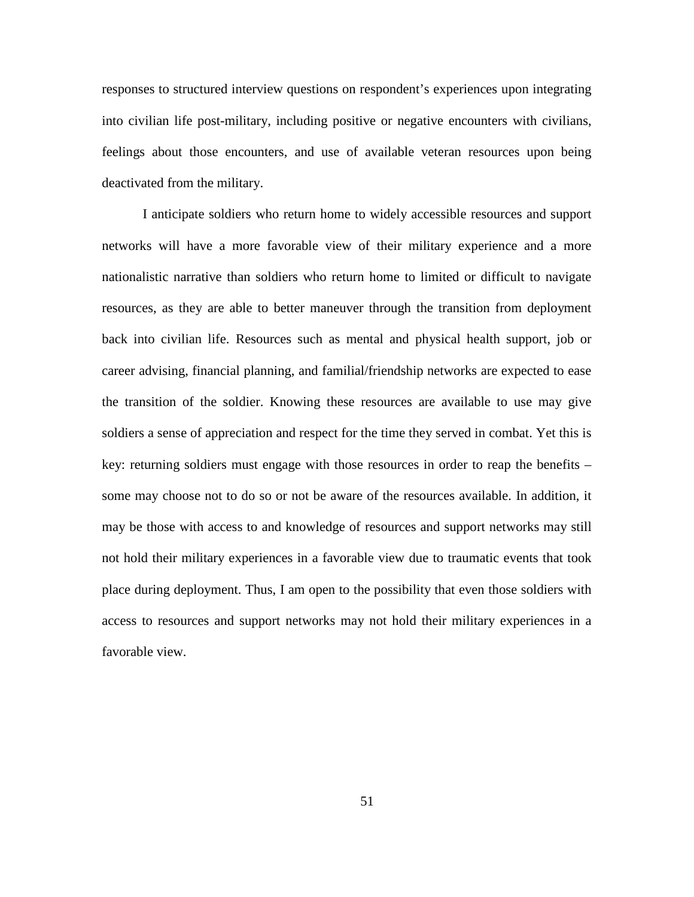responses to structured interview questions on respondent's experiences upon integrating into civilian life post-military, including positive or negative encounters with civilians, feelings about those encounters, and use of available veteran resources upon being deactivated from the military.

I anticipate soldiers who return home to widely accessible resources and support networks will have a more favorable view of their military experience and a more nationalistic narrative than soldiers who return home to limited or difficult to navigate resources, as they are able to better maneuver through the transition from deployment back into civilian life. Resources such as mental and physical health support, job or career advising, financial planning, and familial/friendship networks are expected to ease the transition of the soldier. Knowing these resources are available to use may give soldiers a sense of appreciation and respect for the time they served in combat. Yet this is key: returning soldiers must engage with those resources in order to reap the benefits – some may choose not to do so or not be aware of the resources available. In addition, it may be those with access to and knowledge of resources and support networks may still not hold their military experiences in a favorable view due to traumatic events that took place during deployment. Thus, I am open to the possibility that even those soldiers with access to resources and support networks may not hold their military experiences in a favorable view.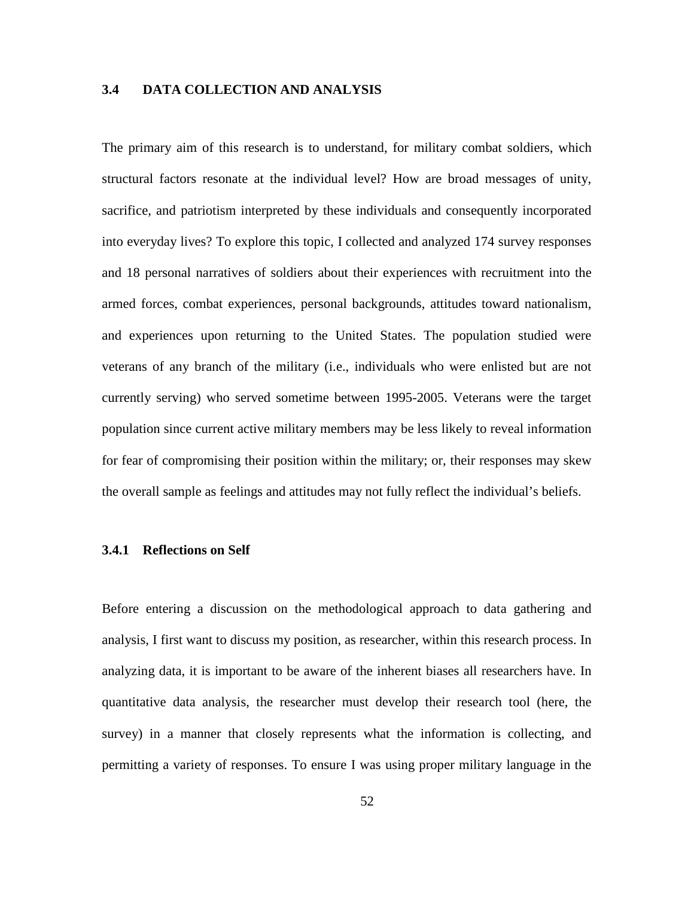## **3.4 DATA COLLECTION AND ANALYSIS**

The primary aim of this research is to understand, for military combat soldiers, which structural factors resonate at the individual level? How are broad messages of unity, sacrifice, and patriotism interpreted by these individuals and consequently incorporated into everyday lives? To explore this topic, I collected and analyzed 174 survey responses and 18 personal narratives of soldiers about their experiences with recruitment into the armed forces, combat experiences, personal backgrounds, attitudes toward nationalism, and experiences upon returning to the United States. The population studied were veterans of any branch of the military (i.e., individuals who were enlisted but are not currently serving) who served sometime between 1995-2005. Veterans were the target population since current active military members may be less likely to reveal information for fear of compromising their position within the military; or, their responses may skew the overall sample as feelings and attitudes may not fully reflect the individual's beliefs.

#### **3.4.1 Reflections on Self**

Before entering a discussion on the methodological approach to data gathering and analysis, I first want to discuss my position, as researcher, within this research process. In analyzing data, it is important to be aware of the inherent biases all researchers have. In quantitative data analysis, the researcher must develop their research tool (here, the survey) in a manner that closely represents what the information is collecting, and permitting a variety of responses. To ensure I was using proper military language in the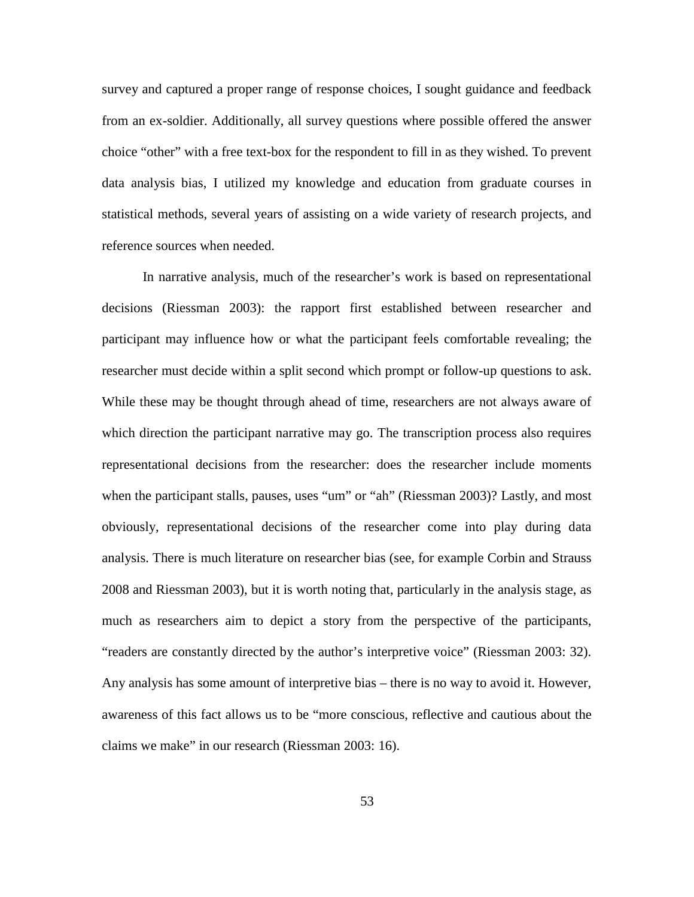survey and captured a proper range of response choices, I sought guidance and feedback from an ex-soldier. Additionally, all survey questions where possible offered the answer choice "other" with a free text-box for the respondent to fill in as they wished. To prevent data analysis bias, I utilized my knowledge and education from graduate courses in statistical methods, several years of assisting on a wide variety of research projects, and reference sources when needed.

In narrative analysis, much of the researcher's work is based on representational decisions (Riessman 2003): the rapport first established between researcher and participant may influence how or what the participant feels comfortable revealing; the researcher must decide within a split second which prompt or follow-up questions to ask. While these may be thought through ahead of time, researchers are not always aware of which direction the participant narrative may go. The transcription process also requires representational decisions from the researcher: does the researcher include moments when the participant stalls, pauses, uses "um" or "ah" (Riessman 2003)? Lastly, and most obviously, representational decisions of the researcher come into play during data analysis. There is much literature on researcher bias (see, for example Corbin and Strauss 2008 and Riessman 2003), but it is worth noting that, particularly in the analysis stage, as much as researchers aim to depict a story from the perspective of the participants, "readers are constantly directed by the author's interpretive voice" (Riessman 2003: 32). Any analysis has some amount of interpretive bias – there is no way to avoid it. However, awareness of this fact allows us to be "more conscious, reflective and cautious about the claims we make" in our research (Riessman 2003: 16).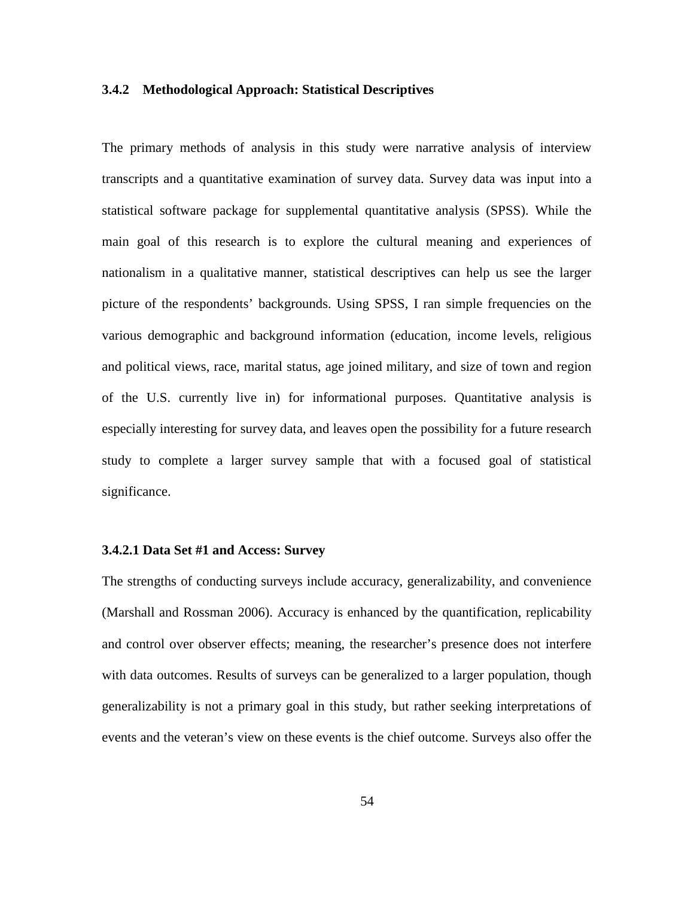### **3.4.2 Methodological Approach: Statistical Descriptives**

The primary methods of analysis in this study were narrative analysis of interview transcripts and a quantitative examination of survey data. Survey data was input into a statistical software package for supplemental quantitative analysis (SPSS). While the main goal of this research is to explore the cultural meaning and experiences of nationalism in a qualitative manner, statistical descriptives can help us see the larger picture of the respondents' backgrounds. Using SPSS, I ran simple frequencies on the various demographic and background information (education, income levels, religious and political views, race, marital status, age joined military, and size of town and region of the U.S. currently live in) for informational purposes. Quantitative analysis is especially interesting for survey data, and leaves open the possibility for a future research study to complete a larger survey sample that with a focused goal of statistical significance.

#### **3.4.2.1 Data Set #1 and Access: Survey**

The strengths of conducting surveys include accuracy, generalizability, and convenience (Marshall and Rossman 2006). Accuracy is enhanced by the quantification, replicability and control over observer effects; meaning, the researcher's presence does not interfere with data outcomes. Results of surveys can be generalized to a larger population, though generalizability is not a primary goal in this study, but rather seeking interpretations of events and the veteran's view on these events is the chief outcome. Surveys also offer the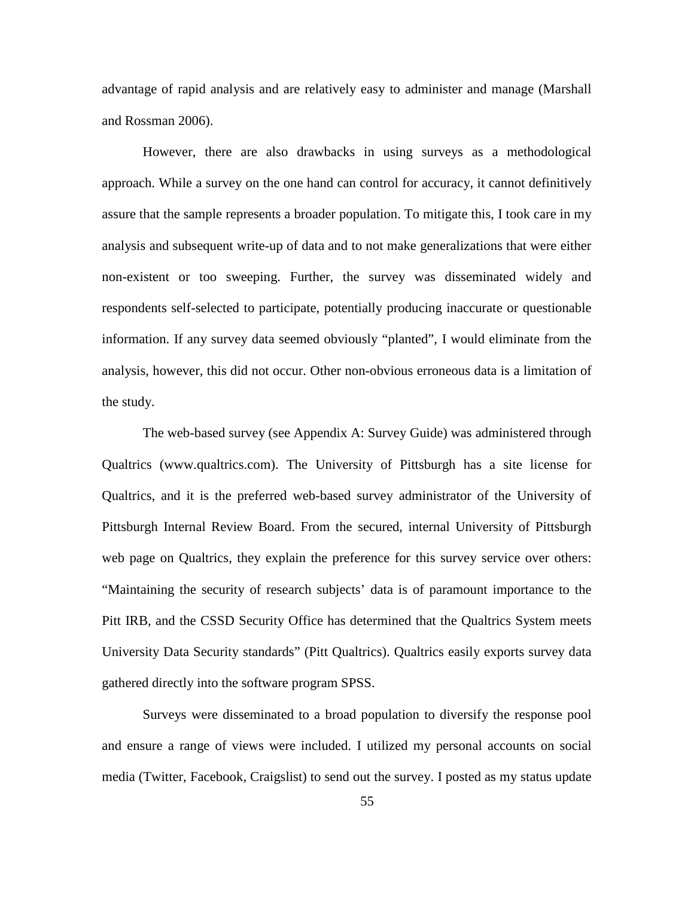advantage of rapid analysis and are relatively easy to administer and manage (Marshall and Rossman 2006).

However, there are also drawbacks in using surveys as a methodological approach. While a survey on the one hand can control for accuracy, it cannot definitively assure that the sample represents a broader population. To mitigate this, I took care in my analysis and subsequent write-up of data and to not make generalizations that were either non-existent or too sweeping. Further, the survey was disseminated widely and respondents self-selected to participate, potentially producing inaccurate or questionable information. If any survey data seemed obviously "planted", I would eliminate from the analysis, however, this did not occur. Other non-obvious erroneous data is a limitation of the study.

The web-based survey (see Appendix A: Survey Guide) was administered through Qualtrics (www.qualtrics.com). The University of Pittsburgh has a site license for Qualtrics, and it is the preferred web-based survey administrator of the University of Pittsburgh Internal Review Board. From the secured, internal University of Pittsburgh web page on Qualtrics, they explain the preference for this survey service over others: "Maintaining the security of research subjects' data is of paramount importance to the Pitt IRB, and the CSSD Security Office has determined that the Qualtrics System meets University Data Security standards" (Pitt Qualtrics). Qualtrics easily exports survey data gathered directly into the software program SPSS.

Surveys were disseminated to a broad population to diversify the response pool and ensure a range of views were included. I utilized my personal accounts on social media (Twitter, Facebook, Craigslist) to send out the survey. I posted as my status update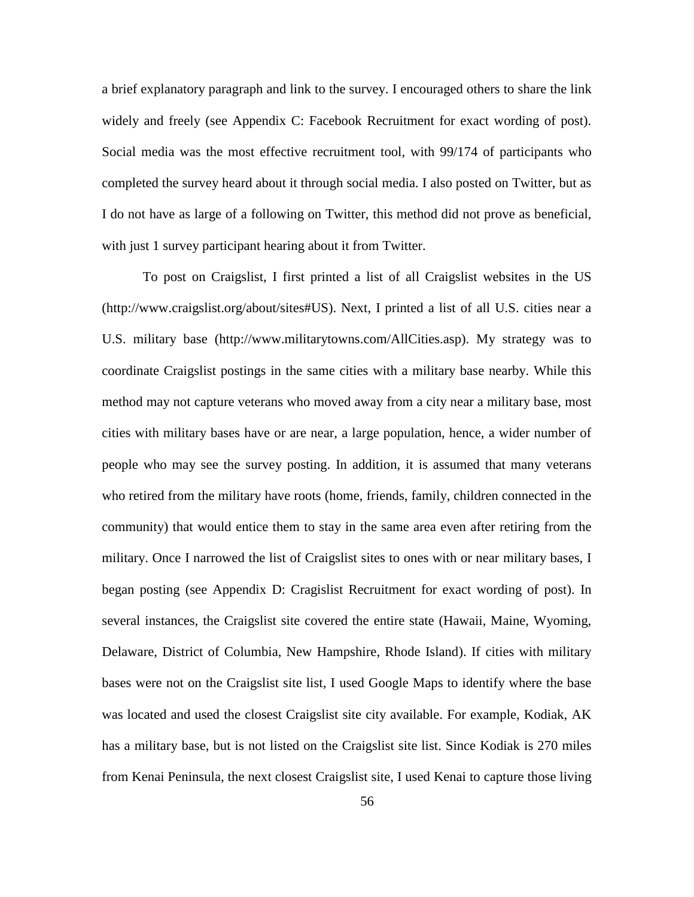a brief explanatory paragraph and link to the survey. I encouraged others to share the link widely and freely (see Appendix C: Facebook Recruitment for exact wording of post). Social media was the most effective recruitment tool, with 99/174 of participants who completed the survey heard about it through social media. I also posted on Twitter, but as I do not have as large of a following on Twitter, this method did not prove as beneficial, with just 1 survey participant hearing about it from Twitter.

To post on Craigslist, I first printed a list of all Craigslist websites in the US (http://www.craigslist.org/about/sites#US). Next, I printed a list of all U.S. cities near a U.S. military base (http://www.militarytowns.com/AllCities.asp). My strategy was to coordinate Craigslist postings in the same cities with a military base nearby. While this method may not capture veterans who moved away from a city near a military base, most cities with military bases have or are near, a large population, hence, a wider number of people who may see the survey posting. In addition, it is assumed that many veterans who retired from the military have roots (home, friends, family, children connected in the community) that would entice them to stay in the same area even after retiring from the military. Once I narrowed the list of Craigslist sites to ones with or near military bases, I began posting (see Appendix D: Cragislist Recruitment for exact wording of post). In several instances, the Craigslist site covered the entire state (Hawaii, Maine, Wyoming, Delaware, District of Columbia, New Hampshire, Rhode Island). If cities with military bases were not on the Craigslist site list, I used Google Maps to identify where the base was located and used the closest Craigslist site city available. For example, Kodiak, AK has a military base, but is not listed on the Craigslist site list. Since Kodiak is 270 miles from Kenai Peninsula, the next closest Craigslist site, I used Kenai to capture those living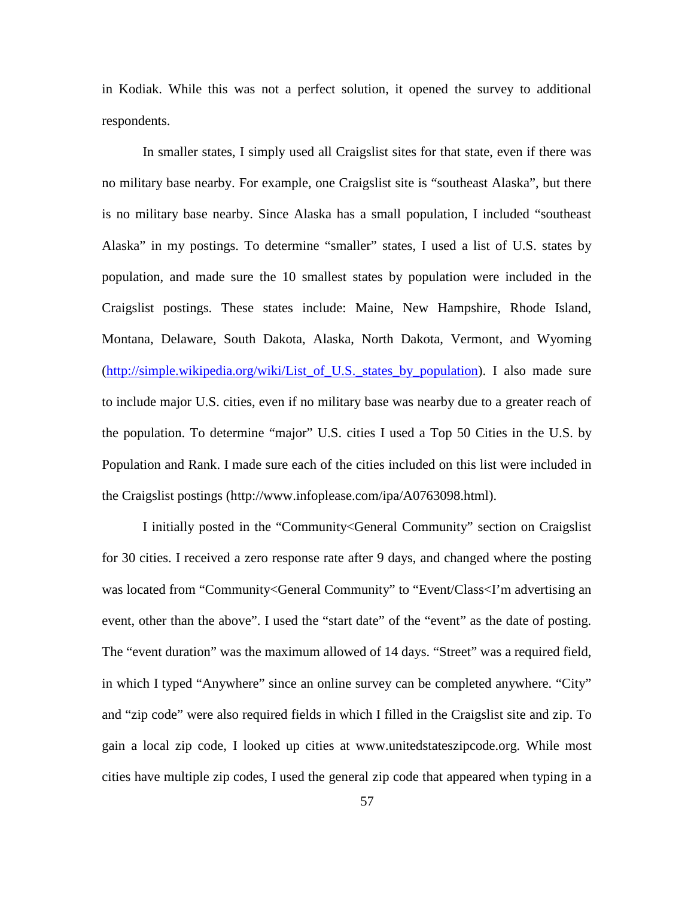in Kodiak. While this was not a perfect solution, it opened the survey to additional respondents.

In smaller states, I simply used all Craigslist sites for that state, even if there was no military base nearby. For example, one Craigslist site is "southeast Alaska", but there is no military base nearby. Since Alaska has a small population, I included "southeast Alaska" in my postings. To determine "smaller" states, I used a list of U.S. states by population, and made sure the 10 smallest states by population were included in the Craigslist postings. These states include: Maine, New Hampshire, Rhode Island, Montana, Delaware, South Dakota, Alaska, North Dakota, Vermont, and Wyoming [\(http://simple.wikipedia.org/wiki/List\\_of\\_U.S.\\_states\\_by\\_population\)](http://simple.wikipedia.org/wiki/List_of_U.S._states_by_population). I also made sure to include major U.S. cities, even if no military base was nearby due to a greater reach of the population. To determine "major" U.S. cities I used a Top 50 Cities in the U.S. by Population and Rank. I made sure each of the cities included on this list were included in the Craigslist postings (http://www.infoplease.com/ipa/A0763098.html).

I initially posted in the "Community<General Community" section on Craigslist for 30 cities. I received a zero response rate after 9 days, and changed where the posting was located from "Community<General Community" to "Event/Class<I'm advertising an event, other than the above". I used the "start date" of the "event" as the date of posting. The "event duration" was the maximum allowed of 14 days. "Street" was a required field, in which I typed "Anywhere" since an online survey can be completed anywhere. "City" and "zip code" were also required fields in which I filled in the Craigslist site and zip. To gain a local zip code, I looked up cities at www.unitedstateszipcode.org. While most cities have multiple zip codes, I used the general zip code that appeared when typing in a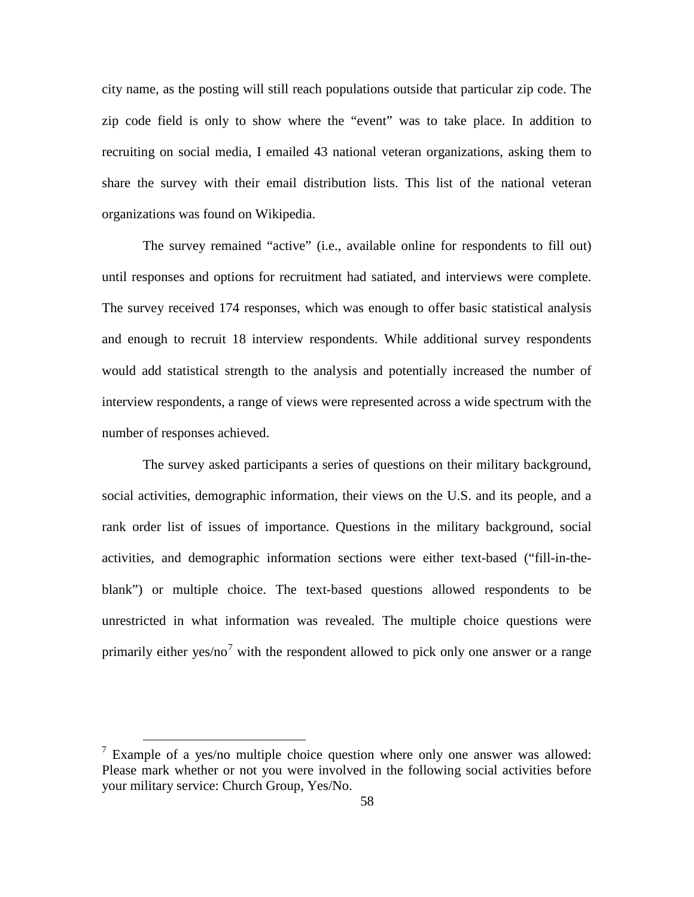city name, as the posting will still reach populations outside that particular zip code. The zip code field is only to show where the "event" was to take place. In addition to recruiting on social media, I emailed 43 national veteran organizations, asking them to share the survey with their email distribution lists. This list of the national veteran organizations was found on Wikipedia.

The survey remained "active" (i.e., available online for respondents to fill out) until responses and options for recruitment had satiated, and interviews were complete. The survey received 174 responses, which was enough to offer basic statistical analysis and enough to recruit 18 interview respondents. While additional survey respondents would add statistical strength to the analysis and potentially increased the number of interview respondents, a range of views were represented across a wide spectrum with the number of responses achieved.

The survey asked participants a series of questions on their military background, social activities, demographic information, their views on the U.S. and its people, and a rank order list of issues of importance. Questions in the military background, social activities, and demographic information sections were either text-based ("fill-in-theblank") or multiple choice. The text-based questions allowed respondents to be unrestricted in what information was revealed. The multiple choice questions were primarily either yes/no<sup>[7](#page-68-0)</sup> with the respondent allowed to pick only one answer or a range

<span id="page-68-0"></span><sup>&</sup>lt;sup>7</sup> Example of a yes/no multiple choice question where only one answer was allowed: Please mark whether or not you were involved in the following social activities before your military service: Church Group, Yes/No.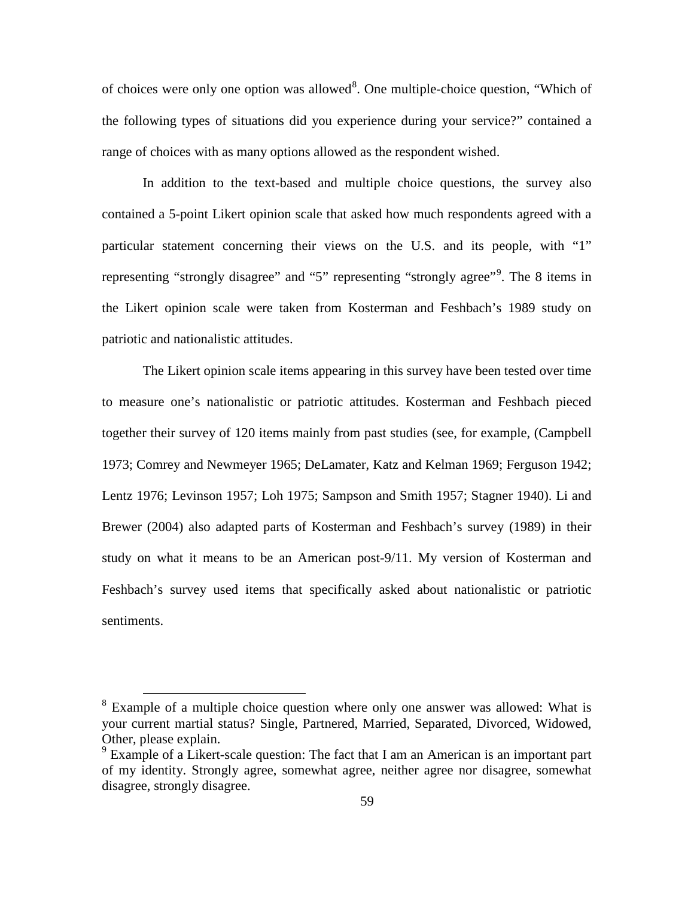of choices were only one option was allowed<sup>[8](#page-69-0)</sup>. One multiple-choice question, "Which of the following types of situations did you experience during your service?" contained a range of choices with as many options allowed as the respondent wished.

In addition to the text-based and multiple choice questions, the survey also contained a 5-point Likert opinion scale that asked how much respondents agreed with a particular statement concerning their views on the U.S. and its people, with "1" representing "strongly disagree" and "5" representing "strongly agree"<sup>[9](#page-69-1)</sup>. The 8 items in the Likert opinion scale were taken from Kosterman and Feshbach's 1989 study on patriotic and nationalistic attitudes.

The Likert opinion scale items appearing in this survey have been tested over time to measure one's nationalistic or patriotic attitudes. Kosterman and Feshbach pieced together their survey of 120 items mainly from past studies (see, for example, (Campbell 1973; Comrey and Newmeyer 1965; DeLamater, Katz and Kelman 1969; Ferguson 1942; Lentz 1976; Levinson 1957; Loh 1975; Sampson and Smith 1957; Stagner 1940). Li and Brewer (2004) also adapted parts of Kosterman and Feshbach's survey (1989) in their study on what it means to be an American post-9/11. My version of Kosterman and Feshbach's survey used items that specifically asked about nationalistic or patriotic sentiments.

<span id="page-69-0"></span><sup>&</sup>lt;sup>8</sup> Example of a multiple choice question where only one answer was allowed: What is your current martial status? Single, Partnered, Married, Separated, Divorced, Widowed, Other, please explain.

<span id="page-69-1"></span><sup>&</sup>lt;sup>9</sup> Example of a Likert-scale question: The fact that I am an American is an important part of my identity. Strongly agree, somewhat agree, neither agree nor disagree, somewhat disagree, strongly disagree.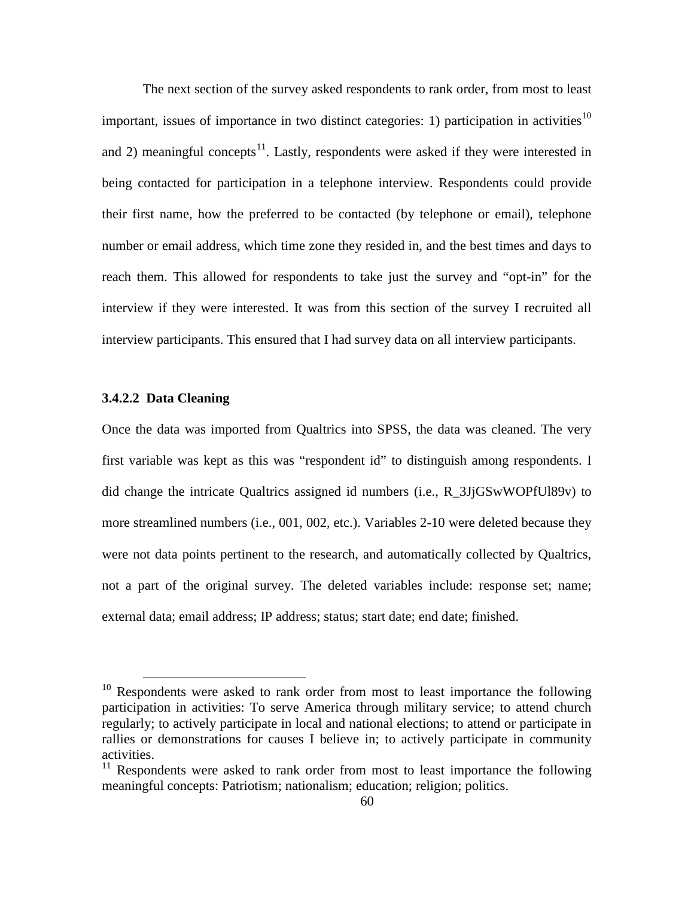The next section of the survey asked respondents to rank order, from most to least important, issues of importance in two distinct categories: 1) participation in activities<sup>[10](#page-70-0)</sup> and 2) meaningful concepts<sup>11</sup>. Lastly, respondents were asked if they were interested in being contacted for participation in a telephone interview. Respondents could provide their first name, how the preferred to be contacted (by telephone or email), telephone number or email address, which time zone they resided in, and the best times and days to reach them. This allowed for respondents to take just the survey and "opt-in" for the interview if they were interested. It was from this section of the survey I recruited all interview participants. This ensured that I had survey data on all interview participants.

## **3.4.2.2 Data Cleaning**

Once the data was imported from Qualtrics into SPSS, the data was cleaned. The very first variable was kept as this was "respondent id" to distinguish among respondents. I did change the intricate Qualtrics assigned id numbers (i.e., R\_3JjGSwWOPfUl89v) to more streamlined numbers (i.e., 001, 002, etc.). Variables 2-10 were deleted because they were not data points pertinent to the research, and automatically collected by Qualtrics, not a part of the original survey. The deleted variables include: response set; name; external data; email address; IP address; status; start date; end date; finished.

<span id="page-70-0"></span> $10$  Respondents were asked to rank order from most to least importance the following participation in activities: To serve America through military service; to attend church regularly; to actively participate in local and national elections; to attend or participate in rallies or demonstrations for causes I believe in; to actively participate in community activities.

<span id="page-70-1"></span><sup>&</sup>lt;sup>11</sup> Respondents were asked to rank order from most to least importance the following meaningful concepts: Patriotism; nationalism; education; religion; politics.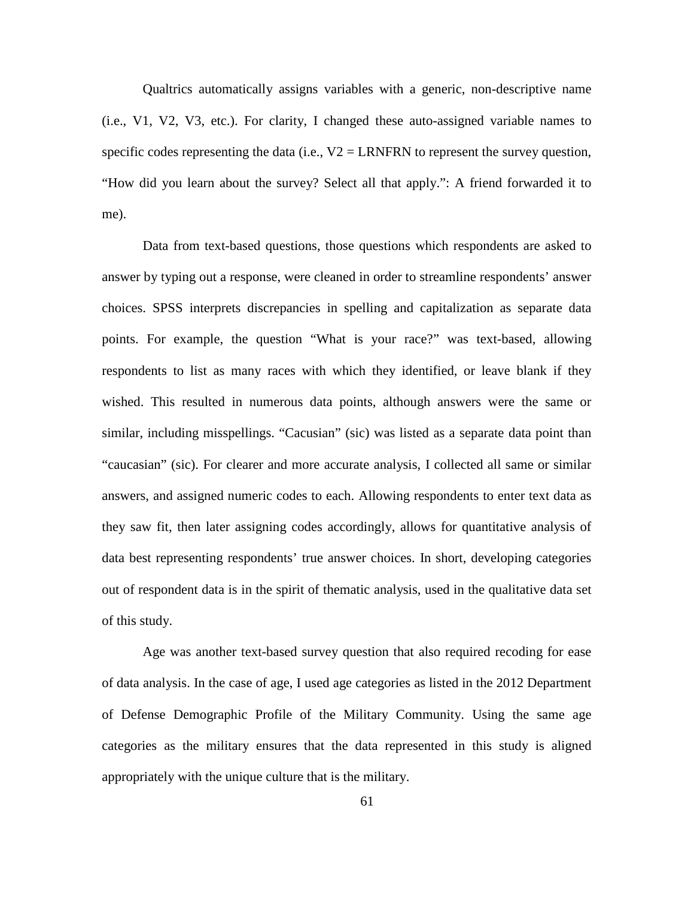Qualtrics automatically assigns variables with a generic, non-descriptive name (i.e., V1, V2, V3, etc.). For clarity, I changed these auto-assigned variable names to specific codes representing the data (i.e.,  $V2 = LRNFRN$  to represent the survey question, "How did you learn about the survey? Select all that apply.": A friend forwarded it to me).

Data from text-based questions, those questions which respondents are asked to answer by typing out a response, were cleaned in order to streamline respondents' answer choices. SPSS interprets discrepancies in spelling and capitalization as separate data points. For example, the question "What is your race?" was text-based, allowing respondents to list as many races with which they identified, or leave blank if they wished. This resulted in numerous data points, although answers were the same or similar, including misspellings. "Cacusian" (sic) was listed as a separate data point than "caucasian" (sic). For clearer and more accurate analysis, I collected all same or similar answers, and assigned numeric codes to each. Allowing respondents to enter text data as they saw fit, then later assigning codes accordingly, allows for quantitative analysis of data best representing respondents' true answer choices. In short, developing categories out of respondent data is in the spirit of thematic analysis, used in the qualitative data set of this study.

Age was another text-based survey question that also required recoding for ease of data analysis. In the case of age, I used age categories as listed in the 2012 Department of Defense Demographic Profile of the Military Community. Using the same age categories as the military ensures that the data represented in this study is aligned appropriately with the unique culture that is the military.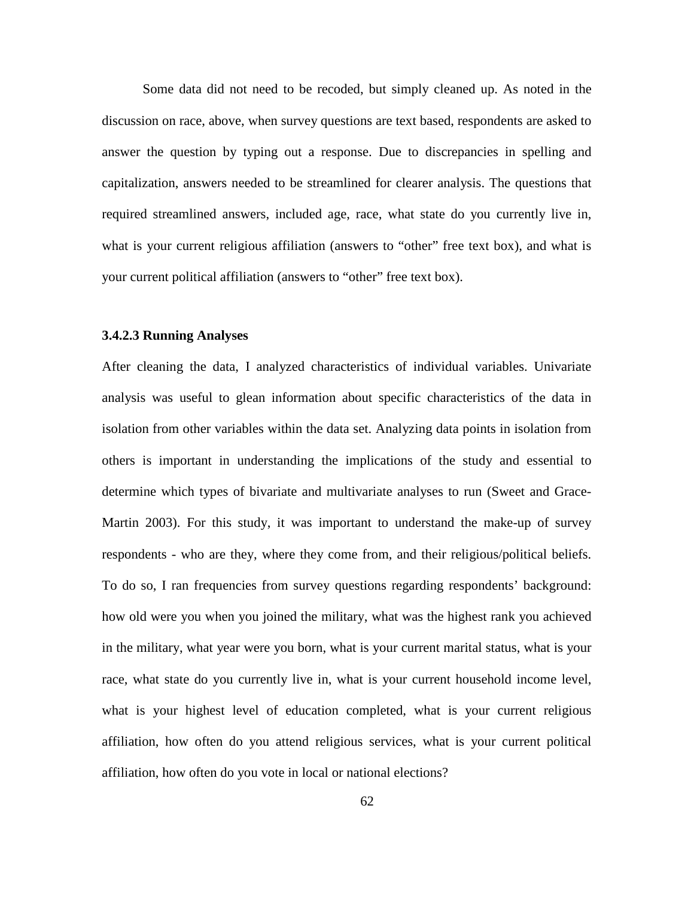Some data did not need to be recoded, but simply cleaned up. As noted in the discussion on race, above, when survey questions are text based, respondents are asked to answer the question by typing out a response. Due to discrepancies in spelling and capitalization, answers needed to be streamlined for clearer analysis. The questions that required streamlined answers, included age, race, what state do you currently live in, what is your current religious affiliation (answers to "other" free text box), and what is your current political affiliation (answers to "other" free text box).

### **3.4.2.3 Running Analyses**

After cleaning the data, I analyzed characteristics of individual variables. Univariate analysis was useful to glean information about specific characteristics of the data in isolation from other variables within the data set. Analyzing data points in isolation from others is important in understanding the implications of the study and essential to determine which types of bivariate and multivariate analyses to run (Sweet and Grace-Martin 2003). For this study, it was important to understand the make-up of survey respondents - who are they, where they come from, and their religious/political beliefs. To do so, I ran frequencies from survey questions regarding respondents' background: how old were you when you joined the military, what was the highest rank you achieved in the military, what year were you born, what is your current marital status, what is your race, what state do you currently live in, what is your current household income level, what is your highest level of education completed, what is your current religious affiliation, how often do you attend religious services, what is your current political affiliation, how often do you vote in local or national elections?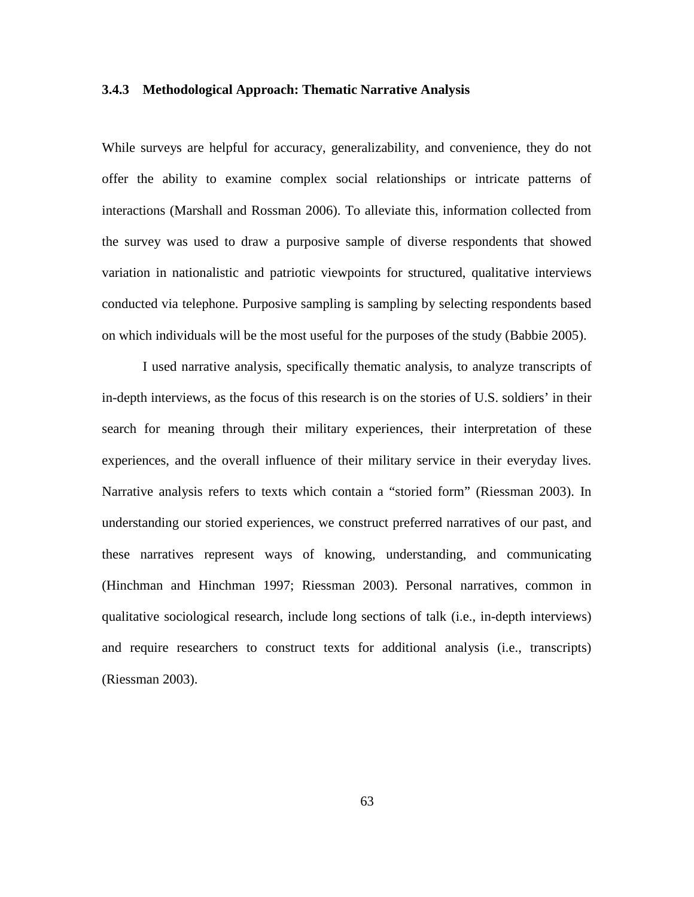### **3.4.3 Methodological Approach: Thematic Narrative Analysis**

While surveys are helpful for accuracy, generalizability, and convenience, they do not offer the ability to examine complex social relationships or intricate patterns of interactions (Marshall and Rossman 2006). To alleviate this, information collected from the survey was used to draw a purposive sample of diverse respondents that showed variation in nationalistic and patriotic viewpoints for structured, qualitative interviews conducted via telephone. Purposive sampling is sampling by selecting respondents based on which individuals will be the most useful for the purposes of the study (Babbie 2005).

I used narrative analysis, specifically thematic analysis, to analyze transcripts of in-depth interviews, as the focus of this research is on the stories of U.S. soldiers' in their search for meaning through their military experiences, their interpretation of these experiences, and the overall influence of their military service in their everyday lives. Narrative analysis refers to texts which contain a "storied form" (Riessman 2003). In understanding our storied experiences, we construct preferred narratives of our past, and these narratives represent ways of knowing, understanding, and communicating (Hinchman and Hinchman 1997; Riessman 2003). Personal narratives, common in qualitative sociological research, include long sections of talk (i.e., in-depth interviews) and require researchers to construct texts for additional analysis (i.e., transcripts) (Riessman 2003).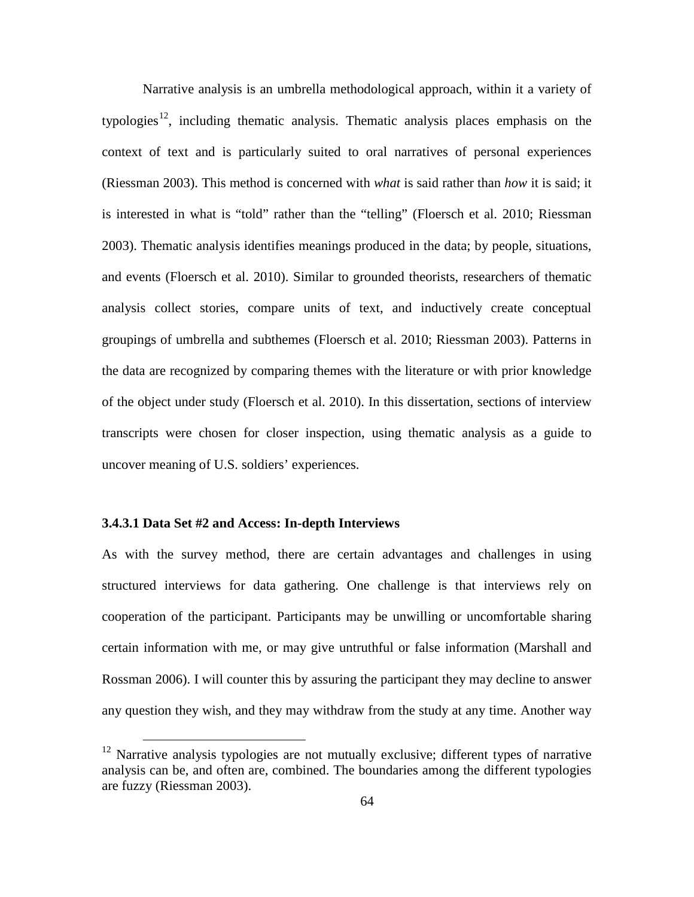Narrative analysis is an umbrella methodological approach, within it a variety of typologies<sup>12</sup>, including thematic analysis. Thematic analysis places emphasis on the context of text and is particularly suited to oral narratives of personal experiences (Riessman 2003). This method is concerned with *what* is said rather than *how* it is said; it is interested in what is "told" rather than the "telling" (Floersch et al. 2010; Riessman 2003). Thematic analysis identifies meanings produced in the data; by people, situations, and events (Floersch et al. 2010). Similar to grounded theorists, researchers of thematic analysis collect stories, compare units of text, and inductively create conceptual groupings of umbrella and subthemes (Floersch et al. 2010; Riessman 2003). Patterns in the data are recognized by comparing themes with the literature or with prior knowledge of the object under study (Floersch et al. 2010). In this dissertation, sections of interview transcripts were chosen for closer inspection, using thematic analysis as a guide to uncover meaning of U.S. soldiers' experiences.

# **3.4.3.1 Data Set #2 and Access: In-depth Interviews**

As with the survey method, there are certain advantages and challenges in using structured interviews for data gathering. One challenge is that interviews rely on cooperation of the participant. Participants may be unwilling or uncomfortable sharing certain information with me, or may give untruthful or false information (Marshall and Rossman 2006). I will counter this by assuring the participant they may decline to answer any question they wish, and they may withdraw from the study at any time. Another way

<span id="page-74-0"></span> $12$  Narrative analysis typologies are not mutually exclusive; different types of narrative analysis can be, and often are, combined. The boundaries among the different typologies are fuzzy (Riessman 2003).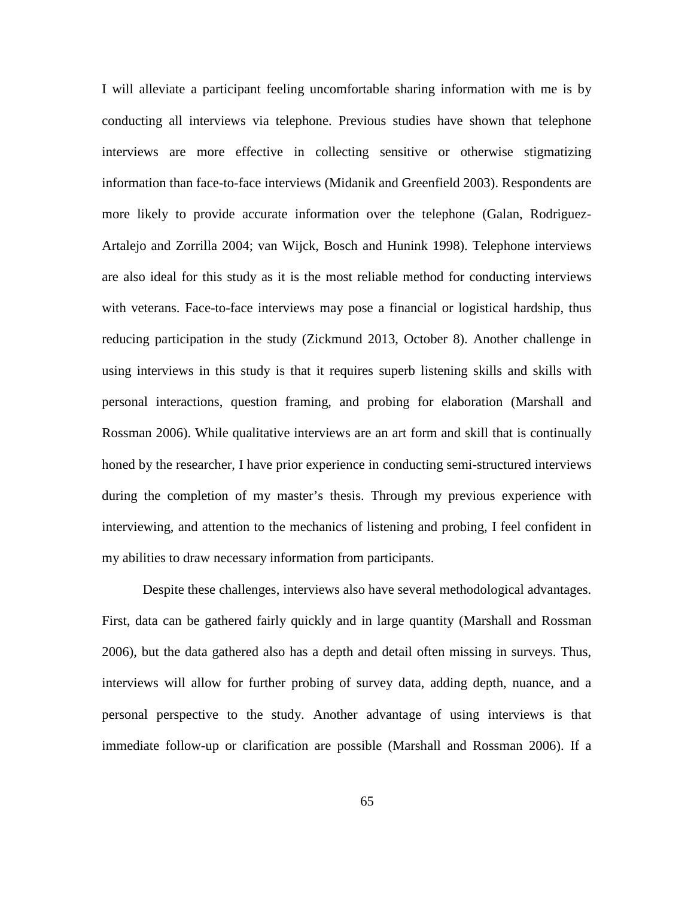I will alleviate a participant feeling uncomfortable sharing information with me is by conducting all interviews via telephone. Previous studies have shown that telephone interviews are more effective in collecting sensitive or otherwise stigmatizing information than face-to-face interviews (Midanik and Greenfield 2003). Respondents are more likely to provide accurate information over the telephone (Galan, Rodriguez-Artalejo and Zorrilla 2004; van Wijck, Bosch and Hunink 1998). Telephone interviews are also ideal for this study as it is the most reliable method for conducting interviews with veterans. Face-to-face interviews may pose a financial or logistical hardship, thus reducing participation in the study (Zickmund 2013, October 8). Another challenge in using interviews in this study is that it requires superb listening skills and skills with personal interactions, question framing, and probing for elaboration (Marshall and Rossman 2006). While qualitative interviews are an art form and skill that is continually honed by the researcher, I have prior experience in conducting semi-structured interviews during the completion of my master's thesis. Through my previous experience with interviewing, and attention to the mechanics of listening and probing, I feel confident in my abilities to draw necessary information from participants.

Despite these challenges, interviews also have several methodological advantages. First, data can be gathered fairly quickly and in large quantity (Marshall and Rossman 2006), but the data gathered also has a depth and detail often missing in surveys. Thus, interviews will allow for further probing of survey data, adding depth, nuance, and a personal perspective to the study. Another advantage of using interviews is that immediate follow-up or clarification are possible (Marshall and Rossman 2006). If a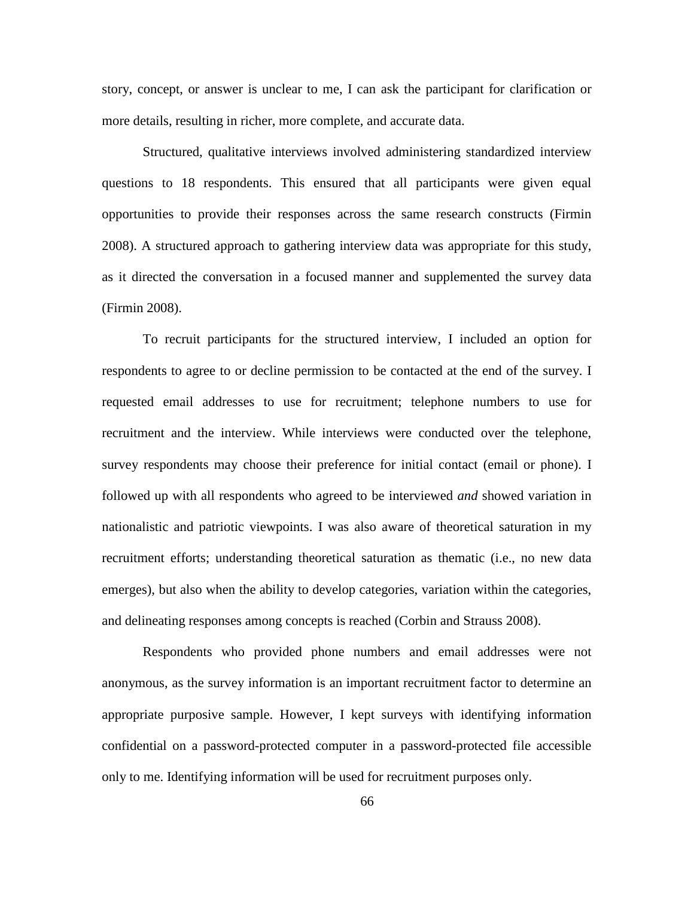story, concept, or answer is unclear to me, I can ask the participant for clarification or more details, resulting in richer, more complete, and accurate data.

Structured, qualitative interviews involved administering standardized interview questions to 18 respondents. This ensured that all participants were given equal opportunities to provide their responses across the same research constructs (Firmin 2008). A structured approach to gathering interview data was appropriate for this study, as it directed the conversation in a focused manner and supplemented the survey data (Firmin 2008).

To recruit participants for the structured interview, I included an option for respondents to agree to or decline permission to be contacted at the end of the survey. I requested email addresses to use for recruitment; telephone numbers to use for recruitment and the interview. While interviews were conducted over the telephone, survey respondents may choose their preference for initial contact (email or phone). I followed up with all respondents who agreed to be interviewed *and* showed variation in nationalistic and patriotic viewpoints. I was also aware of theoretical saturation in my recruitment efforts; understanding theoretical saturation as thematic (i.e., no new data emerges), but also when the ability to develop categories, variation within the categories, and delineating responses among concepts is reached (Corbin and Strauss 2008).

Respondents who provided phone numbers and email addresses were not anonymous, as the survey information is an important recruitment factor to determine an appropriate purposive sample. However, I kept surveys with identifying information confidential on a password-protected computer in a password-protected file accessible only to me. Identifying information will be used for recruitment purposes only.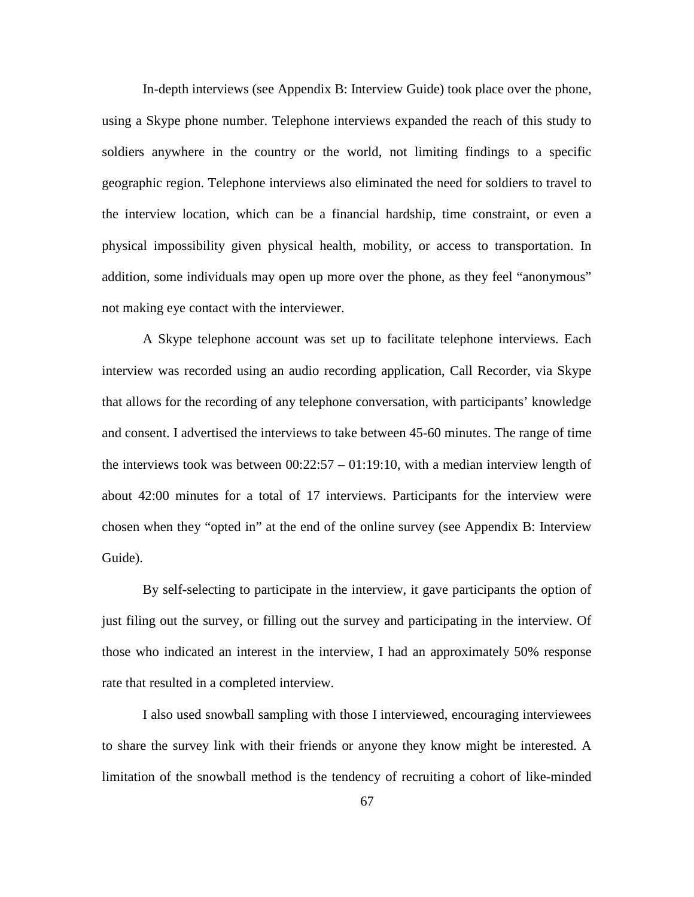In-depth interviews (see Appendix B: Interview Guide) took place over the phone, using a Skype phone number. Telephone interviews expanded the reach of this study to soldiers anywhere in the country or the world, not limiting findings to a specific geographic region. Telephone interviews also eliminated the need for soldiers to travel to the interview location, which can be a financial hardship, time constraint, or even a physical impossibility given physical health, mobility, or access to transportation. In addition, some individuals may open up more over the phone, as they feel "anonymous" not making eye contact with the interviewer.

A Skype telephone account was set up to facilitate telephone interviews. Each interview was recorded using an audio recording application, Call Recorder, via Skype that allows for the recording of any telephone conversation, with participants' knowledge and consent. I advertised the interviews to take between 45-60 minutes. The range of time the interviews took was between  $00:22:57 - 01:19:10$ , with a median interview length of about 42:00 minutes for a total of 17 interviews. Participants for the interview were chosen when they "opted in" at the end of the online survey (see Appendix B: Interview Guide).

By self-selecting to participate in the interview, it gave participants the option of just filing out the survey, or filling out the survey and participating in the interview. Of those who indicated an interest in the interview, I had an approximately 50% response rate that resulted in a completed interview.

I also used snowball sampling with those I interviewed, encouraging interviewees to share the survey link with their friends or anyone they know might be interested. A limitation of the snowball method is the tendency of recruiting a cohort of like-minded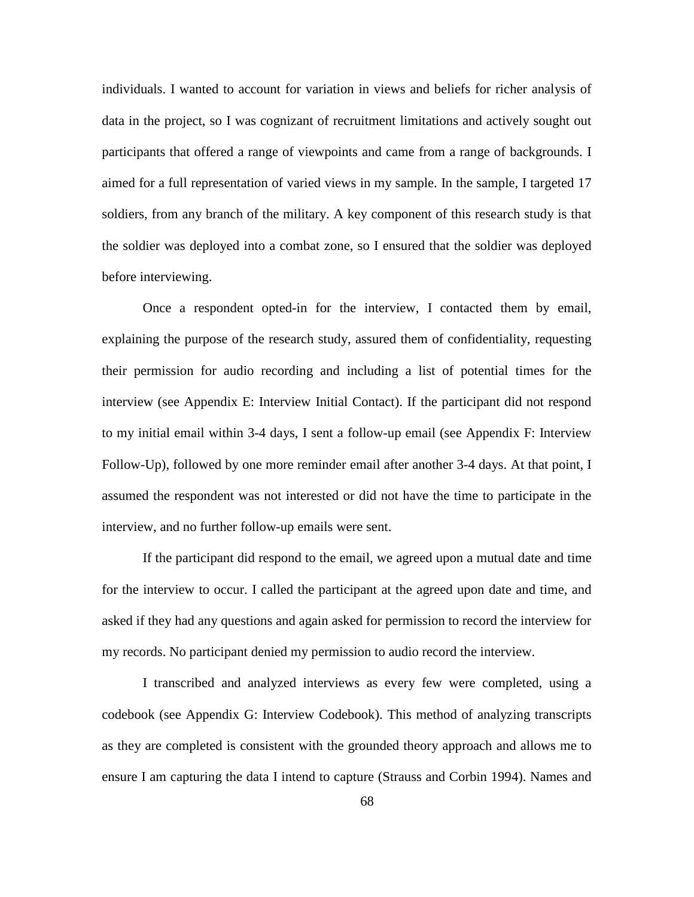individuals. I wanted to account for variation in views and beliefs for richer analysis of data in the project, so I was cognizant of recruitment limitations and actively sought out participants that offered a range of viewpoints and came from a range of backgrounds. I aimed for a full representation of varied views in my sample. In the sample, I targeted 17 soldiers, from any branch of the military. A key component of this research study is that the soldier was deployed into a combat zone, so I ensured that the soldier was deployed before interviewing.

Once a respondent opted-in for the interview, I contacted them by email, explaining the purpose of the research study, assured them of confidentiality, requesting their permission for audio recording and including a list of potential times for the interview (see Appendix E: Interview Initial Contact). If the participant did not respond to my initial email within 3-4 days, I sent a follow-up email (see Appendix F: Interview Follow-Up), followed by one more reminder email after another 3-4 days. At that point, I assumed the respondent was not interested or did not have the time to participate in the interview, and no further follow-up emails were sent.

If the participant did respond to the email, we agreed upon a mutual date and time for the interview to occur. I called the participant at the agreed upon date and time, and asked if they had any questions and again asked for permission to record the interview for my records. No participant denied my permission to audio record the interview.

I transcribed and analyzed interviews as every few were completed, using a codebook (see Appendix G: Interview Codebook). This method of analyzing transcripts as they are completed is consistent with the grounded theory approach and allows me to ensure I am capturing the data I intend to capture (Strauss and Corbin 1994). Names and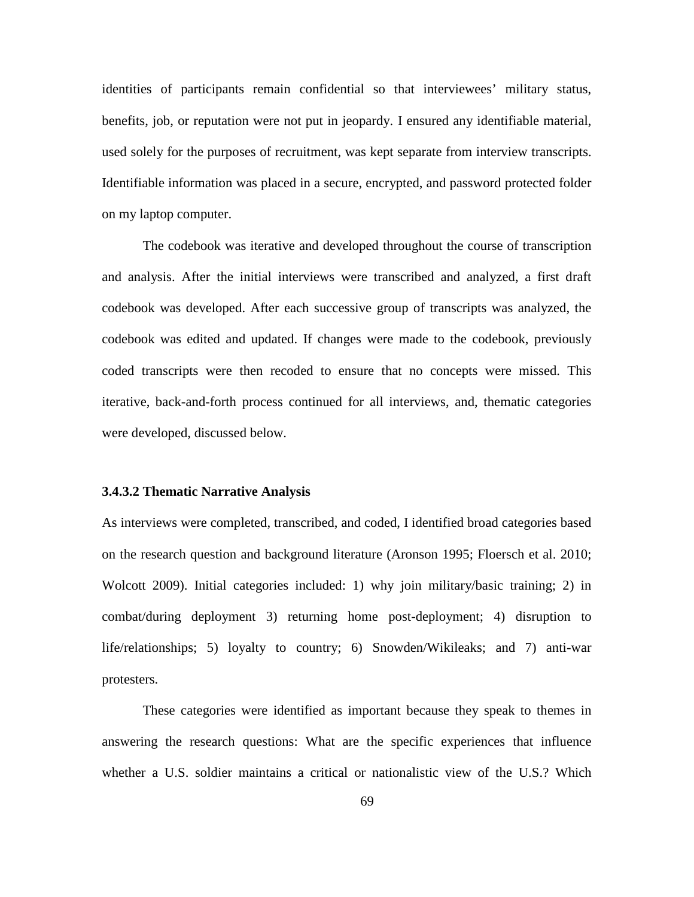identities of participants remain confidential so that interviewees' military status, benefits, job, or reputation were not put in jeopardy. I ensured any identifiable material, used solely for the purposes of recruitment, was kept separate from interview transcripts. Identifiable information was placed in a secure, encrypted, and password protected folder on my laptop computer.

The codebook was iterative and developed throughout the course of transcription and analysis. After the initial interviews were transcribed and analyzed, a first draft codebook was developed. After each successive group of transcripts was analyzed, the codebook was edited and updated. If changes were made to the codebook, previously coded transcripts were then recoded to ensure that no concepts were missed. This iterative, back-and-forth process continued for all interviews, and, thematic categories were developed, discussed below.

### **3.4.3.2 Thematic Narrative Analysis**

As interviews were completed, transcribed, and coded, I identified broad categories based on the research question and background literature (Aronson 1995; Floersch et al. 2010; Wolcott 2009). Initial categories included: 1) why join military/basic training; 2) in combat/during deployment 3) returning home post-deployment; 4) disruption to life/relationships; 5) loyalty to country; 6) Snowden/Wikileaks; and 7) anti-war protesters.

These categories were identified as important because they speak to themes in answering the research questions: What are the specific experiences that influence whether a U.S. soldier maintains a critical or nationalistic view of the U.S.? Which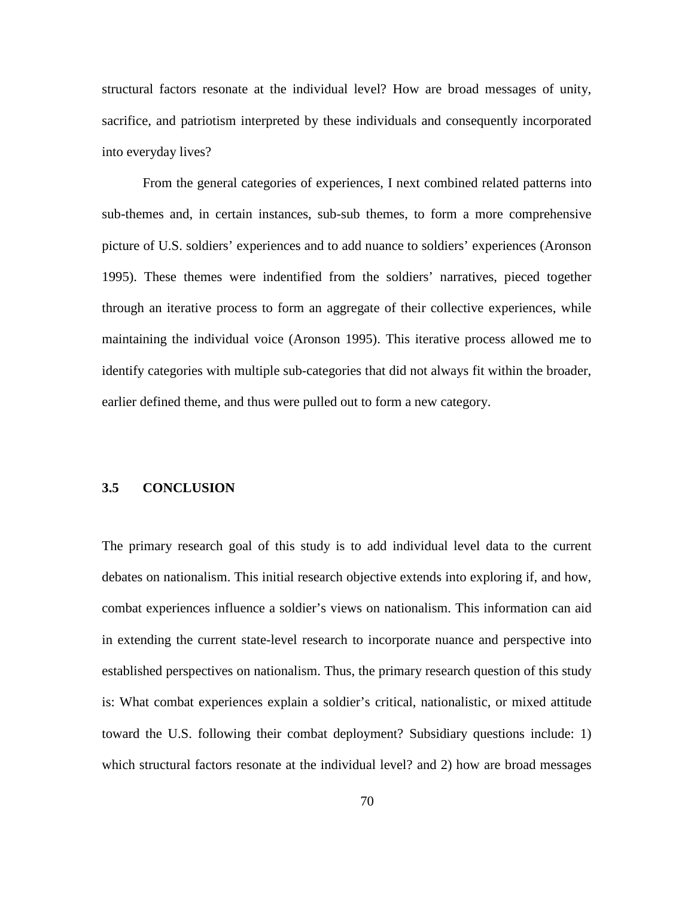structural factors resonate at the individual level? How are broad messages of unity, sacrifice, and patriotism interpreted by these individuals and consequently incorporated into everyday lives?

From the general categories of experiences, I next combined related patterns into sub-themes and, in certain instances, sub-sub themes, to form a more comprehensive picture of U.S. soldiers' experiences and to add nuance to soldiers' experiences (Aronson 1995). These themes were indentified from the soldiers' narratives, pieced together through an iterative process to form an aggregate of their collective experiences, while maintaining the individual voice (Aronson 1995). This iterative process allowed me to identify categories with multiple sub-categories that did not always fit within the broader, earlier defined theme, and thus were pulled out to form a new category.

### **3.5 CONCLUSION**

The primary research goal of this study is to add individual level data to the current debates on nationalism. This initial research objective extends into exploring if, and how, combat experiences influence a soldier's views on nationalism. This information can aid in extending the current state-level research to incorporate nuance and perspective into established perspectives on nationalism. Thus, the primary research question of this study is: What combat experiences explain a soldier's critical, nationalistic, or mixed attitude toward the U.S. following their combat deployment? Subsidiary questions include: 1) which structural factors resonate at the individual level? and 2) how are broad messages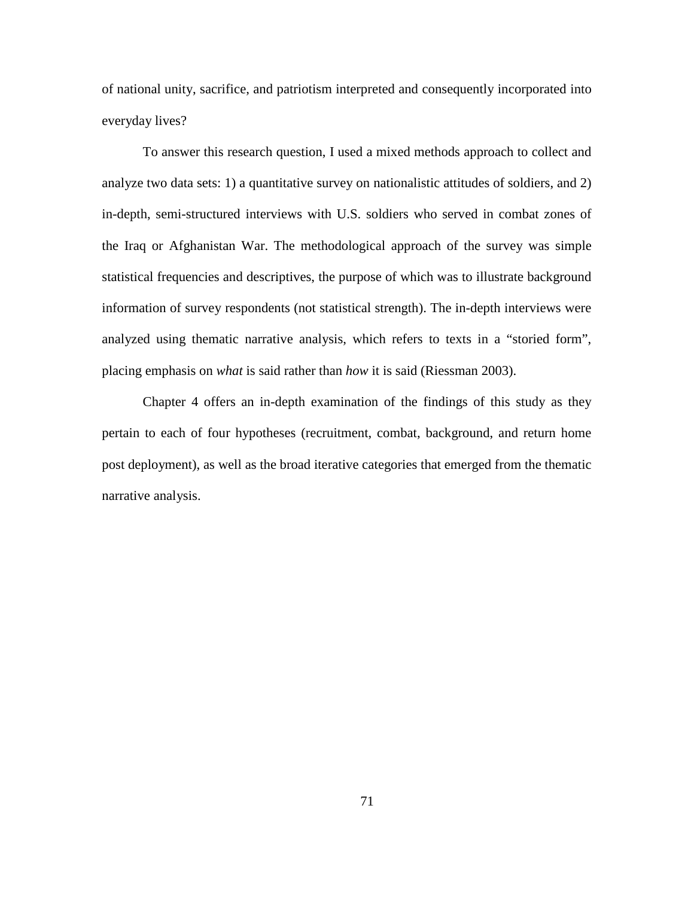of national unity, sacrifice, and patriotism interpreted and consequently incorporated into everyday lives?

To answer this research question, I used a mixed methods approach to collect and analyze two data sets: 1) a quantitative survey on nationalistic attitudes of soldiers, and 2) in-depth, semi-structured interviews with U.S. soldiers who served in combat zones of the Iraq or Afghanistan War. The methodological approach of the survey was simple statistical frequencies and descriptives, the purpose of which was to illustrate background information of survey respondents (not statistical strength). The in-depth interviews were analyzed using thematic narrative analysis, which refers to texts in a "storied form", placing emphasis on *what* is said rather than *how* it is said (Riessman 2003).

Chapter 4 offers an in-depth examination of the findings of this study as they pertain to each of four hypotheses (recruitment, combat, background, and return home post deployment), as well as the broad iterative categories that emerged from the thematic narrative analysis.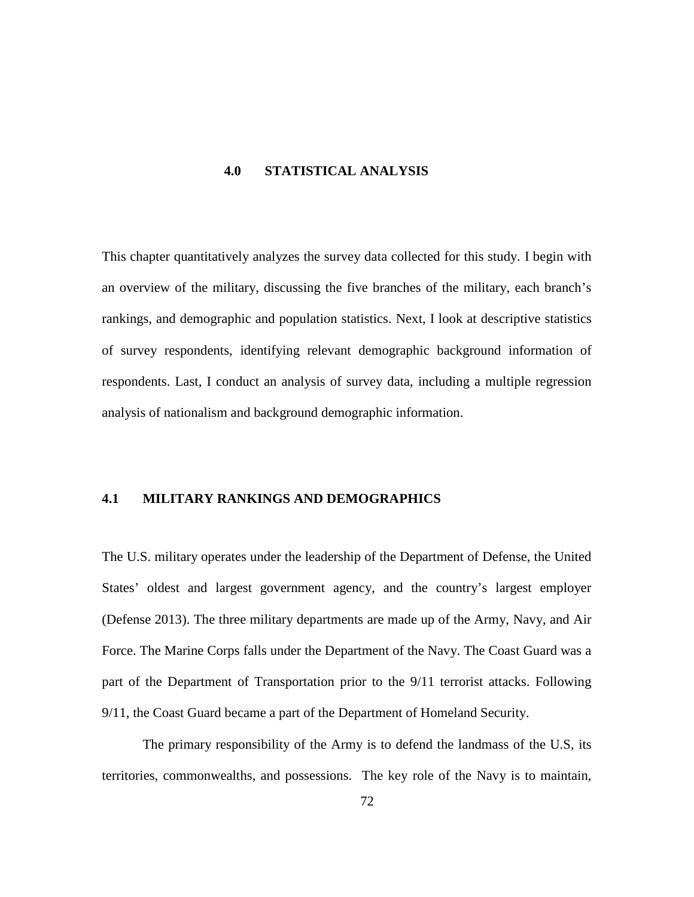### **4.0 STATISTICAL ANALYSIS**

This chapter quantitatively analyzes the survey data collected for this study. I begin with an overview of the military, discussing the five branches of the military, each branch's rankings, and demographic and population statistics. Next, I look at descriptive statistics of survey respondents, identifying relevant demographic background information of respondents. Last, I conduct an analysis of survey data, including a multiple regression analysis of nationalism and background demographic information.

### **4.1 MILITARY RANKINGS AND DEMOGRAPHICS**

The U.S. military operates under the leadership of the Department of Defense, the United States' oldest and largest government agency, and the country's largest employer (Defense 2013). The three military departments are made up of the Army, Navy, and Air Force. The Marine Corps falls under the Department of the Navy. The Coast Guard was a part of the Department of Transportation prior to the 9/11 terrorist attacks. Following 9/11, the Coast Guard became a part of the Department of Homeland Security.

The primary responsibility of the Army is to defend the landmass of the U.S, its territories, commonwealths, and possessions. The key role of the Navy is to maintain,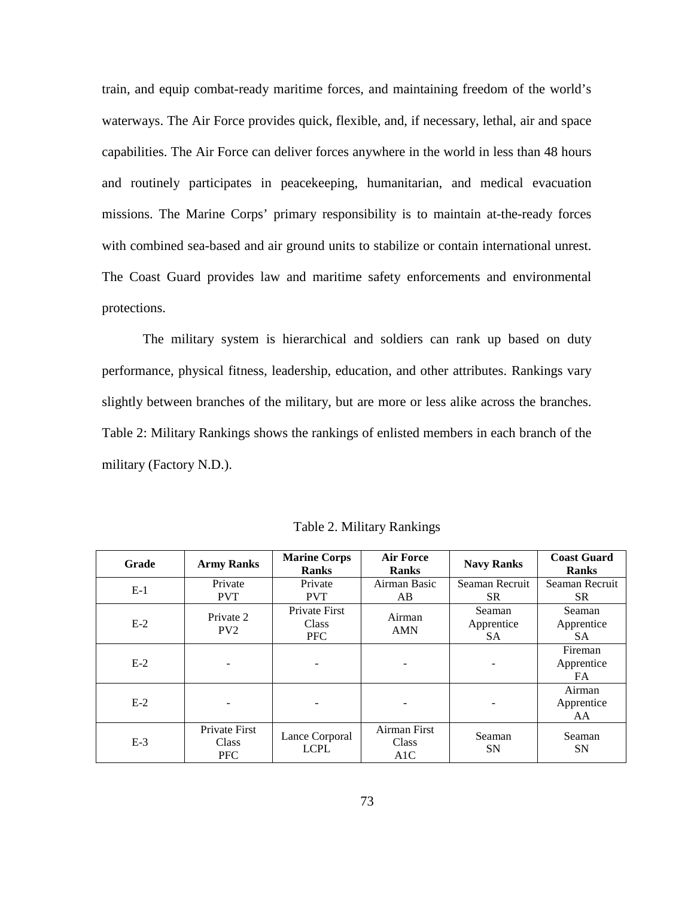train, and equip combat-ready maritime forces, and maintaining freedom of the world's waterways. The Air Force provides quick, flexible, and, if necessary, lethal, air and space capabilities. The Air Force can deliver forces anywhere in the world in less than 48 hours and routinely participates in peacekeeping, humanitarian, and medical evacuation missions. The Marine Corps' primary responsibility is to maintain at-the-ready forces with combined sea-based and air ground units to stabilize or contain international unrest. The Coast Guard provides law and maritime safety enforcements and environmental protections.

The military system is hierarchical and soldiers can rank up based on duty performance, physical fitness, leadership, education, and other attributes. Rankings vary slightly between branches of the military, but are more or less alike across the branches. Table 2: Military Rankings shows the rankings of enlisted members in each branch of the military (Factory N.D.).

| Grade | <b>Army Ranks</b>                    | <b>Marine Corps</b><br><b>Ranks</b>  | <b>Air Force</b><br><b>Ranks</b> | <b>Navy Ranks</b>                 | <b>Coast Guard</b><br><b>Ranks</b> |
|-------|--------------------------------------|--------------------------------------|----------------------------------|-----------------------------------|------------------------------------|
| $E-1$ | Private                              | Private                              | Airman Basic                     | Seaman Recruit                    | Seaman Recruit                     |
|       | <b>PVT</b>                           | <b>PVT</b>                           | AB                               | <b>SR</b>                         | SR.                                |
| $E-2$ | Private 2<br>PV2                     | Private First<br>Class<br><b>PFC</b> | Airman<br><b>AMN</b>             | Seaman<br>Apprentice<br><b>SA</b> | Seaman<br>Apprentice<br><b>SA</b>  |
| $E-2$ |                                      |                                      |                                  |                                   | Fireman<br>Apprentice<br>FA.       |
| $E-2$ |                                      |                                      |                                  |                                   | Airman<br>Apprentice<br>AA         |
| $E-3$ | Private First<br>Class<br><b>PFC</b> | Lance Corporal<br><b>LCPL</b>        | Airman First<br>Class<br>A1C     | Seaman<br><b>SN</b>               | Seaman<br><b>SN</b>                |

Table 2. Military Rankings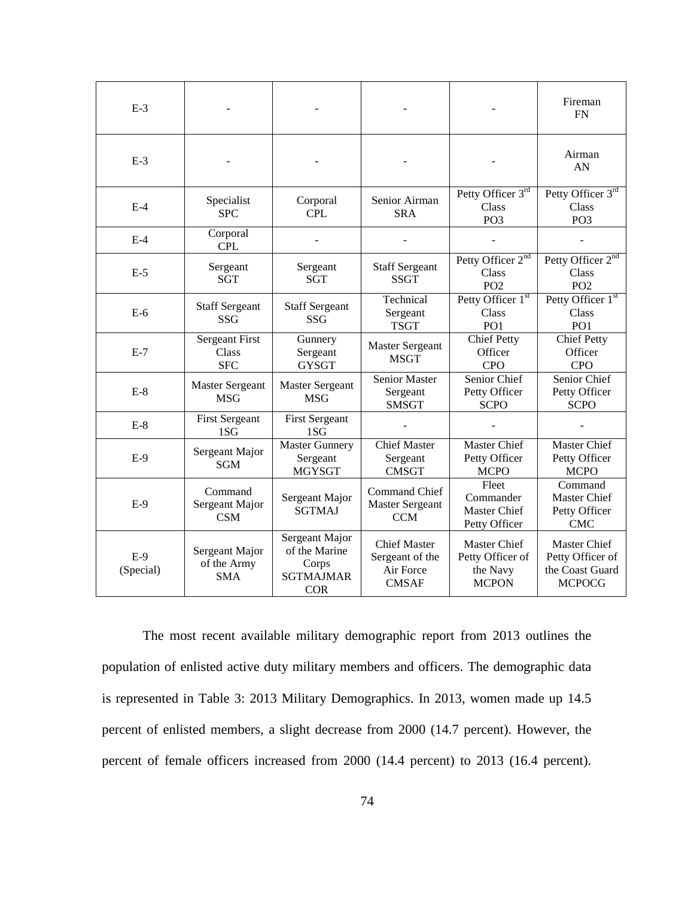| $E-3$              |                                                     |                                                                            |                                                                     |                                                              | Fireman<br><b>FN</b>                                                        |
|--------------------|-----------------------------------------------------|----------------------------------------------------------------------------|---------------------------------------------------------------------|--------------------------------------------------------------|-----------------------------------------------------------------------------|
| $E-3$              |                                                     |                                                                            |                                                                     |                                                              | Airman<br>AN                                                                |
| $E-4$              | Specialist<br><b>SPC</b>                            | Corporal<br><b>CPL</b>                                                     | Senior Airman<br><b>SRA</b>                                         | Petty Officer 3rd<br>Class<br>PO <sub>3</sub>                | Petty Officer 3rd<br>Class<br>PO <sub>3</sub>                               |
| $E-4$              | Corporal<br><b>CPL</b>                              |                                                                            |                                                                     |                                                              |                                                                             |
| $E-5$              | Sergeant<br><b>SGT</b>                              | Sergeant<br><b>SGT</b>                                                     | <b>Staff Sergeant</b><br><b>SSGT</b>                                | Petty Officer 2 <sup>nd</sup><br>Class<br>PO <sub>2</sub>    | Petty Officer 2 <sup>nd</sup><br>Class<br>PO <sub>2</sub>                   |
| $E-6$              | <b>Staff Sergeant</b><br><b>SSG</b>                 | <b>Staff Sergeant</b><br><b>SSG</b>                                        | Technical<br>Sergeant<br><b>TSGT</b>                                | Petty Officer 1st<br>Class<br>PO <sub>1</sub>                | Petty Officer 1st<br>Class<br>PO <sub>1</sub>                               |
| $E-7$              | <b>Sergeant First</b><br><b>Class</b><br><b>SFC</b> | Gunnery<br>Sergeant<br><b>GYSGT</b>                                        | <b>Master Sergeant</b><br><b>MSGT</b>                               | <b>Chief Petty</b><br>Officer<br><b>CPO</b>                  | <b>Chief Petty</b><br>Officer<br><b>CPO</b>                                 |
| $E-8$              | <b>Master Sergeant</b><br><b>MSG</b>                | <b>Master Sergeant</b><br><b>MSG</b>                                       | <b>Senior Master</b><br>Sergeant<br><b>SMSGT</b>                    | Senior Chief<br>Petty Officer<br><b>SCPO</b>                 | Senior Chief<br>Petty Officer<br><b>SCPO</b>                                |
| $E-8$              | <b>First Sergeant</b><br>1SG                        | <b>First Sergeant</b><br>1S <sub>G</sub>                                   |                                                                     |                                                              |                                                                             |
| $E-9$              | Sergeant Major<br><b>SGM</b>                        | <b>Master Gunnery</b><br>Sergeant<br><b>MGYSGT</b>                         | <b>Chief Master</b><br>Sergeant<br><b>CMSGT</b>                     | <b>Master Chief</b><br>Petty Officer<br><b>MCPO</b>          | <b>Master Chief</b><br>Petty Officer<br><b>MCPO</b>                         |
| $E-9$              | Command<br>Sergeant Major<br><b>CSM</b>             | Sergeant Major<br><b>SGTMAJ</b>                                            | <b>Command Chief</b><br><b>Master Sergeant</b><br><b>CCM</b>        | Fleet<br>Commander<br><b>Master Chief</b><br>Petty Officer   | Command<br><b>Master Chief</b><br>Petty Officer<br><b>CMC</b>               |
| $E-9$<br>(Special) | Sergeant Major<br>of the Army<br><b>SMA</b>         | Sergeant Major<br>of the Marine<br>Corps<br><b>SGTMAJMAR</b><br><b>COR</b> | <b>Chief Master</b><br>Sergeant of the<br>Air Force<br><b>CMSAF</b> | Master Chief<br>Petty Officer of<br>the Navy<br><b>MCPON</b> | <b>Master Chief</b><br>Petty Officer of<br>the Coast Guard<br><b>MCPOCG</b> |

The most recent available military demographic report from 2013 outlines the population of enlisted active duty military members and officers. The demographic data is represented in Table 3: 2013 Military Demographics. In 2013, women made up 14.5 percent of enlisted members, a slight decrease from 2000 (14.7 percent). However, the percent of female officers increased from 2000 (14.4 percent) to 2013 (16.4 percent).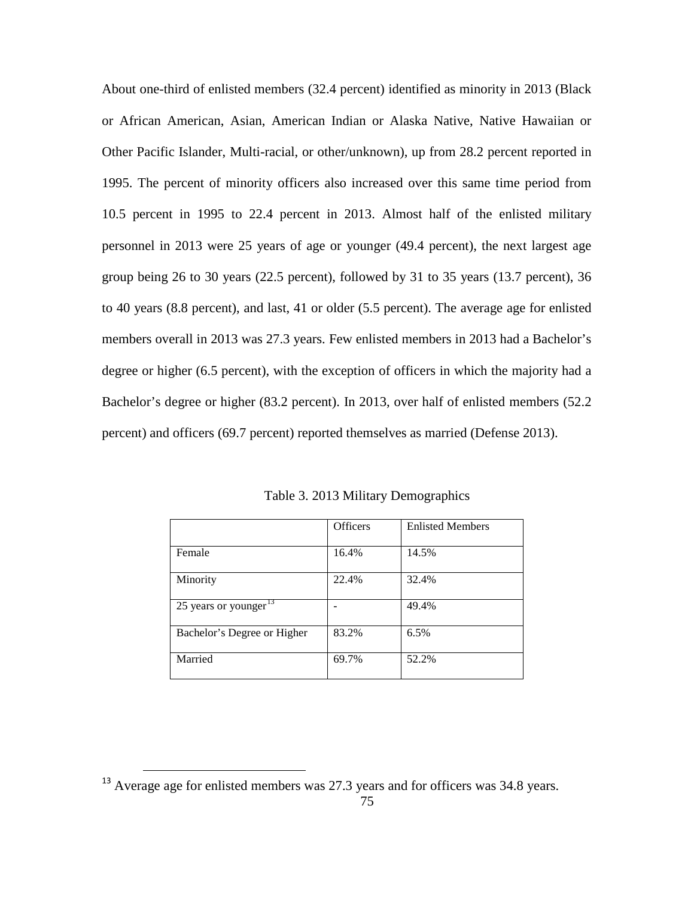About one-third of enlisted members (32.4 percent) identified as minority in 2013 (Black or African American, Asian, American Indian or Alaska Native, Native Hawaiian or Other Pacific Islander, Multi-racial, or other/unknown), up from 28.2 percent reported in 1995. The percent of minority officers also increased over this same time period from 10.5 percent in 1995 to 22.4 percent in 2013. Almost half of the enlisted military personnel in 2013 were 25 years of age or younger (49.4 percent), the next largest age group being 26 to 30 years (22.5 percent), followed by 31 to 35 years (13.7 percent), 36 to 40 years (8.8 percent), and last, 41 or older (5.5 percent). The average age for enlisted members overall in 2013 was 27.3 years. Few enlisted members in 2013 had a Bachelor's degree or higher (6.5 percent), with the exception of officers in which the majority had a Bachelor's degree or higher (83.2 percent). In 2013, over half of enlisted members (52.2 percent) and officers (69.7 percent) reported themselves as married (Defense 2013).

|                             | <b>Officers</b> | <b>Enlisted Members</b> |
|-----------------------------|-----------------|-------------------------|
| Female                      | 16.4%           | 14.5%                   |
| Minority                    | 22.4%           | 32.4%                   |
| 25 years or younger $^{13}$ |                 | 49.4%                   |
| Bachelor's Degree or Higher | 83.2%           | 6.5%                    |
| Married                     | 69.7%           | 52.2%                   |

Table 3. 2013 Military Demographics

<span id="page-85-0"></span><sup>&</sup>lt;sup>13</sup> Average age for enlisted members was 27.3 years and for officers was 34.8 years.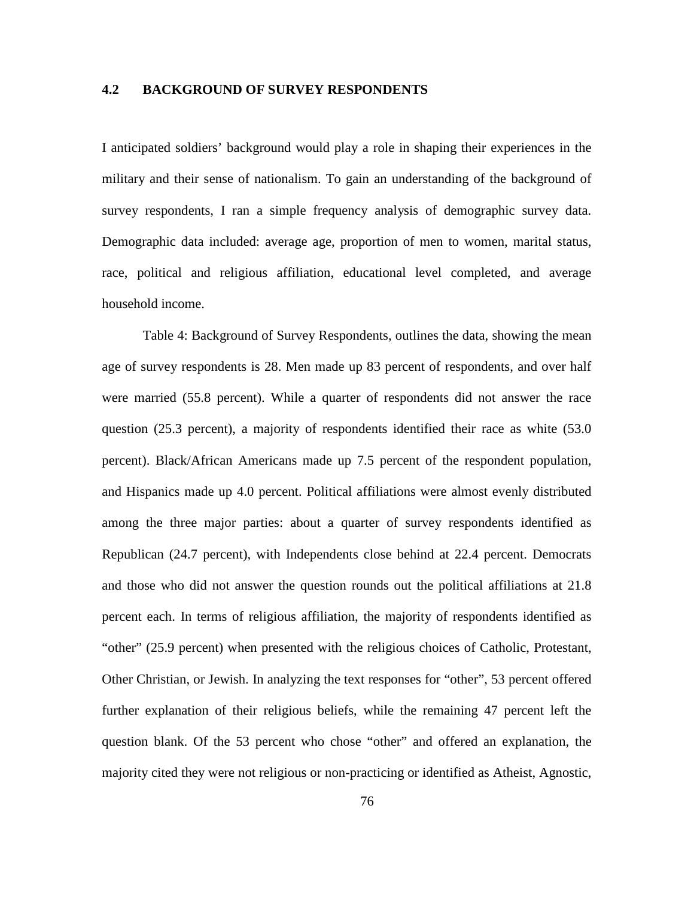# **4.2 BACKGROUND OF SURVEY RESPONDENTS**

I anticipated soldiers' background would play a role in shaping their experiences in the military and their sense of nationalism. To gain an understanding of the background of survey respondents, I ran a simple frequency analysis of demographic survey data. Demographic data included: average age, proportion of men to women, marital status, race, political and religious affiliation, educational level completed, and average household income.

Table 4: Background of Survey Respondents, outlines the data, showing the mean age of survey respondents is 28. Men made up 83 percent of respondents, and over half were married (55.8 percent). While a quarter of respondents did not answer the race question (25.3 percent), a majority of respondents identified their race as white (53.0 percent). Black/African Americans made up 7.5 percent of the respondent population, and Hispanics made up 4.0 percent. Political affiliations were almost evenly distributed among the three major parties: about a quarter of survey respondents identified as Republican (24.7 percent), with Independents close behind at 22.4 percent. Democrats and those who did not answer the question rounds out the political affiliations at 21.8 percent each. In terms of religious affiliation, the majority of respondents identified as "other" (25.9 percent) when presented with the religious choices of Catholic, Protestant, Other Christian, or Jewish. In analyzing the text responses for "other", 53 percent offered further explanation of their religious beliefs, while the remaining 47 percent left the question blank. Of the 53 percent who chose "other" and offered an explanation, the majority cited they were not religious or non-practicing or identified as Atheist, Agnostic,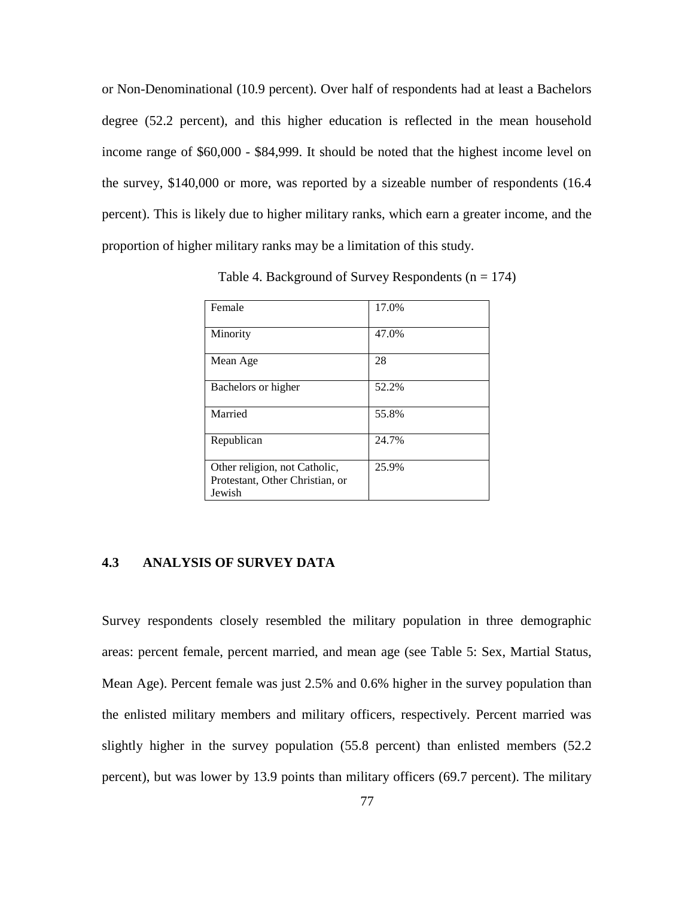or Non-Denominational (10.9 percent). Over half of respondents had at least a Bachelors degree (52.2 percent), and this higher education is reflected in the mean household income range of \$60,000 - \$84,999. It should be noted that the highest income level on the survey, \$140,000 or more, was reported by a sizeable number of respondents (16.4 percent). This is likely due to higher military ranks, which earn a greater income, and the proportion of higher military ranks may be a limitation of this study.

| Female                                                                     | 17.0% |
|----------------------------------------------------------------------------|-------|
| Minority                                                                   | 47.0% |
| Mean Age                                                                   | 28    |
| Bachelors or higher                                                        | 52.2% |
| Married                                                                    | 55.8% |
| Republican                                                                 | 24.7% |
| Other religion, not Catholic,<br>Protestant, Other Christian, or<br>Jewish | 25.9% |

Table 4. Background of Survey Respondents  $(n = 174)$ 

## **4.3 ANALYSIS OF SURVEY DATA**

Survey respondents closely resembled the military population in three demographic areas: percent female, percent married, and mean age (see Table 5: Sex, Martial Status, Mean Age). Percent female was just 2.5% and 0.6% higher in the survey population than the enlisted military members and military officers, respectively. Percent married was slightly higher in the survey population (55.8 percent) than enlisted members (52.2 percent), but was lower by 13.9 points than military officers (69.7 percent). The military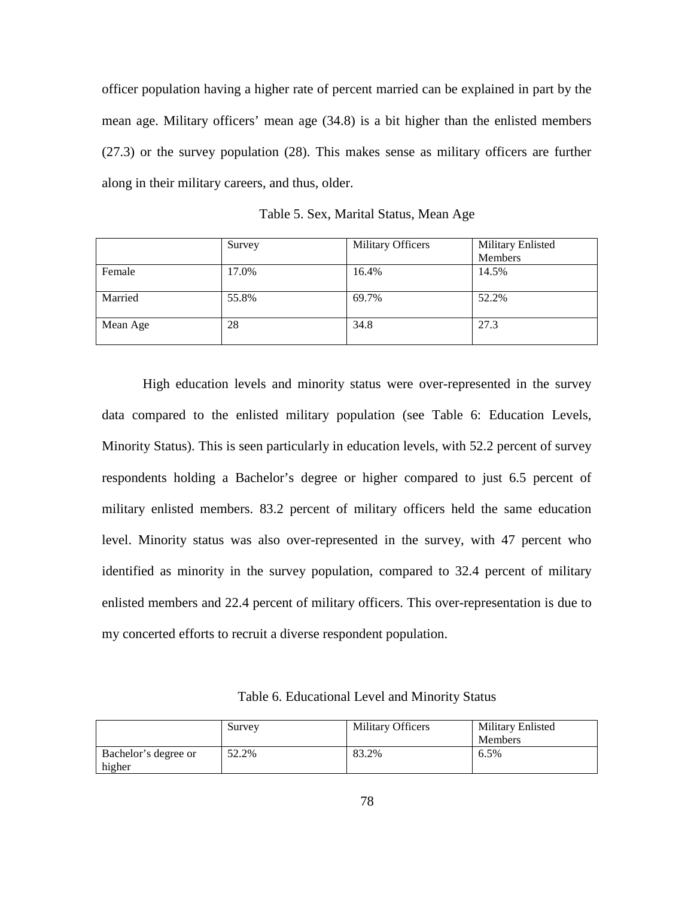officer population having a higher rate of percent married can be explained in part by the mean age. Military officers' mean age (34.8) is a bit higher than the enlisted members (27.3) or the survey population (28). This makes sense as military officers are further along in their military careers, and thus, older.

|          | Survey | <b>Military Officers</b> | <b>Military Enlisted</b> |
|----------|--------|--------------------------|--------------------------|
|          |        |                          | Members                  |
| Female   | 17.0%  | 16.4%                    | 14.5%                    |
| Married  | 55.8%  | 69.7%                    | 52.2%                    |
| Mean Age | 28     | 34.8                     | 27.3                     |

Table 5. Sex, Marital Status, Mean Age

High education levels and minority status were over-represented in the survey data compared to the enlisted military population (see Table 6: Education Levels, Minority Status). This is seen particularly in education levels, with 52.2 percent of survey respondents holding a Bachelor's degree or higher compared to just 6.5 percent of military enlisted members. 83.2 percent of military officers held the same education level. Minority status was also over-represented in the survey, with 47 percent who identified as minority in the survey population, compared to 32.4 percent of military enlisted members and 22.4 percent of military officers. This over-representation is due to my concerted efforts to recruit a diverse respondent population.

|                      | Survey | <b>Military Officers</b> | Military Enlisted |  |
|----------------------|--------|--------------------------|-------------------|--|
|                      |        |                          | <b>Members</b>    |  |
| Bachelor's degree or | 52.2%  | 83.2%                    | 6.5%              |  |
| higher               |        |                          |                   |  |

Table 6. Educational Level and Minority Status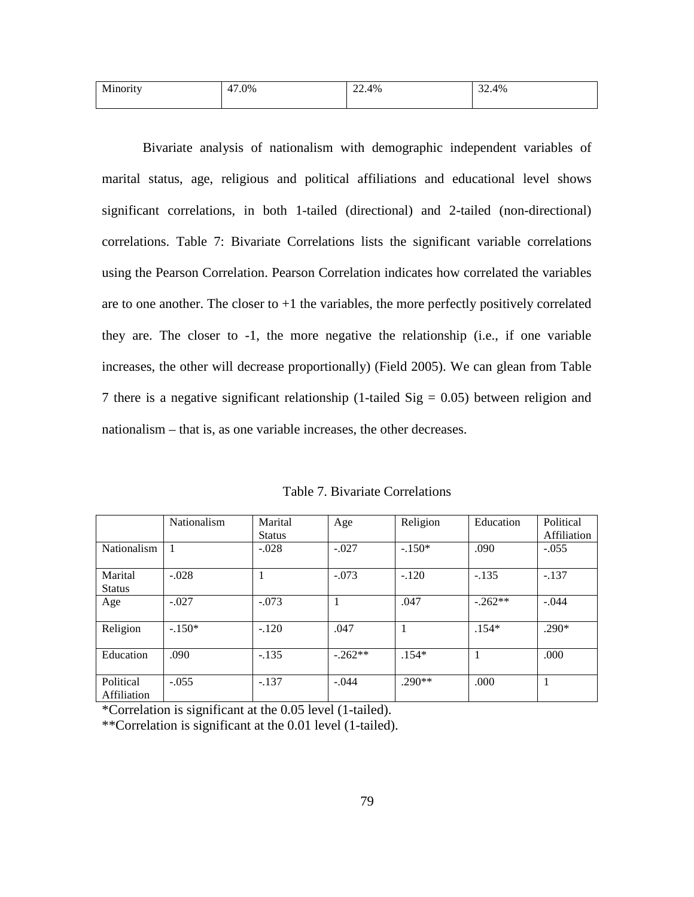| Minority | $.0\%$      | $\sim$ | $\mathbf{A}$ |
|----------|-------------|--------|--------------|
|          | $4^{\circ}$ | 22.4%  | 32.4%        |
|          |             |        |              |

Bivariate analysis of nationalism with demographic independent variables of marital status, age, religious and political affiliations and educational level shows significant correlations, in both 1-tailed (directional) and 2-tailed (non-directional) correlations. Table 7: Bivariate Correlations lists the significant variable correlations using the Pearson Correlation. Pearson Correlation indicates how correlated the variables are to one another. The closer to  $+1$  the variables, the more perfectly positively correlated they are. The closer to -1, the more negative the relationship (i.e., if one variable increases, the other will decrease proportionally) (Field 2005). We can glean from Table 7 there is a negative significant relationship (1-tailed  $Sig = 0.05$ ) between religion and nationalism – that is, as one variable increases, the other decreases.

|               | <b>Nationalism</b> | Marital       | Age       | Religion | Education | Political   |
|---------------|--------------------|---------------|-----------|----------|-----------|-------------|
|               |                    | <b>Status</b> |           |          |           | Affiliation |
| Nationalism   |                    | $-.028$       | $-.027$   | $-.150*$ | .090      | $-.055$     |
|               |                    |               |           |          |           |             |
| Marital       | $-.028$            |               | $-.073$   | $-.120$  | $-.135$   | $-.137$     |
| <b>Status</b> |                    |               |           |          |           |             |
| Age           | $-.027$            | $-.073$       | 1         | .047     | $-262**$  | $-.044$     |
|               |                    |               |           |          |           |             |
| Religion      | $-.150*$           | $-.120$       | .047      | 1        | $.154*$   | $.290*$     |
|               |                    |               |           |          |           |             |
| Education     | .090               | $-.135$       | $-.262**$ | $.154*$  |           | .000        |
|               |                    |               |           |          |           |             |
| Political     | $-.055$            | $-.137$       | $-.044$   | $.290**$ | .000.     |             |
| Affiliation   |                    |               |           |          |           |             |

Table 7. Bivariate Correlations

\*Correlation is significant at the 0.05 level (1-tailed).

\*\*Correlation is significant at the 0.01 level (1-tailed).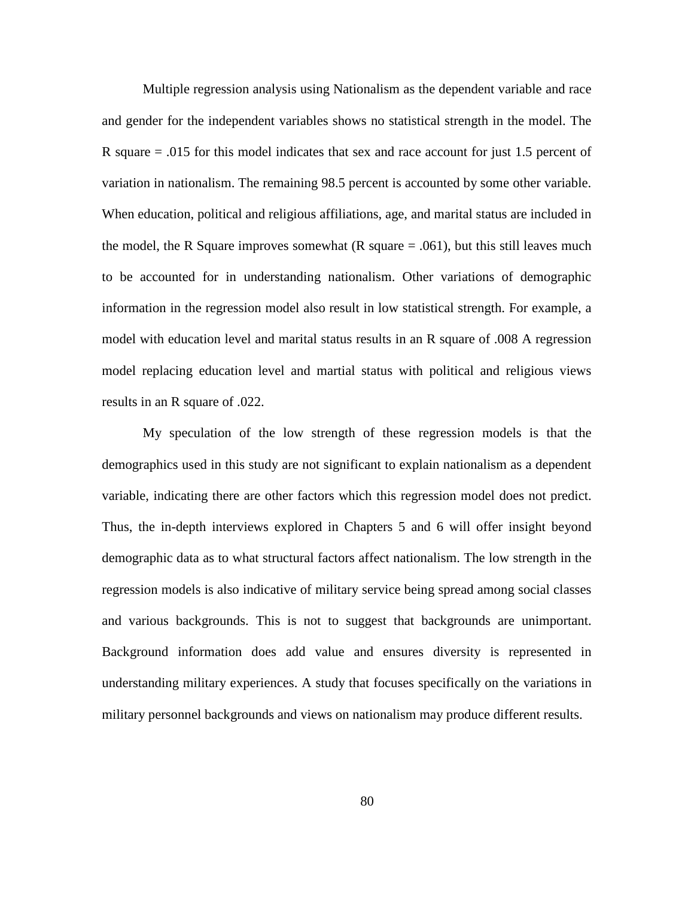Multiple regression analysis using Nationalism as the dependent variable and race and gender for the independent variables shows no statistical strength in the model. The R square = .015 for this model indicates that sex and race account for just 1.5 percent of variation in nationalism. The remaining 98.5 percent is accounted by some other variable. When education, political and religious affiliations, age, and marital status are included in the model, the R Square improves somewhat  $(R \text{ square} = .061)$ , but this still leaves much to be accounted for in understanding nationalism. Other variations of demographic information in the regression model also result in low statistical strength. For example, a model with education level and marital status results in an R square of .008 A regression model replacing education level and martial status with political and religious views results in an R square of .022.

My speculation of the low strength of these regression models is that the demographics used in this study are not significant to explain nationalism as a dependent variable, indicating there are other factors which this regression model does not predict. Thus, the in-depth interviews explored in Chapters 5 and 6 will offer insight beyond demographic data as to what structural factors affect nationalism. The low strength in the regression models is also indicative of military service being spread among social classes and various backgrounds. This is not to suggest that backgrounds are unimportant. Background information does add value and ensures diversity is represented in understanding military experiences. A study that focuses specifically on the variations in military personnel backgrounds and views on nationalism may produce different results.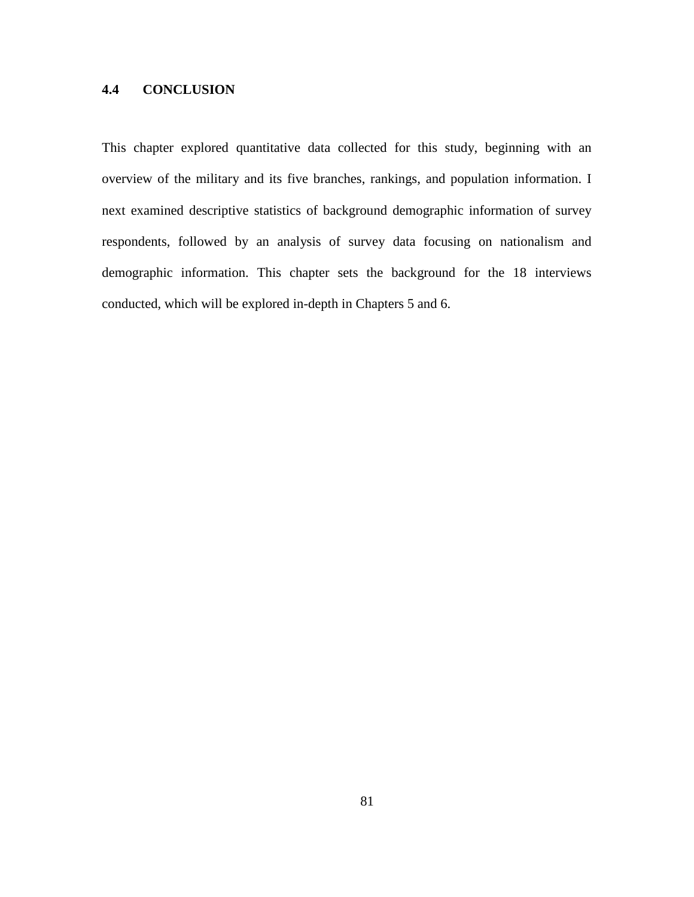# **4.4 CONCLUSION**

This chapter explored quantitative data collected for this study, beginning with an overview of the military and its five branches, rankings, and population information. I next examined descriptive statistics of background demographic information of survey respondents, followed by an analysis of survey data focusing on nationalism and demographic information. This chapter sets the background for the 18 interviews conducted, which will be explored in-depth in Chapters 5 and 6.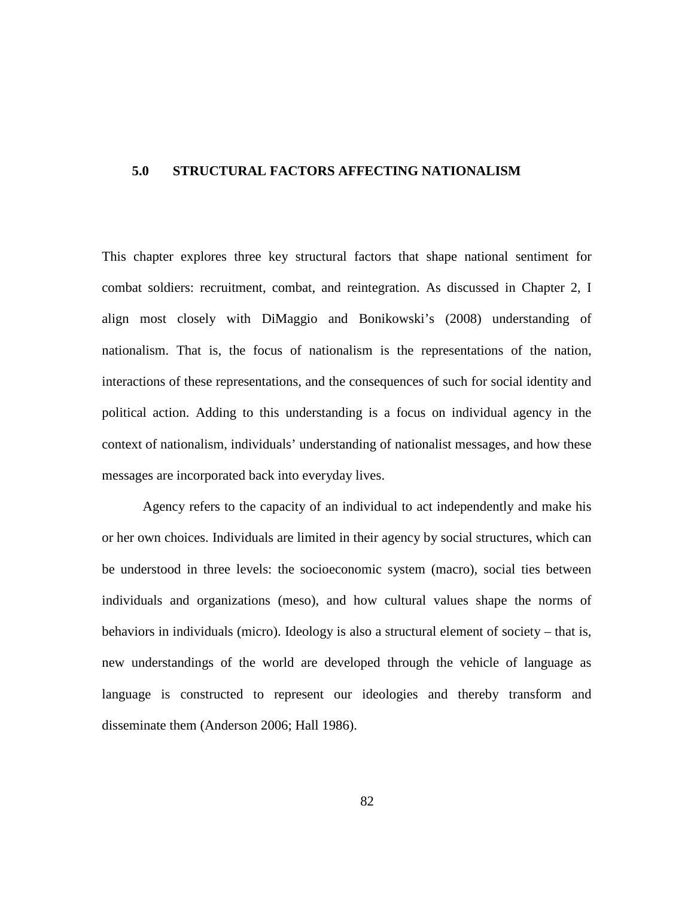### **5.0 STRUCTURAL FACTORS AFFECTING NATIONALISM**

This chapter explores three key structural factors that shape national sentiment for combat soldiers: recruitment, combat, and reintegration. As discussed in Chapter 2, I align most closely with DiMaggio and Bonikowski's (2008) understanding of nationalism. That is, the focus of nationalism is the representations of the nation, interactions of these representations, and the consequences of such for social identity and political action. Adding to this understanding is a focus on individual agency in the context of nationalism, individuals' understanding of nationalist messages, and how these messages are incorporated back into everyday lives.

Agency refers to the capacity of an individual to act independently and make his or her own choices. Individuals are limited in their agency by social structures, which can be understood in three levels: the socioeconomic system (macro), social ties between individuals and organizations (meso), and how cultural values shape the norms of behaviors in individuals (micro). Ideology is also a structural element of society – that is, new understandings of the world are developed through the vehicle of language as language is constructed to represent our ideologies and thereby transform and disseminate them (Anderson 2006; Hall 1986).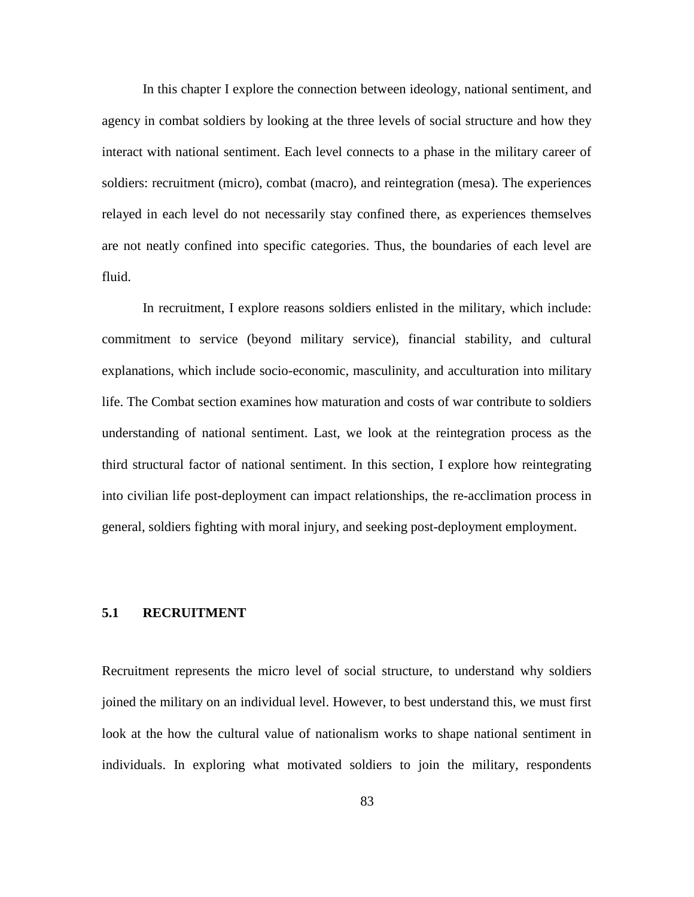In this chapter I explore the connection between ideology, national sentiment, and agency in combat soldiers by looking at the three levels of social structure and how they interact with national sentiment. Each level connects to a phase in the military career of soldiers: recruitment (micro), combat (macro), and reintegration (mesa). The experiences relayed in each level do not necessarily stay confined there, as experiences themselves are not neatly confined into specific categories. Thus, the boundaries of each level are fluid.

In recruitment, I explore reasons soldiers enlisted in the military, which include: commitment to service (beyond military service), financial stability, and cultural explanations, which include socio-economic, masculinity, and acculturation into military life. The Combat section examines how maturation and costs of war contribute to soldiers understanding of national sentiment. Last, we look at the reintegration process as the third structural factor of national sentiment. In this section, I explore how reintegrating into civilian life post-deployment can impact relationships, the re-acclimation process in general, soldiers fighting with moral injury, and seeking post-deployment employment.

### **5.1 RECRUITMENT**

Recruitment represents the micro level of social structure, to understand why soldiers joined the military on an individual level. However, to best understand this, we must first look at the how the cultural value of nationalism works to shape national sentiment in individuals. In exploring what motivated soldiers to join the military, respondents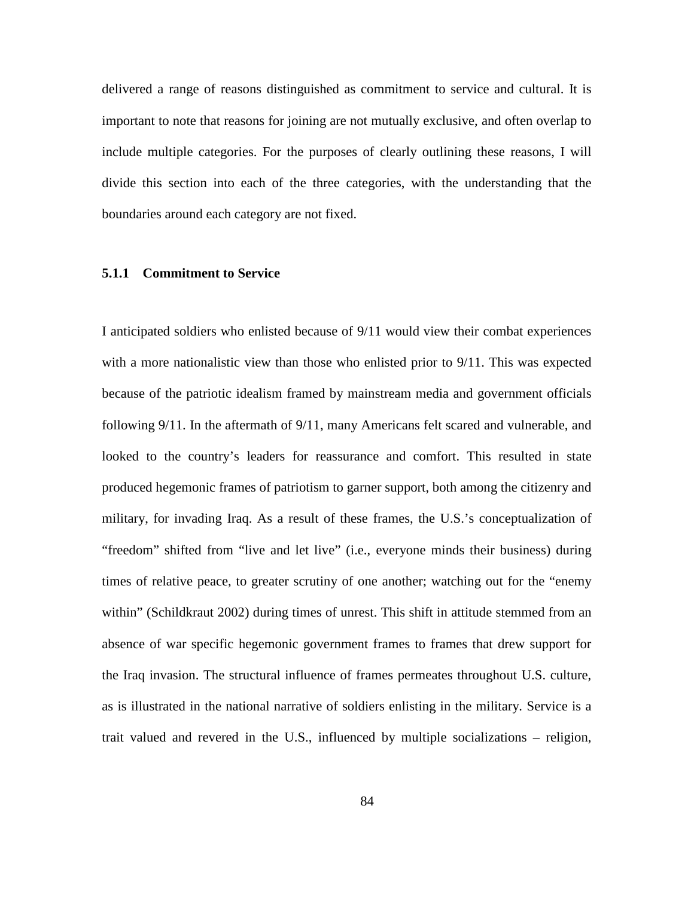delivered a range of reasons distinguished as commitment to service and cultural. It is important to note that reasons for joining are not mutually exclusive, and often overlap to include multiple categories. For the purposes of clearly outlining these reasons, I will divide this section into each of the three categories, with the understanding that the boundaries around each category are not fixed.

### **5.1.1 Commitment to Service**

I anticipated soldiers who enlisted because of 9/11 would view their combat experiences with a more nationalistic view than those who enlisted prior to 9/11. This was expected because of the patriotic idealism framed by mainstream media and government officials following 9/11. In the aftermath of 9/11, many Americans felt scared and vulnerable, and looked to the country's leaders for reassurance and comfort. This resulted in state produced hegemonic frames of patriotism to garner support, both among the citizenry and military, for invading Iraq. As a result of these frames, the U.S.'s conceptualization of "freedom" shifted from "live and let live" (i.e., everyone minds their business) during times of relative peace, to greater scrutiny of one another; watching out for the "enemy within" (Schildkraut 2002) during times of unrest. This shift in attitude stemmed from an absence of war specific hegemonic government frames to frames that drew support for the Iraq invasion. The structural influence of frames permeates throughout U.S. culture, as is illustrated in the national narrative of soldiers enlisting in the military. Service is a trait valued and revered in the U.S., influenced by multiple socializations – religion,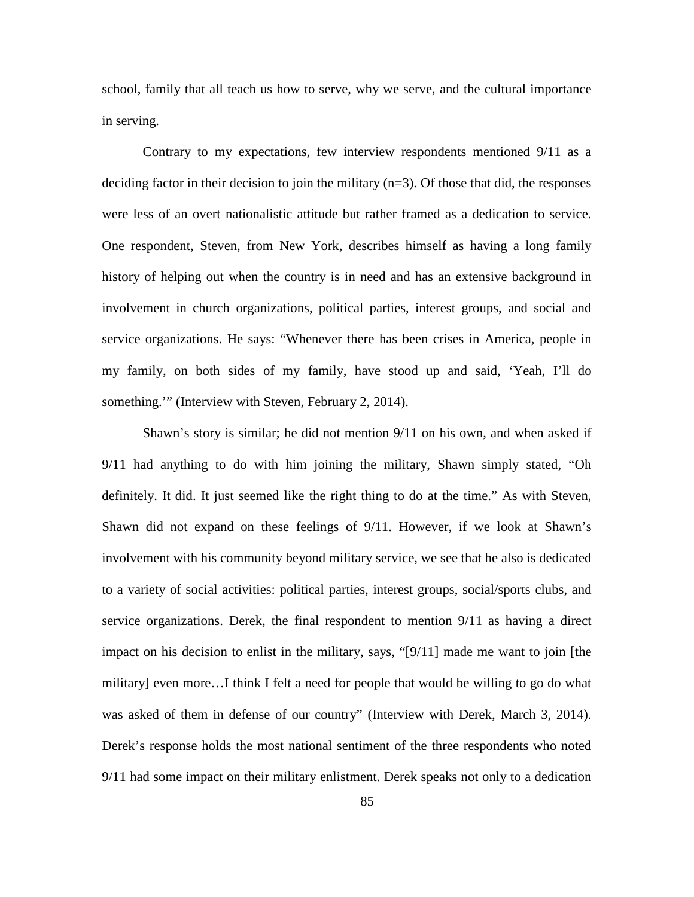school, family that all teach us how to serve, why we serve, and the cultural importance in serving.

Contrary to my expectations, few interview respondents mentioned 9/11 as a deciding factor in their decision to join the military  $(n=3)$ . Of those that did, the responses were less of an overt nationalistic attitude but rather framed as a dedication to service. One respondent, Steven, from New York, describes himself as having a long family history of helping out when the country is in need and has an extensive background in involvement in church organizations, political parties, interest groups, and social and service organizations. He says: "Whenever there has been crises in America, people in my family, on both sides of my family, have stood up and said, 'Yeah, I'll do something."" (Interview with Steven, February 2, 2014).

Shawn's story is similar; he did not mention 9/11 on his own, and when asked if 9/11 had anything to do with him joining the military, Shawn simply stated, "Oh definitely. It did. It just seemed like the right thing to do at the time." As with Steven, Shawn did not expand on these feelings of 9/11. However, if we look at Shawn's involvement with his community beyond military service, we see that he also is dedicated to a variety of social activities: political parties, interest groups, social/sports clubs, and service organizations. Derek, the final respondent to mention 9/11 as having a direct impact on his decision to enlist in the military, says, "[9/11] made me want to join [the military] even more…I think I felt a need for people that would be willing to go do what was asked of them in defense of our country" (Interview with Derek, March 3, 2014). Derek's response holds the most national sentiment of the three respondents who noted 9/11 had some impact on their military enlistment. Derek speaks not only to a dedication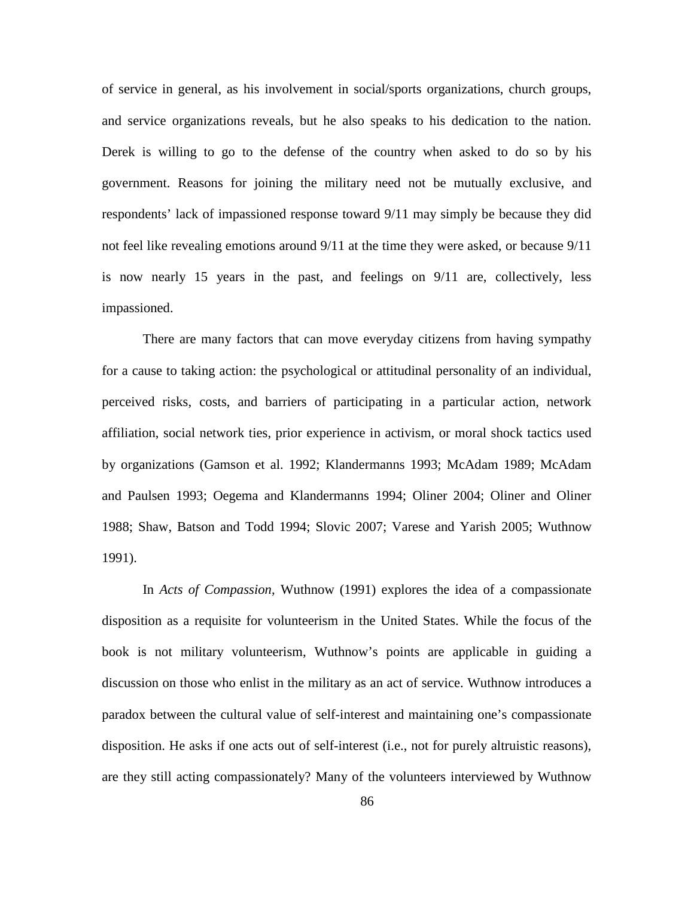of service in general, as his involvement in social/sports organizations, church groups, and service organizations reveals, but he also speaks to his dedication to the nation. Derek is willing to go to the defense of the country when asked to do so by his government. Reasons for joining the military need not be mutually exclusive, and respondents' lack of impassioned response toward 9/11 may simply be because they did not feel like revealing emotions around 9/11 at the time they were asked, or because 9/11 is now nearly 15 years in the past, and feelings on 9/11 are, collectively, less impassioned.

There are many factors that can move everyday citizens from having sympathy for a cause to taking action: the psychological or attitudinal personality of an individual, perceived risks, costs, and barriers of participating in a particular action, network affiliation, social network ties, prior experience in activism, or moral shock tactics used by organizations (Gamson et al. 1992; Klandermanns 1993; McAdam 1989; McAdam and Paulsen 1993; Oegema and Klandermanns 1994; Oliner 2004; Oliner and Oliner 1988; Shaw, Batson and Todd 1994; Slovic 2007; Varese and Yarish 2005; Wuthnow 1991).

In *Acts of Compassion*, Wuthnow (1991) explores the idea of a compassionate disposition as a requisite for volunteerism in the United States. While the focus of the book is not military volunteerism, Wuthnow's points are applicable in guiding a discussion on those who enlist in the military as an act of service. Wuthnow introduces a paradox between the cultural value of self-interest and maintaining one's compassionate disposition. He asks if one acts out of self-interest (i.e., not for purely altruistic reasons), are they still acting compassionately? Many of the volunteers interviewed by Wuthnow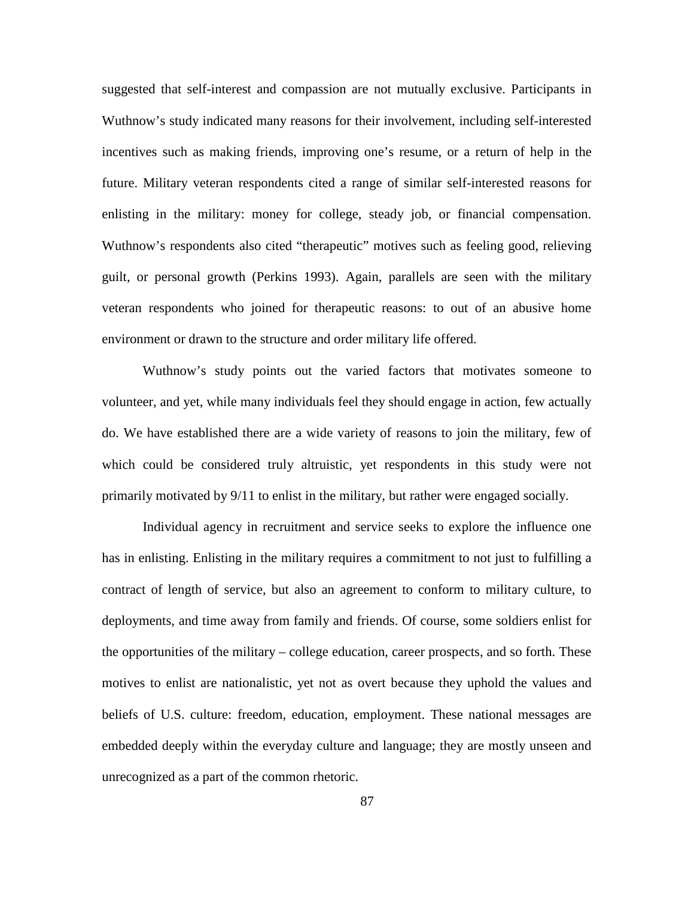suggested that self-interest and compassion are not mutually exclusive. Participants in Wuthnow's study indicated many reasons for their involvement, including self-interested incentives such as making friends, improving one's resume, or a return of help in the future. Military veteran respondents cited a range of similar self-interested reasons for enlisting in the military: money for college, steady job, or financial compensation. Wuthnow's respondents also cited "therapeutic" motives such as feeling good, relieving guilt, or personal growth (Perkins 1993). Again, parallels are seen with the military veteran respondents who joined for therapeutic reasons: to out of an abusive home environment or drawn to the structure and order military life offered.

Wuthnow's study points out the varied factors that motivates someone to volunteer, and yet, while many individuals feel they should engage in action, few actually do. We have established there are a wide variety of reasons to join the military, few of which could be considered truly altruistic, yet respondents in this study were not primarily motivated by 9/11 to enlist in the military, but rather were engaged socially.

Individual agency in recruitment and service seeks to explore the influence one has in enlisting. Enlisting in the military requires a commitment to not just to fulfilling a contract of length of service, but also an agreement to conform to military culture, to deployments, and time away from family and friends. Of course, some soldiers enlist for the opportunities of the military – college education, career prospects, and so forth. These motives to enlist are nationalistic, yet not as overt because they uphold the values and beliefs of U.S. culture: freedom, education, employment. These national messages are embedded deeply within the everyday culture and language; they are mostly unseen and unrecognized as a part of the common rhetoric.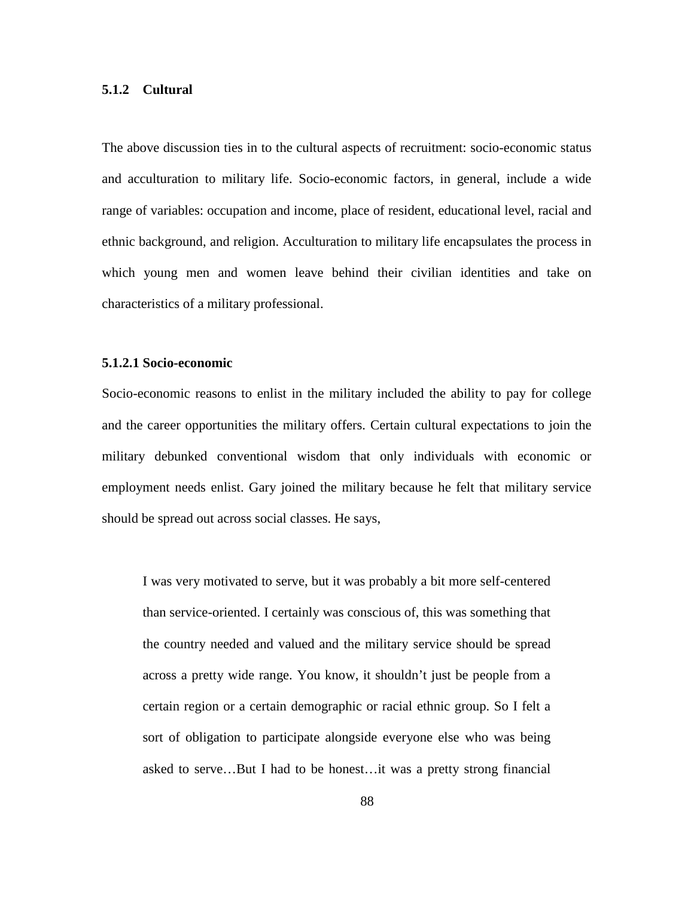### **5.1.2 Cultural**

The above discussion ties in to the cultural aspects of recruitment: socio-economic status and acculturation to military life. Socio-economic factors, in general, include a wide range of variables: occupation and income, place of resident, educational level, racial and ethnic background, and religion. Acculturation to military life encapsulates the process in which young men and women leave behind their civilian identities and take on characteristics of a military professional.

#### **5.1.2.1 Socio-economic**

Socio-economic reasons to enlist in the military included the ability to pay for college and the career opportunities the military offers. Certain cultural expectations to join the military debunked conventional wisdom that only individuals with economic or employment needs enlist. Gary joined the military because he felt that military service should be spread out across social classes. He says,

I was very motivated to serve, but it was probably a bit more self-centered than service-oriented. I certainly was conscious of, this was something that the country needed and valued and the military service should be spread across a pretty wide range. You know, it shouldn't just be people from a certain region or a certain demographic or racial ethnic group. So I felt a sort of obligation to participate alongside everyone else who was being asked to serve…But I had to be honest…it was a pretty strong financial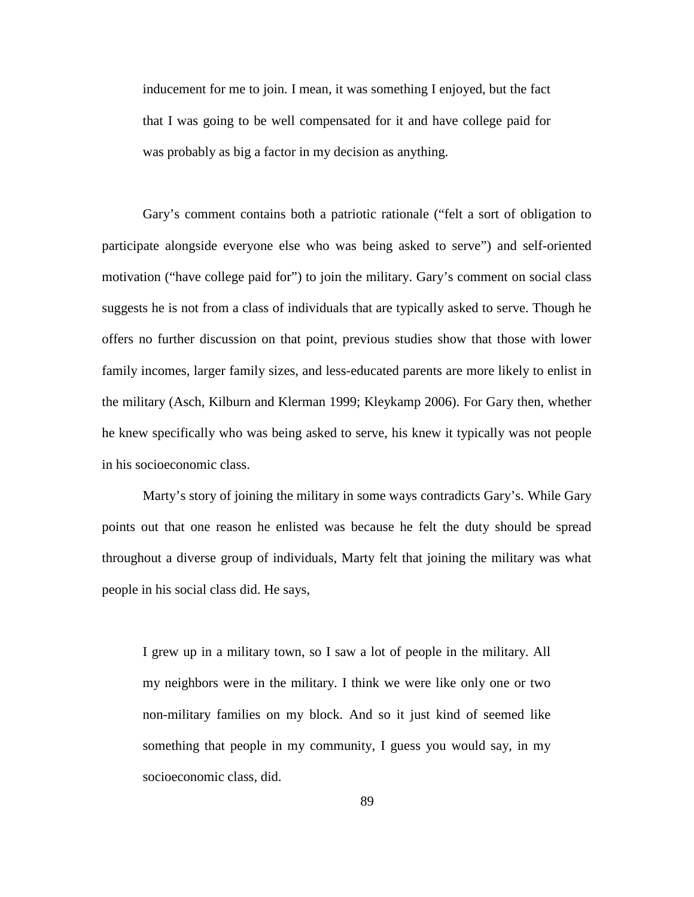inducement for me to join. I mean, it was something I enjoyed, but the fact that I was going to be well compensated for it and have college paid for was probably as big a factor in my decision as anything.

Gary's comment contains both a patriotic rationale ("felt a sort of obligation to participate alongside everyone else who was being asked to serve") and self-oriented motivation ("have college paid for") to join the military. Gary's comment on social class suggests he is not from a class of individuals that are typically asked to serve. Though he offers no further discussion on that point, previous studies show that those with lower family incomes, larger family sizes, and less-educated parents are more likely to enlist in the military (Asch, Kilburn and Klerman 1999; Kleykamp 2006). For Gary then, whether he knew specifically who was being asked to serve, his knew it typically was not people in his socioeconomic class.

Marty's story of joining the military in some ways contradicts Gary's. While Gary points out that one reason he enlisted was because he felt the duty should be spread throughout a diverse group of individuals, Marty felt that joining the military was what people in his social class did. He says,

I grew up in a military town, so I saw a lot of people in the military. All my neighbors were in the military. I think we were like only one or two non-military families on my block. And so it just kind of seemed like something that people in my community, I guess you would say, in my socioeconomic class, did.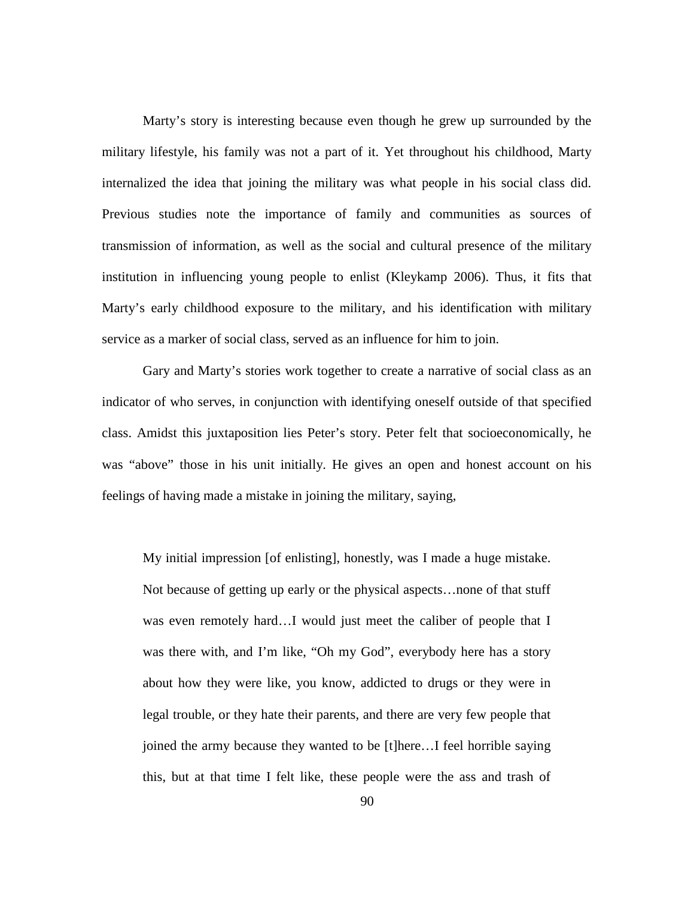Marty's story is interesting because even though he grew up surrounded by the military lifestyle, his family was not a part of it. Yet throughout his childhood, Marty internalized the idea that joining the military was what people in his social class did. Previous studies note the importance of family and communities as sources of transmission of information, as well as the social and cultural presence of the military institution in influencing young people to enlist (Kleykamp 2006). Thus, it fits that Marty's early childhood exposure to the military, and his identification with military service as a marker of social class, served as an influence for him to join.

Gary and Marty's stories work together to create a narrative of social class as an indicator of who serves, in conjunction with identifying oneself outside of that specified class. Amidst this juxtaposition lies Peter's story. Peter felt that socioeconomically, he was "above" those in his unit initially. He gives an open and honest account on his feelings of having made a mistake in joining the military, saying,

My initial impression [of enlisting], honestly, was I made a huge mistake. Not because of getting up early or the physical aspects…none of that stuff was even remotely hard…I would just meet the caliber of people that I was there with, and I'm like, "Oh my God", everybody here has a story about how they were like, you know, addicted to drugs or they were in legal trouble, or they hate their parents, and there are very few people that joined the army because they wanted to be [t]here…I feel horrible saying this, but at that time I felt like, these people were the ass and trash of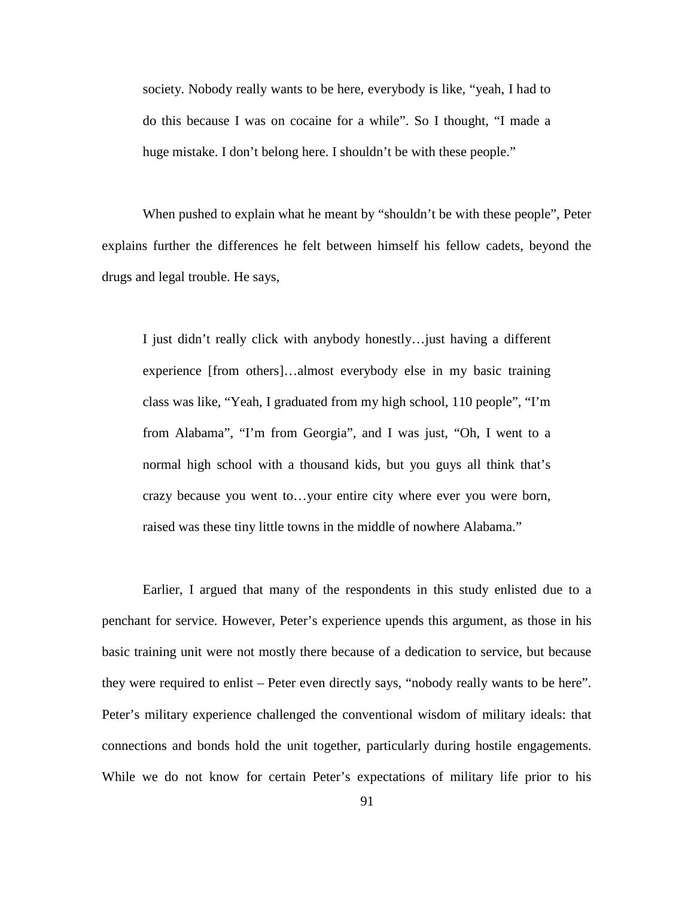society. Nobody really wants to be here, everybody is like, "yeah, I had to do this because I was on cocaine for a while". So I thought, "I made a huge mistake. I don't belong here. I shouldn't be with these people."

When pushed to explain what he meant by "shouldn't be with these people", Peter explains further the differences he felt between himself his fellow cadets, beyond the drugs and legal trouble. He says,

I just didn't really click with anybody honestly…just having a different experience [from others]…almost everybody else in my basic training class was like, "Yeah, I graduated from my high school, 110 people", "I'm from Alabama", "I'm from Georgia", and I was just, "Oh, I went to a normal high school with a thousand kids, but you guys all think that's crazy because you went to…your entire city where ever you were born, raised was these tiny little towns in the middle of nowhere Alabama."

Earlier, I argued that many of the respondents in this study enlisted due to a penchant for service. However, Peter's experience upends this argument, as those in his basic training unit were not mostly there because of a dedication to service, but because they were required to enlist – Peter even directly says, "nobody really wants to be here". Peter's military experience challenged the conventional wisdom of military ideals: that connections and bonds hold the unit together, particularly during hostile engagements. While we do not know for certain Peter's expectations of military life prior to his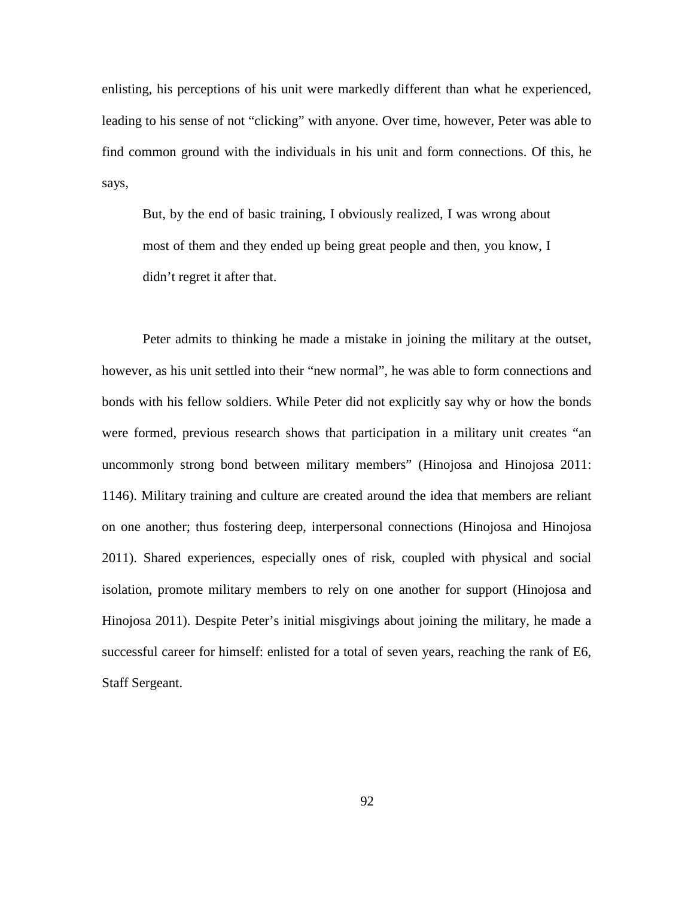enlisting, his perceptions of his unit were markedly different than what he experienced, leading to his sense of not "clicking" with anyone. Over time, however, Peter was able to find common ground with the individuals in his unit and form connections. Of this, he says,

But, by the end of basic training, I obviously realized, I was wrong about most of them and they ended up being great people and then, you know, I didn't regret it after that.

Peter admits to thinking he made a mistake in joining the military at the outset, however, as his unit settled into their "new normal", he was able to form connections and bonds with his fellow soldiers. While Peter did not explicitly say why or how the bonds were formed, previous research shows that participation in a military unit creates "an uncommonly strong bond between military members" (Hinojosa and Hinojosa 2011: 1146). Military training and culture are created around the idea that members are reliant on one another; thus fostering deep, interpersonal connections (Hinojosa and Hinojosa 2011). Shared experiences, especially ones of risk, coupled with physical and social isolation, promote military members to rely on one another for support (Hinojosa and Hinojosa 2011). Despite Peter's initial misgivings about joining the military, he made a successful career for himself: enlisted for a total of seven years, reaching the rank of E6, Staff Sergeant.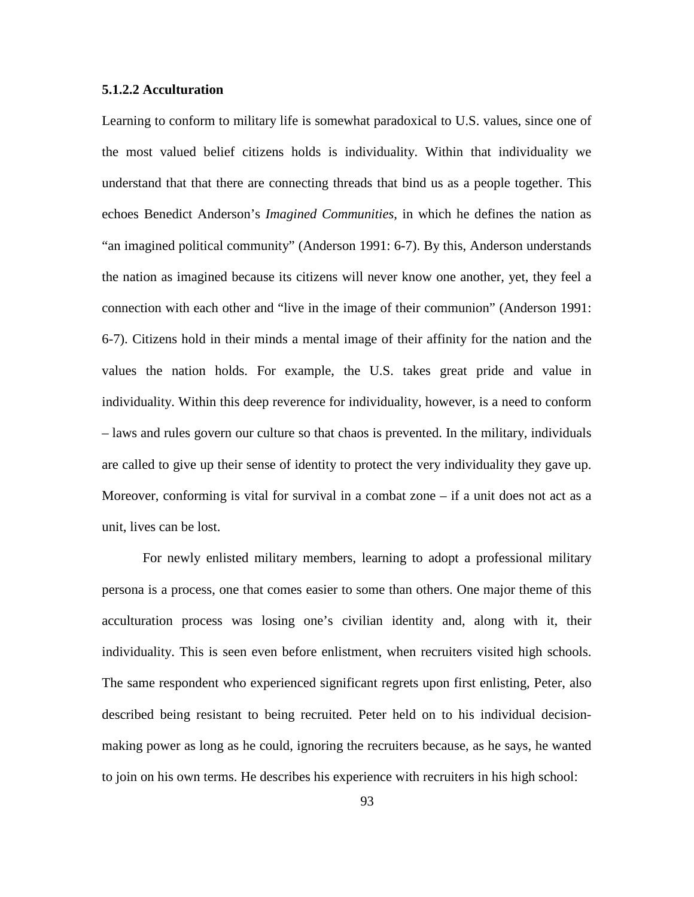### **5.1.2.2 Acculturation**

Learning to conform to military life is somewhat paradoxical to U.S. values, since one of the most valued belief citizens holds is individuality. Within that individuality we understand that that there are connecting threads that bind us as a people together. This echoes Benedict Anderson's *Imagined Communities*, in which he defines the nation as "an imagined political community" (Anderson 1991: 6-7). By this, Anderson understands the nation as imagined because its citizens will never know one another, yet, they feel a connection with each other and "live in the image of their communion" (Anderson 1991: 6-7). Citizens hold in their minds a mental image of their affinity for the nation and the values the nation holds. For example, the U.S. takes great pride and value in individuality. Within this deep reverence for individuality, however, is a need to conform – laws and rules govern our culture so that chaos is prevented. In the military, individuals are called to give up their sense of identity to protect the very individuality they gave up. Moreover, conforming is vital for survival in a combat zone  $-$  if a unit does not act as a unit, lives can be lost.

For newly enlisted military members, learning to adopt a professional military persona is a process, one that comes easier to some than others. One major theme of this acculturation process was losing one's civilian identity and, along with it, their individuality. This is seen even before enlistment, when recruiters visited high schools. The same respondent who experienced significant regrets upon first enlisting, Peter, also described being resistant to being recruited. Peter held on to his individual decisionmaking power as long as he could, ignoring the recruiters because, as he says, he wanted to join on his own terms. He describes his experience with recruiters in his high school: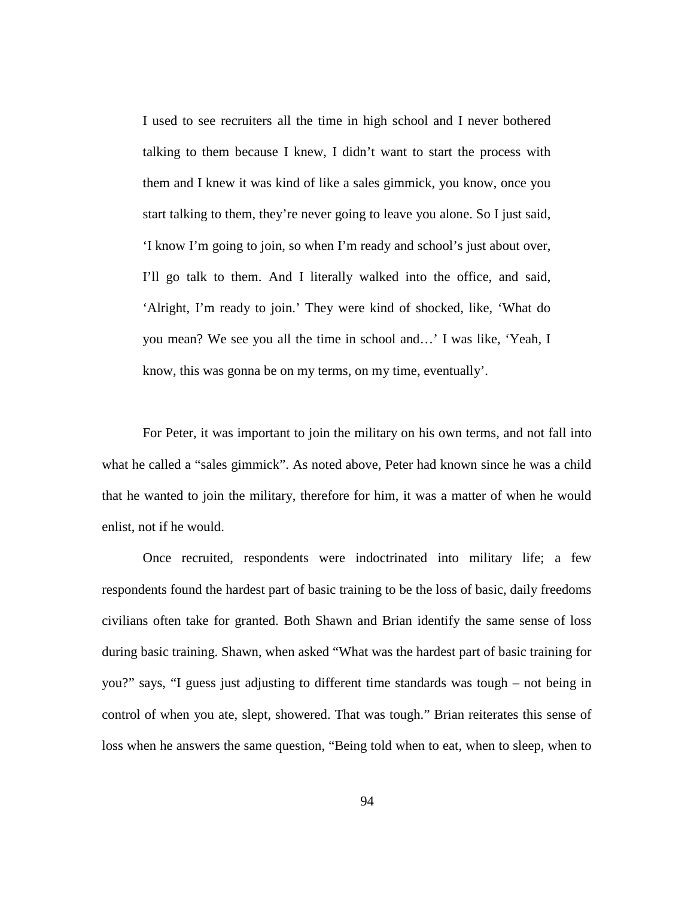I used to see recruiters all the time in high school and I never bothered talking to them because I knew, I didn't want to start the process with them and I knew it was kind of like a sales gimmick, you know, once you start talking to them, they're never going to leave you alone. So I just said, 'I know I'm going to join, so when I'm ready and school's just about over, I'll go talk to them. And I literally walked into the office, and said, 'Alright, I'm ready to join.' They were kind of shocked, like, 'What do you mean? We see you all the time in school and…' I was like, 'Yeah, I know, this was gonna be on my terms, on my time, eventually'.

For Peter, it was important to join the military on his own terms, and not fall into what he called a "sales gimmick". As noted above, Peter had known since he was a child that he wanted to join the military, therefore for him, it was a matter of when he would enlist, not if he would.

Once recruited, respondents were indoctrinated into military life; a few respondents found the hardest part of basic training to be the loss of basic, daily freedoms civilians often take for granted. Both Shawn and Brian identify the same sense of loss during basic training. Shawn, when asked "What was the hardest part of basic training for you?" says, "I guess just adjusting to different time standards was tough – not being in control of when you ate, slept, showered. That was tough." Brian reiterates this sense of loss when he answers the same question, "Being told when to eat, when to sleep, when to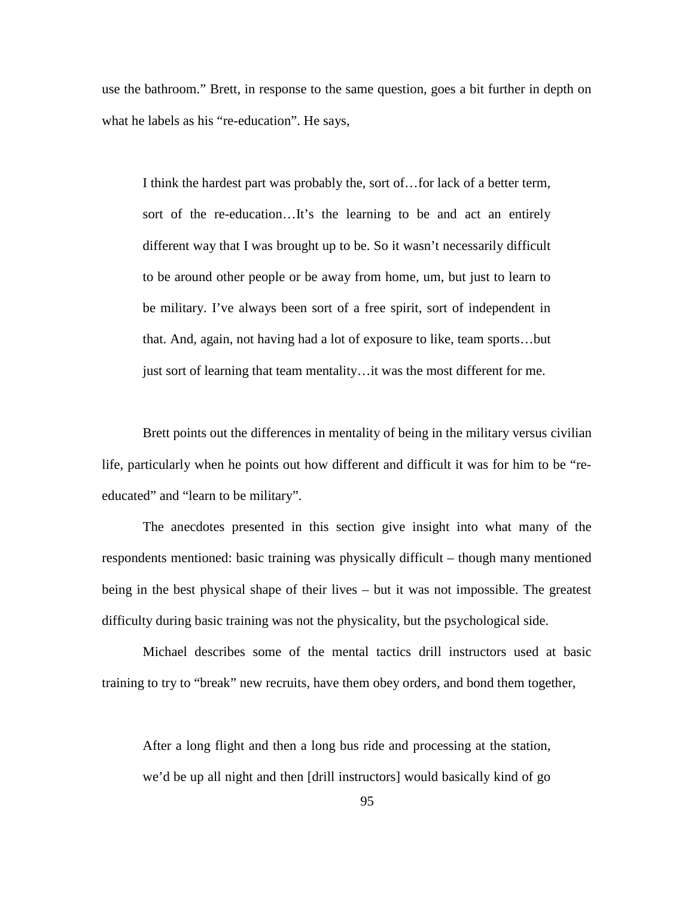use the bathroom." Brett, in response to the same question, goes a bit further in depth on what he labels as his "re-education". He says,

I think the hardest part was probably the, sort of…for lack of a better term, sort of the re-education…It's the learning to be and act an entirely different way that I was brought up to be. So it wasn't necessarily difficult to be around other people or be away from home, um, but just to learn to be military. I've always been sort of a free spirit, sort of independent in that. And, again, not having had a lot of exposure to like, team sports…but just sort of learning that team mentality…it was the most different for me.

Brett points out the differences in mentality of being in the military versus civilian life, particularly when he points out how different and difficult it was for him to be "reeducated" and "learn to be military".

The anecdotes presented in this section give insight into what many of the respondents mentioned: basic training was physically difficult – though many mentioned being in the best physical shape of their lives – but it was not impossible. The greatest difficulty during basic training was not the physicality, but the psychological side.

Michael describes some of the mental tactics drill instructors used at basic training to try to "break" new recruits, have them obey orders, and bond them together,

After a long flight and then a long bus ride and processing at the station, we'd be up all night and then [drill instructors] would basically kind of go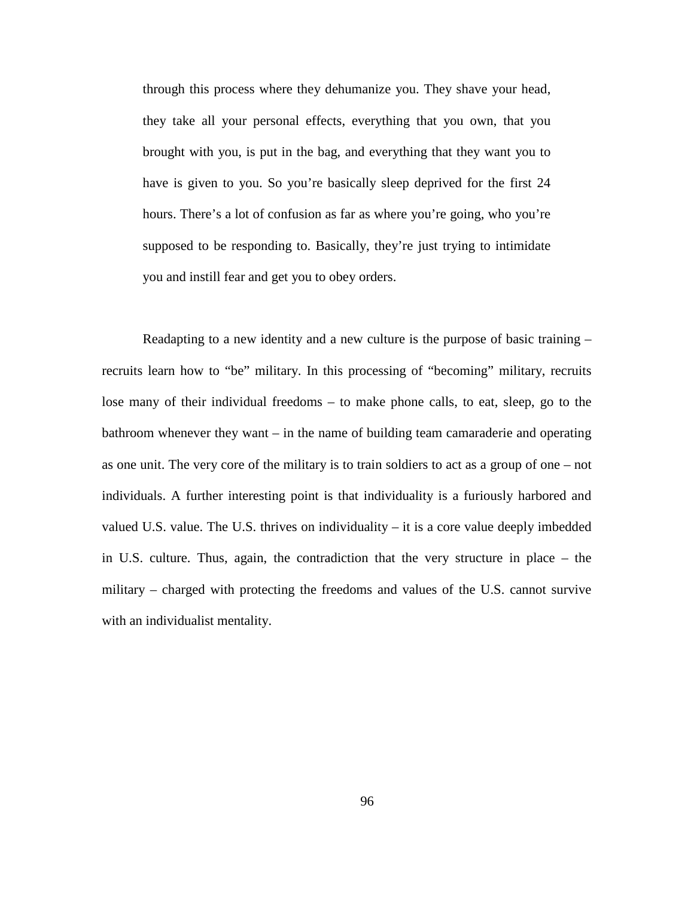through this process where they dehumanize you. They shave your head, they take all your personal effects, everything that you own, that you brought with you, is put in the bag, and everything that they want you to have is given to you. So you're basically sleep deprived for the first 24 hours. There's a lot of confusion as far as where you're going, who you're supposed to be responding to. Basically, they're just trying to intimidate you and instill fear and get you to obey orders.

Readapting to a new identity and a new culture is the purpose of basic training – recruits learn how to "be" military. In this processing of "becoming" military, recruits lose many of their individual freedoms – to make phone calls, to eat, sleep, go to the bathroom whenever they want – in the name of building team camaraderie and operating as one unit. The very core of the military is to train soldiers to act as a group of one – not individuals. A further interesting point is that individuality is a furiously harbored and valued U.S. value. The U.S. thrives on individuality – it is a core value deeply imbedded in U.S. culture. Thus, again, the contradiction that the very structure in place – the military – charged with protecting the freedoms and values of the U.S. cannot survive with an individualist mentality.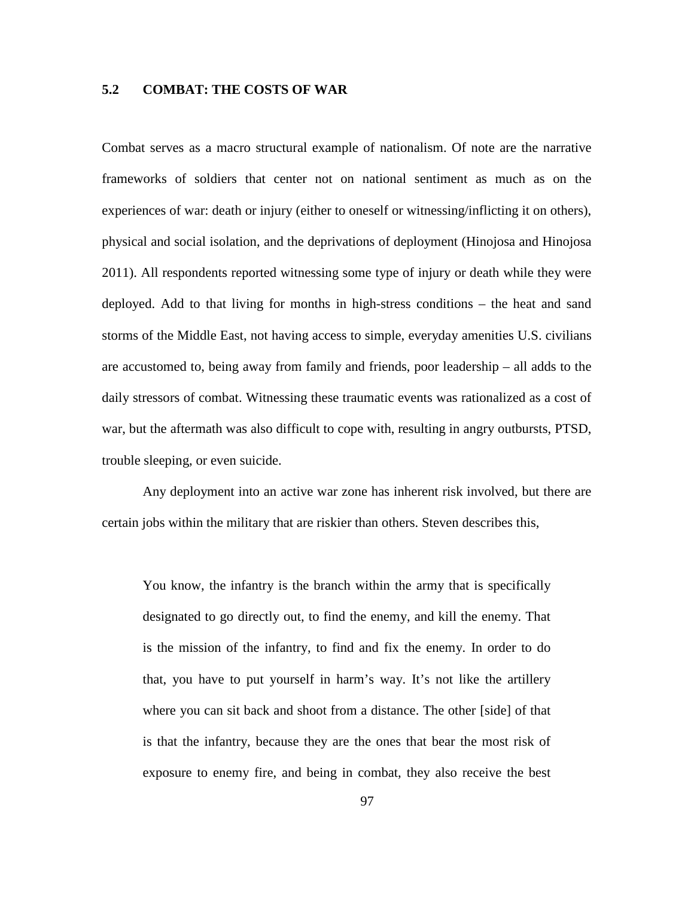# **5.2 COMBAT: THE COSTS OF WAR**

Combat serves as a macro structural example of nationalism. Of note are the narrative frameworks of soldiers that center not on national sentiment as much as on the experiences of war: death or injury (either to oneself or witnessing/inflicting it on others), physical and social isolation, and the deprivations of deployment (Hinojosa and Hinojosa 2011). All respondents reported witnessing some type of injury or death while they were deployed. Add to that living for months in high-stress conditions – the heat and sand storms of the Middle East, not having access to simple, everyday amenities U.S. civilians are accustomed to, being away from family and friends, poor leadership – all adds to the daily stressors of combat. Witnessing these traumatic events was rationalized as a cost of war, but the aftermath was also difficult to cope with, resulting in angry outbursts, PTSD, trouble sleeping, or even suicide.

Any deployment into an active war zone has inherent risk involved, but there are certain jobs within the military that are riskier than others. Steven describes this,

You know, the infantry is the branch within the army that is specifically designated to go directly out, to find the enemy, and kill the enemy. That is the mission of the infantry, to find and fix the enemy. In order to do that, you have to put yourself in harm's way. It's not like the artillery where you can sit back and shoot from a distance. The other [side] of that is that the infantry, because they are the ones that bear the most risk of exposure to enemy fire, and being in combat, they also receive the best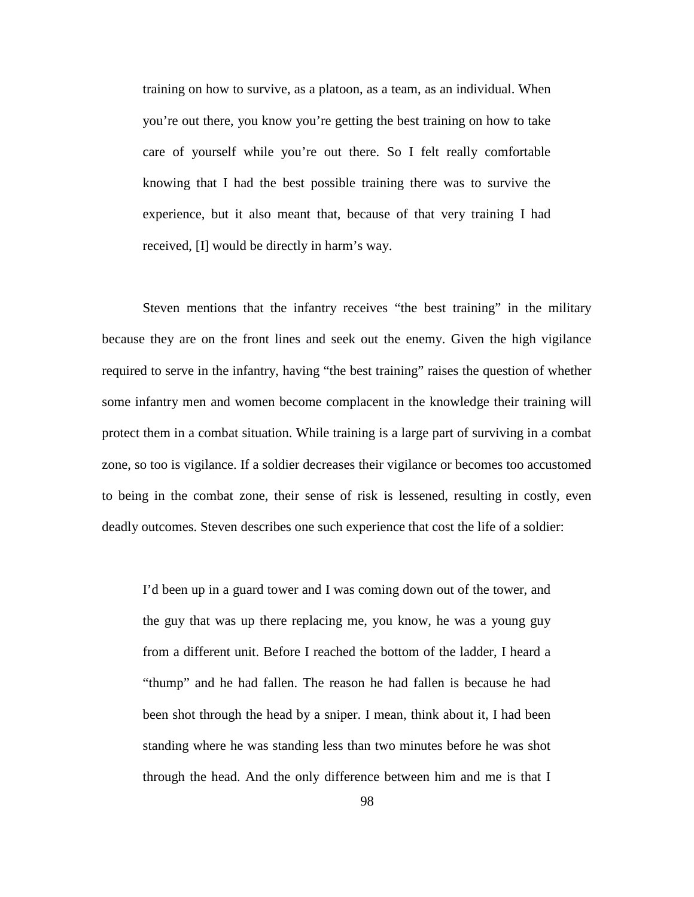training on how to survive, as a platoon, as a team, as an individual. When you're out there, you know you're getting the best training on how to take care of yourself while you're out there. So I felt really comfortable knowing that I had the best possible training there was to survive the experience, but it also meant that, because of that very training I had received, [I] would be directly in harm's way.

Steven mentions that the infantry receives "the best training" in the military because they are on the front lines and seek out the enemy. Given the high vigilance required to serve in the infantry, having "the best training" raises the question of whether some infantry men and women become complacent in the knowledge their training will protect them in a combat situation. While training is a large part of surviving in a combat zone, so too is vigilance. If a soldier decreases their vigilance or becomes too accustomed to being in the combat zone, their sense of risk is lessened, resulting in costly, even deadly outcomes. Steven describes one such experience that cost the life of a soldier:

I'd been up in a guard tower and I was coming down out of the tower, and the guy that was up there replacing me, you know, he was a young guy from a different unit. Before I reached the bottom of the ladder, I heard a "thump" and he had fallen. The reason he had fallen is because he had been shot through the head by a sniper. I mean, think about it, I had been standing where he was standing less than two minutes before he was shot through the head. And the only difference between him and me is that I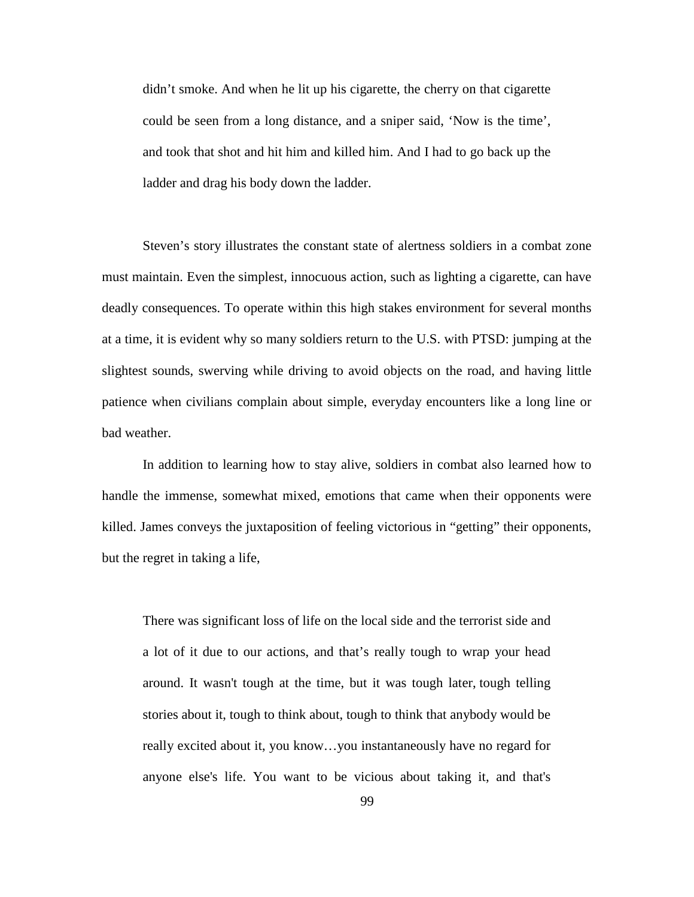didn't smoke. And when he lit up his cigarette, the cherry on that cigarette could be seen from a long distance, and a sniper said, 'Now is the time', and took that shot and hit him and killed him. And I had to go back up the ladder and drag his body down the ladder.

Steven's story illustrates the constant state of alertness soldiers in a combat zone must maintain. Even the simplest, innocuous action, such as lighting a cigarette, can have deadly consequences. To operate within this high stakes environment for several months at a time, it is evident why so many soldiers return to the U.S. with PTSD: jumping at the slightest sounds, swerving while driving to avoid objects on the road, and having little patience when civilians complain about simple, everyday encounters like a long line or bad weather.

In addition to learning how to stay alive, soldiers in combat also learned how to handle the immense, somewhat mixed, emotions that came when their opponents were killed. James conveys the juxtaposition of feeling victorious in "getting" their opponents, but the regret in taking a life,

There was significant loss of life on the local side and the terrorist side and a lot of it due to our actions, and that's really tough to wrap your head around. It wasn't tough at the time, but it was tough later, tough telling stories about it, tough to think about, tough to think that anybody would be really excited about it, you know…you instantaneously have no regard for anyone else's life. You want to be vicious about taking it, and that's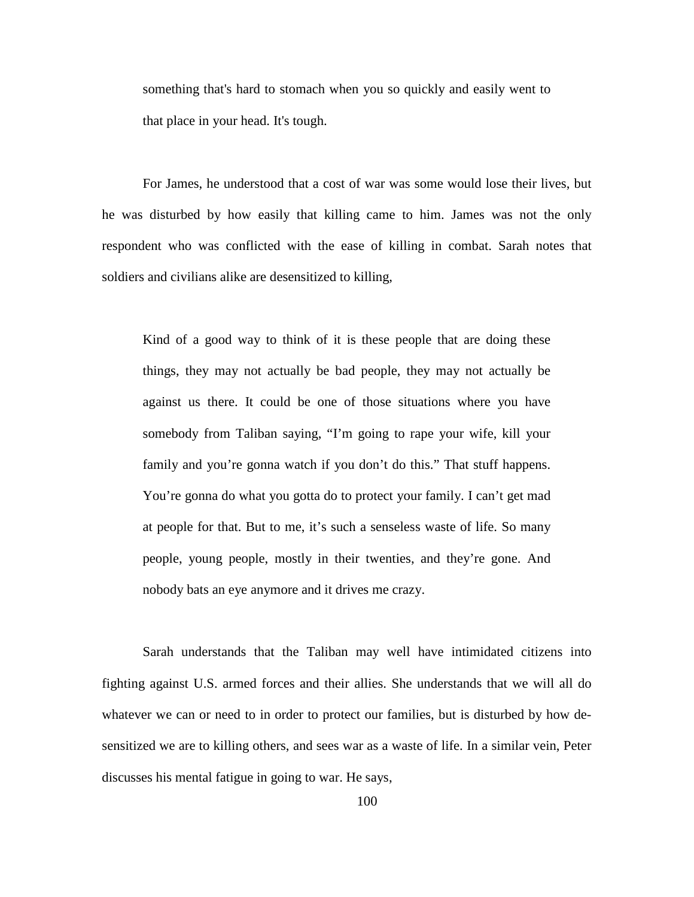something that's hard to stomach when you so quickly and easily went to that place in your head. It's tough.

For James, he understood that a cost of war was some would lose their lives, but he was disturbed by how easily that killing came to him. James was not the only respondent who was conflicted with the ease of killing in combat. Sarah notes that soldiers and civilians alike are desensitized to killing,

Kind of a good way to think of it is these people that are doing these things, they may not actually be bad people, they may not actually be against us there. It could be one of those situations where you have somebody from Taliban saying, "I'm going to rape your wife, kill your family and you're gonna watch if you don't do this." That stuff happens. You're gonna do what you gotta do to protect your family. I can't get mad at people for that. But to me, it's such a senseless waste of life. So many people, young people, mostly in their twenties, and they're gone. And nobody bats an eye anymore and it drives me crazy.

Sarah understands that the Taliban may well have intimidated citizens into fighting against U.S. armed forces and their allies. She understands that we will all do whatever we can or need to in order to protect our families, but is disturbed by how desensitized we are to killing others, and sees war as a waste of life. In a similar vein, Peter discusses his mental fatigue in going to war. He says,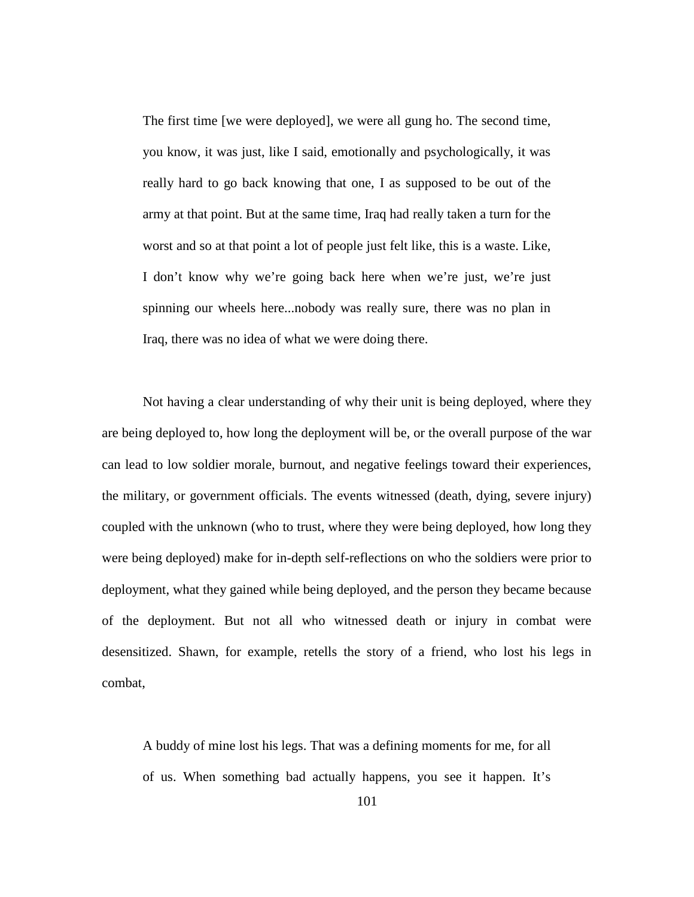The first time [we were deployed], we were all gung ho. The second time, you know, it was just, like I said, emotionally and psychologically, it was really hard to go back knowing that one, I as supposed to be out of the army at that point. But at the same time, Iraq had really taken a turn for the worst and so at that point a lot of people just felt like, this is a waste. Like, I don't know why we're going back here when we're just, we're just spinning our wheels here...nobody was really sure, there was no plan in Iraq, there was no idea of what we were doing there.

Not having a clear understanding of why their unit is being deployed, where they are being deployed to, how long the deployment will be, or the overall purpose of the war can lead to low soldier morale, burnout, and negative feelings toward their experiences, the military, or government officials. The events witnessed (death, dying, severe injury) coupled with the unknown (who to trust, where they were being deployed, how long they were being deployed) make for in-depth self-reflections on who the soldiers were prior to deployment, what they gained while being deployed, and the person they became because of the deployment. But not all who witnessed death or injury in combat were desensitized. Shawn, for example, retells the story of a friend, who lost his legs in combat,

A buddy of mine lost his legs. That was a defining moments for me, for all of us. When something bad actually happens, you see it happen. It's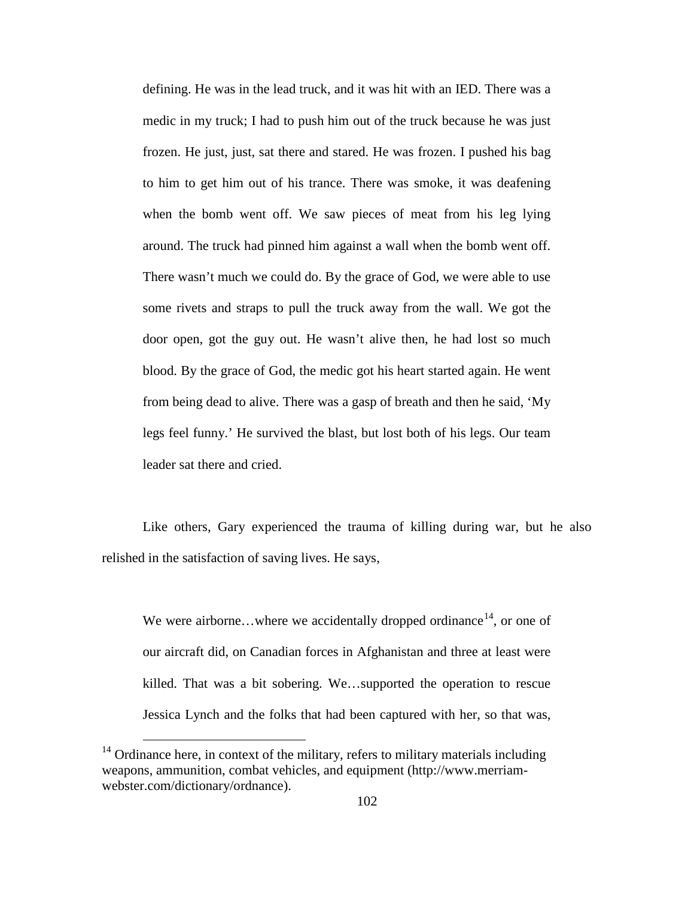defining. He was in the lead truck, and it was hit with an IED. There was a medic in my truck; I had to push him out of the truck because he was just frozen. He just, just, sat there and stared. He was frozen. I pushed his bag to him to get him out of his trance. There was smoke, it was deafening when the bomb went off. We saw pieces of meat from his leg lying around. The truck had pinned him against a wall when the bomb went off. There wasn't much we could do. By the grace of God, we were able to use some rivets and straps to pull the truck away from the wall. We got the door open, got the guy out. He wasn't alive then, he had lost so much blood. By the grace of God, the medic got his heart started again. He went from being dead to alive. There was a gasp of breath and then he said, 'My legs feel funny.' He survived the blast, but lost both of his legs. Our team leader sat there and cried.

Like others, Gary experienced the trauma of killing during war, but he also relished in the satisfaction of saving lives. He says,

We were airborne...where we accidentally dropped ordinance<sup>[14](#page-112-0)</sup>, or one of our aircraft did, on Canadian forces in Afghanistan and three at least were killed. That was a bit sobering. We…supported the operation to rescue Jessica Lynch and the folks that had been captured with her, so that was,

<span id="page-112-0"></span><sup>&</sup>lt;sup>14</sup> Ordinance here, in context of the military, refers to military materials including weapons, ammunition, combat vehicles, and equipment (http://www.merriamwebster.com/dictionary/ordnance).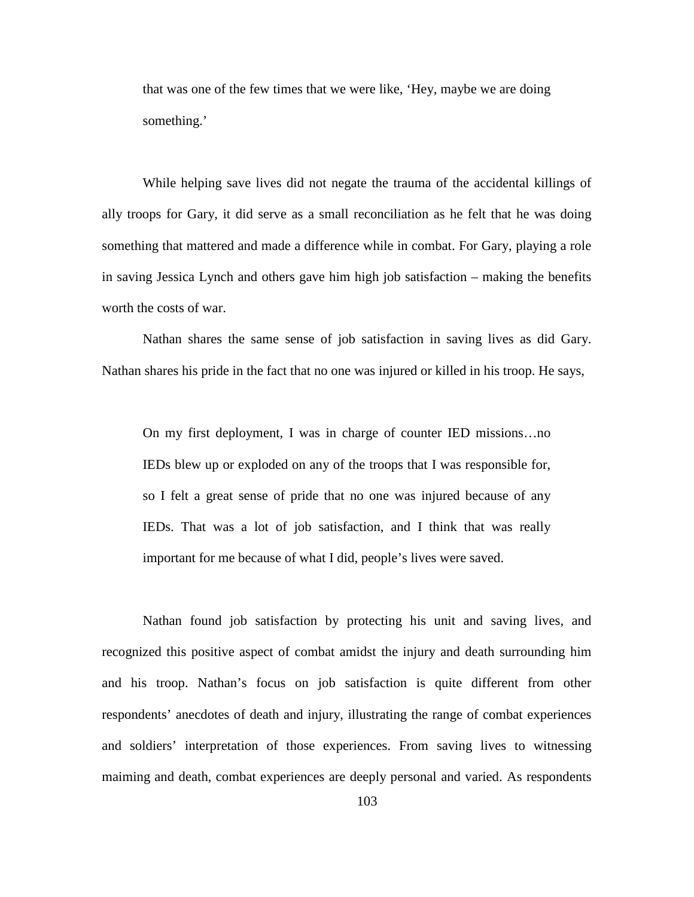that was one of the few times that we were like, 'Hey, maybe we are doing something.'

While helping save lives did not negate the trauma of the accidental killings of ally troops for Gary, it did serve as a small reconciliation as he felt that he was doing something that mattered and made a difference while in combat. For Gary, playing a role in saving Jessica Lynch and others gave him high job satisfaction – making the benefits worth the costs of war.

Nathan shares the same sense of job satisfaction in saving lives as did Gary. Nathan shares his pride in the fact that no one was injured or killed in his troop. He says,

On my first deployment, I was in charge of counter IED missions…no IEDs blew up or exploded on any of the troops that I was responsible for, so I felt a great sense of pride that no one was injured because of any IEDs. That was a lot of job satisfaction, and I think that was really important for me because of what I did, people's lives were saved.

Nathan found job satisfaction by protecting his unit and saving lives, and recognized this positive aspect of combat amidst the injury and death surrounding him and his troop. Nathan's focus on job satisfaction is quite different from other respondents' anecdotes of death and injury, illustrating the range of combat experiences and soldiers' interpretation of those experiences. From saving lives to witnessing maiming and death, combat experiences are deeply personal and varied. As respondents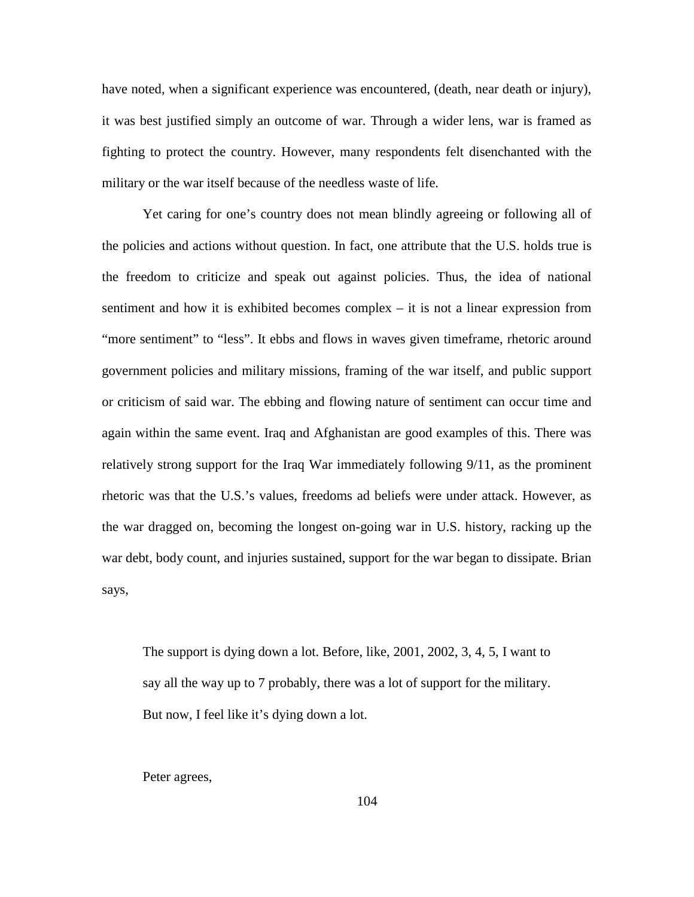have noted, when a significant experience was encountered, (death, near death or injury), it was best justified simply an outcome of war. Through a wider lens, war is framed as fighting to protect the country. However, many respondents felt disenchanted with the military or the war itself because of the needless waste of life.

Yet caring for one's country does not mean blindly agreeing or following all of the policies and actions without question. In fact, one attribute that the U.S. holds true is the freedom to criticize and speak out against policies. Thus, the idea of national sentiment and how it is exhibited becomes complex – it is not a linear expression from "more sentiment" to "less". It ebbs and flows in waves given timeframe, rhetoric around government policies and military missions, framing of the war itself, and public support or criticism of said war. The ebbing and flowing nature of sentiment can occur time and again within the same event. Iraq and Afghanistan are good examples of this. There was relatively strong support for the Iraq War immediately following 9/11, as the prominent rhetoric was that the U.S.'s values, freedoms ad beliefs were under attack. However, as the war dragged on, becoming the longest on-going war in U.S. history, racking up the war debt, body count, and injuries sustained, support for the war began to dissipate. Brian says,

The support is dying down a lot. Before, like, 2001, 2002, 3, 4, 5, I want to say all the way up to 7 probably, there was a lot of support for the military. But now, I feel like it's dying down a lot.

Peter agrees,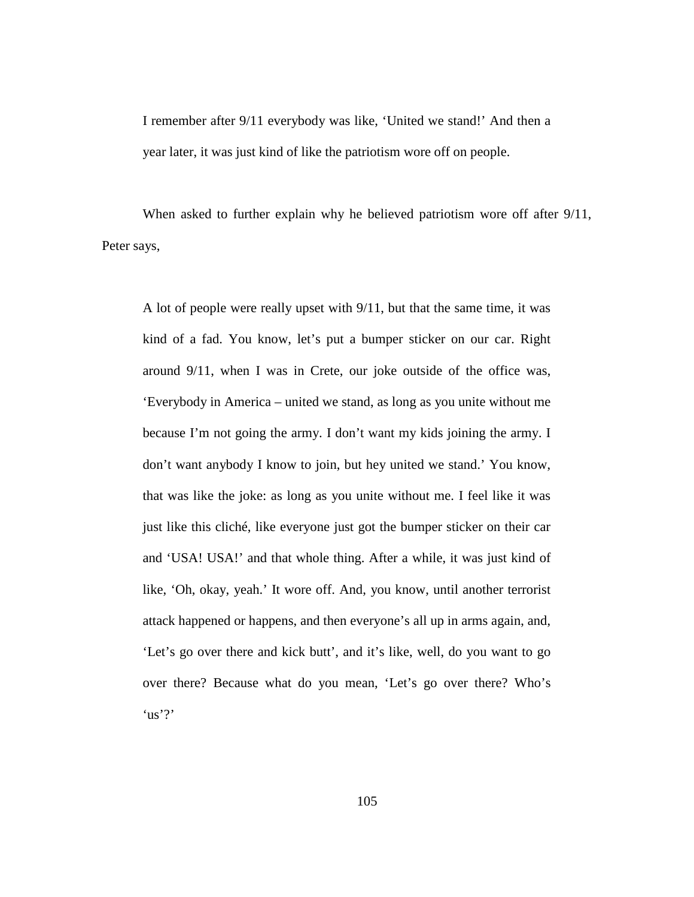I remember after 9/11 everybody was like, 'United we stand!' And then a year later, it was just kind of like the patriotism wore off on people.

When asked to further explain why he believed patriotism wore off after  $9/11$ , Peter says,

A lot of people were really upset with 9/11, but that the same time, it was kind of a fad. You know, let's put a bumper sticker on our car. Right around 9/11, when I was in Crete, our joke outside of the office was, 'Everybody in America – united we stand, as long as you unite without me because I'm not going the army. I don't want my kids joining the army. I don't want anybody I know to join, but hey united we stand.' You know, that was like the joke: as long as you unite without me. I feel like it was just like this cliché, like everyone just got the bumper sticker on their car and 'USA! USA!' and that whole thing. After a while, it was just kind of like, 'Oh, okay, yeah.' It wore off. And, you know, until another terrorist attack happened or happens, and then everyone's all up in arms again, and, 'Let's go over there and kick butt', and it's like, well, do you want to go over there? Because what do you mean, 'Let's go over there? Who's  $'$ us'?'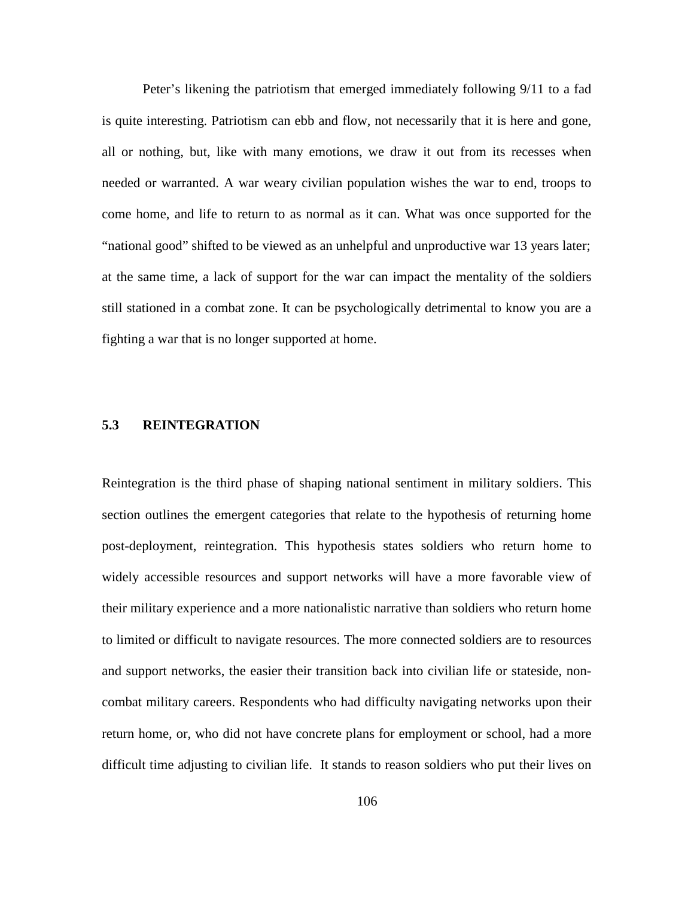Peter's likening the patriotism that emerged immediately following 9/11 to a fad is quite interesting. Patriotism can ebb and flow, not necessarily that it is here and gone, all or nothing, but, like with many emotions, we draw it out from its recesses when needed or warranted. A war weary civilian population wishes the war to end, troops to come home, and life to return to as normal as it can. What was once supported for the "national good" shifted to be viewed as an unhelpful and unproductive war 13 years later; at the same time, a lack of support for the war can impact the mentality of the soldiers still stationed in a combat zone. It can be psychologically detrimental to know you are a fighting a war that is no longer supported at home.

## **5.3 REINTEGRATION**

Reintegration is the third phase of shaping national sentiment in military soldiers. This section outlines the emergent categories that relate to the hypothesis of returning home post-deployment, reintegration. This hypothesis states soldiers who return home to widely accessible resources and support networks will have a more favorable view of their military experience and a more nationalistic narrative than soldiers who return home to limited or difficult to navigate resources. The more connected soldiers are to resources and support networks, the easier their transition back into civilian life or stateside, noncombat military careers. Respondents who had difficulty navigating networks upon their return home, or, who did not have concrete plans for employment or school, had a more difficult time adjusting to civilian life. It stands to reason soldiers who put their lives on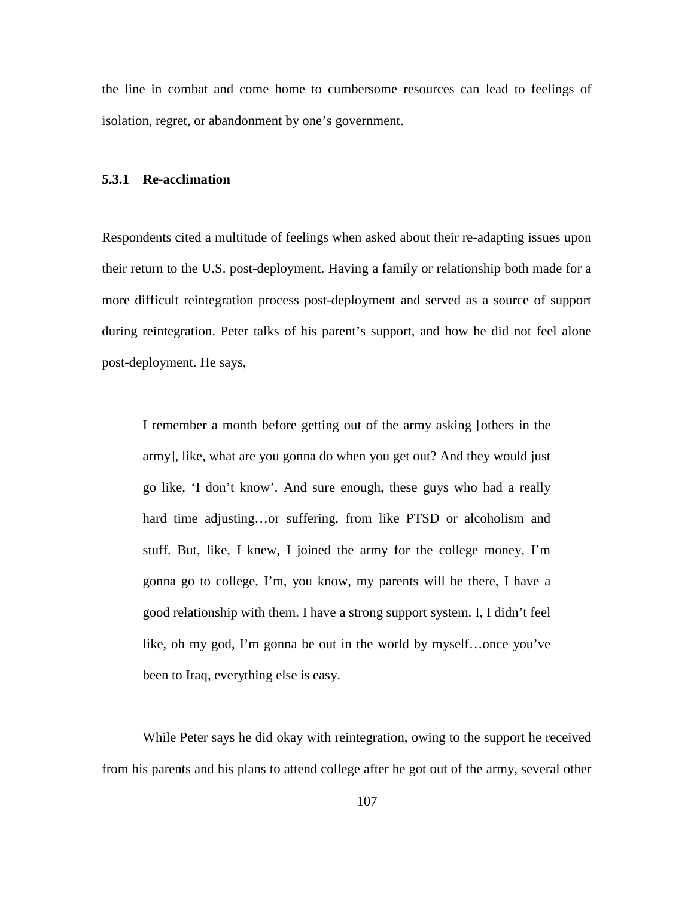the line in combat and come home to cumbersome resources can lead to feelings of isolation, regret, or abandonment by one's government.

#### **5.3.1 Re-acclimation**

Respondents cited a multitude of feelings when asked about their re-adapting issues upon their return to the U.S. post-deployment. Having a family or relationship both made for a more difficult reintegration process post-deployment and served as a source of support during reintegration. Peter talks of his parent's support, and how he did not feel alone post-deployment. He says,

I remember a month before getting out of the army asking [others in the army], like, what are you gonna do when you get out? And they would just go like, 'I don't know'. And sure enough, these guys who had a really hard time adjusting...or suffering, from like PTSD or alcoholism and stuff. But, like, I knew, I joined the army for the college money, I'm gonna go to college, I'm, you know, my parents will be there, I have a good relationship with them. I have a strong support system. I, I didn't feel like, oh my god, I'm gonna be out in the world by myself…once you've been to Iraq, everything else is easy.

While Peter says he did okay with reintegration, owing to the support he received from his parents and his plans to attend college after he got out of the army, several other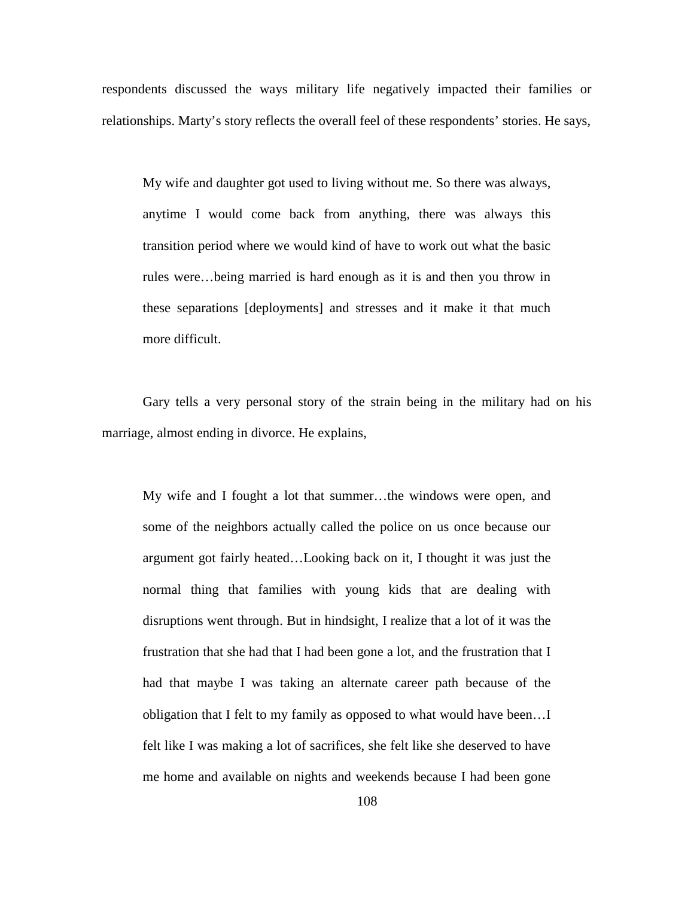respondents discussed the ways military life negatively impacted their families or relationships. Marty's story reflects the overall feel of these respondents' stories. He says,

My wife and daughter got used to living without me. So there was always, anytime I would come back from anything, there was always this transition period where we would kind of have to work out what the basic rules were…being married is hard enough as it is and then you throw in these separations [deployments] and stresses and it make it that much more difficult.

Gary tells a very personal story of the strain being in the military had on his marriage, almost ending in divorce. He explains,

My wife and I fought a lot that summer…the windows were open, and some of the neighbors actually called the police on us once because our argument got fairly heated…Looking back on it, I thought it was just the normal thing that families with young kids that are dealing with disruptions went through. But in hindsight, I realize that a lot of it was the frustration that she had that I had been gone a lot, and the frustration that I had that maybe I was taking an alternate career path because of the obligation that I felt to my family as opposed to what would have been…I felt like I was making a lot of sacrifices, she felt like she deserved to have me home and available on nights and weekends because I had been gone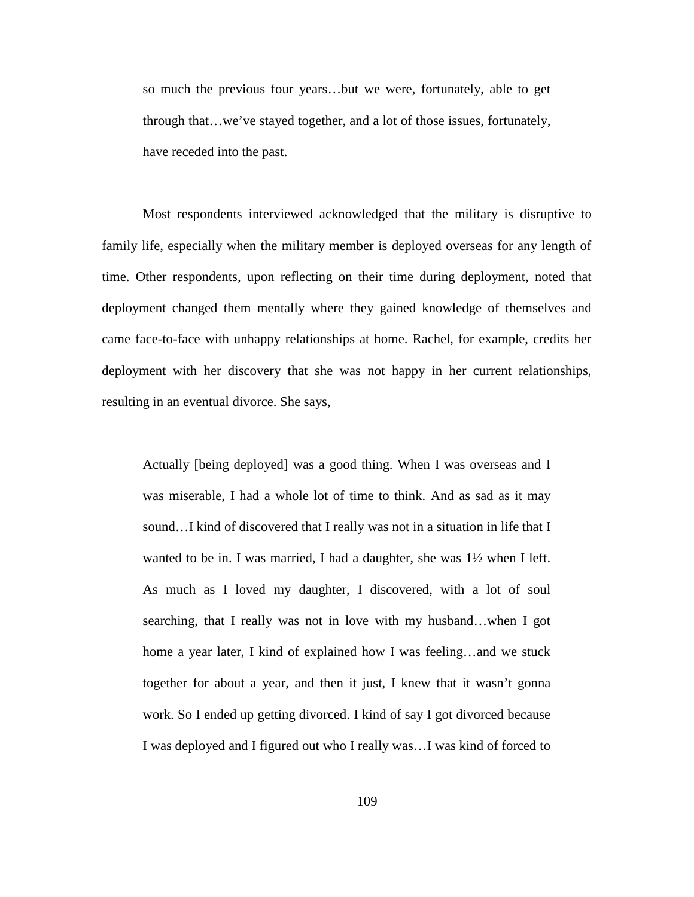so much the previous four years…but we were, fortunately, able to get through that…we've stayed together, and a lot of those issues, fortunately, have receded into the past.

Most respondents interviewed acknowledged that the military is disruptive to family life, especially when the military member is deployed overseas for any length of time. Other respondents, upon reflecting on their time during deployment, noted that deployment changed them mentally where they gained knowledge of themselves and came face-to-face with unhappy relationships at home. Rachel, for example, credits her deployment with her discovery that she was not happy in her current relationships, resulting in an eventual divorce. She says,

Actually [being deployed] was a good thing. When I was overseas and I was miserable, I had a whole lot of time to think. And as sad as it may sound…I kind of discovered that I really was not in a situation in life that I wanted to be in. I was married, I had a daughter, she was 1½ when I left. As much as I loved my daughter, I discovered, with a lot of soul searching, that I really was not in love with my husband…when I got home a year later, I kind of explained how I was feeling…and we stuck together for about a year, and then it just, I knew that it wasn't gonna work. So I ended up getting divorced. I kind of say I got divorced because I was deployed and I figured out who I really was…I was kind of forced to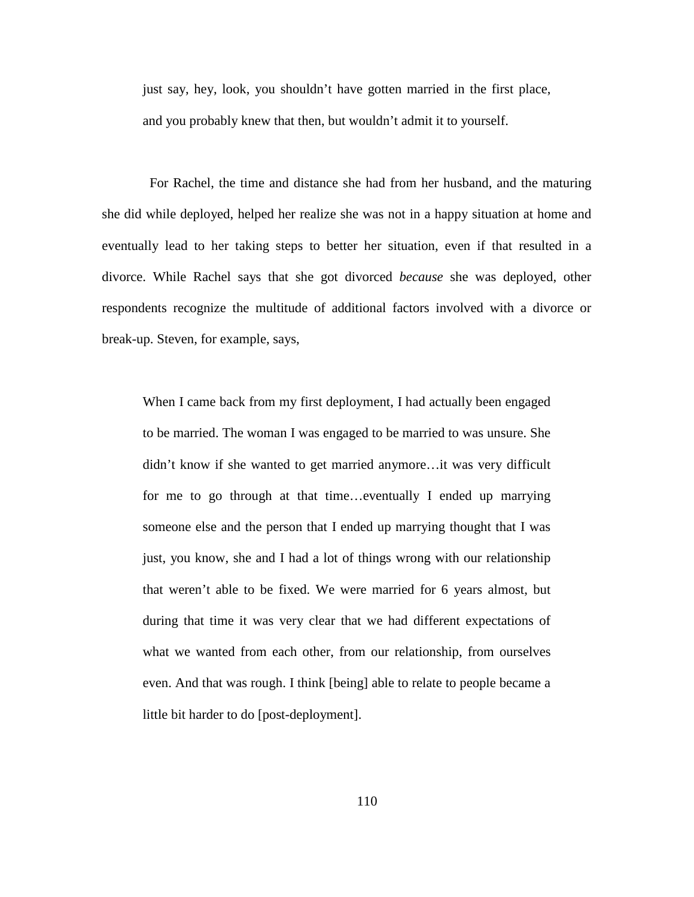just say, hey, look, you shouldn't have gotten married in the first place, and you probably knew that then, but wouldn't admit it to yourself.

 For Rachel, the time and distance she had from her husband, and the maturing she did while deployed, helped her realize she was not in a happy situation at home and eventually lead to her taking steps to better her situation, even if that resulted in a divorce. While Rachel says that she got divorced *because* she was deployed, other respondents recognize the multitude of additional factors involved with a divorce or break-up. Steven, for example, says,

When I came back from my first deployment, I had actually been engaged to be married. The woman I was engaged to be married to was unsure. She didn't know if she wanted to get married anymore…it was very difficult for me to go through at that time…eventually I ended up marrying someone else and the person that I ended up marrying thought that I was just, you know, she and I had a lot of things wrong with our relationship that weren't able to be fixed. We were married for 6 years almost, but during that time it was very clear that we had different expectations of what we wanted from each other, from our relationship, from ourselves even. And that was rough. I think [being] able to relate to people became a little bit harder to do [post-deployment].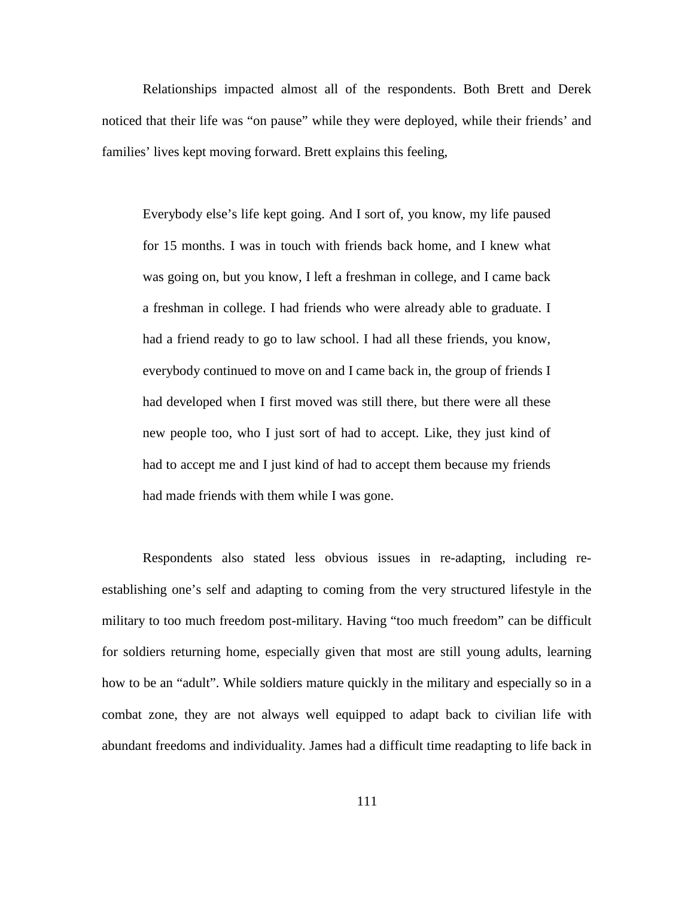Relationships impacted almost all of the respondents. Both Brett and Derek noticed that their life was "on pause" while they were deployed, while their friends' and families' lives kept moving forward. Brett explains this feeling,

Everybody else's life kept going. And I sort of, you know, my life paused for 15 months. I was in touch with friends back home, and I knew what was going on, but you know, I left a freshman in college, and I came back a freshman in college. I had friends who were already able to graduate. I had a friend ready to go to law school. I had all these friends, you know, everybody continued to move on and I came back in, the group of friends I had developed when I first moved was still there, but there were all these new people too, who I just sort of had to accept. Like, they just kind of had to accept me and I just kind of had to accept them because my friends had made friends with them while I was gone.

Respondents also stated less obvious issues in re-adapting, including reestablishing one's self and adapting to coming from the very structured lifestyle in the military to too much freedom post-military. Having "too much freedom" can be difficult for soldiers returning home, especially given that most are still young adults, learning how to be an "adult". While soldiers mature quickly in the military and especially so in a combat zone, they are not always well equipped to adapt back to civilian life with abundant freedoms and individuality. James had a difficult time readapting to life back in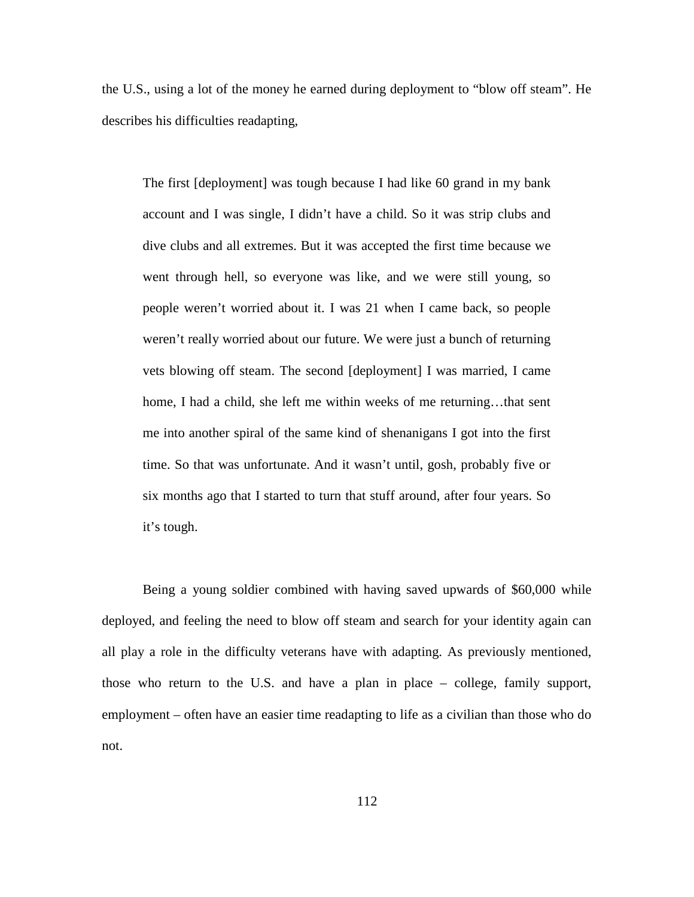the U.S., using a lot of the money he earned during deployment to "blow off steam". He describes his difficulties readapting,

The first [deployment] was tough because I had like 60 grand in my bank account and I was single, I didn't have a child. So it was strip clubs and dive clubs and all extremes. But it was accepted the first time because we went through hell, so everyone was like, and we were still young, so people weren't worried about it. I was 21 when I came back, so people weren't really worried about our future. We were just a bunch of returning vets blowing off steam. The second [deployment] I was married, I came home, I had a child, she left me within weeks of me returning...that sent me into another spiral of the same kind of shenanigans I got into the first time. So that was unfortunate. And it wasn't until, gosh, probably five or six months ago that I started to turn that stuff around, after four years. So it's tough.

Being a young soldier combined with having saved upwards of \$60,000 while deployed, and feeling the need to blow off steam and search for your identity again can all play a role in the difficulty veterans have with adapting. As previously mentioned, those who return to the U.S. and have a plan in place – college, family support, employment – often have an easier time readapting to life as a civilian than those who do not.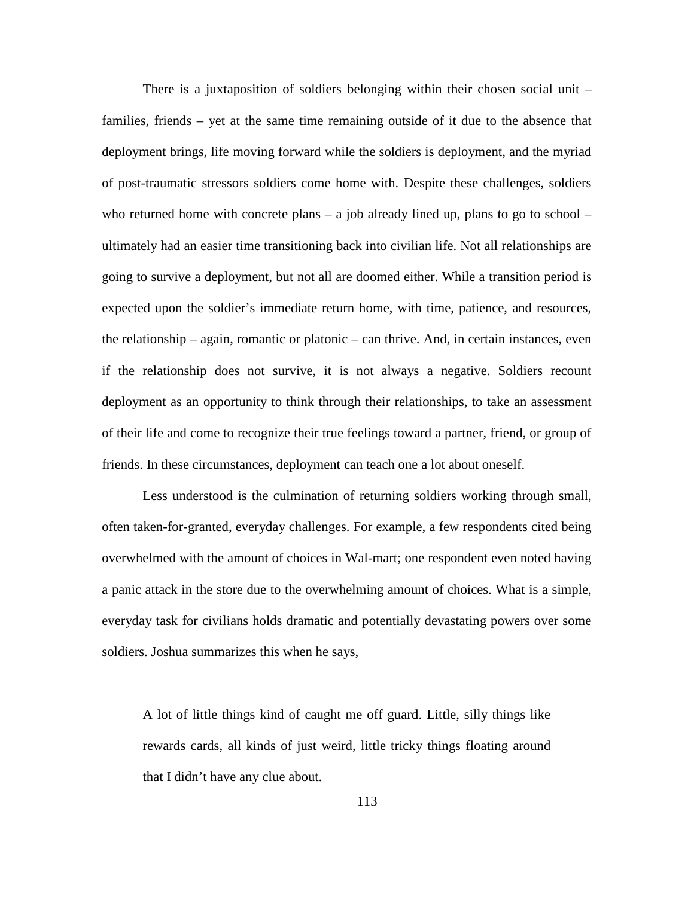There is a juxtaposition of soldiers belonging within their chosen social unit – families, friends – yet at the same time remaining outside of it due to the absence that deployment brings, life moving forward while the soldiers is deployment, and the myriad of post-traumatic stressors soldiers come home with. Despite these challenges, soldiers who returned home with concrete plans – a job already lined up, plans to go to school – ultimately had an easier time transitioning back into civilian life. Not all relationships are going to survive a deployment, but not all are doomed either. While a transition period is expected upon the soldier's immediate return home, with time, patience, and resources, the relationship – again, romantic or platonic – can thrive. And, in certain instances, even if the relationship does not survive, it is not always a negative. Soldiers recount deployment as an opportunity to think through their relationships, to take an assessment of their life and come to recognize their true feelings toward a partner, friend, or group of friends. In these circumstances, deployment can teach one a lot about oneself.

Less understood is the culmination of returning soldiers working through small, often taken-for-granted, everyday challenges. For example, a few respondents cited being overwhelmed with the amount of choices in Wal-mart; one respondent even noted having a panic attack in the store due to the overwhelming amount of choices. What is a simple, everyday task for civilians holds dramatic and potentially devastating powers over some soldiers. Joshua summarizes this when he says,

A lot of little things kind of caught me off guard. Little, silly things like rewards cards, all kinds of just weird, little tricky things floating around that I didn't have any clue about.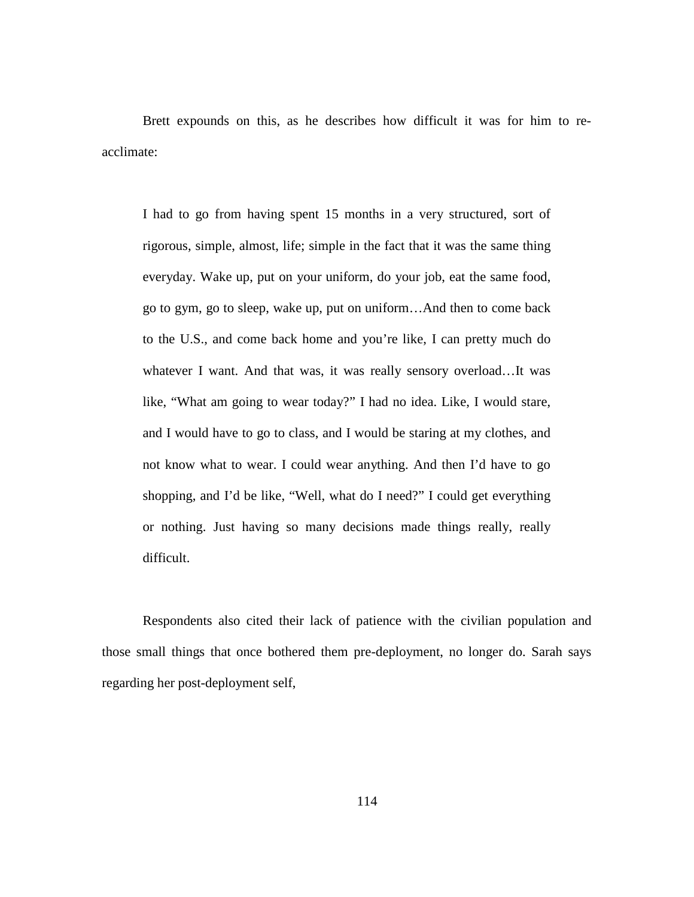Brett expounds on this, as he describes how difficult it was for him to reacclimate:

I had to go from having spent 15 months in a very structured, sort of rigorous, simple, almost, life; simple in the fact that it was the same thing everyday. Wake up, put on your uniform, do your job, eat the same food, go to gym, go to sleep, wake up, put on uniform…And then to come back to the U.S., and come back home and you're like, I can pretty much do whatever I want. And that was, it was really sensory overload…It was like, "What am going to wear today?" I had no idea. Like, I would stare, and I would have to go to class, and I would be staring at my clothes, and not know what to wear. I could wear anything. And then I'd have to go shopping, and I'd be like, "Well, what do I need?" I could get everything or nothing. Just having so many decisions made things really, really difficult.

Respondents also cited their lack of patience with the civilian population and those small things that once bothered them pre-deployment, no longer do. Sarah says regarding her post-deployment self,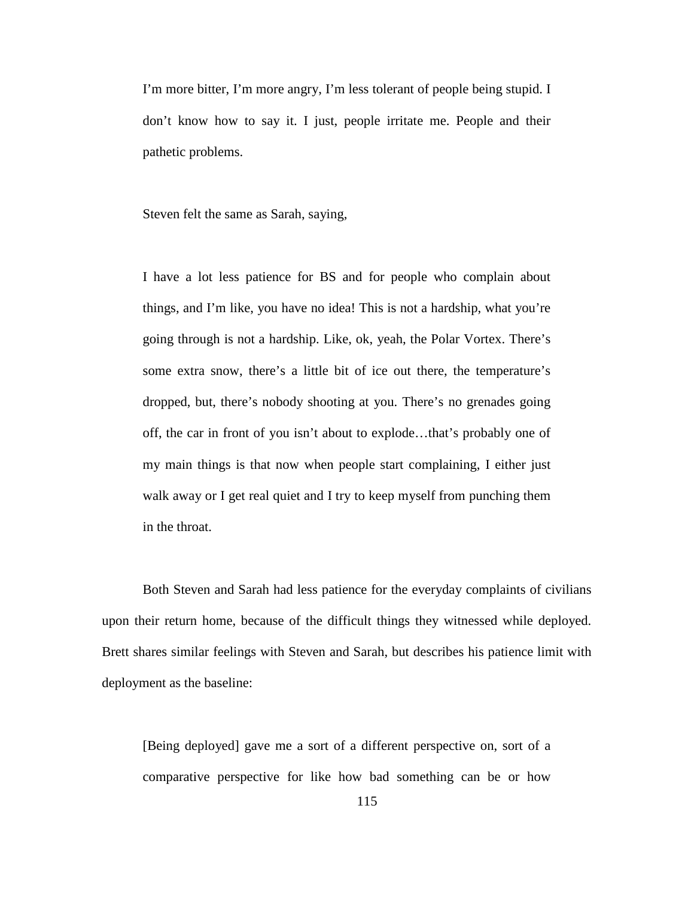I'm more bitter, I'm more angry, I'm less tolerant of people being stupid. I don't know how to say it. I just, people irritate me. People and their pathetic problems.

Steven felt the same as Sarah, saying,

I have a lot less patience for BS and for people who complain about things, and I'm like, you have no idea! This is not a hardship, what you're going through is not a hardship. Like, ok, yeah, the Polar Vortex. There's some extra snow, there's a little bit of ice out there, the temperature's dropped, but, there's nobody shooting at you. There's no grenades going off, the car in front of you isn't about to explode…that's probably one of my main things is that now when people start complaining, I either just walk away or I get real quiet and I try to keep myself from punching them in the throat.

Both Steven and Sarah had less patience for the everyday complaints of civilians upon their return home, because of the difficult things they witnessed while deployed. Brett shares similar feelings with Steven and Sarah, but describes his patience limit with deployment as the baseline:

[Being deployed] gave me a sort of a different perspective on, sort of a comparative perspective for like how bad something can be or how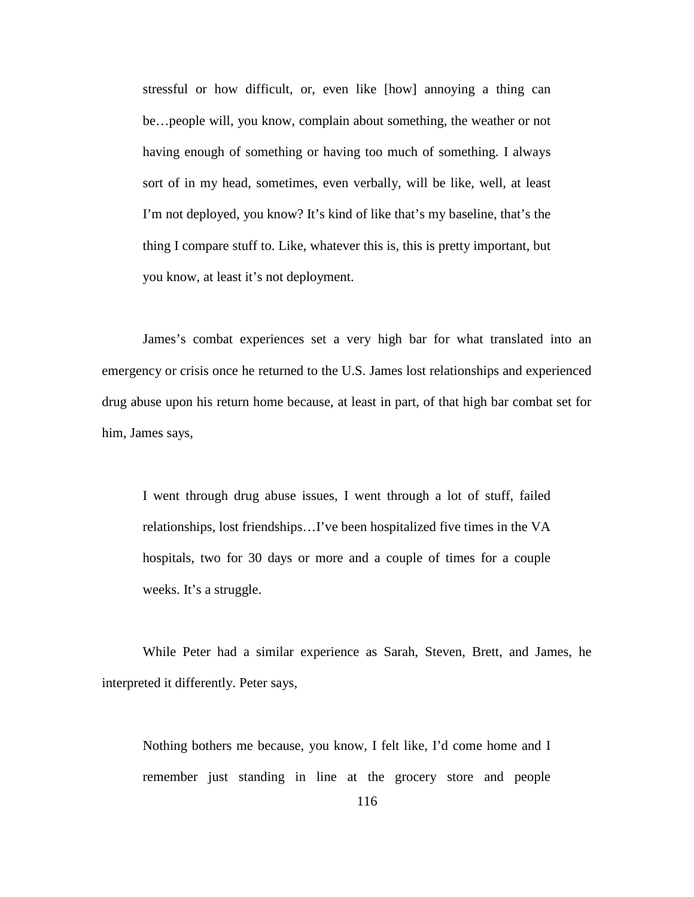stressful or how difficult, or, even like [how] annoying a thing can be…people will, you know, complain about something, the weather or not having enough of something or having too much of something. I always sort of in my head, sometimes, even verbally, will be like, well, at least I'm not deployed, you know? It's kind of like that's my baseline, that's the thing I compare stuff to. Like, whatever this is, this is pretty important, but you know, at least it's not deployment.

James's combat experiences set a very high bar for what translated into an emergency or crisis once he returned to the U.S. James lost relationships and experienced drug abuse upon his return home because, at least in part, of that high bar combat set for him, James says,

I went through drug abuse issues, I went through a lot of stuff, failed relationships, lost friendships…I've been hospitalized five times in the VA hospitals, two for 30 days or more and a couple of times for a couple weeks. It's a struggle.

While Peter had a similar experience as Sarah, Steven, Brett, and James, he interpreted it differently. Peter says,

Nothing bothers me because, you know, I felt like, I'd come home and I remember just standing in line at the grocery store and people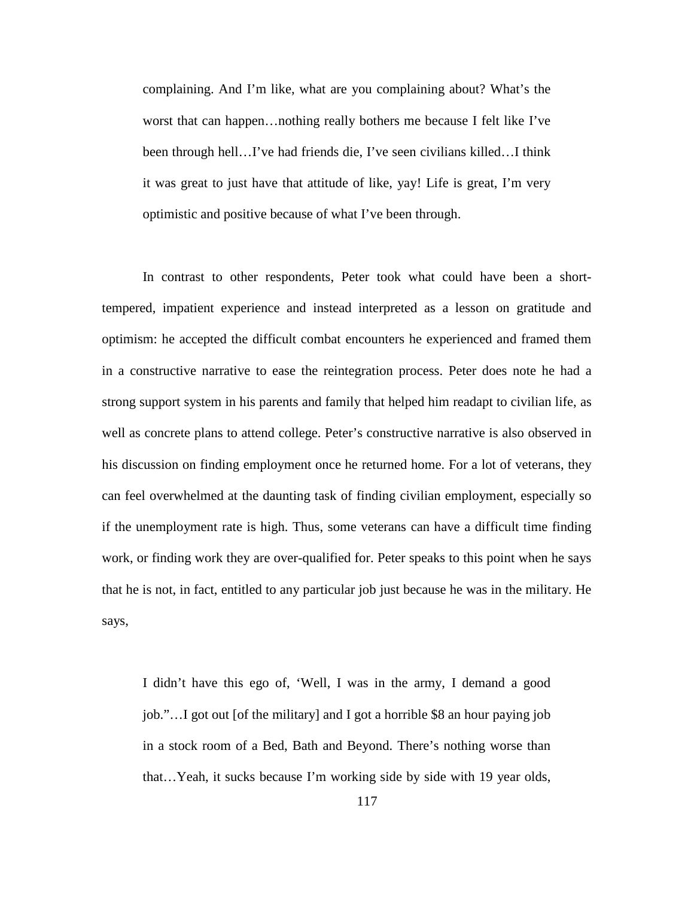complaining. And I'm like, what are you complaining about? What's the worst that can happen…nothing really bothers me because I felt like I've been through hell…I've had friends die, I've seen civilians killed…I think it was great to just have that attitude of like, yay! Life is great, I'm very optimistic and positive because of what I've been through.

In contrast to other respondents, Peter took what could have been a shorttempered, impatient experience and instead interpreted as a lesson on gratitude and optimism: he accepted the difficult combat encounters he experienced and framed them in a constructive narrative to ease the reintegration process. Peter does note he had a strong support system in his parents and family that helped him readapt to civilian life, as well as concrete plans to attend college. Peter's constructive narrative is also observed in his discussion on finding employment once he returned home. For a lot of veterans, they can feel overwhelmed at the daunting task of finding civilian employment, especially so if the unemployment rate is high. Thus, some veterans can have a difficult time finding work, or finding work they are over-qualified for. Peter speaks to this point when he says that he is not, in fact, entitled to any particular job just because he was in the military. He says,

I didn't have this ego of, 'Well, I was in the army, I demand a good job."…I got out [of the military] and I got a horrible \$8 an hour paying job in a stock room of a Bed, Bath and Beyond. There's nothing worse than that…Yeah, it sucks because I'm working side by side with 19 year olds,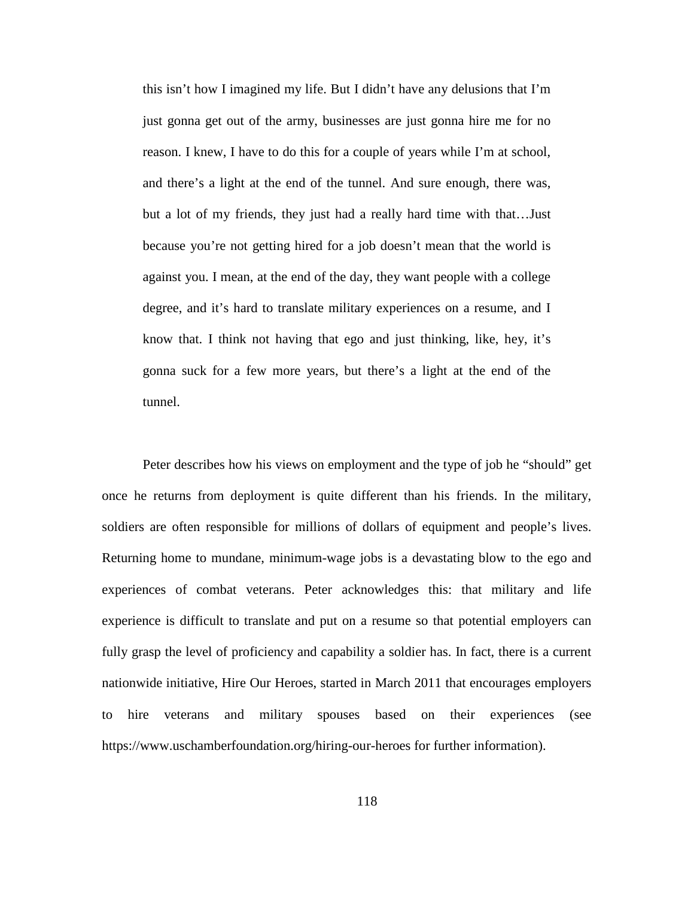this isn't how I imagined my life. But I didn't have any delusions that I'm just gonna get out of the army, businesses are just gonna hire me for no reason. I knew, I have to do this for a couple of years while I'm at school, and there's a light at the end of the tunnel. And sure enough, there was, but a lot of my friends, they just had a really hard time with that…Just because you're not getting hired for a job doesn't mean that the world is against you. I mean, at the end of the day, they want people with a college degree, and it's hard to translate military experiences on a resume, and I know that. I think not having that ego and just thinking, like, hey, it's gonna suck for a few more years, but there's a light at the end of the tunnel.

Peter describes how his views on employment and the type of job he "should" get once he returns from deployment is quite different than his friends. In the military, soldiers are often responsible for millions of dollars of equipment and people's lives. Returning home to mundane, minimum-wage jobs is a devastating blow to the ego and experiences of combat veterans. Peter acknowledges this: that military and life experience is difficult to translate and put on a resume so that potential employers can fully grasp the level of proficiency and capability a soldier has. In fact, there is a current nationwide initiative, Hire Our Heroes, started in March 2011 that encourages employers to hire veterans and military spouses based on their experiences (see https://www.uschamberfoundation.org/hiring-our-heroes for further information).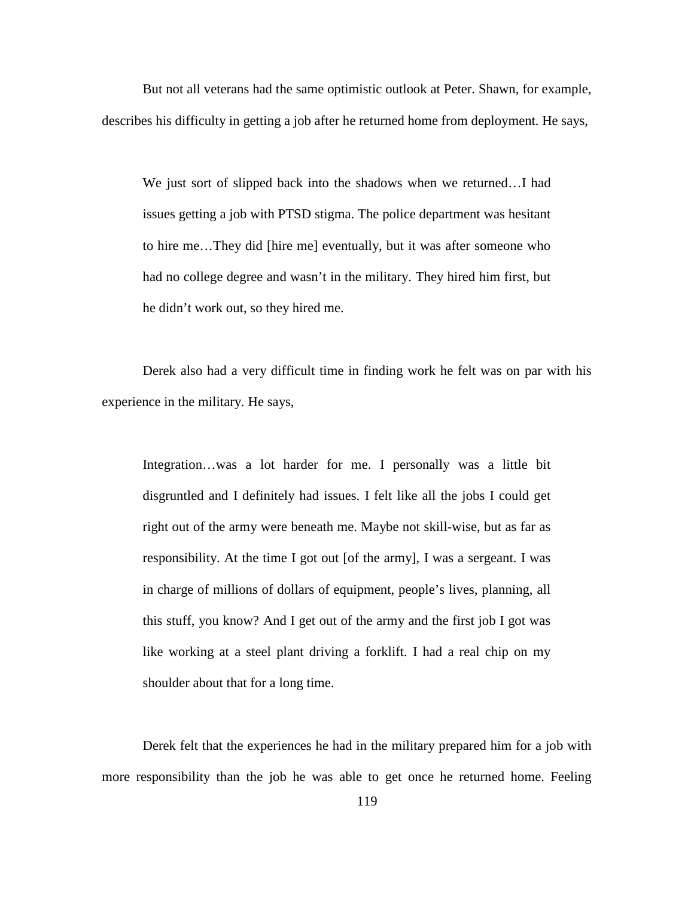But not all veterans had the same optimistic outlook at Peter. Shawn, for example, describes his difficulty in getting a job after he returned home from deployment. He says,

We just sort of slipped back into the shadows when we returned…I had issues getting a job with PTSD stigma. The police department was hesitant to hire me…They did [hire me] eventually, but it was after someone who had no college degree and wasn't in the military. They hired him first, but he didn't work out, so they hired me.

Derek also had a very difficult time in finding work he felt was on par with his experience in the military. He says,

Integration…was a lot harder for me. I personally was a little bit disgruntled and I definitely had issues. I felt like all the jobs I could get right out of the army were beneath me. Maybe not skill-wise, but as far as responsibility. At the time I got out [of the army], I was a sergeant. I was in charge of millions of dollars of equipment, people's lives, planning, all this stuff, you know? And I get out of the army and the first job I got was like working at a steel plant driving a forklift. I had a real chip on my shoulder about that for a long time.

Derek felt that the experiences he had in the military prepared him for a job with more responsibility than the job he was able to get once he returned home. Feeling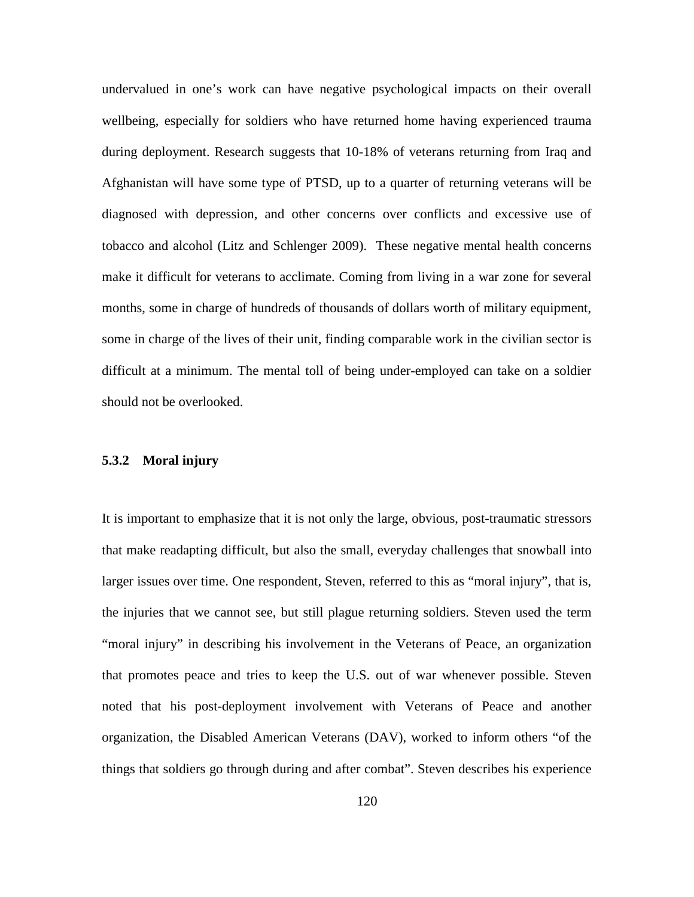undervalued in one's work can have negative psychological impacts on their overall wellbeing, especially for soldiers who have returned home having experienced trauma during deployment. Research suggests that 10-18% of veterans returning from Iraq and Afghanistan will have some type of PTSD, up to a quarter of returning veterans will be diagnosed with depression, and other concerns over conflicts and excessive use of tobacco and alcohol (Litz and Schlenger 2009). These negative mental health concerns make it difficult for veterans to acclimate. Coming from living in a war zone for several months, some in charge of hundreds of thousands of dollars worth of military equipment, some in charge of the lives of their unit, finding comparable work in the civilian sector is difficult at a minimum. The mental toll of being under-employed can take on a soldier should not be overlooked.

### **5.3.2 Moral injury**

It is important to emphasize that it is not only the large, obvious, post-traumatic stressors that make readapting difficult, but also the small, everyday challenges that snowball into larger issues over time. One respondent, Steven, referred to this as "moral injury", that is, the injuries that we cannot see, but still plague returning soldiers. Steven used the term "moral injury" in describing his involvement in the Veterans of Peace, an organization that promotes peace and tries to keep the U.S. out of war whenever possible. Steven noted that his post-deployment involvement with Veterans of Peace and another organization, the Disabled American Veterans (DAV), worked to inform others "of the things that soldiers go through during and after combat". Steven describes his experience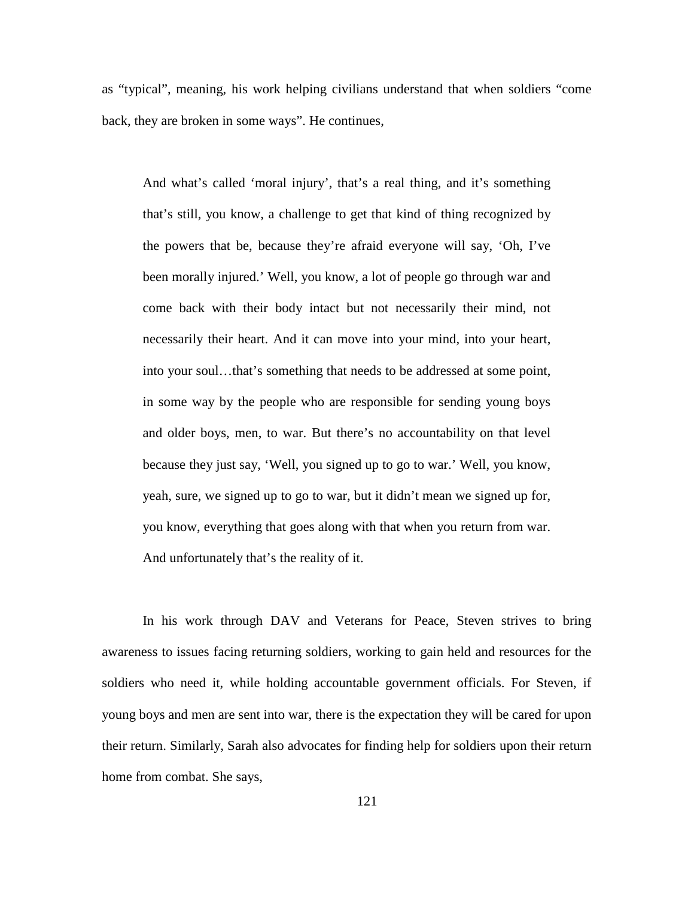as "typical", meaning, his work helping civilians understand that when soldiers "come back, they are broken in some ways". He continues,

And what's called 'moral injury', that's a real thing, and it's something that's still, you know, a challenge to get that kind of thing recognized by the powers that be, because they're afraid everyone will say, 'Oh, I've been morally injured.' Well, you know, a lot of people go through war and come back with their body intact but not necessarily their mind, not necessarily their heart. And it can move into your mind, into your heart, into your soul…that's something that needs to be addressed at some point, in some way by the people who are responsible for sending young boys and older boys, men, to war. But there's no accountability on that level because they just say, 'Well, you signed up to go to war.' Well, you know, yeah, sure, we signed up to go to war, but it didn't mean we signed up for, you know, everything that goes along with that when you return from war. And unfortunately that's the reality of it.

In his work through DAV and Veterans for Peace, Steven strives to bring awareness to issues facing returning soldiers, working to gain held and resources for the soldiers who need it, while holding accountable government officials. For Steven, if young boys and men are sent into war, there is the expectation they will be cared for upon their return. Similarly, Sarah also advocates for finding help for soldiers upon their return home from combat. She says,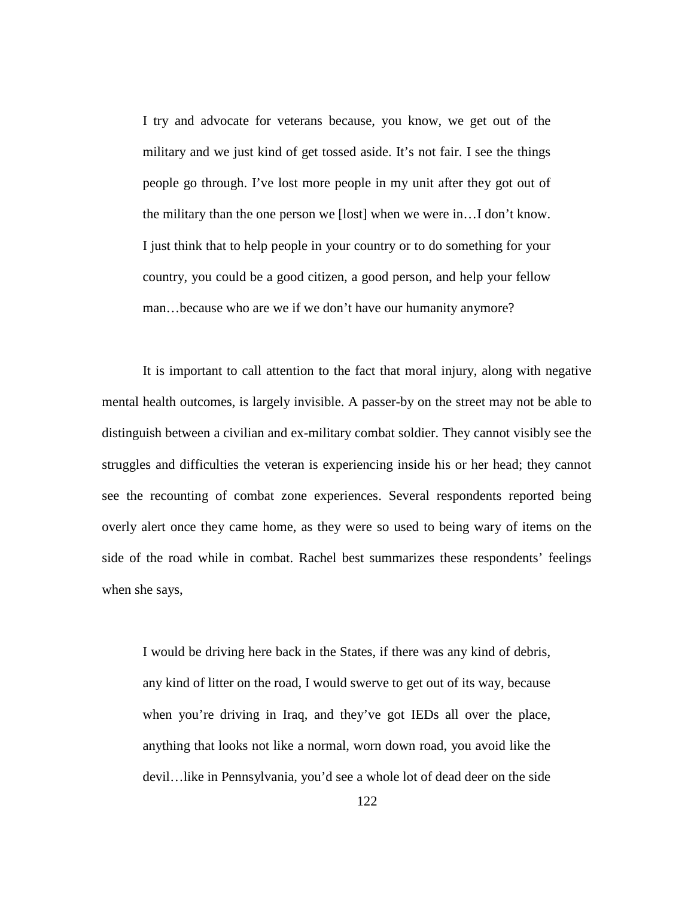I try and advocate for veterans because, you know, we get out of the military and we just kind of get tossed aside. It's not fair. I see the things people go through. I've lost more people in my unit after they got out of the military than the one person we [lost] when we were in…I don't know. I just think that to help people in your country or to do something for your country, you could be a good citizen, a good person, and help your fellow man…because who are we if we don't have our humanity anymore?

It is important to call attention to the fact that moral injury, along with negative mental health outcomes, is largely invisible. A passer-by on the street may not be able to distinguish between a civilian and ex-military combat soldier. They cannot visibly see the struggles and difficulties the veteran is experiencing inside his or her head; they cannot see the recounting of combat zone experiences. Several respondents reported being overly alert once they came home, as they were so used to being wary of items on the side of the road while in combat. Rachel best summarizes these respondents' feelings when she says,

I would be driving here back in the States, if there was any kind of debris, any kind of litter on the road, I would swerve to get out of its way, because when you're driving in Iraq, and they've got IEDs all over the place, anything that looks not like a normal, worn down road, you avoid like the devil…like in Pennsylvania, you'd see a whole lot of dead deer on the side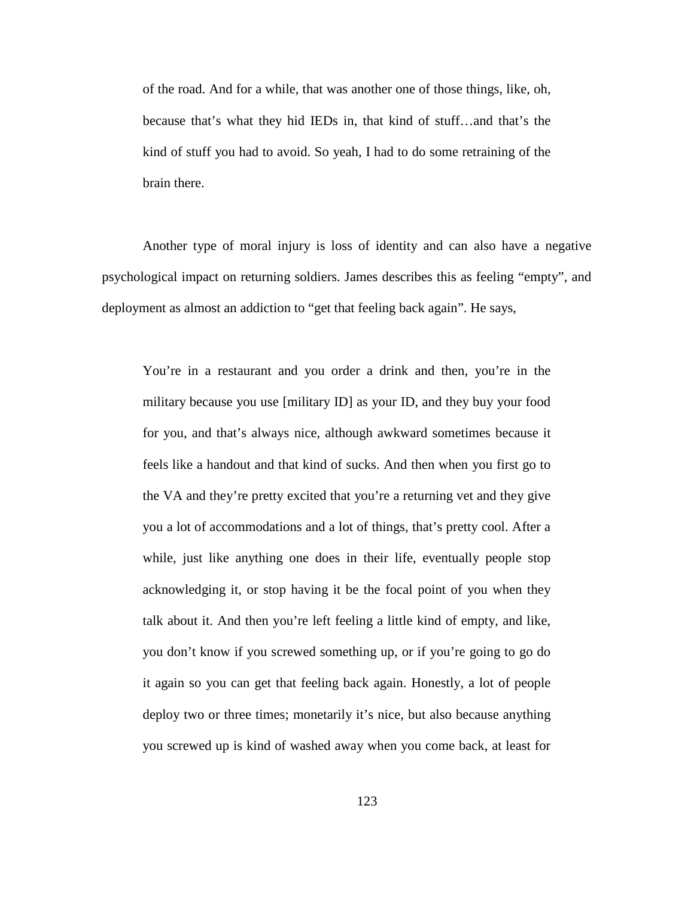of the road. And for a while, that was another one of those things, like, oh, because that's what they hid IEDs in, that kind of stuff…and that's the kind of stuff you had to avoid. So yeah, I had to do some retraining of the brain there.

Another type of moral injury is loss of identity and can also have a negative psychological impact on returning soldiers. James describes this as feeling "empty", and deployment as almost an addiction to "get that feeling back again". He says,

You're in a restaurant and you order a drink and then, you're in the military because you use [military ID] as your ID, and they buy your food for you, and that's always nice, although awkward sometimes because it feels like a handout and that kind of sucks. And then when you first go to the VA and they're pretty excited that you're a returning vet and they give you a lot of accommodations and a lot of things, that's pretty cool. After a while, just like anything one does in their life, eventually people stop acknowledging it, or stop having it be the focal point of you when they talk about it. And then you're left feeling a little kind of empty, and like, you don't know if you screwed something up, or if you're going to go do it again so you can get that feeling back again. Honestly, a lot of people deploy two or three times; monetarily it's nice, but also because anything you screwed up is kind of washed away when you come back, at least for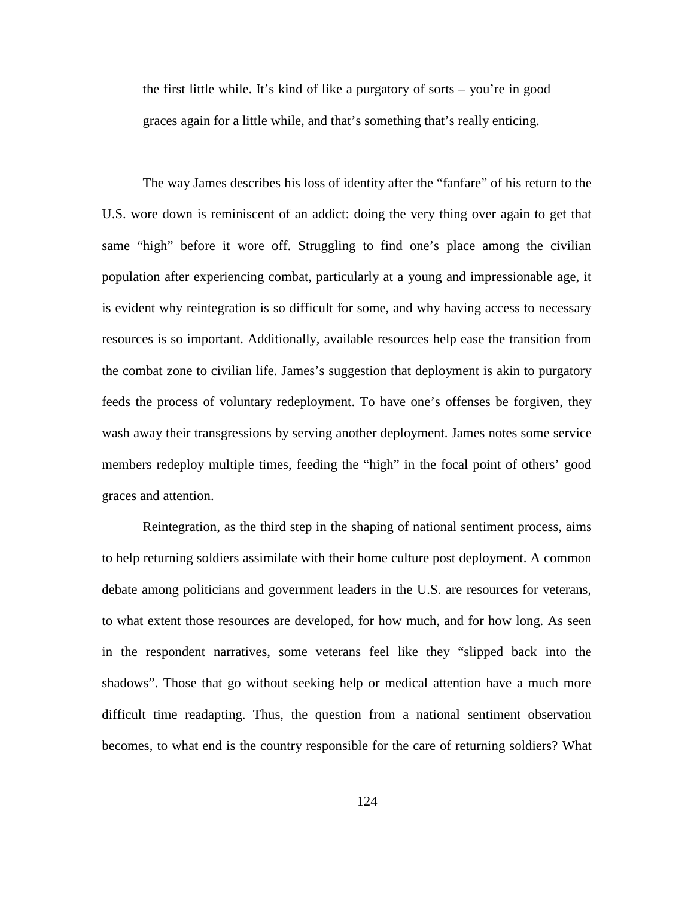the first little while. It's kind of like a purgatory of sorts – you're in good graces again for a little while, and that's something that's really enticing.

The way James describes his loss of identity after the "fanfare" of his return to the U.S. wore down is reminiscent of an addict: doing the very thing over again to get that same "high" before it wore off. Struggling to find one's place among the civilian population after experiencing combat, particularly at a young and impressionable age, it is evident why reintegration is so difficult for some, and why having access to necessary resources is so important. Additionally, available resources help ease the transition from the combat zone to civilian life. James's suggestion that deployment is akin to purgatory feeds the process of voluntary redeployment. To have one's offenses be forgiven, they wash away their transgressions by serving another deployment. James notes some service members redeploy multiple times, feeding the "high" in the focal point of others' good graces and attention.

Reintegration, as the third step in the shaping of national sentiment process, aims to help returning soldiers assimilate with their home culture post deployment. A common debate among politicians and government leaders in the U.S. are resources for veterans, to what extent those resources are developed, for how much, and for how long. As seen in the respondent narratives, some veterans feel like they "slipped back into the shadows". Those that go without seeking help or medical attention have a much more difficult time readapting. Thus, the question from a national sentiment observation becomes, to what end is the country responsible for the care of returning soldiers? What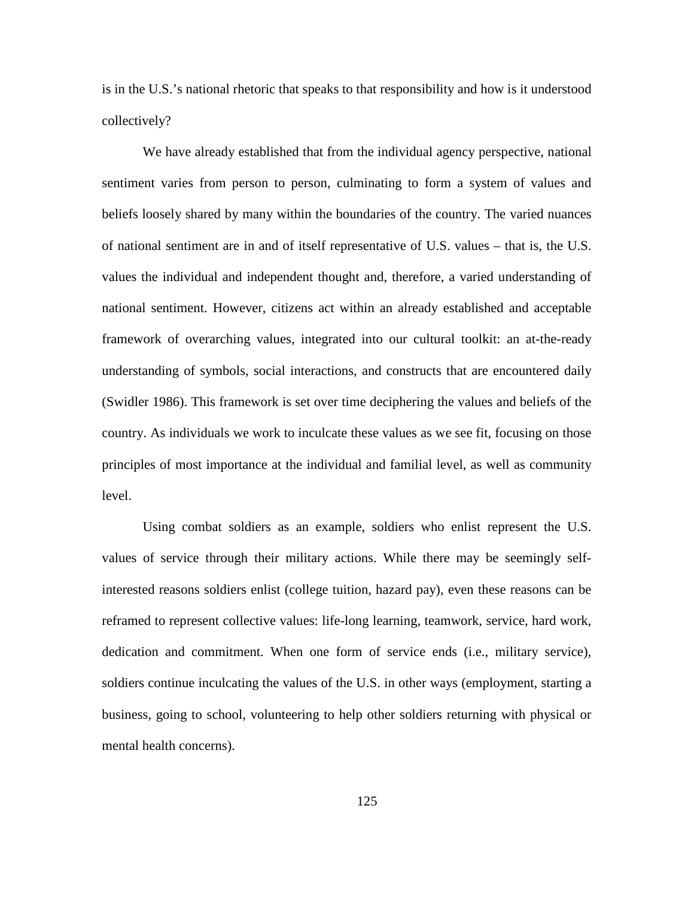is in the U.S.'s national rhetoric that speaks to that responsibility and how is it understood collectively?

We have already established that from the individual agency perspective, national sentiment varies from person to person, culminating to form a system of values and beliefs loosely shared by many within the boundaries of the country. The varied nuances of national sentiment are in and of itself representative of U.S. values – that is, the U.S. values the individual and independent thought and, therefore, a varied understanding of national sentiment. However, citizens act within an already established and acceptable framework of overarching values, integrated into our cultural toolkit: an at-the-ready understanding of symbols, social interactions, and constructs that are encountered daily (Swidler 1986). This framework is set over time deciphering the values and beliefs of the country. As individuals we work to inculcate these values as we see fit, focusing on those principles of most importance at the individual and familial level, as well as community level.

Using combat soldiers as an example, soldiers who enlist represent the U.S. values of service through their military actions. While there may be seemingly selfinterested reasons soldiers enlist (college tuition, hazard pay), even these reasons can be reframed to represent collective values: life-long learning, teamwork, service, hard work, dedication and commitment. When one form of service ends (i.e., military service), soldiers continue inculcating the values of the U.S. in other ways (employment, starting a business, going to school, volunteering to help other soldiers returning with physical or mental health concerns).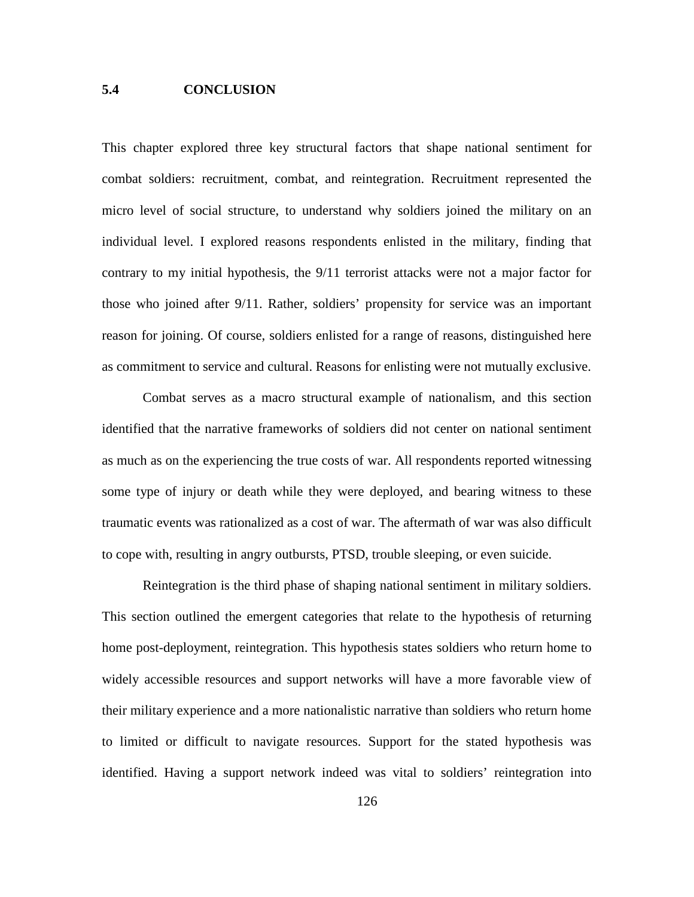# **5.4 CONCLUSION**

This chapter explored three key structural factors that shape national sentiment for combat soldiers: recruitment, combat, and reintegration. Recruitment represented the micro level of social structure, to understand why soldiers joined the military on an individual level. I explored reasons respondents enlisted in the military, finding that contrary to my initial hypothesis, the 9/11 terrorist attacks were not a major factor for those who joined after 9/11. Rather, soldiers' propensity for service was an important reason for joining. Of course, soldiers enlisted for a range of reasons, distinguished here as commitment to service and cultural. Reasons for enlisting were not mutually exclusive.

Combat serves as a macro structural example of nationalism, and this section identified that the narrative frameworks of soldiers did not center on national sentiment as much as on the experiencing the true costs of war. All respondents reported witnessing some type of injury or death while they were deployed, and bearing witness to these traumatic events was rationalized as a cost of war. The aftermath of war was also difficult to cope with, resulting in angry outbursts, PTSD, trouble sleeping, or even suicide.

Reintegration is the third phase of shaping national sentiment in military soldiers. This section outlined the emergent categories that relate to the hypothesis of returning home post-deployment, reintegration. This hypothesis states soldiers who return home to widely accessible resources and support networks will have a more favorable view of their military experience and a more nationalistic narrative than soldiers who return home to limited or difficult to navigate resources. Support for the stated hypothesis was identified. Having a support network indeed was vital to soldiers' reintegration into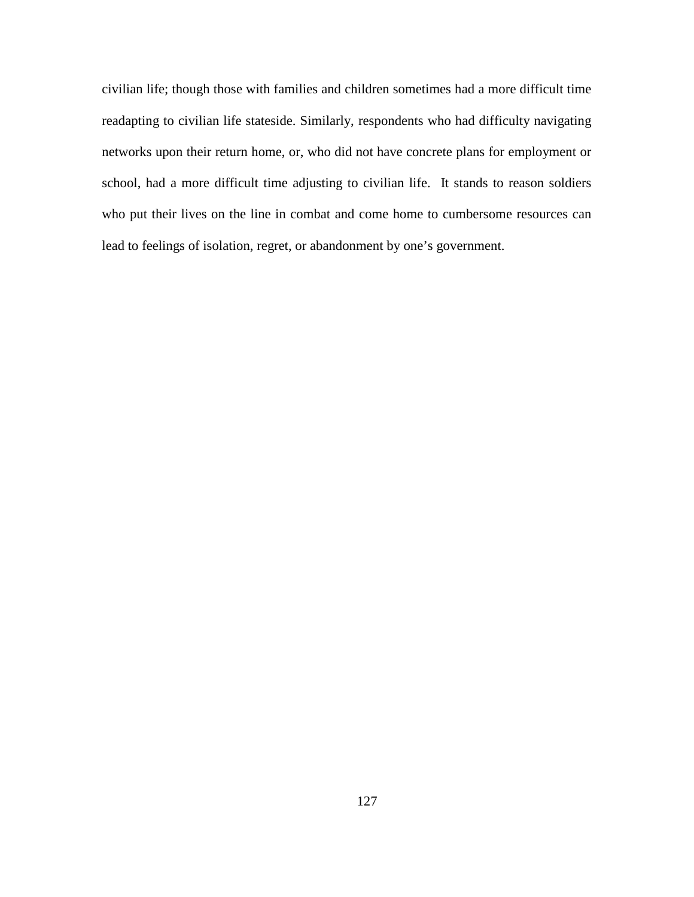civilian life; though those with families and children sometimes had a more difficult time readapting to civilian life stateside. Similarly, respondents who had difficulty navigating networks upon their return home, or, who did not have concrete plans for employment or school, had a more difficult time adjusting to civilian life. It stands to reason soldiers who put their lives on the line in combat and come home to cumbersome resources can lead to feelings of isolation, regret, or abandonment by one's government.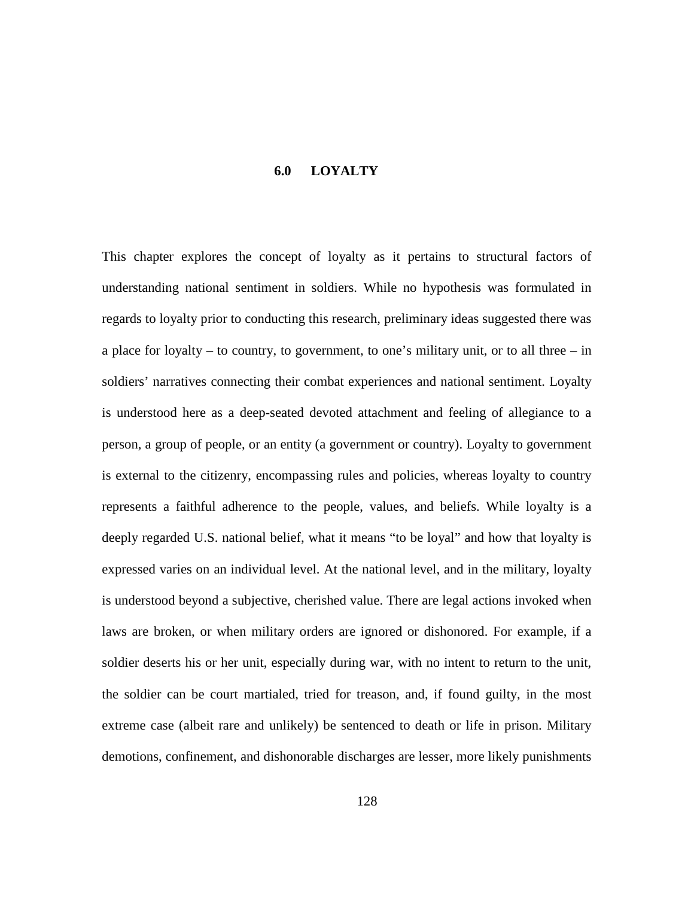### **6.0 LOYALTY**

This chapter explores the concept of loyalty as it pertains to structural factors of understanding national sentiment in soldiers. While no hypothesis was formulated in regards to loyalty prior to conducting this research, preliminary ideas suggested there was a place for loyalty – to country, to government, to one's military unit, or to all three – in soldiers' narratives connecting their combat experiences and national sentiment. Loyalty is understood here as a deep-seated devoted attachment and feeling of allegiance to a person, a group of people, or an entity (a government or country). Loyalty to government is external to the citizenry, encompassing rules and policies, whereas loyalty to country represents a faithful adherence to the people, values, and beliefs. While loyalty is a deeply regarded U.S. national belief, what it means "to be loyal" and how that loyalty is expressed varies on an individual level. At the national level, and in the military, loyalty is understood beyond a subjective, cherished value. There are legal actions invoked when laws are broken, or when military orders are ignored or dishonored. For example, if a soldier deserts his or her unit, especially during war, with no intent to return to the unit, the soldier can be court martialed, tried for treason, and, if found guilty, in the most extreme case (albeit rare and unlikely) be sentenced to death or life in prison. Military demotions, confinement, and dishonorable discharges are lesser, more likely punishments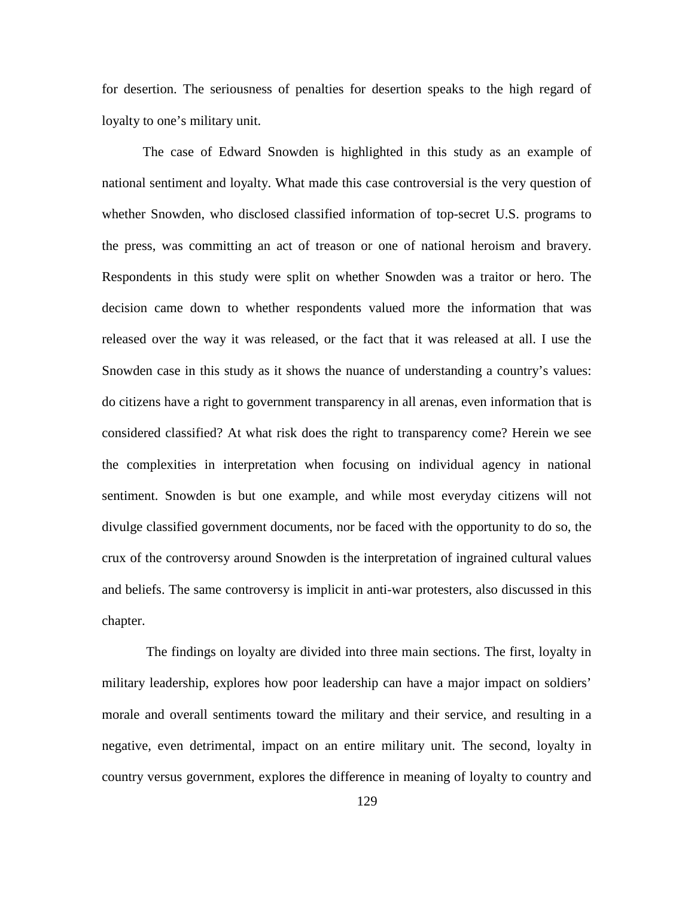for desertion. The seriousness of penalties for desertion speaks to the high regard of loyalty to one's military unit.

The case of Edward Snowden is highlighted in this study as an example of national sentiment and loyalty. What made this case controversial is the very question of whether Snowden, who disclosed classified information of top-secret U.S. programs to the press, was committing an act of treason or one of national heroism and bravery. Respondents in this study were split on whether Snowden was a traitor or hero. The decision came down to whether respondents valued more the information that was released over the way it was released, or the fact that it was released at all. I use the Snowden case in this study as it shows the nuance of understanding a country's values: do citizens have a right to government transparency in all arenas, even information that is considered classified? At what risk does the right to transparency come? Herein we see the complexities in interpretation when focusing on individual agency in national sentiment. Snowden is but one example, and while most everyday citizens will not divulge classified government documents, nor be faced with the opportunity to do so, the crux of the controversy around Snowden is the interpretation of ingrained cultural values and beliefs. The same controversy is implicit in anti-war protesters, also discussed in this chapter.

The findings on loyalty are divided into three main sections. The first, loyalty in military leadership, explores how poor leadership can have a major impact on soldiers' morale and overall sentiments toward the military and their service, and resulting in a negative, even detrimental, impact on an entire military unit. The second, loyalty in country versus government, explores the difference in meaning of loyalty to country and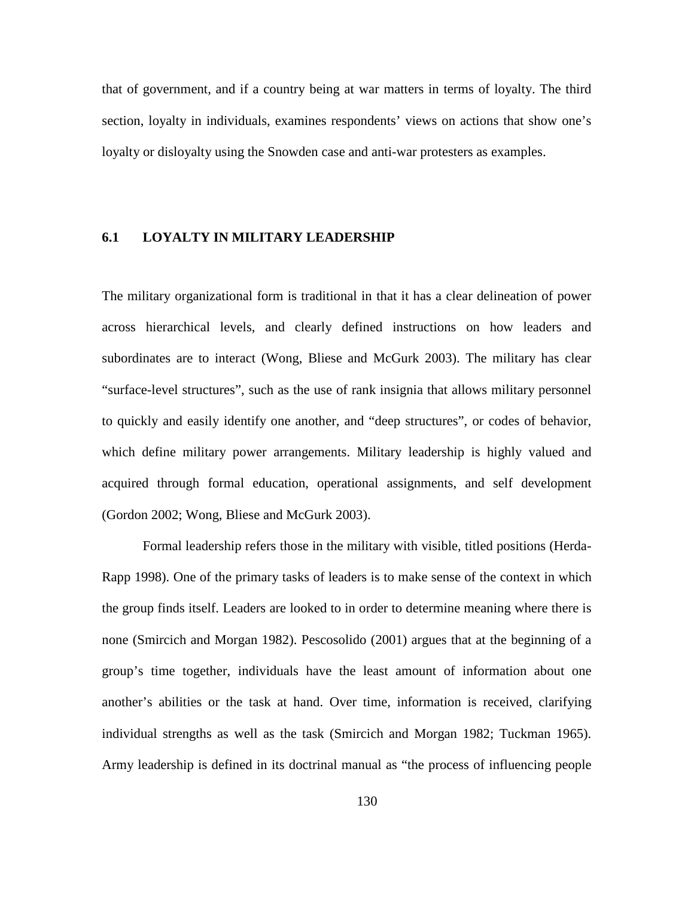that of government, and if a country being at war matters in terms of loyalty. The third section, loyalty in individuals, examines respondents' views on actions that show one's loyalty or disloyalty using the Snowden case and anti-war protesters as examples.

# **6.1 LOYALTY IN MILITARY LEADERSHIP**

The military organizational form is traditional in that it has a clear delineation of power across hierarchical levels, and clearly defined instructions on how leaders and subordinates are to interact (Wong, Bliese and McGurk 2003). The military has clear "surface-level structures", such as the use of rank insignia that allows military personnel to quickly and easily identify one another, and "deep structures", or codes of behavior, which define military power arrangements. Military leadership is highly valued and acquired through formal education, operational assignments, and self development (Gordon 2002; Wong, Bliese and McGurk 2003).

Formal leadership refers those in the military with visible, titled positions (Herda-Rapp 1998). One of the primary tasks of leaders is to make sense of the context in which the group finds itself. Leaders are looked to in order to determine meaning where there is none (Smircich and Morgan 1982). Pescosolido (2001) argues that at the beginning of a group's time together, individuals have the least amount of information about one another's abilities or the task at hand. Over time, information is received, clarifying individual strengths as well as the task (Smircich and Morgan 1982; Tuckman 1965). Army leadership is defined in its doctrinal manual as "the process of influencing people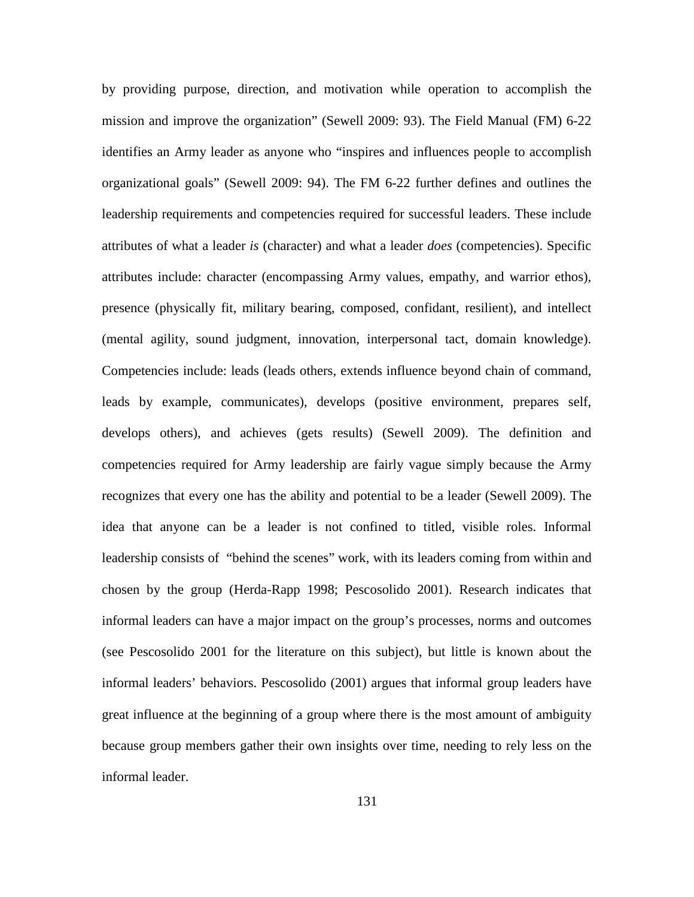by providing purpose, direction, and motivation while operation to accomplish the mission and improve the organization" (Sewell 2009: 93). The Field Manual (FM) 6-22 identifies an Army leader as anyone who "inspires and influences people to accomplish organizational goals" (Sewell 2009: 94). The FM 6-22 further defines and outlines the leadership requirements and competencies required for successful leaders. These include attributes of what a leader *is* (character) and what a leader *does* (competencies). Specific attributes include: character (encompassing Army values, empathy, and warrior ethos), presence (physically fit, military bearing, composed, confidant, resilient), and intellect (mental agility, sound judgment, innovation, interpersonal tact, domain knowledge). Competencies include: leads (leads others, extends influence beyond chain of command, leads by example, communicates), develops (positive environment, prepares self, develops others), and achieves (gets results) (Sewell 2009). The definition and competencies required for Army leadership are fairly vague simply because the Army recognizes that every one has the ability and potential to be a leader (Sewell 2009). The idea that anyone can be a leader is not confined to titled, visible roles. Informal leadership consists of "behind the scenes" work, with its leaders coming from within and chosen by the group (Herda-Rapp 1998; Pescosolido 2001). Research indicates that informal leaders can have a major impact on the group's processes, norms and outcomes (see Pescosolido 2001 for the literature on this subject), but little is known about the informal leaders' behaviors. Pescosolido (2001) argues that informal group leaders have great influence at the beginning of a group where there is the most amount of ambiguity because group members gather their own insights over time, needing to rely less on the informal leader.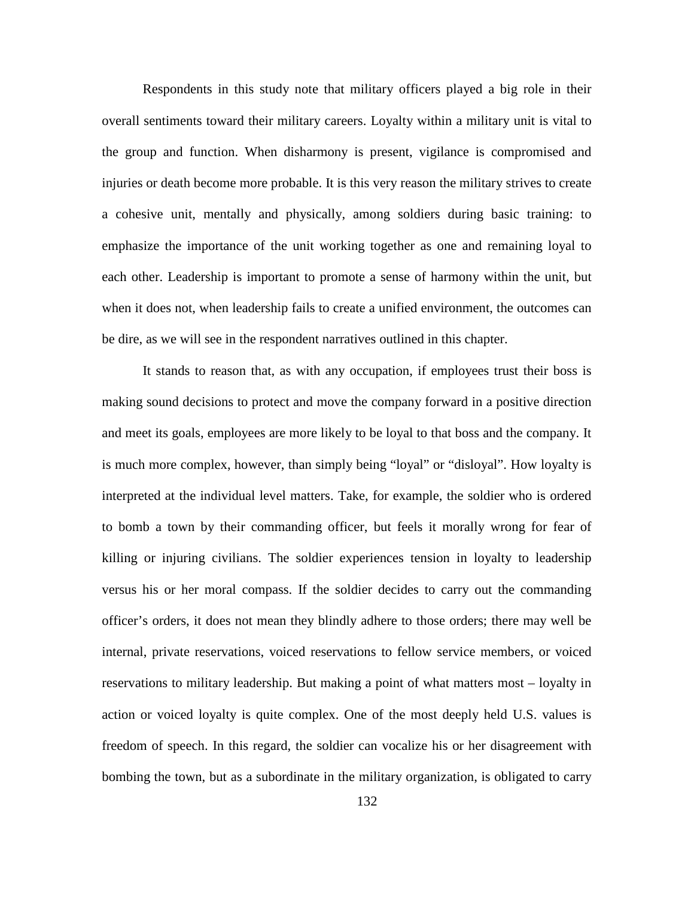Respondents in this study note that military officers played a big role in their overall sentiments toward their military careers. Loyalty within a military unit is vital to the group and function. When disharmony is present, vigilance is compromised and injuries or death become more probable. It is this very reason the military strives to create a cohesive unit, mentally and physically, among soldiers during basic training: to emphasize the importance of the unit working together as one and remaining loyal to each other. Leadership is important to promote a sense of harmony within the unit, but when it does not, when leadership fails to create a unified environment, the outcomes can be dire, as we will see in the respondent narratives outlined in this chapter.

It stands to reason that, as with any occupation, if employees trust their boss is making sound decisions to protect and move the company forward in a positive direction and meet its goals, employees are more likely to be loyal to that boss and the company. It is much more complex, however, than simply being "loyal" or "disloyal". How loyalty is interpreted at the individual level matters. Take, for example, the soldier who is ordered to bomb a town by their commanding officer, but feels it morally wrong for fear of killing or injuring civilians. The soldier experiences tension in loyalty to leadership versus his or her moral compass. If the soldier decides to carry out the commanding officer's orders, it does not mean they blindly adhere to those orders; there may well be internal, private reservations, voiced reservations to fellow service members, or voiced reservations to military leadership. But making a point of what matters most – loyalty in action or voiced loyalty is quite complex. One of the most deeply held U.S. values is freedom of speech. In this regard, the soldier can vocalize his or her disagreement with bombing the town, but as a subordinate in the military organization, is obligated to carry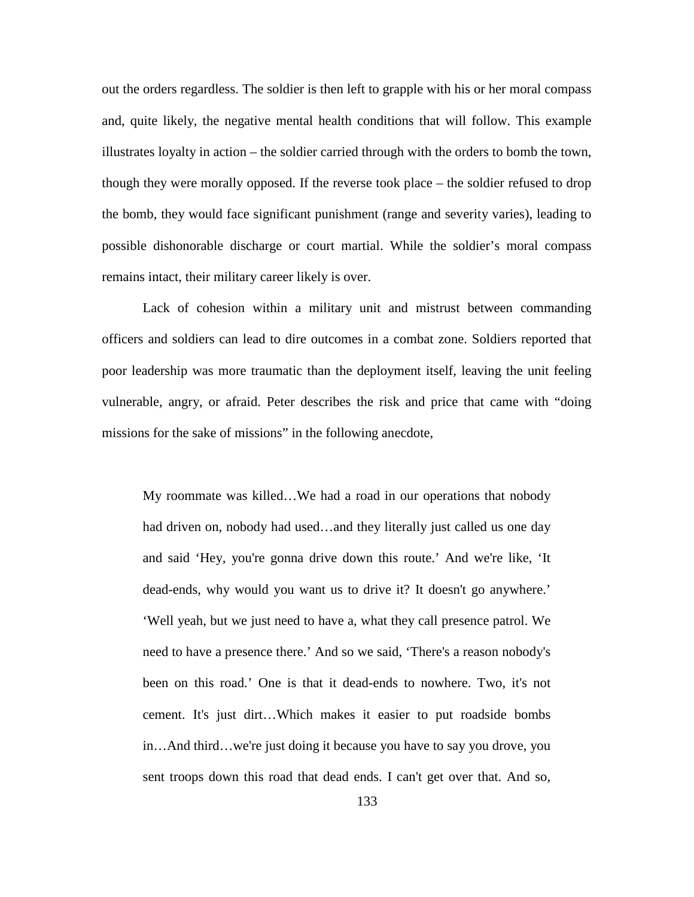out the orders regardless. The soldier is then left to grapple with his or her moral compass and, quite likely, the negative mental health conditions that will follow. This example illustrates loyalty in action – the soldier carried through with the orders to bomb the town, though they were morally opposed. If the reverse took place – the soldier refused to drop the bomb, they would face significant punishment (range and severity varies), leading to possible dishonorable discharge or court martial. While the soldier's moral compass remains intact, their military career likely is over.

Lack of cohesion within a military unit and mistrust between commanding officers and soldiers can lead to dire outcomes in a combat zone. Soldiers reported that poor leadership was more traumatic than the deployment itself, leaving the unit feeling vulnerable, angry, or afraid. Peter describes the risk and price that came with "doing missions for the sake of missions" in the following anecdote,

My roommate was killed…We had a road in our operations that nobody had driven on, nobody had used…and they literally just called us one day and said 'Hey, you're gonna drive down this route.' And we're like, 'It dead-ends, why would you want us to drive it? It doesn't go anywhere.' 'Well yeah, but we just need to have a, what they call presence patrol. We need to have a presence there.' And so we said, 'There's a reason nobody's been on this road.' One is that it dead-ends to nowhere. Two, it's not cement. It's just dirt…Which makes it easier to put roadside bombs in…And third…we're just doing it because you have to say you drove, you sent troops down this road that dead ends. I can't get over that. And so,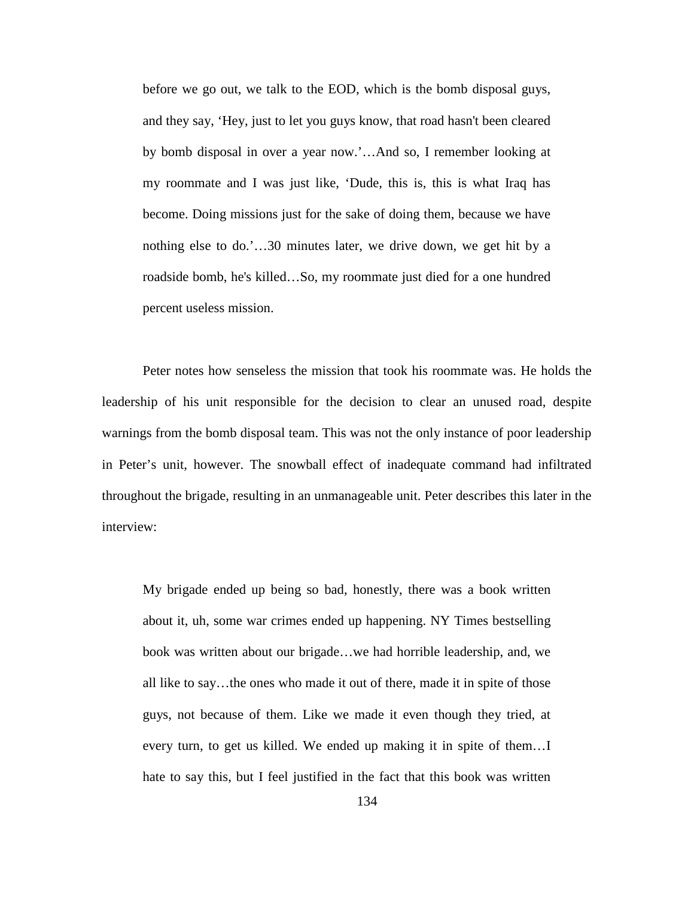before we go out, we talk to the EOD, which is the bomb disposal guys, and they say, 'Hey, just to let you guys know, that road hasn't been cleared by bomb disposal in over a year now.'…And so, I remember looking at my roommate and I was just like, 'Dude, this is, this is what Iraq has become. Doing missions just for the sake of doing them, because we have nothing else to do.'…30 minutes later, we drive down, we get hit by a roadside bomb, he's killed…So, my roommate just died for a one hundred percent useless mission.

Peter notes how senseless the mission that took his roommate was. He holds the leadership of his unit responsible for the decision to clear an unused road, despite warnings from the bomb disposal team. This was not the only instance of poor leadership in Peter's unit, however. The snowball effect of inadequate command had infiltrated throughout the brigade, resulting in an unmanageable unit. Peter describes this later in the interview:

My brigade ended up being so bad, honestly, there was a book written about it, uh, some war crimes ended up happening. NY Times bestselling book was written about our brigade…we had horrible leadership, and, we all like to say…the ones who made it out of there, made it in spite of those guys, not because of them. Like we made it even though they tried, at every turn, to get us killed. We ended up making it in spite of them…I hate to say this, but I feel justified in the fact that this book was written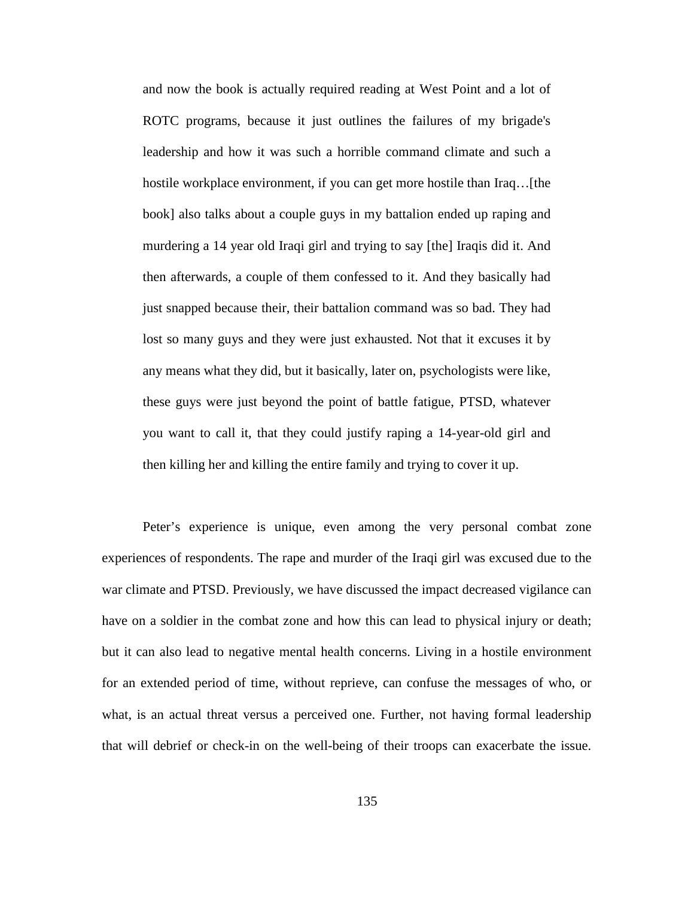and now the book is actually required reading at West Point and a lot of ROTC programs, because it just outlines the failures of my brigade's leadership and how it was such a horrible command climate and such a hostile workplace environment, if you can get more hostile than Iraq... [the book] also talks about a couple guys in my battalion ended up raping and murdering a 14 year old Iraqi girl and trying to say [the] Iraqis did it. And then afterwards, a couple of them confessed to it. And they basically had just snapped because their, their battalion command was so bad. They had lost so many guys and they were just exhausted. Not that it excuses it by any means what they did, but it basically, later on, psychologists were like, these guys were just beyond the point of battle fatigue, PTSD, whatever you want to call it, that they could justify raping a 14-year-old girl and then killing her and killing the entire family and trying to cover it up.

Peter's experience is unique, even among the very personal combat zone experiences of respondents. The rape and murder of the Iraqi girl was excused due to the war climate and PTSD. Previously, we have discussed the impact decreased vigilance can have on a soldier in the combat zone and how this can lead to physical injury or death; but it can also lead to negative mental health concerns. Living in a hostile environment for an extended period of time, without reprieve, can confuse the messages of who, or what, is an actual threat versus a perceived one. Further, not having formal leadership that will debrief or check-in on the well-being of their troops can exacerbate the issue.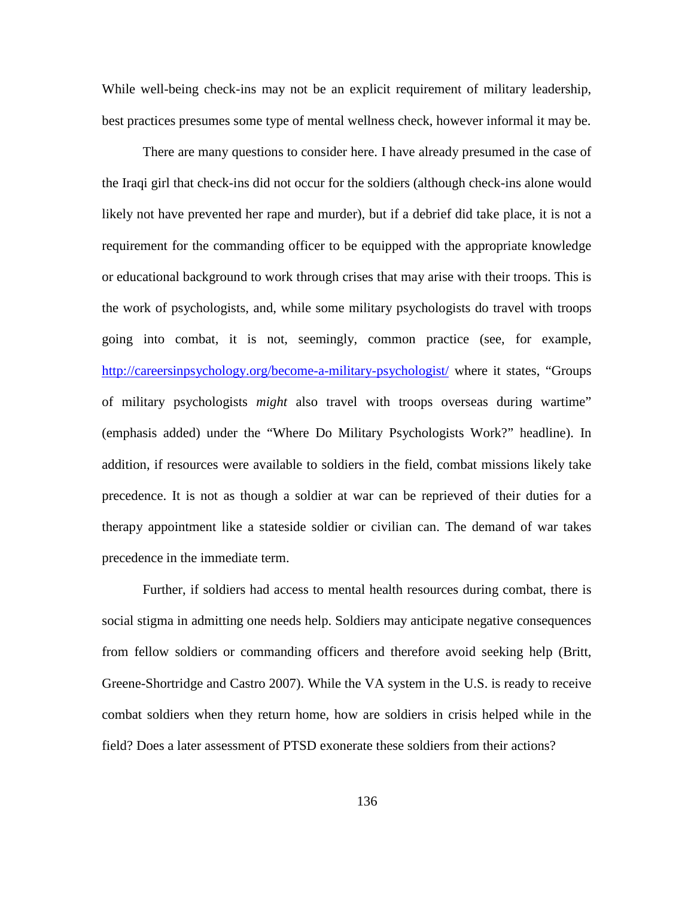While well-being check-ins may not be an explicit requirement of military leadership, best practices presumes some type of mental wellness check, however informal it may be.

There are many questions to consider here. I have already presumed in the case of the Iraqi girl that check-ins did not occur for the soldiers (although check-ins alone would likely not have prevented her rape and murder), but if a debrief did take place, it is not a requirement for the commanding officer to be equipped with the appropriate knowledge or educational background to work through crises that may arise with their troops. This is the work of psychologists, and, while some military psychologists do travel with troops going into combat, it is not, seemingly, common practice (see, for example, <http://careersinpsychology.org/become-a-military-psychologist/> where it states, "Groups of military psychologists *might* also travel with troops overseas during wartime" (emphasis added) under the "Where Do Military Psychologists Work?" headline). In addition, if resources were available to soldiers in the field, combat missions likely take precedence. It is not as though a soldier at war can be reprieved of their duties for a therapy appointment like a stateside soldier or civilian can. The demand of war takes precedence in the immediate term.

Further, if soldiers had access to mental health resources during combat, there is social stigma in admitting one needs help. Soldiers may anticipate negative consequences from fellow soldiers or commanding officers and therefore avoid seeking help (Britt, Greene-Shortridge and Castro 2007). While the VA system in the U.S. is ready to receive combat soldiers when they return home, how are soldiers in crisis helped while in the field? Does a later assessment of PTSD exonerate these soldiers from their actions?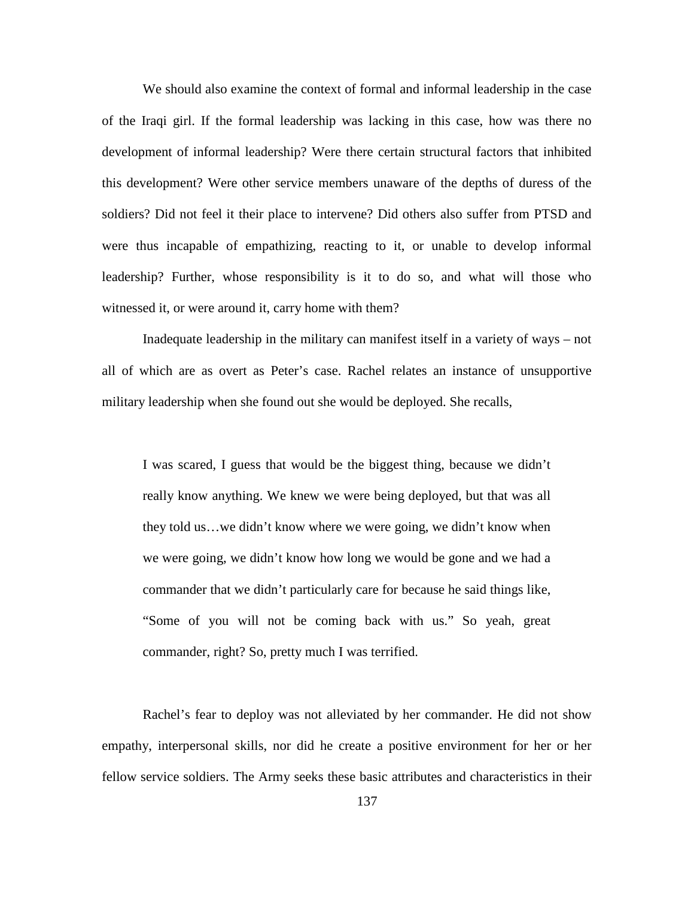We should also examine the context of formal and informal leadership in the case of the Iraqi girl. If the formal leadership was lacking in this case, how was there no development of informal leadership? Were there certain structural factors that inhibited this development? Were other service members unaware of the depths of duress of the soldiers? Did not feel it their place to intervene? Did others also suffer from PTSD and were thus incapable of empathizing, reacting to it, or unable to develop informal leadership? Further, whose responsibility is it to do so, and what will those who witnessed it, or were around it, carry home with them?

Inadequate leadership in the military can manifest itself in a variety of ways – not all of which are as overt as Peter's case. Rachel relates an instance of unsupportive military leadership when she found out she would be deployed. She recalls,

I was scared, I guess that would be the biggest thing, because we didn't really know anything. We knew we were being deployed, but that was all they told us…we didn't know where we were going, we didn't know when we were going, we didn't know how long we would be gone and we had a commander that we didn't particularly care for because he said things like, "Some of you will not be coming back with us." So yeah, great commander, right? So, pretty much I was terrified.

Rachel's fear to deploy was not alleviated by her commander. He did not show empathy, interpersonal skills, nor did he create a positive environment for her or her fellow service soldiers. The Army seeks these basic attributes and characteristics in their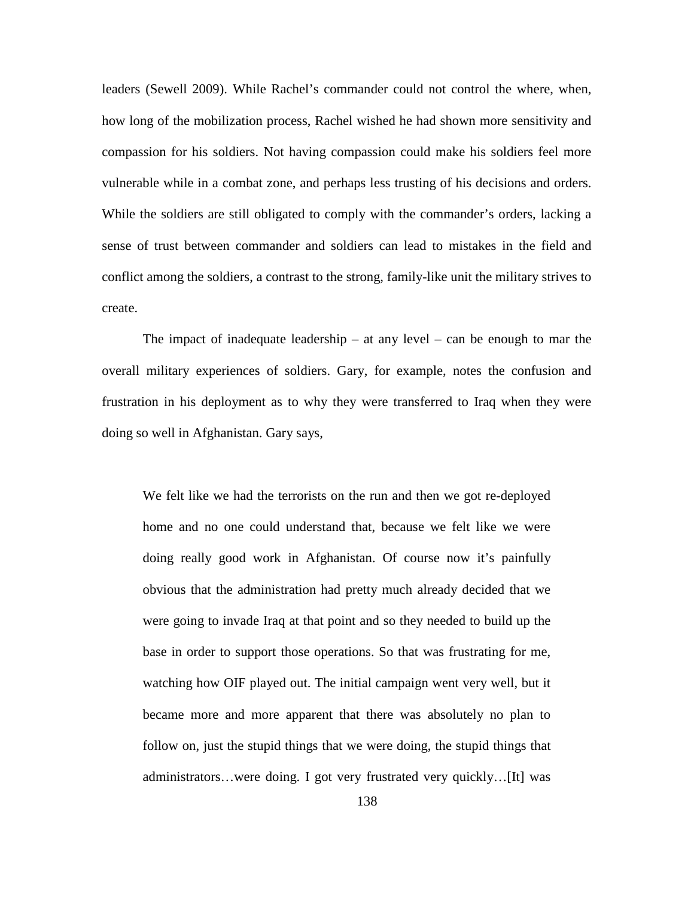leaders (Sewell 2009). While Rachel's commander could not control the where, when, how long of the mobilization process, Rachel wished he had shown more sensitivity and compassion for his soldiers. Not having compassion could make his soldiers feel more vulnerable while in a combat zone, and perhaps less trusting of his decisions and orders. While the soldiers are still obligated to comply with the commander's orders, lacking a sense of trust between commander and soldiers can lead to mistakes in the field and conflict among the soldiers, a contrast to the strong, family-like unit the military strives to create.

The impact of inadequate leadership – at any level – can be enough to mar the overall military experiences of soldiers. Gary, for example, notes the confusion and frustration in his deployment as to why they were transferred to Iraq when they were doing so well in Afghanistan. Gary says,

We felt like we had the terrorists on the run and then we got re-deployed home and no one could understand that, because we felt like we were doing really good work in Afghanistan. Of course now it's painfully obvious that the administration had pretty much already decided that we were going to invade Iraq at that point and so they needed to build up the base in order to support those operations. So that was frustrating for me, watching how OIF played out. The initial campaign went very well, but it became more and more apparent that there was absolutely no plan to follow on, just the stupid things that we were doing, the stupid things that administrators…were doing. I got very frustrated very quickly…[It] was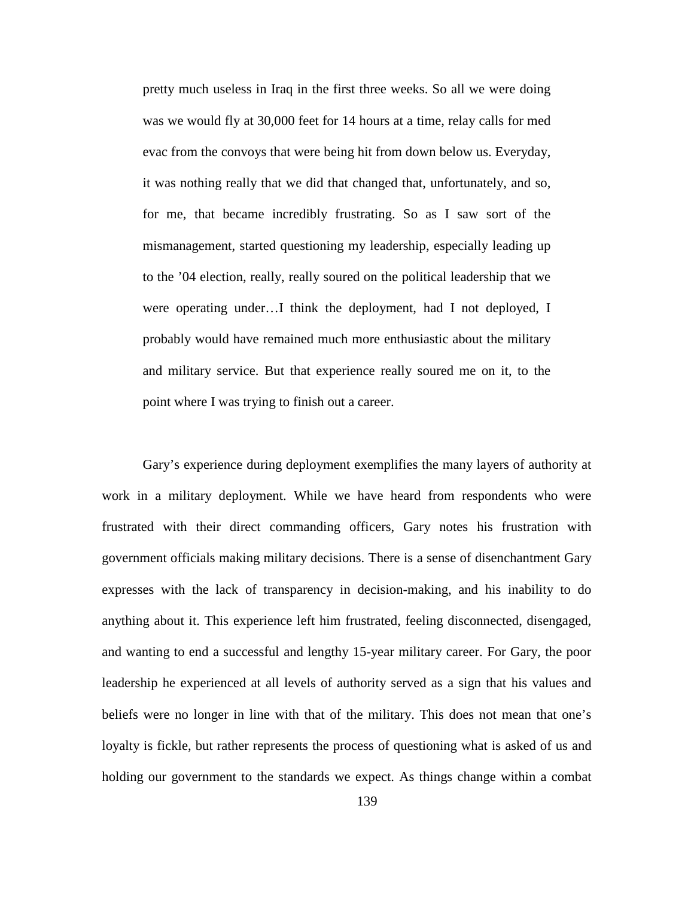pretty much useless in Iraq in the first three weeks. So all we were doing was we would fly at 30,000 feet for 14 hours at a time, relay calls for med evac from the convoys that were being hit from down below us. Everyday, it was nothing really that we did that changed that, unfortunately, and so, for me, that became incredibly frustrating. So as I saw sort of the mismanagement, started questioning my leadership, especially leading up to the '04 election, really, really soured on the political leadership that we were operating under…I think the deployment, had I not deployed, I probably would have remained much more enthusiastic about the military and military service. But that experience really soured me on it, to the point where I was trying to finish out a career.

Gary's experience during deployment exemplifies the many layers of authority at work in a military deployment. While we have heard from respondents who were frustrated with their direct commanding officers, Gary notes his frustration with government officials making military decisions. There is a sense of disenchantment Gary expresses with the lack of transparency in decision-making, and his inability to do anything about it. This experience left him frustrated, feeling disconnected, disengaged, and wanting to end a successful and lengthy 15-year military career. For Gary, the poor leadership he experienced at all levels of authority served as a sign that his values and beliefs were no longer in line with that of the military. This does not mean that one's loyalty is fickle, but rather represents the process of questioning what is asked of us and holding our government to the standards we expect. As things change within a combat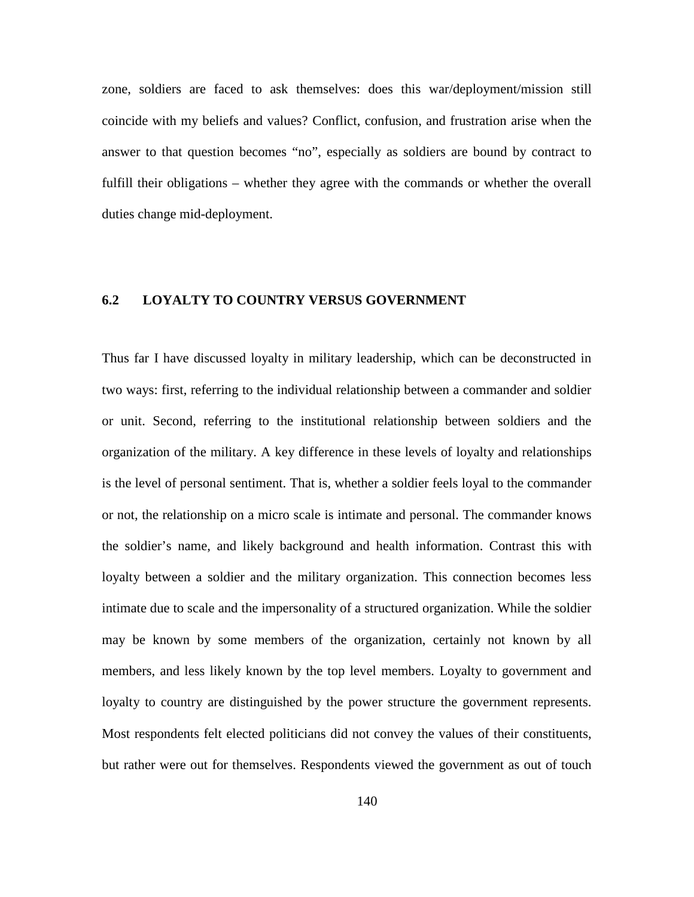zone, soldiers are faced to ask themselves: does this war/deployment/mission still coincide with my beliefs and values? Conflict, confusion, and frustration arise when the answer to that question becomes "no", especially as soldiers are bound by contract to fulfill their obligations – whether they agree with the commands or whether the overall duties change mid-deployment.

# **6.2 LOYALTY TO COUNTRY VERSUS GOVERNMENT**

Thus far I have discussed loyalty in military leadership, which can be deconstructed in two ways: first, referring to the individual relationship between a commander and soldier or unit. Second, referring to the institutional relationship between soldiers and the organization of the military. A key difference in these levels of loyalty and relationships is the level of personal sentiment. That is, whether a soldier feels loyal to the commander or not, the relationship on a micro scale is intimate and personal. The commander knows the soldier's name, and likely background and health information. Contrast this with loyalty between a soldier and the military organization. This connection becomes less intimate due to scale and the impersonality of a structured organization. While the soldier may be known by some members of the organization, certainly not known by all members, and less likely known by the top level members. Loyalty to government and loyalty to country are distinguished by the power structure the government represents. Most respondents felt elected politicians did not convey the values of their constituents, but rather were out for themselves. Respondents viewed the government as out of touch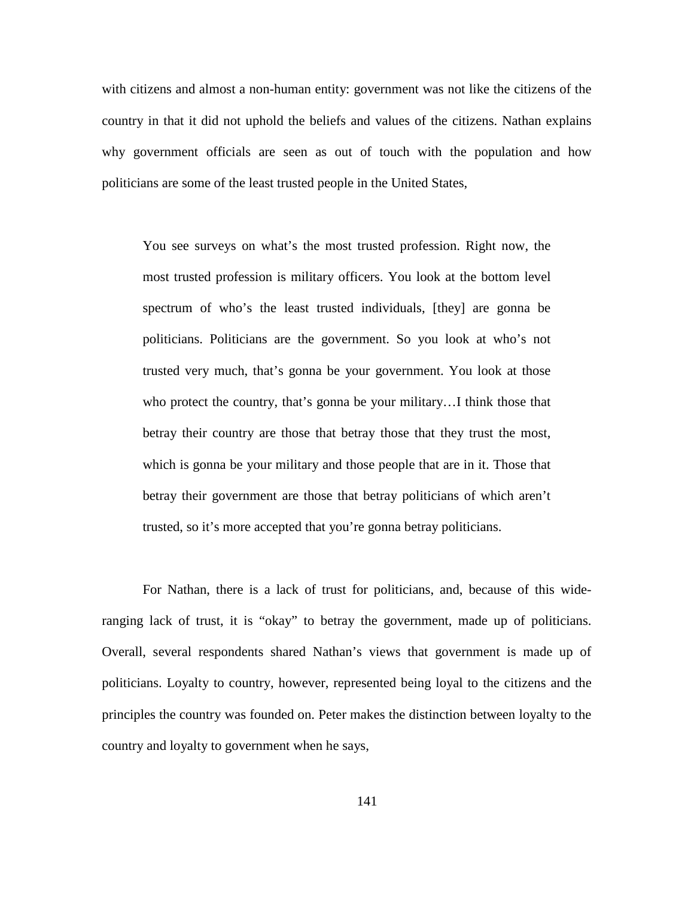with citizens and almost a non-human entity: government was not like the citizens of the country in that it did not uphold the beliefs and values of the citizens. Nathan explains why government officials are seen as out of touch with the population and how politicians are some of the least trusted people in the United States,

You see surveys on what's the most trusted profession. Right now, the most trusted profession is military officers. You look at the bottom level spectrum of who's the least trusted individuals, [they] are gonna be politicians. Politicians are the government. So you look at who's not trusted very much, that's gonna be your government. You look at those who protect the country, that's gonna be your military...I think those that betray their country are those that betray those that they trust the most, which is gonna be your military and those people that are in it. Those that betray their government are those that betray politicians of which aren't trusted, so it's more accepted that you're gonna betray politicians.

For Nathan, there is a lack of trust for politicians, and, because of this wideranging lack of trust, it is "okay" to betray the government, made up of politicians. Overall, several respondents shared Nathan's views that government is made up of politicians. Loyalty to country, however, represented being loyal to the citizens and the principles the country was founded on. Peter makes the distinction between loyalty to the country and loyalty to government when he says,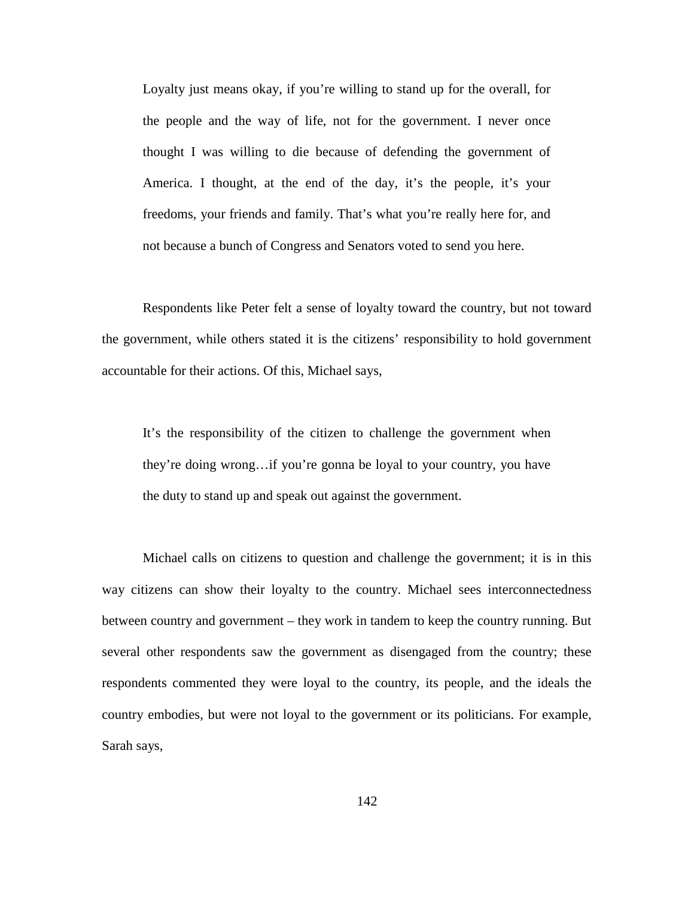Loyalty just means okay, if you're willing to stand up for the overall, for the people and the way of life, not for the government. I never once thought I was willing to die because of defending the government of America. I thought, at the end of the day, it's the people, it's your freedoms, your friends and family. That's what you're really here for, and not because a bunch of Congress and Senators voted to send you here.

Respondents like Peter felt a sense of loyalty toward the country, but not toward the government, while others stated it is the citizens' responsibility to hold government accountable for their actions. Of this, Michael says,

It's the responsibility of the citizen to challenge the government when they're doing wrong…if you're gonna be loyal to your country, you have the duty to stand up and speak out against the government.

Michael calls on citizens to question and challenge the government; it is in this way citizens can show their loyalty to the country. Michael sees interconnectedness between country and government – they work in tandem to keep the country running. But several other respondents saw the government as disengaged from the country; these respondents commented they were loyal to the country, its people, and the ideals the country embodies, but were not loyal to the government or its politicians. For example, Sarah says,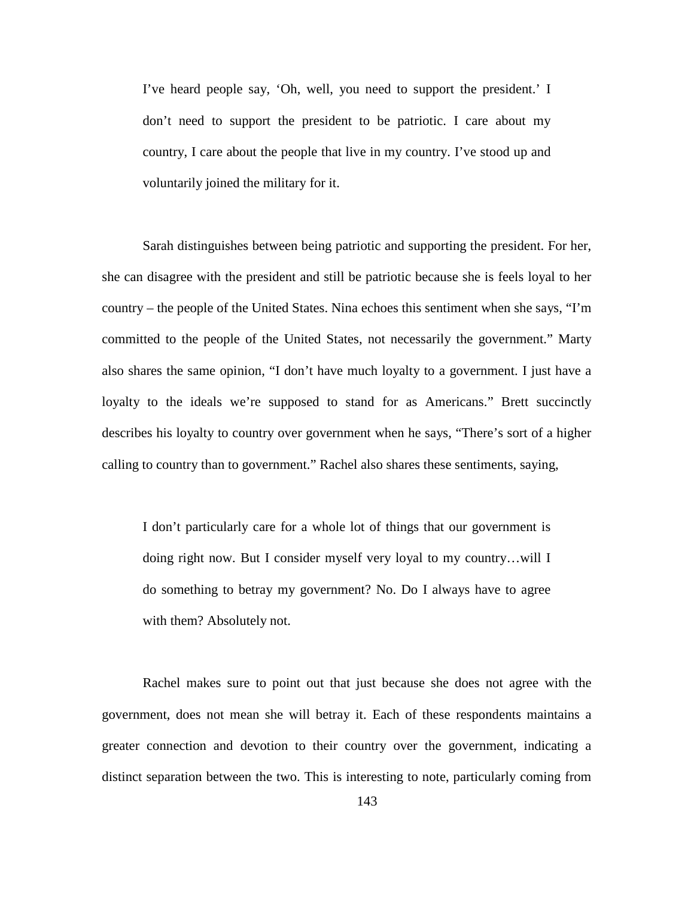I've heard people say, 'Oh, well, you need to support the president.' I don't need to support the president to be patriotic. I care about my country, I care about the people that live in my country. I've stood up and voluntarily joined the military for it.

Sarah distinguishes between being patriotic and supporting the president. For her, she can disagree with the president and still be patriotic because she is feels loyal to her country – the people of the United States. Nina echoes this sentiment when she says, "I'm committed to the people of the United States, not necessarily the government." Marty also shares the same opinion, "I don't have much loyalty to a government. I just have a loyalty to the ideals we're supposed to stand for as Americans." Brett succinctly describes his loyalty to country over government when he says, "There's sort of a higher calling to country than to government." Rachel also shares these sentiments, saying,

I don't particularly care for a whole lot of things that our government is doing right now. But I consider myself very loyal to my country…will I do something to betray my government? No. Do I always have to agree with them? Absolutely not.

Rachel makes sure to point out that just because she does not agree with the government, does not mean she will betray it. Each of these respondents maintains a greater connection and devotion to their country over the government, indicating a distinct separation between the two. This is interesting to note, particularly coming from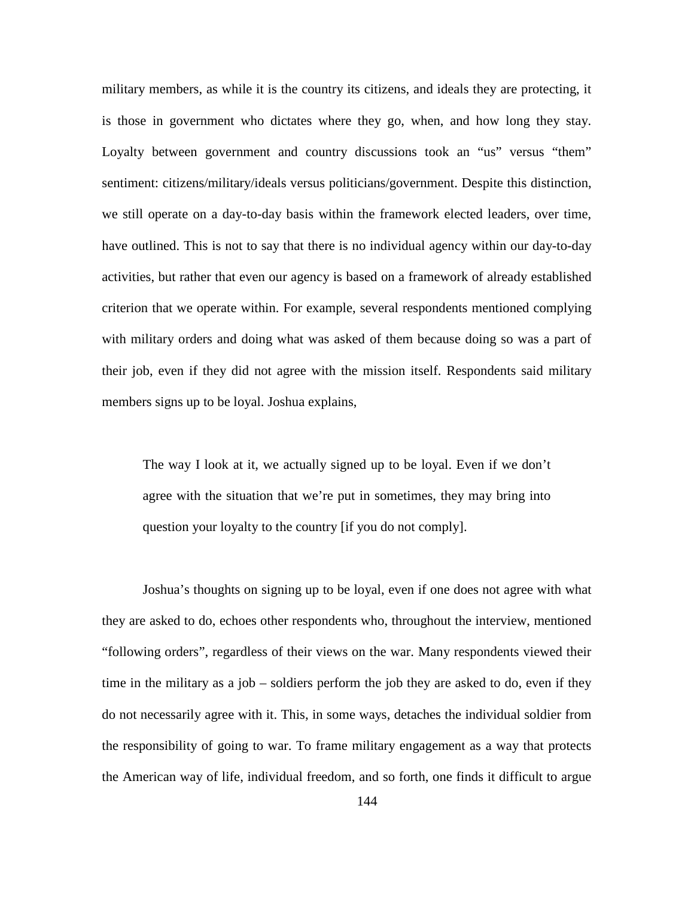military members, as while it is the country its citizens, and ideals they are protecting, it is those in government who dictates where they go, when, and how long they stay. Loyalty between government and country discussions took an "us" versus "them" sentiment: citizens/military/ideals versus politicians/government. Despite this distinction, we still operate on a day-to-day basis within the framework elected leaders, over time, have outlined. This is not to say that there is no individual agency within our day-to-day activities, but rather that even our agency is based on a framework of already established criterion that we operate within. For example, several respondents mentioned complying with military orders and doing what was asked of them because doing so was a part of their job, even if they did not agree with the mission itself. Respondents said military members signs up to be loyal. Joshua explains,

The way I look at it, we actually signed up to be loyal. Even if we don't agree with the situation that we're put in sometimes, they may bring into question your loyalty to the country [if you do not comply].

Joshua's thoughts on signing up to be loyal, even if one does not agree with what they are asked to do, echoes other respondents who, throughout the interview, mentioned "following orders", regardless of their views on the war. Many respondents viewed their time in the military as a job – soldiers perform the job they are asked to do, even if they do not necessarily agree with it. This, in some ways, detaches the individual soldier from the responsibility of going to war. To frame military engagement as a way that protects the American way of life, individual freedom, and so forth, one finds it difficult to argue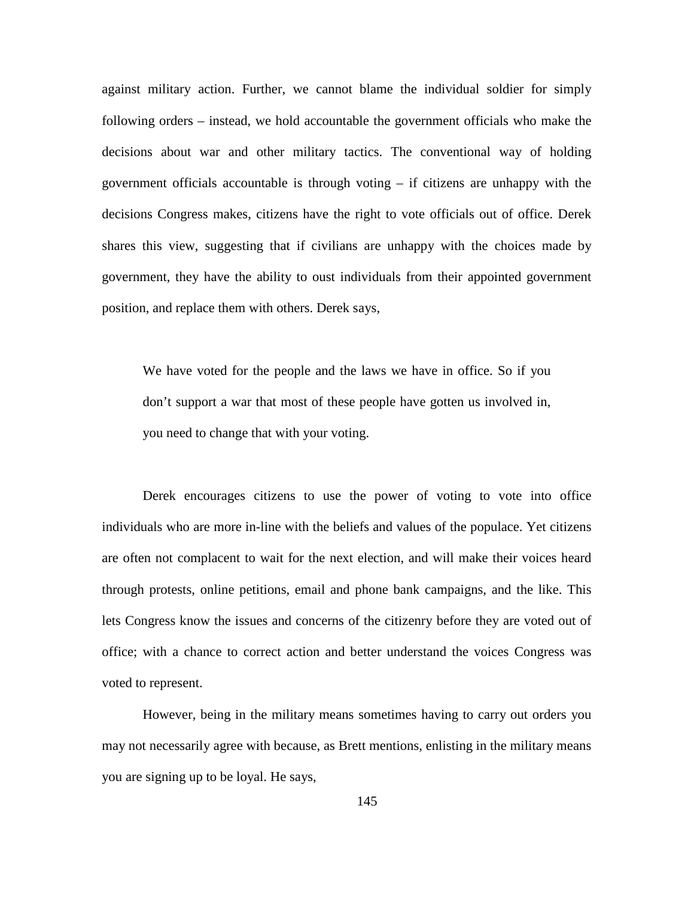against military action. Further, we cannot blame the individual soldier for simply following orders – instead, we hold accountable the government officials who make the decisions about war and other military tactics. The conventional way of holding government officials accountable is through voting  $-$  if citizens are unhappy with the decisions Congress makes, citizens have the right to vote officials out of office. Derek shares this view, suggesting that if civilians are unhappy with the choices made by government, they have the ability to oust individuals from their appointed government position, and replace them with others. Derek says,

We have voted for the people and the laws we have in office. So if you don't support a war that most of these people have gotten us involved in, you need to change that with your voting.

Derek encourages citizens to use the power of voting to vote into office individuals who are more in-line with the beliefs and values of the populace. Yet citizens are often not complacent to wait for the next election, and will make their voices heard through protests, online petitions, email and phone bank campaigns, and the like. This lets Congress know the issues and concerns of the citizenry before they are voted out of office; with a chance to correct action and better understand the voices Congress was voted to represent.

However, being in the military means sometimes having to carry out orders you may not necessarily agree with because, as Brett mentions, enlisting in the military means you are signing up to be loyal. He says,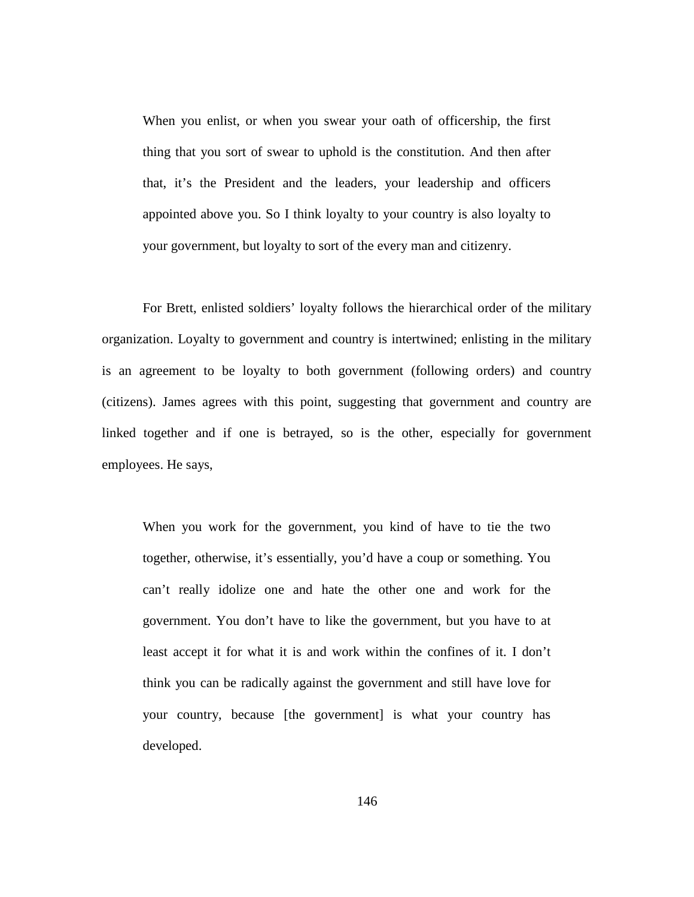When you enlist, or when you swear your oath of officership, the first thing that you sort of swear to uphold is the constitution. And then after that, it's the President and the leaders, your leadership and officers appointed above you. So I think loyalty to your country is also loyalty to your government, but loyalty to sort of the every man and citizenry.

For Brett, enlisted soldiers' loyalty follows the hierarchical order of the military organization. Loyalty to government and country is intertwined; enlisting in the military is an agreement to be loyalty to both government (following orders) and country (citizens). James agrees with this point, suggesting that government and country are linked together and if one is betrayed, so is the other, especially for government employees. He says,

When you work for the government, you kind of have to tie the two together, otherwise, it's essentially, you'd have a coup or something. You can't really idolize one and hate the other one and work for the government. You don't have to like the government, but you have to at least accept it for what it is and work within the confines of it. I don't think you can be radically against the government and still have love for your country, because [the government] is what your country has developed.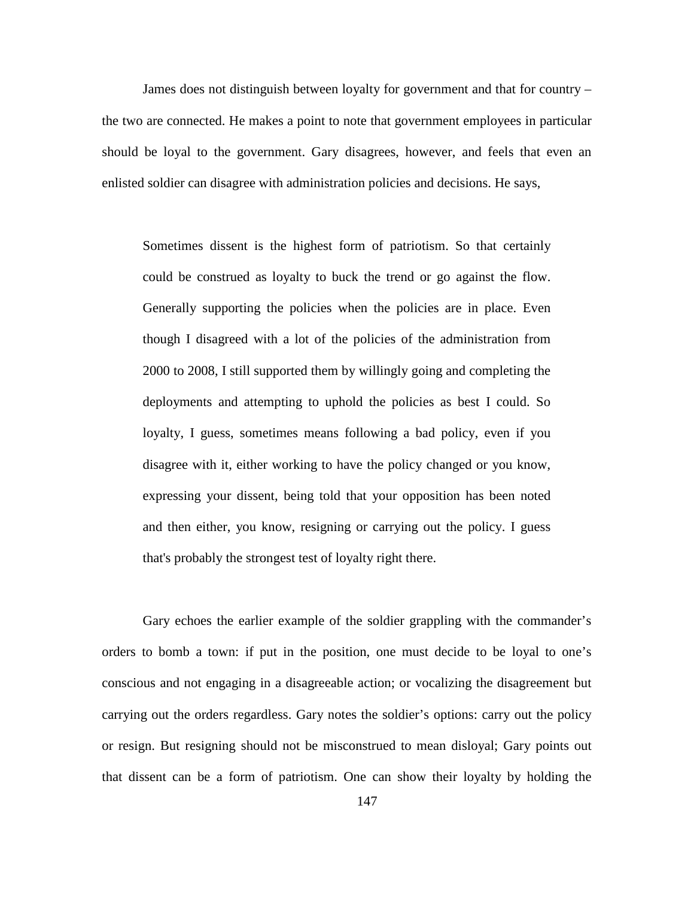James does not distinguish between loyalty for government and that for country – the two are connected. He makes a point to note that government employees in particular should be loyal to the government. Gary disagrees, however, and feels that even an enlisted soldier can disagree with administration policies and decisions. He says,

Sometimes dissent is the highest form of patriotism. So that certainly could be construed as loyalty to buck the trend or go against the flow. Generally supporting the policies when the policies are in place. Even though I disagreed with a lot of the policies of the administration from 2000 to 2008, I still supported them by willingly going and completing the deployments and attempting to uphold the policies as best I could. So loyalty, I guess, sometimes means following a bad policy, even if you disagree with it, either working to have the policy changed or you know, expressing your dissent, being told that your opposition has been noted and then either, you know, resigning or carrying out the policy. I guess that's probably the strongest test of loyalty right there.

Gary echoes the earlier example of the soldier grappling with the commander's orders to bomb a town: if put in the position, one must decide to be loyal to one's conscious and not engaging in a disagreeable action; or vocalizing the disagreement but carrying out the orders regardless. Gary notes the soldier's options: carry out the policy or resign. But resigning should not be misconstrued to mean disloyal; Gary points out that dissent can be a form of patriotism. One can show their loyalty by holding the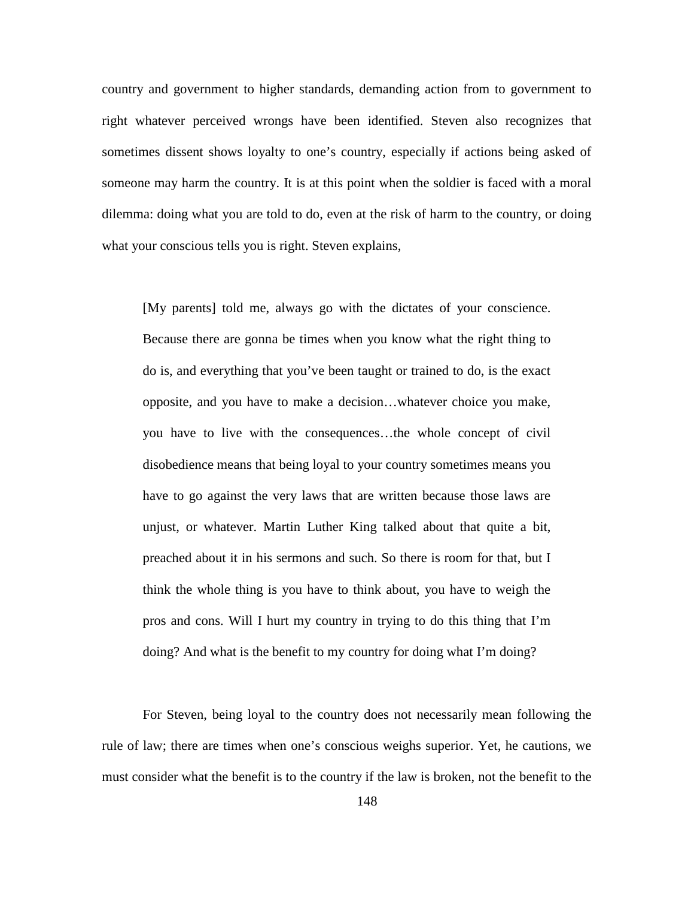country and government to higher standards, demanding action from to government to right whatever perceived wrongs have been identified. Steven also recognizes that sometimes dissent shows loyalty to one's country, especially if actions being asked of someone may harm the country. It is at this point when the soldier is faced with a moral dilemma: doing what you are told to do, even at the risk of harm to the country, or doing what your conscious tells you is right. Steven explains,

[My parents] told me, always go with the dictates of your conscience. Because there are gonna be times when you know what the right thing to do is, and everything that you've been taught or trained to do, is the exact opposite, and you have to make a decision…whatever choice you make, you have to live with the consequences…the whole concept of civil disobedience means that being loyal to your country sometimes means you have to go against the very laws that are written because those laws are unjust, or whatever. Martin Luther King talked about that quite a bit, preached about it in his sermons and such. So there is room for that, but I think the whole thing is you have to think about, you have to weigh the pros and cons. Will I hurt my country in trying to do this thing that I'm doing? And what is the benefit to my country for doing what I'm doing?

For Steven, being loyal to the country does not necessarily mean following the rule of law; there are times when one's conscious weighs superior. Yet, he cautions, we must consider what the benefit is to the country if the law is broken, not the benefit to the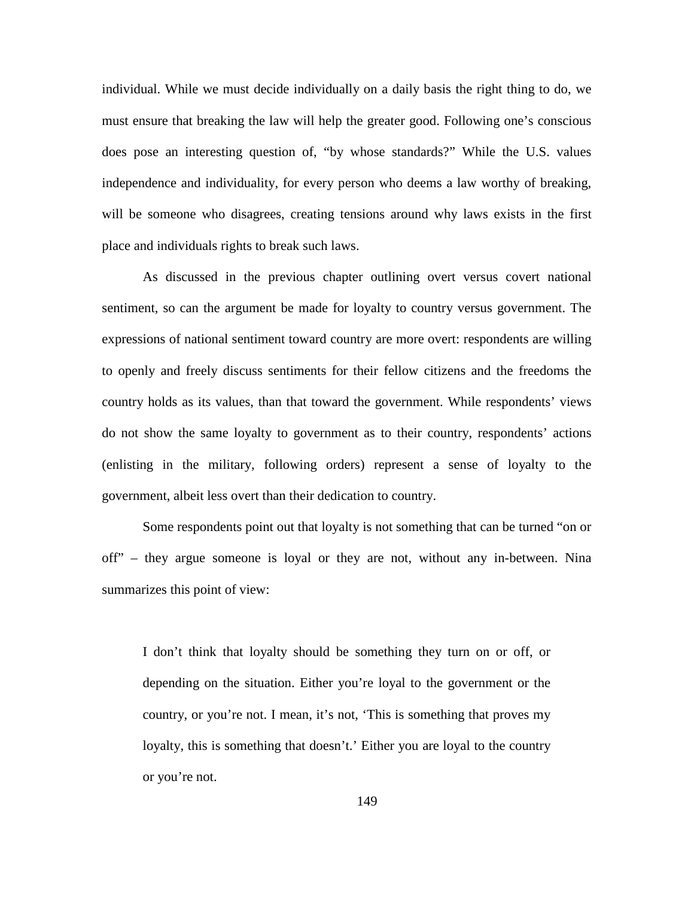individual. While we must decide individually on a daily basis the right thing to do, we must ensure that breaking the law will help the greater good. Following one's conscious does pose an interesting question of, "by whose standards?" While the U.S. values independence and individuality, for every person who deems a law worthy of breaking, will be someone who disagrees, creating tensions around why laws exists in the first place and individuals rights to break such laws.

As discussed in the previous chapter outlining overt versus covert national sentiment, so can the argument be made for loyalty to country versus government. The expressions of national sentiment toward country are more overt: respondents are willing to openly and freely discuss sentiments for their fellow citizens and the freedoms the country holds as its values, than that toward the government. While respondents' views do not show the same loyalty to government as to their country, respondents' actions (enlisting in the military, following orders) represent a sense of loyalty to the government, albeit less overt than their dedication to country.

Some respondents point out that loyalty is not something that can be turned "on or off" – they argue someone is loyal or they are not, without any in-between. Nina summarizes this point of view:

I don't think that loyalty should be something they turn on or off, or depending on the situation. Either you're loyal to the government or the country, or you're not. I mean, it's not, 'This is something that proves my loyalty, this is something that doesn't.' Either you are loyal to the country or you're not.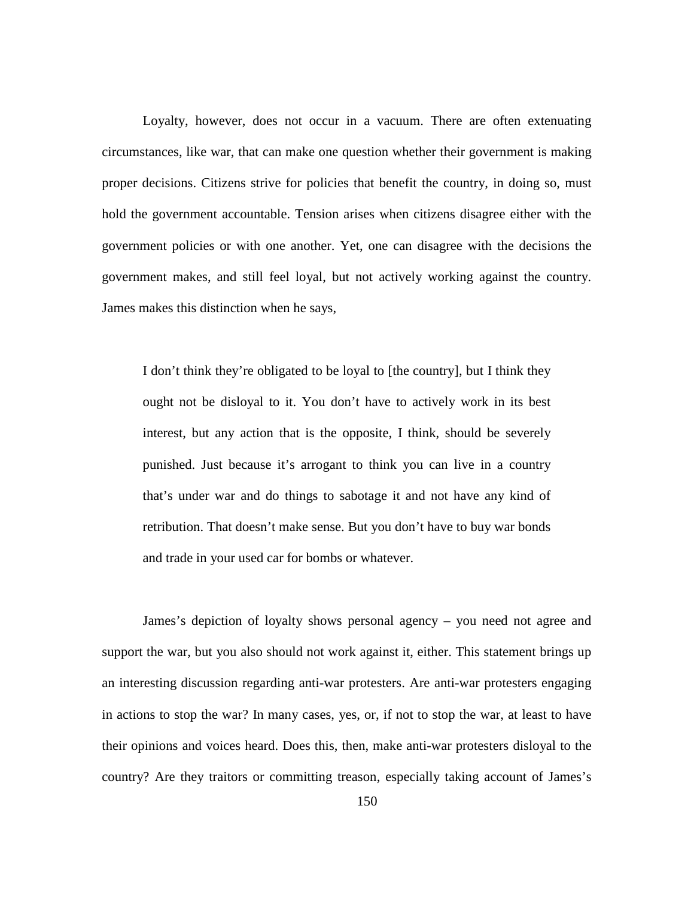Loyalty, however, does not occur in a vacuum. There are often extenuating circumstances, like war, that can make one question whether their government is making proper decisions. Citizens strive for policies that benefit the country, in doing so, must hold the government accountable. Tension arises when citizens disagree either with the government policies or with one another. Yet, one can disagree with the decisions the government makes, and still feel loyal, but not actively working against the country. James makes this distinction when he says,

I don't think they're obligated to be loyal to [the country], but I think they ought not be disloyal to it. You don't have to actively work in its best interest, but any action that is the opposite, I think, should be severely punished. Just because it's arrogant to think you can live in a country that's under war and do things to sabotage it and not have any kind of retribution. That doesn't make sense. But you don't have to buy war bonds and trade in your used car for bombs or whatever.

James's depiction of loyalty shows personal agency – you need not agree and support the war, but you also should not work against it, either. This statement brings up an interesting discussion regarding anti-war protesters. Are anti-war protesters engaging in actions to stop the war? In many cases, yes, or, if not to stop the war, at least to have their opinions and voices heard. Does this, then, make anti-war protesters disloyal to the country? Are they traitors or committing treason, especially taking account of James's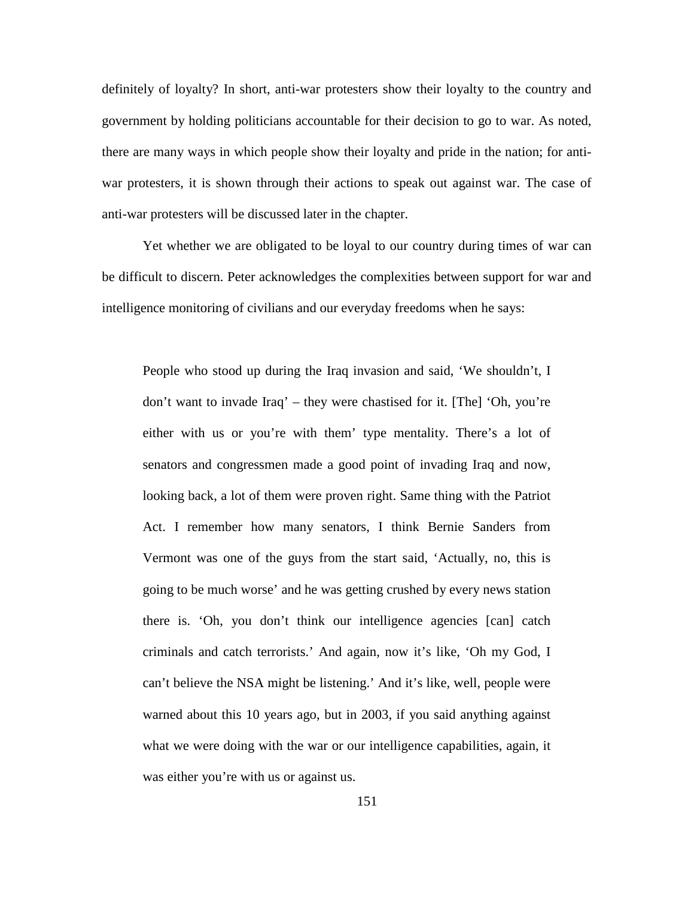definitely of loyalty? In short, anti-war protesters show their loyalty to the country and government by holding politicians accountable for their decision to go to war. As noted, there are many ways in which people show their loyalty and pride in the nation; for antiwar protesters, it is shown through their actions to speak out against war. The case of anti-war protesters will be discussed later in the chapter.

Yet whether we are obligated to be loyal to our country during times of war can be difficult to discern. Peter acknowledges the complexities between support for war and intelligence monitoring of civilians and our everyday freedoms when he says:

People who stood up during the Iraq invasion and said, 'We shouldn't, I don't want to invade Iraq' – they were chastised for it. [The] 'Oh, you're either with us or you're with them' type mentality. There's a lot of senators and congressmen made a good point of invading Iraq and now, looking back, a lot of them were proven right. Same thing with the Patriot Act. I remember how many senators, I think Bernie Sanders from Vermont was one of the guys from the start said, 'Actually, no, this is going to be much worse' and he was getting crushed by every news station there is. 'Oh, you don't think our intelligence agencies [can] catch criminals and catch terrorists.' And again, now it's like, 'Oh my God, I can't believe the NSA might be listening.' And it's like, well, people were warned about this 10 years ago, but in 2003, if you said anything against what we were doing with the war or our intelligence capabilities, again, it was either you're with us or against us.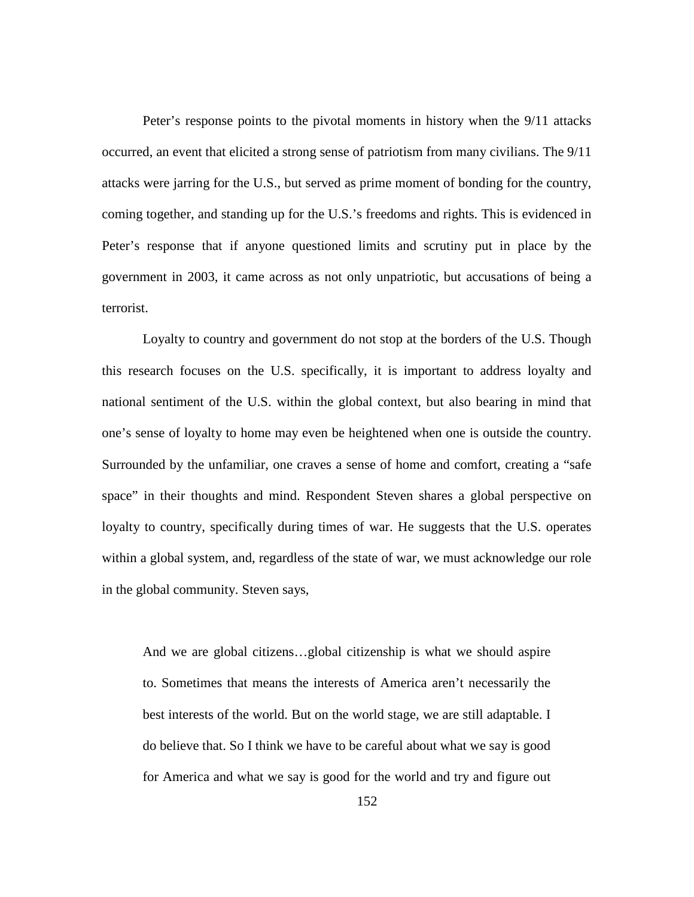Peter's response points to the pivotal moments in history when the 9/11 attacks occurred, an event that elicited a strong sense of patriotism from many civilians. The 9/11 attacks were jarring for the U.S., but served as prime moment of bonding for the country, coming together, and standing up for the U.S.'s freedoms and rights. This is evidenced in Peter's response that if anyone questioned limits and scrutiny put in place by the government in 2003, it came across as not only unpatriotic, but accusations of being a terrorist.

Loyalty to country and government do not stop at the borders of the U.S. Though this research focuses on the U.S. specifically, it is important to address loyalty and national sentiment of the U.S. within the global context, but also bearing in mind that one's sense of loyalty to home may even be heightened when one is outside the country. Surrounded by the unfamiliar, one craves a sense of home and comfort, creating a "safe space" in their thoughts and mind. Respondent Steven shares a global perspective on loyalty to country, specifically during times of war. He suggests that the U.S. operates within a global system, and, regardless of the state of war, we must acknowledge our role in the global community. Steven says,

And we are global citizens…global citizenship is what we should aspire to. Sometimes that means the interests of America aren't necessarily the best interests of the world. But on the world stage, we are still adaptable. I do believe that. So I think we have to be careful about what we say is good for America and what we say is good for the world and try and figure out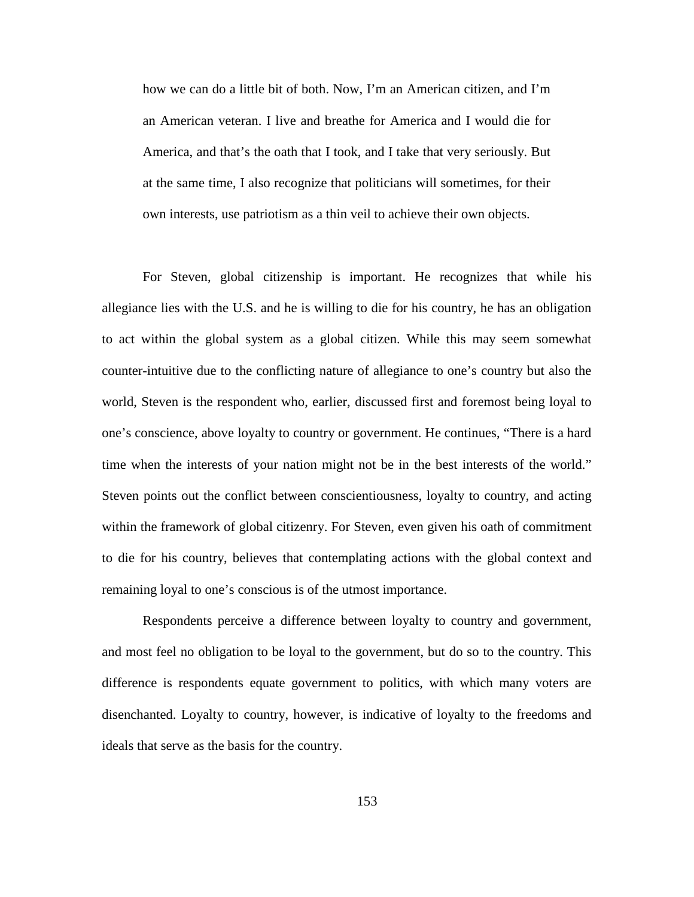how we can do a little bit of both. Now, I'm an American citizen, and I'm an American veteran. I live and breathe for America and I would die for America, and that's the oath that I took, and I take that very seriously. But at the same time, I also recognize that politicians will sometimes, for their own interests, use patriotism as a thin veil to achieve their own objects.

For Steven, global citizenship is important. He recognizes that while his allegiance lies with the U.S. and he is willing to die for his country, he has an obligation to act within the global system as a global citizen. While this may seem somewhat counter-intuitive due to the conflicting nature of allegiance to one's country but also the world, Steven is the respondent who, earlier, discussed first and foremost being loyal to one's conscience, above loyalty to country or government. He continues, "There is a hard time when the interests of your nation might not be in the best interests of the world." Steven points out the conflict between conscientiousness, loyalty to country, and acting within the framework of global citizenry. For Steven, even given his oath of commitment to die for his country, believes that contemplating actions with the global context and remaining loyal to one's conscious is of the utmost importance.

Respondents perceive a difference between loyalty to country and government, and most feel no obligation to be loyal to the government, but do so to the country. This difference is respondents equate government to politics, with which many voters are disenchanted. Loyalty to country, however, is indicative of loyalty to the freedoms and ideals that serve as the basis for the country.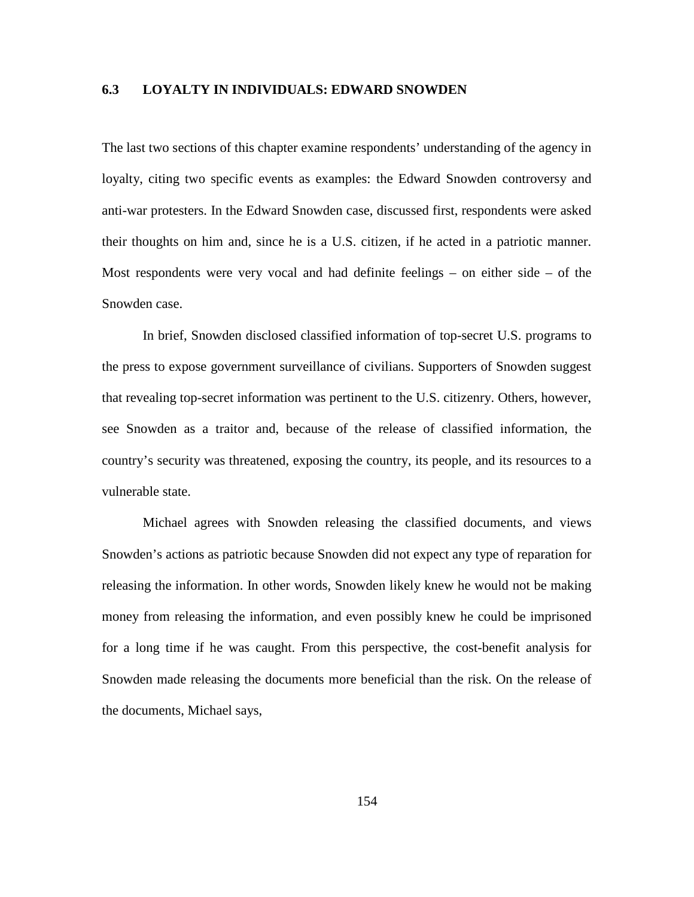### **6.3 LOYALTY IN INDIVIDUALS: EDWARD SNOWDEN**

The last two sections of this chapter examine respondents' understanding of the agency in loyalty, citing two specific events as examples: the Edward Snowden controversy and anti-war protesters. In the Edward Snowden case, discussed first, respondents were asked their thoughts on him and, since he is a U.S. citizen, if he acted in a patriotic manner. Most respondents were very vocal and had definite feelings – on either side – of the Snowden case.

In brief, Snowden disclosed classified information of top-secret U.S. programs to the press to expose government surveillance of civilians. Supporters of Snowden suggest that revealing top-secret information was pertinent to the U.S. citizenry. Others, however, see Snowden as a traitor and, because of the release of classified information, the country's security was threatened, exposing the country, its people, and its resources to a vulnerable state.

Michael agrees with Snowden releasing the classified documents, and views Snowden's actions as patriotic because Snowden did not expect any type of reparation for releasing the information. In other words, Snowden likely knew he would not be making money from releasing the information, and even possibly knew he could be imprisoned for a long time if he was caught. From this perspective, the cost-benefit analysis for Snowden made releasing the documents more beneficial than the risk. On the release of the documents, Michael says,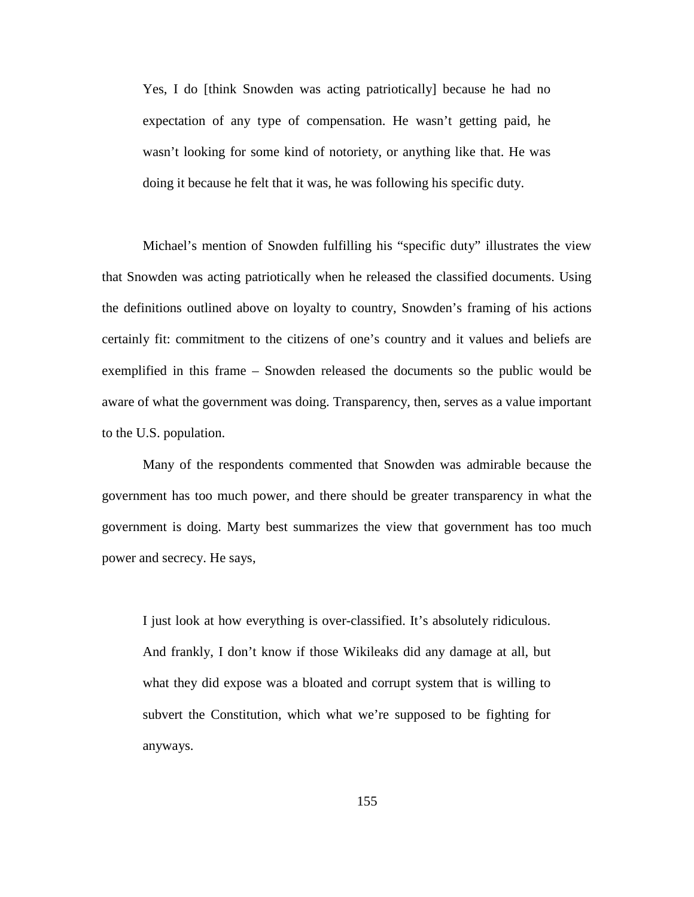Yes, I do [think Snowden was acting patriotically] because he had no expectation of any type of compensation. He wasn't getting paid, he wasn't looking for some kind of notoriety, or anything like that. He was doing it because he felt that it was, he was following his specific duty.

Michael's mention of Snowden fulfilling his "specific duty" illustrates the view that Snowden was acting patriotically when he released the classified documents. Using the definitions outlined above on loyalty to country, Snowden's framing of his actions certainly fit: commitment to the citizens of one's country and it values and beliefs are exemplified in this frame – Snowden released the documents so the public would be aware of what the government was doing. Transparency, then, serves as a value important to the U.S. population.

Many of the respondents commented that Snowden was admirable because the government has too much power, and there should be greater transparency in what the government is doing. Marty best summarizes the view that government has too much power and secrecy. He says,

I just look at how everything is over-classified. It's absolutely ridiculous. And frankly, I don't know if those Wikileaks did any damage at all, but what they did expose was a bloated and corrupt system that is willing to subvert the Constitution, which what we're supposed to be fighting for anyways.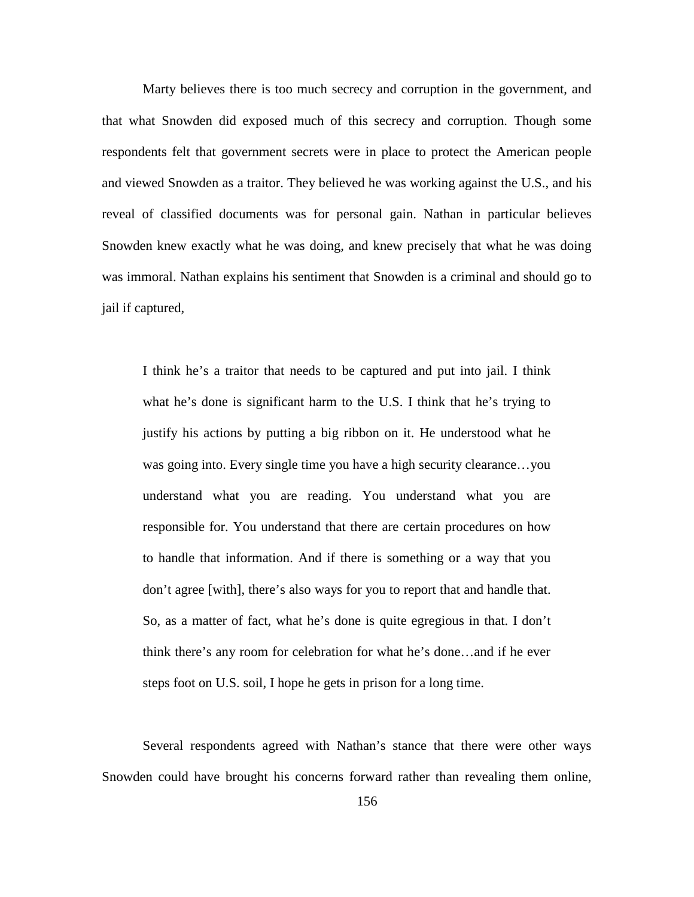Marty believes there is too much secrecy and corruption in the government, and that what Snowden did exposed much of this secrecy and corruption. Though some respondents felt that government secrets were in place to protect the American people and viewed Snowden as a traitor. They believed he was working against the U.S., and his reveal of classified documents was for personal gain. Nathan in particular believes Snowden knew exactly what he was doing, and knew precisely that what he was doing was immoral. Nathan explains his sentiment that Snowden is a criminal and should go to jail if captured,

I think he's a traitor that needs to be captured and put into jail. I think what he's done is significant harm to the U.S. I think that he's trying to justify his actions by putting a big ribbon on it. He understood what he was going into. Every single time you have a high security clearance…you understand what you are reading. You understand what you are responsible for. You understand that there are certain procedures on how to handle that information. And if there is something or a way that you don't agree [with], there's also ways for you to report that and handle that. So, as a matter of fact, what he's done is quite egregious in that. I don't think there's any room for celebration for what he's done…and if he ever steps foot on U.S. soil, I hope he gets in prison for a long time.

Several respondents agreed with Nathan's stance that there were other ways Snowden could have brought his concerns forward rather than revealing them online,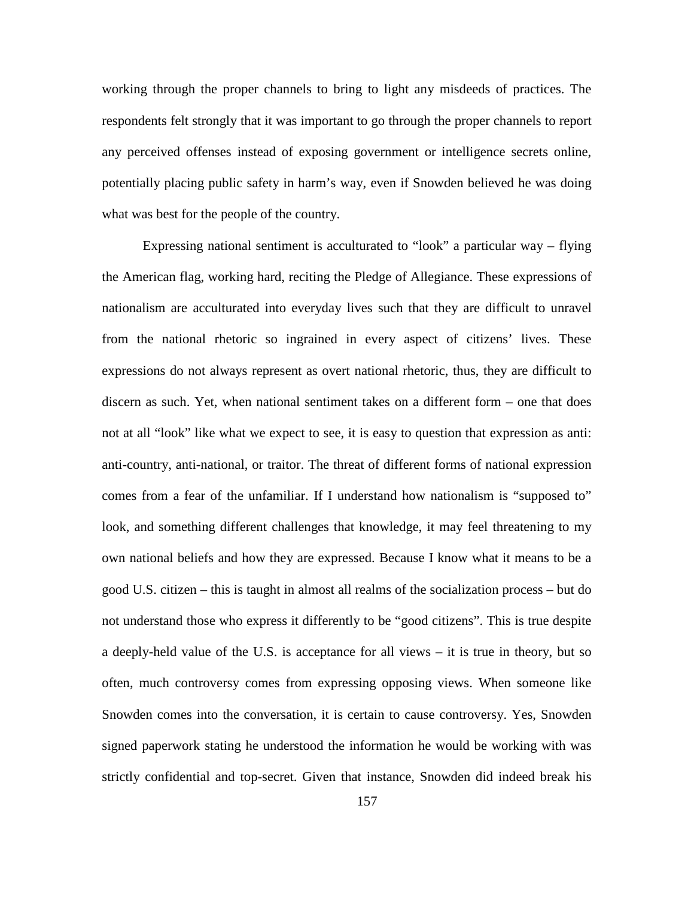working through the proper channels to bring to light any misdeeds of practices. The respondents felt strongly that it was important to go through the proper channels to report any perceived offenses instead of exposing government or intelligence secrets online, potentially placing public safety in harm's way, even if Snowden believed he was doing what was best for the people of the country.

Expressing national sentiment is acculturated to "look" a particular way – flying the American flag, working hard, reciting the Pledge of Allegiance. These expressions of nationalism are acculturated into everyday lives such that they are difficult to unravel from the national rhetoric so ingrained in every aspect of citizens' lives. These expressions do not always represent as overt national rhetoric, thus, they are difficult to discern as such. Yet, when national sentiment takes on a different form – one that does not at all "look" like what we expect to see, it is easy to question that expression as anti: anti-country, anti-national, or traitor. The threat of different forms of national expression comes from a fear of the unfamiliar. If I understand how nationalism is "supposed to" look, and something different challenges that knowledge, it may feel threatening to my own national beliefs and how they are expressed. Because I know what it means to be a good U.S. citizen – this is taught in almost all realms of the socialization process – but do not understand those who express it differently to be "good citizens". This is true despite a deeply-held value of the U.S. is acceptance for all views – it is true in theory, but so often, much controversy comes from expressing opposing views. When someone like Snowden comes into the conversation, it is certain to cause controversy. Yes, Snowden signed paperwork stating he understood the information he would be working with was strictly confidential and top-secret. Given that instance, Snowden did indeed break his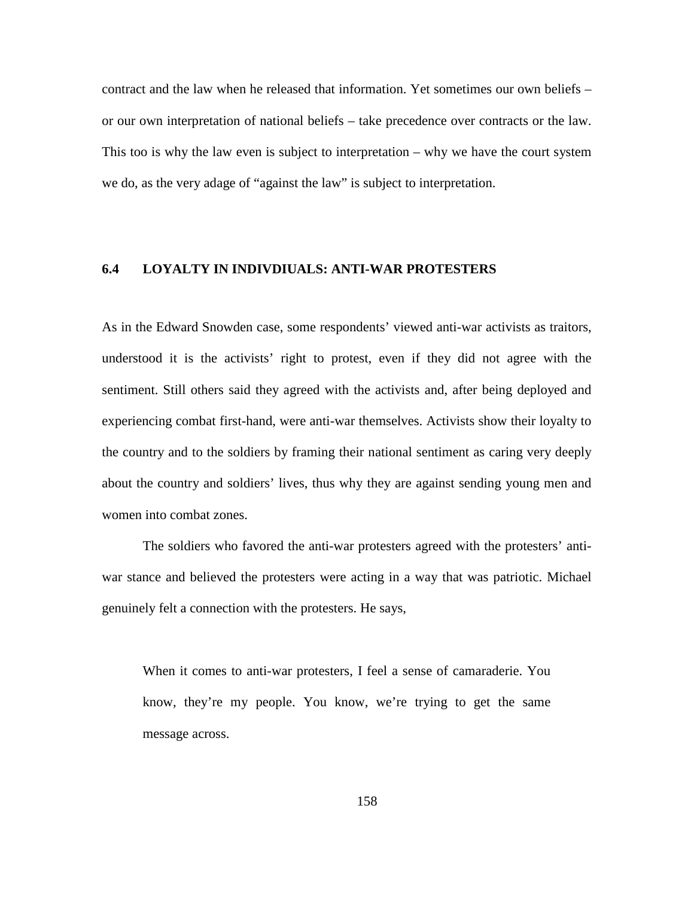contract and the law when he released that information. Yet sometimes our own beliefs – or our own interpretation of national beliefs – take precedence over contracts or the law. This too is why the law even is subject to interpretation – why we have the court system we do, as the very adage of "against the law" is subject to interpretation.

## **6.4 LOYALTY IN INDIVDIUALS: ANTI-WAR PROTESTERS**

As in the Edward Snowden case, some respondents' viewed anti-war activists as traitors, understood it is the activists' right to protest, even if they did not agree with the sentiment. Still others said they agreed with the activists and, after being deployed and experiencing combat first-hand, were anti-war themselves. Activists show their loyalty to the country and to the soldiers by framing their national sentiment as caring very deeply about the country and soldiers' lives, thus why they are against sending young men and women into combat zones.

The soldiers who favored the anti-war protesters agreed with the protesters' antiwar stance and believed the protesters were acting in a way that was patriotic. Michael genuinely felt a connection with the protesters. He says,

When it comes to anti-war protesters, I feel a sense of camaraderie. You know, they're my people. You know, we're trying to get the same message across.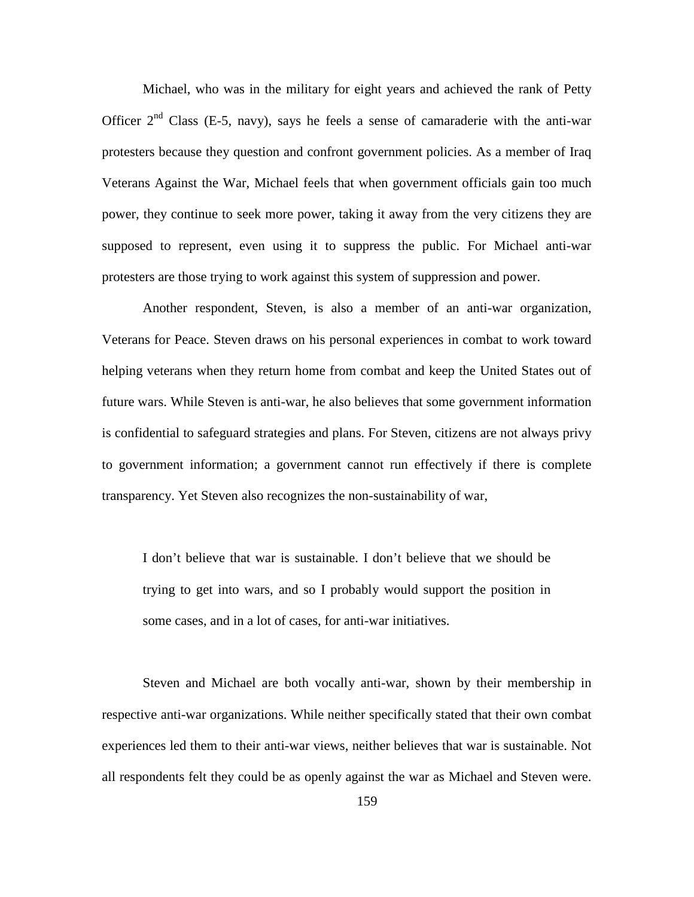Michael, who was in the military for eight years and achieved the rank of Petty Officer  $2<sup>nd</sup>$  Class (E-5, navy), says he feels a sense of camaraderie with the anti-war protesters because they question and confront government policies. As a member of Iraq Veterans Against the War, Michael feels that when government officials gain too much power, they continue to seek more power, taking it away from the very citizens they are supposed to represent, even using it to suppress the public. For Michael anti-war protesters are those trying to work against this system of suppression and power.

Another respondent, Steven, is also a member of an anti-war organization, Veterans for Peace. Steven draws on his personal experiences in combat to work toward helping veterans when they return home from combat and keep the United States out of future wars. While Steven is anti-war, he also believes that some government information is confidential to safeguard strategies and plans. For Steven, citizens are not always privy to government information; a government cannot run effectively if there is complete transparency. Yet Steven also recognizes the non-sustainability of war,

I don't believe that war is sustainable. I don't believe that we should be trying to get into wars, and so I probably would support the position in some cases, and in a lot of cases, for anti-war initiatives.

Steven and Michael are both vocally anti-war, shown by their membership in respective anti-war organizations. While neither specifically stated that their own combat experiences led them to their anti-war views, neither believes that war is sustainable. Not all respondents felt they could be as openly against the war as Michael and Steven were.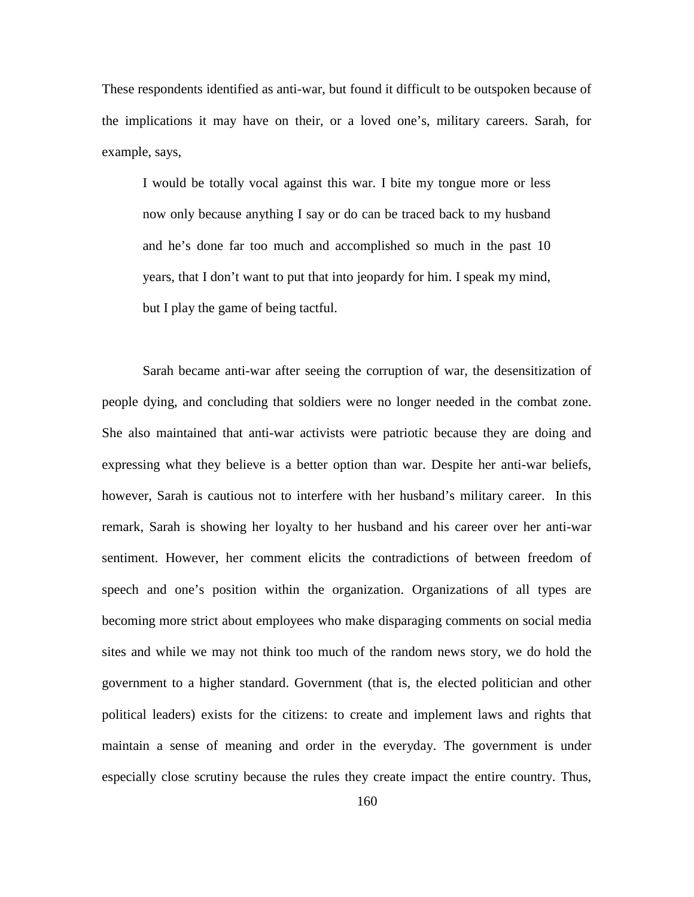These respondents identified as anti-war, but found it difficult to be outspoken because of the implications it may have on their, or a loved one's, military careers. Sarah, for example, says,

I would be totally vocal against this war. I bite my tongue more or less now only because anything I say or do can be traced back to my husband and he's done far too much and accomplished so much in the past 10 years, that I don't want to put that into jeopardy for him. I speak my mind, but I play the game of being tactful.

Sarah became anti-war after seeing the corruption of war, the desensitization of people dying, and concluding that soldiers were no longer needed in the combat zone. She also maintained that anti-war activists were patriotic because they are doing and expressing what they believe is a better option than war. Despite her anti-war beliefs, however, Sarah is cautious not to interfere with her husband's military career. In this remark, Sarah is showing her loyalty to her husband and his career over her anti-war sentiment. However, her comment elicits the contradictions of between freedom of speech and one's position within the organization. Organizations of all types are becoming more strict about employees who make disparaging comments on social media sites and while we may not think too much of the random news story, we do hold the government to a higher standard. Government (that is, the elected politician and other political leaders) exists for the citizens: to create and implement laws and rights that maintain a sense of meaning and order in the everyday. The government is under especially close scrutiny because the rules they create impact the entire country. Thus,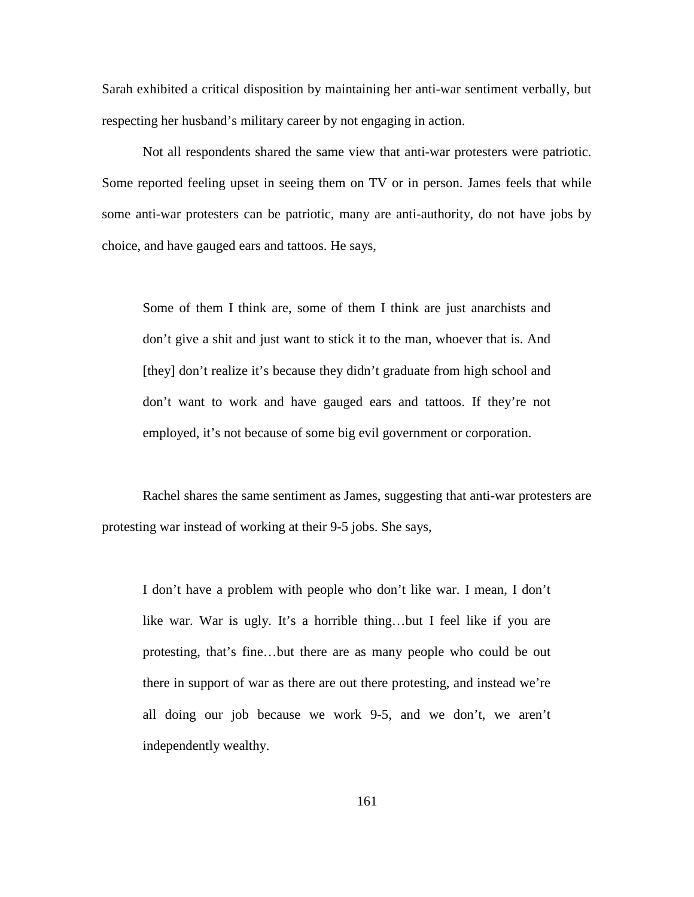Sarah exhibited a critical disposition by maintaining her anti-war sentiment verbally, but respecting her husband's military career by not engaging in action.

Not all respondents shared the same view that anti-war protesters were patriotic. Some reported feeling upset in seeing them on TV or in person. James feels that while some anti-war protesters can be patriotic, many are anti-authority, do not have jobs by choice, and have gauged ears and tattoos. He says,

Some of them I think are, some of them I think are just anarchists and don't give a shit and just want to stick it to the man, whoever that is. And [they] don't realize it's because they didn't graduate from high school and don't want to work and have gauged ears and tattoos. If they're not employed, it's not because of some big evil government or corporation.

Rachel shares the same sentiment as James, suggesting that anti-war protesters are protesting war instead of working at their 9-5 jobs. She says,

I don't have a problem with people who don't like war. I mean, I don't like war. War is ugly. It's a horrible thing…but I feel like if you are protesting, that's fine…but there are as many people who could be out there in support of war as there are out there protesting, and instead we're all doing our job because we work 9-5, and we don't, we aren't independently wealthy.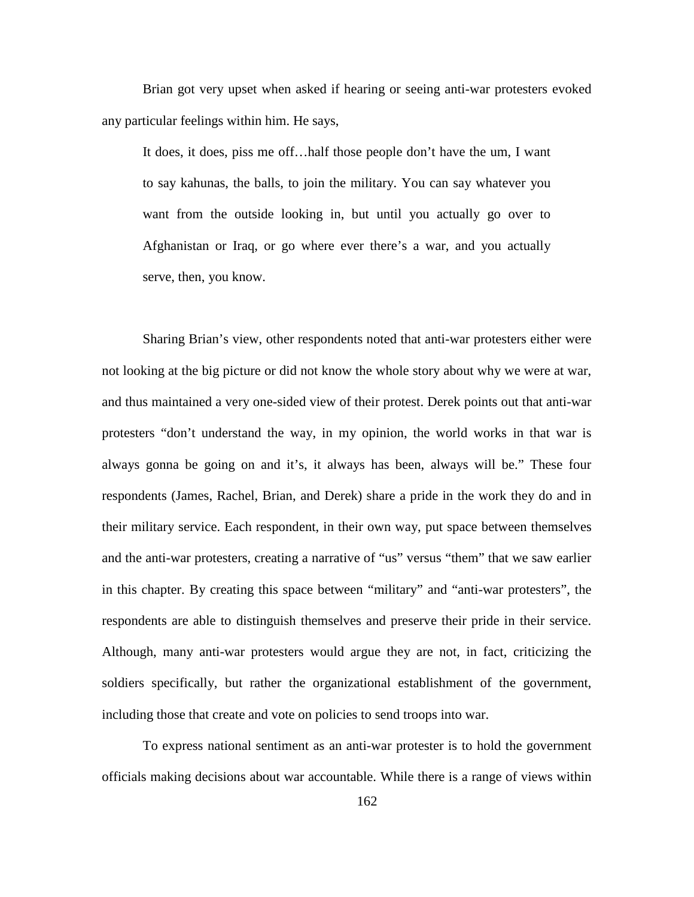Brian got very upset when asked if hearing or seeing anti-war protesters evoked any particular feelings within him. He says,

It does, it does, piss me off…half those people don't have the um, I want to say kahunas, the balls, to join the military. You can say whatever you want from the outside looking in, but until you actually go over to Afghanistan or Iraq, or go where ever there's a war, and you actually serve, then, you know.

Sharing Brian's view, other respondents noted that anti-war protesters either were not looking at the big picture or did not know the whole story about why we were at war, and thus maintained a very one-sided view of their protest. Derek points out that anti-war protesters "don't understand the way, in my opinion, the world works in that war is always gonna be going on and it's, it always has been, always will be." These four respondents (James, Rachel, Brian, and Derek) share a pride in the work they do and in their military service. Each respondent, in their own way, put space between themselves and the anti-war protesters, creating a narrative of "us" versus "them" that we saw earlier in this chapter. By creating this space between "military" and "anti-war protesters", the respondents are able to distinguish themselves and preserve their pride in their service. Although, many anti-war protesters would argue they are not, in fact, criticizing the soldiers specifically, but rather the organizational establishment of the government, including those that create and vote on policies to send troops into war.

To express national sentiment as an anti-war protester is to hold the government officials making decisions about war accountable. While there is a range of views within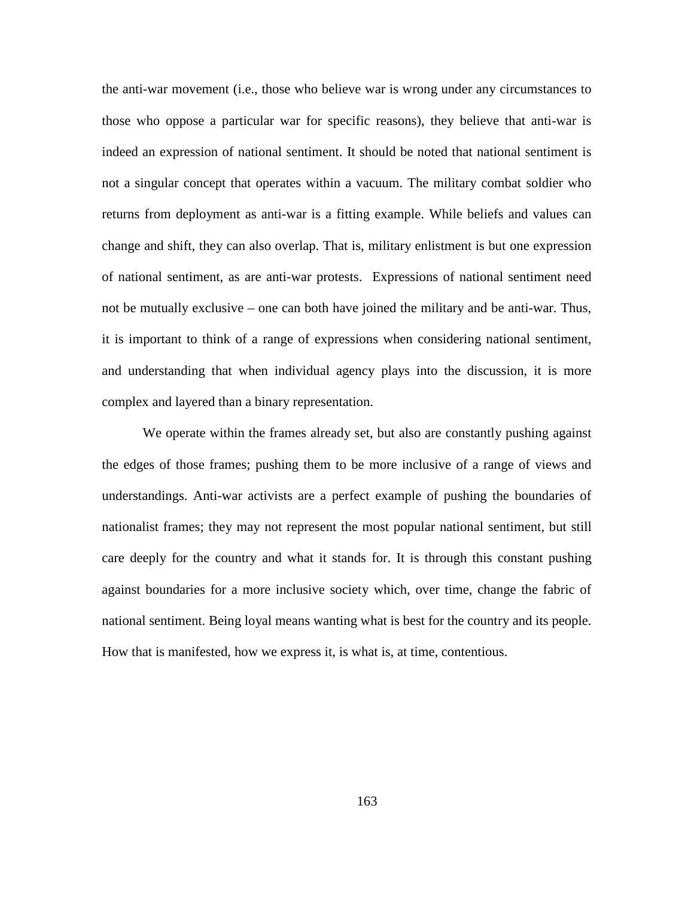the anti-war movement (i.e., those who believe war is wrong under any circumstances to those who oppose a particular war for specific reasons), they believe that anti-war is indeed an expression of national sentiment. It should be noted that national sentiment is not a singular concept that operates within a vacuum. The military combat soldier who returns from deployment as anti-war is a fitting example. While beliefs and values can change and shift, they can also overlap. That is, military enlistment is but one expression of national sentiment, as are anti-war protests. Expressions of national sentiment need not be mutually exclusive – one can both have joined the military and be anti-war. Thus, it is important to think of a range of expressions when considering national sentiment, and understanding that when individual agency plays into the discussion, it is more complex and layered than a binary representation.

We operate within the frames already set, but also are constantly pushing against the edges of those frames; pushing them to be more inclusive of a range of views and understandings. Anti-war activists are a perfect example of pushing the boundaries of nationalist frames; they may not represent the most popular national sentiment, but still care deeply for the country and what it stands for. It is through this constant pushing against boundaries for a more inclusive society which, over time, change the fabric of national sentiment. Being loyal means wanting what is best for the country and its people. How that is manifested, how we express it, is what is, at time, contentious.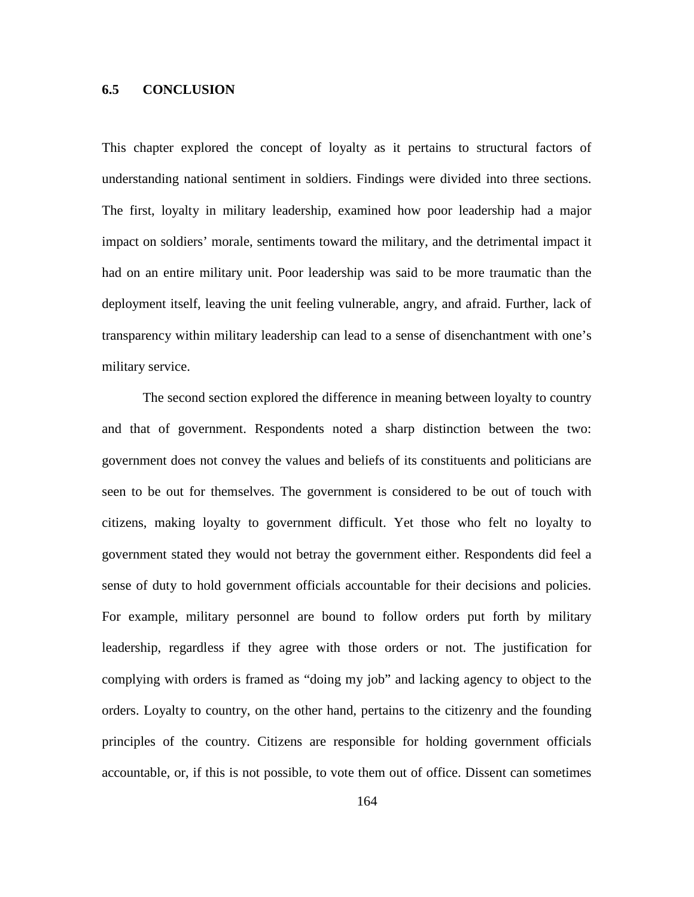#### **6.5 CONCLUSION**

This chapter explored the concept of loyalty as it pertains to structural factors of understanding national sentiment in soldiers. Findings were divided into three sections. The first, loyalty in military leadership, examined how poor leadership had a major impact on soldiers' morale, sentiments toward the military, and the detrimental impact it had on an entire military unit. Poor leadership was said to be more traumatic than the deployment itself, leaving the unit feeling vulnerable, angry, and afraid. Further, lack of transparency within military leadership can lead to a sense of disenchantment with one's military service.

The second section explored the difference in meaning between loyalty to country and that of government. Respondents noted a sharp distinction between the two: government does not convey the values and beliefs of its constituents and politicians are seen to be out for themselves. The government is considered to be out of touch with citizens, making loyalty to government difficult. Yet those who felt no loyalty to government stated they would not betray the government either. Respondents did feel a sense of duty to hold government officials accountable for their decisions and policies. For example, military personnel are bound to follow orders put forth by military leadership, regardless if they agree with those orders or not. The justification for complying with orders is framed as "doing my job" and lacking agency to object to the orders. Loyalty to country, on the other hand, pertains to the citizenry and the founding principles of the country. Citizens are responsible for holding government officials accountable, or, if this is not possible, to vote them out of office. Dissent can sometimes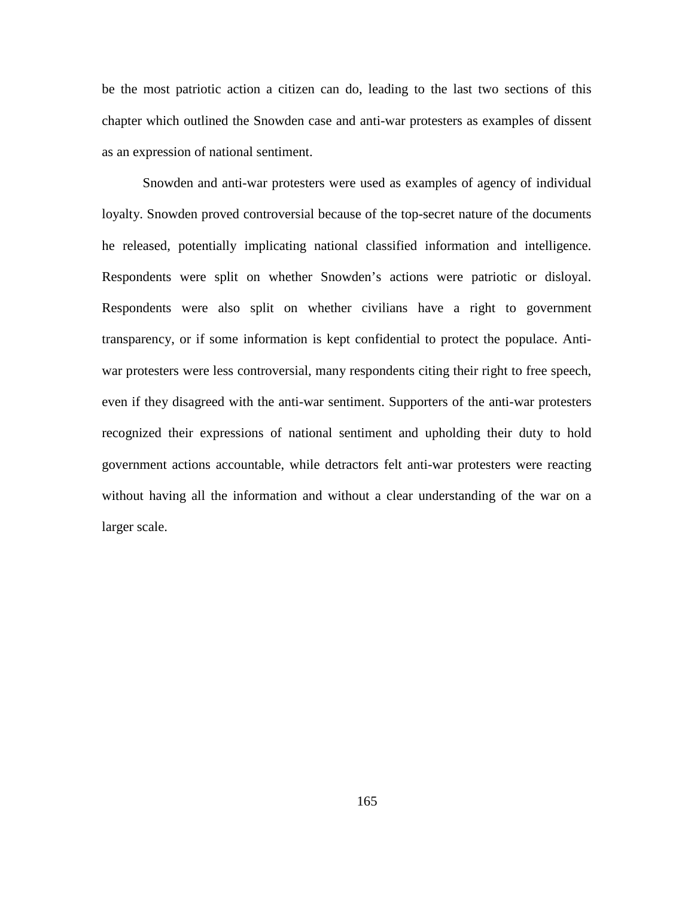be the most patriotic action a citizen can do, leading to the last two sections of this chapter which outlined the Snowden case and anti-war protesters as examples of dissent as an expression of national sentiment.

Snowden and anti-war protesters were used as examples of agency of individual loyalty. Snowden proved controversial because of the top-secret nature of the documents he released, potentially implicating national classified information and intelligence. Respondents were split on whether Snowden's actions were patriotic or disloyal. Respondents were also split on whether civilians have a right to government transparency, or if some information is kept confidential to protect the populace. Antiwar protesters were less controversial, many respondents citing their right to free speech, even if they disagreed with the anti-war sentiment. Supporters of the anti-war protesters recognized their expressions of national sentiment and upholding their duty to hold government actions accountable, while detractors felt anti-war protesters were reacting without having all the information and without a clear understanding of the war on a larger scale.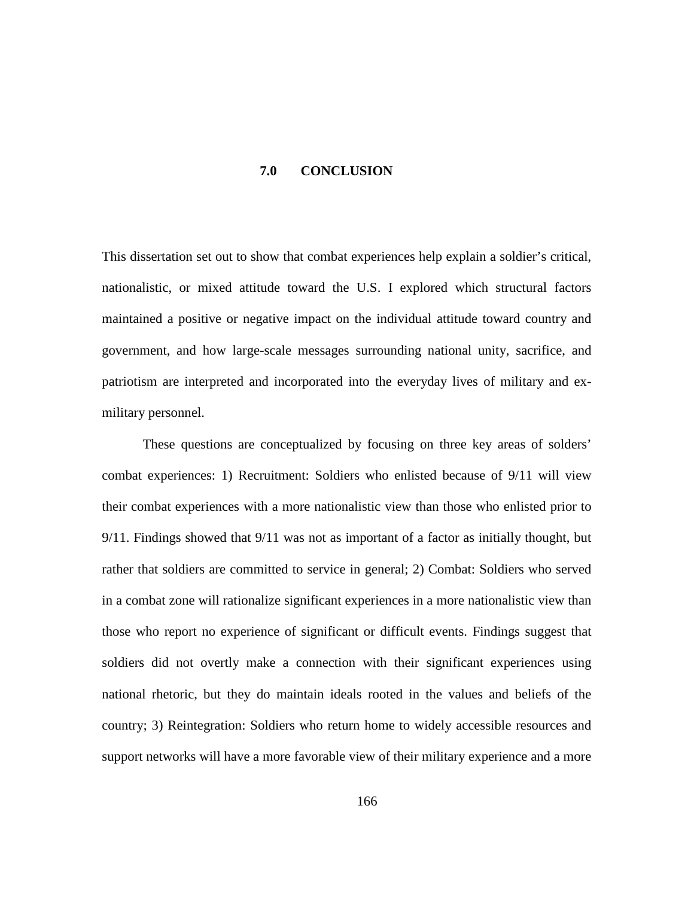#### **7.0 CONCLUSION**

This dissertation set out to show that combat experiences help explain a soldier's critical, nationalistic, or mixed attitude toward the U.S. I explored which structural factors maintained a positive or negative impact on the individual attitude toward country and government, and how large-scale messages surrounding national unity, sacrifice, and patriotism are interpreted and incorporated into the everyday lives of military and exmilitary personnel.

These questions are conceptualized by focusing on three key areas of solders' combat experiences: 1) Recruitment: Soldiers who enlisted because of 9/11 will view their combat experiences with a more nationalistic view than those who enlisted prior to 9/11. Findings showed that 9/11 was not as important of a factor as initially thought, but rather that soldiers are committed to service in general; 2) Combat: Soldiers who served in a combat zone will rationalize significant experiences in a more nationalistic view than those who report no experience of significant or difficult events. Findings suggest that soldiers did not overtly make a connection with their significant experiences using national rhetoric, but they do maintain ideals rooted in the values and beliefs of the country; 3) Reintegration: Soldiers who return home to widely accessible resources and support networks will have a more favorable view of their military experience and a more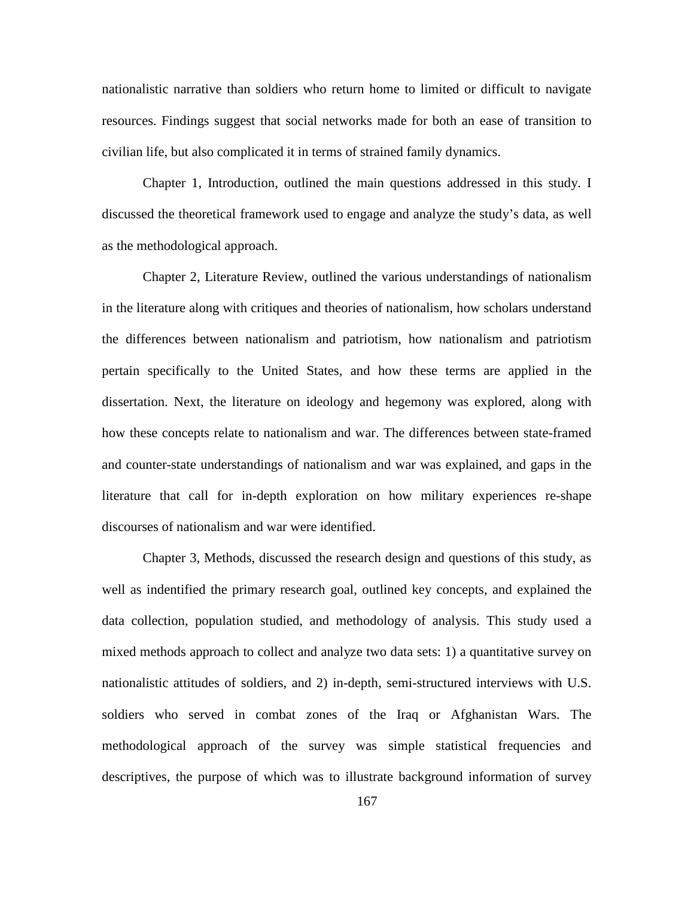nationalistic narrative than soldiers who return home to limited or difficult to navigate resources. Findings suggest that social networks made for both an ease of transition to civilian life, but also complicated it in terms of strained family dynamics.

Chapter 1, Introduction, outlined the main questions addressed in this study. I discussed the theoretical framework used to engage and analyze the study's data, as well as the methodological approach.

Chapter 2, Literature Review, outlined the various understandings of nationalism in the literature along with critiques and theories of nationalism, how scholars understand the differences between nationalism and patriotism, how nationalism and patriotism pertain specifically to the United States, and how these terms are applied in the dissertation. Next, the literature on ideology and hegemony was explored, along with how these concepts relate to nationalism and war. The differences between state-framed and counter-state understandings of nationalism and war was explained, and gaps in the literature that call for in-depth exploration on how military experiences re-shape discourses of nationalism and war were identified.

Chapter 3, Methods, discussed the research design and questions of this study, as well as indentified the primary research goal, outlined key concepts, and explained the data collection, population studied, and methodology of analysis. This study used a mixed methods approach to collect and analyze two data sets: 1) a quantitative survey on nationalistic attitudes of soldiers, and 2) in-depth, semi-structured interviews with U.S. soldiers who served in combat zones of the Iraq or Afghanistan Wars. The methodological approach of the survey was simple statistical frequencies and descriptives, the purpose of which was to illustrate background information of survey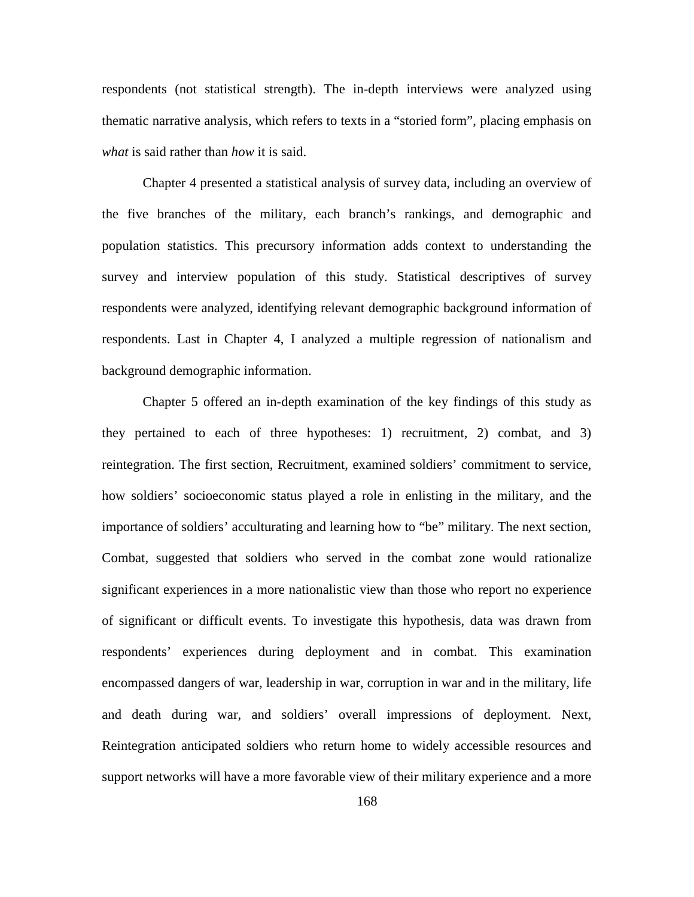respondents (not statistical strength). The in-depth interviews were analyzed using thematic narrative analysis, which refers to texts in a "storied form", placing emphasis on *what* is said rather than *how* it is said.

Chapter 4 presented a statistical analysis of survey data, including an overview of the five branches of the military, each branch's rankings, and demographic and population statistics. This precursory information adds context to understanding the survey and interview population of this study. Statistical descriptives of survey respondents were analyzed, identifying relevant demographic background information of respondents. Last in Chapter 4, I analyzed a multiple regression of nationalism and background demographic information.

Chapter 5 offered an in-depth examination of the key findings of this study as they pertained to each of three hypotheses: 1) recruitment, 2) combat, and 3) reintegration. The first section, Recruitment, examined soldiers' commitment to service, how soldiers' socioeconomic status played a role in enlisting in the military, and the importance of soldiers' acculturating and learning how to "be" military. The next section, Combat, suggested that soldiers who served in the combat zone would rationalize significant experiences in a more nationalistic view than those who report no experience of significant or difficult events. To investigate this hypothesis, data was drawn from respondents' experiences during deployment and in combat. This examination encompassed dangers of war, leadership in war, corruption in war and in the military, life and death during war, and soldiers' overall impressions of deployment. Next, Reintegration anticipated soldiers who return home to widely accessible resources and support networks will have a more favorable view of their military experience and a more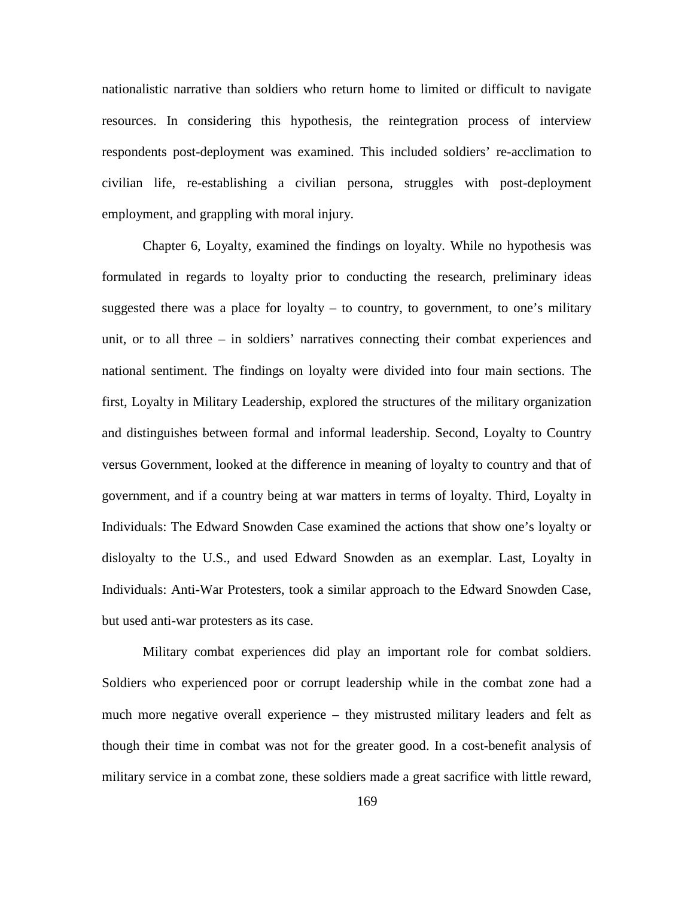nationalistic narrative than soldiers who return home to limited or difficult to navigate resources. In considering this hypothesis, the reintegration process of interview respondents post-deployment was examined. This included soldiers' re-acclimation to civilian life, re-establishing a civilian persona, struggles with post-deployment employment, and grappling with moral injury.

Chapter 6, Loyalty, examined the findings on loyalty. While no hypothesis was formulated in regards to loyalty prior to conducting the research, preliminary ideas suggested there was a place for loyalty  $-$  to country, to government, to one's military unit, or to all three – in soldiers' narratives connecting their combat experiences and national sentiment. The findings on loyalty were divided into four main sections. The first, Loyalty in Military Leadership, explored the structures of the military organization and distinguishes between formal and informal leadership. Second, Loyalty to Country versus Government, looked at the difference in meaning of loyalty to country and that of government, and if a country being at war matters in terms of loyalty. Third, Loyalty in Individuals: The Edward Snowden Case examined the actions that show one's loyalty or disloyalty to the U.S., and used Edward Snowden as an exemplar. Last, Loyalty in Individuals: Anti-War Protesters, took a similar approach to the Edward Snowden Case, but used anti-war protesters as its case.

Military combat experiences did play an important role for combat soldiers. Soldiers who experienced poor or corrupt leadership while in the combat zone had a much more negative overall experience – they mistrusted military leaders and felt as though their time in combat was not for the greater good. In a cost-benefit analysis of military service in a combat zone, these soldiers made a great sacrifice with little reward,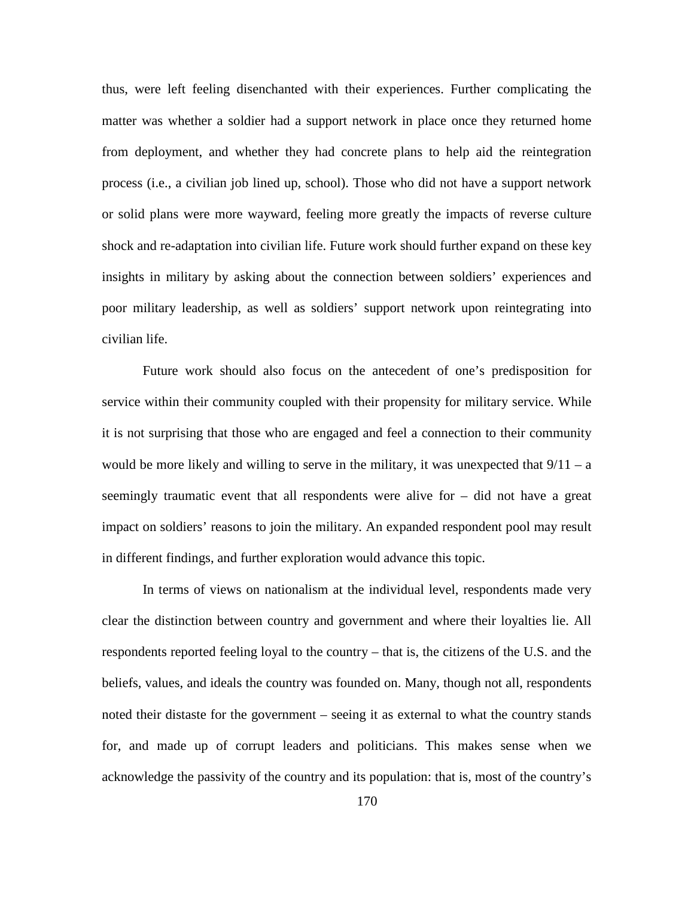thus, were left feeling disenchanted with their experiences. Further complicating the matter was whether a soldier had a support network in place once they returned home from deployment, and whether they had concrete plans to help aid the reintegration process (i.e., a civilian job lined up, school). Those who did not have a support network or solid plans were more wayward, feeling more greatly the impacts of reverse culture shock and re-adaptation into civilian life. Future work should further expand on these key insights in military by asking about the connection between soldiers' experiences and poor military leadership, as well as soldiers' support network upon reintegrating into civilian life.

Future work should also focus on the antecedent of one's predisposition for service within their community coupled with their propensity for military service. While it is not surprising that those who are engaged and feel a connection to their community would be more likely and willing to serve in the military, it was unexpected that  $9/11 - a$ seemingly traumatic event that all respondents were alive for – did not have a great impact on soldiers' reasons to join the military. An expanded respondent pool may result in different findings, and further exploration would advance this topic.

In terms of views on nationalism at the individual level, respondents made very clear the distinction between country and government and where their loyalties lie. All respondents reported feeling loyal to the country – that is, the citizens of the U.S. and the beliefs, values, and ideals the country was founded on. Many, though not all, respondents noted their distaste for the government – seeing it as external to what the country stands for, and made up of corrupt leaders and politicians. This makes sense when we acknowledge the passivity of the country and its population: that is, most of the country's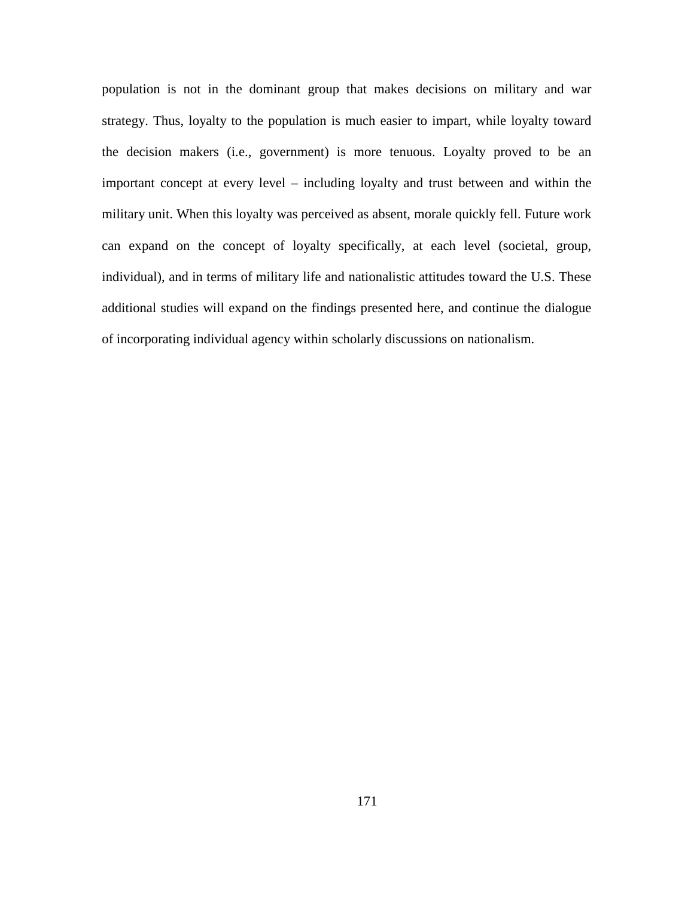population is not in the dominant group that makes decisions on military and war strategy. Thus, loyalty to the population is much easier to impart, while loyalty toward the decision makers (i.e., government) is more tenuous. Loyalty proved to be an important concept at every level – including loyalty and trust between and within the military unit. When this loyalty was perceived as absent, morale quickly fell. Future work can expand on the concept of loyalty specifically, at each level (societal, group, individual), and in terms of military life and nationalistic attitudes toward the U.S. These additional studies will expand on the findings presented here, and continue the dialogue of incorporating individual agency within scholarly discussions on nationalism.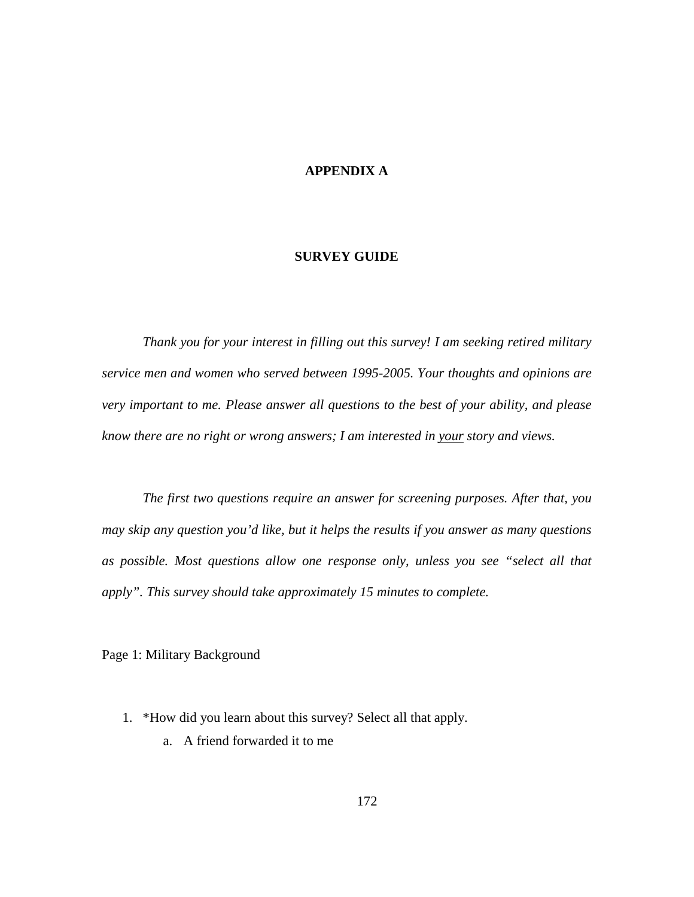# **APPENDIX A**

### **SURVEY GUIDE**

*Thank you for your interest in filling out this survey! I am seeking retired military service men and women who served between 1995-2005. Your thoughts and opinions are very important to me. Please answer all questions to the best of your ability, and please know there are no right or wrong answers; I am interested in your story and views.* 

*The first two questions require an answer for screening purposes. After that, you may skip any question you'd like, but it helps the results if you answer as many questions as possible. Most questions allow one response only, unless you see "select all that apply". This survey should take approximately 15 minutes to complete.* 

Page 1: Military Background

- 1. \*How did you learn about this survey? Select all that apply.
	- a. A friend forwarded it to me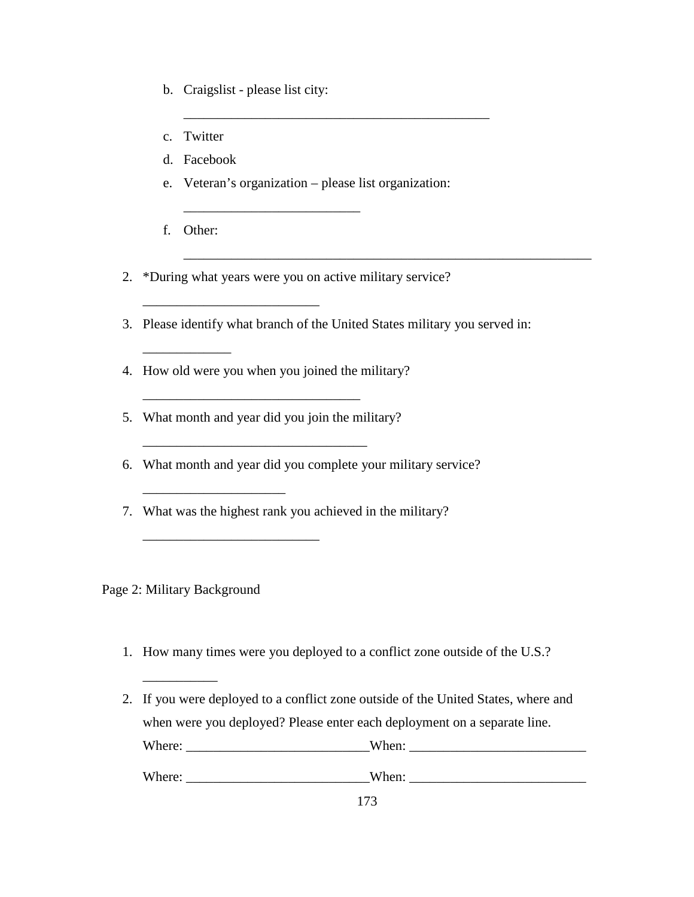- b. Craigslist please list city:
- c. Twitter
- d. Facebook
- e. Veteran's organization please list organization:

\_\_\_\_\_\_\_\_\_\_\_\_\_\_\_\_\_\_\_\_\_\_\_\_\_\_\_\_\_\_\_\_\_\_\_\_\_\_\_\_\_\_\_\_\_

f. Other:

\_\_\_\_\_\_\_\_\_\_\_\_\_

2. \*During what years were you on active military service?

\_\_\_\_\_\_\_\_\_\_\_\_\_\_\_\_\_\_\_\_\_\_\_\_\_\_

3. Please identify what branch of the United States military you served in:

\_\_\_\_\_\_\_\_\_\_\_\_\_\_\_\_\_\_\_\_\_\_\_\_\_\_\_\_\_\_\_\_\_\_\_\_\_\_\_\_\_\_\_\_\_\_\_\_\_\_\_\_\_\_\_\_\_\_\_\_

4. How old were you when you joined the military?

\_\_\_\_\_\_\_\_\_\_\_\_\_\_\_\_\_\_\_\_\_\_\_\_\_\_

5. What month and year did you join the military?

\_\_\_\_\_\_\_\_\_\_\_\_\_\_\_\_\_\_\_\_\_\_\_\_\_\_\_\_\_\_\_\_\_

\_\_\_\_\_\_\_\_\_\_\_\_\_\_\_\_\_\_\_\_\_

\_\_\_\_\_\_\_\_\_\_\_\_\_\_\_\_\_\_\_\_\_\_\_\_\_\_

\_\_\_\_\_\_\_\_\_\_\_\_\_\_\_\_\_\_\_\_\_\_\_\_\_\_\_\_\_\_\_\_

- 6. What month and year did you complete your military service?
- 7. What was the highest rank you achieved in the military?

Page 2: Military Background

\_\_\_\_\_\_\_\_\_\_\_

- 1. How many times were you deployed to a conflict zone outside of the U.S.?
- 2. If you were deployed to a conflict zone outside of the United States, where and when were you deployed? Please enter each deployment on a separate line. Where: \_\_\_\_\_\_\_\_\_\_\_\_\_\_\_\_\_\_\_\_\_\_\_\_\_\_\_When: \_\_\_\_\_\_\_\_\_\_\_\_\_\_\_\_\_\_\_\_\_\_\_\_\_\_

Where: \_\_\_\_\_\_\_\_\_\_\_\_\_\_\_\_\_\_\_\_\_\_\_\_\_\_\_When: \_\_\_\_\_\_\_\_\_\_\_\_\_\_\_\_\_\_\_\_\_\_\_\_\_\_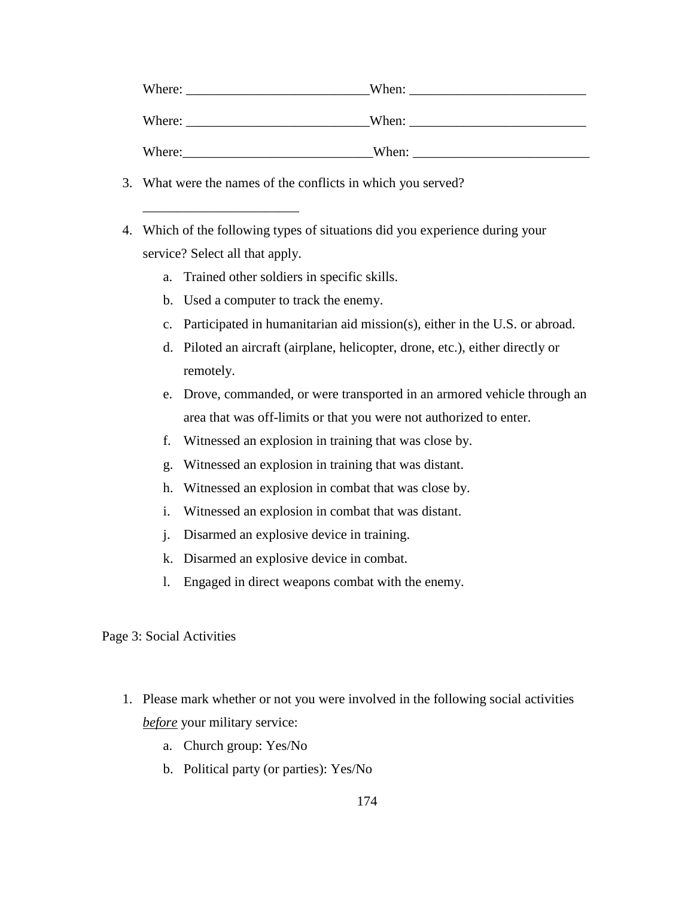| Where: | When: |
|--------|-------|
| Where: | When: |
| Where: | When: |

- 3. What were the names of the conflicts in which you served?
- 4. Which of the following types of situations did you experience during your service? Select all that apply.
	- a. Trained other soldiers in specific skills.
	- b. Used a computer to track the enemy.

\_\_\_\_\_\_\_\_\_\_\_\_\_\_\_\_\_\_\_\_\_\_\_

- c. Participated in humanitarian aid mission(s), either in the U.S. or abroad.
- d. Piloted an aircraft (airplane, helicopter, drone, etc.), either directly or remotely.
- e. Drove, commanded, or were transported in an armored vehicle through an area that was off-limits or that you were not authorized to enter.
- f. Witnessed an explosion in training that was close by.
- g. Witnessed an explosion in training that was distant.
- h. Witnessed an explosion in combat that was close by.
- i. Witnessed an explosion in combat that was distant.
- j. Disarmed an explosive device in training.
- k. Disarmed an explosive device in combat.
- l. Engaged in direct weapons combat with the enemy.

Page 3: Social Activities

- 1. Please mark whether or not you were involved in the following social activities *before* your military service:
	- a. Church group: Yes/No
	- b. Political party (or parties): Yes/No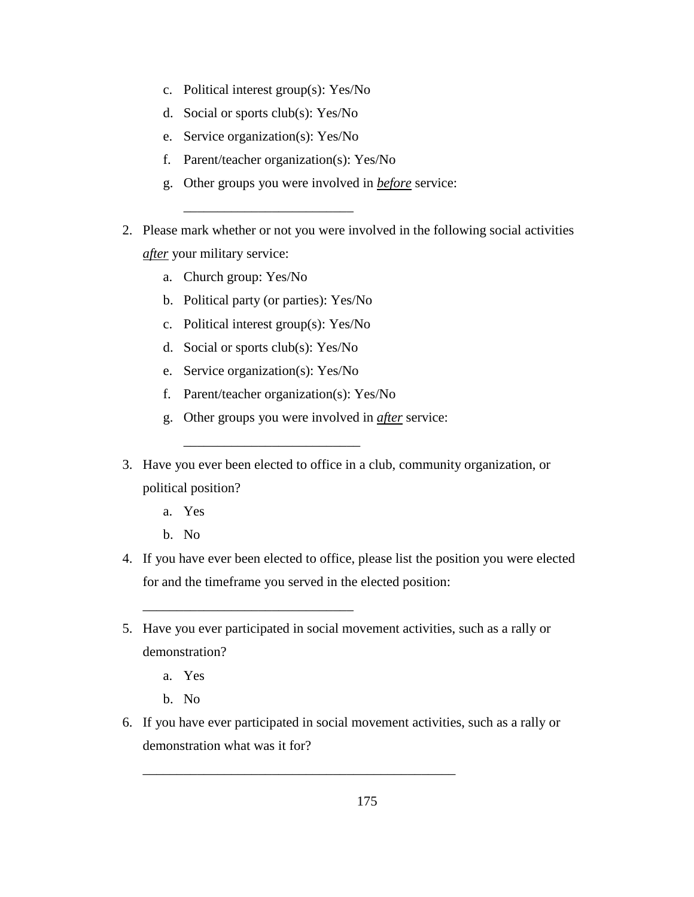- c. Political interest group(s): Yes/No
- d. Social or sports club(s): Yes/No
- e. Service organization(s): Yes/No
- f. Parent/teacher organization(s): Yes/No
- g. Other groups you were involved in *before* service:
- 2. Please mark whether or not you were involved in the following social activities *after* your military service:
	- a. Church group: Yes/No
	- b. Political party (or parties): Yes/No

\_\_\_\_\_\_\_\_\_\_\_\_\_\_\_\_\_\_\_\_\_\_\_\_\_

- c. Political interest group(s): Yes/No
- d. Social or sports club(s): Yes/No
- e. Service organization(s): Yes/No
- f. Parent/teacher organization(s): Yes/No

\_\_\_\_\_\_\_\_\_\_\_\_\_\_\_\_\_\_\_\_\_\_\_\_\_\_

\_\_\_\_\_\_\_\_\_\_\_\_\_\_\_\_\_\_\_\_\_\_\_\_\_\_\_\_\_\_\_

- g. Other groups you were involved in *after* service:
- 3. Have you ever been elected to office in a club, community organization, or political position?
	- a. Yes
	- b. No
- 4. If you have ever been elected to office, please list the position you were elected for and the timeframe you served in the elected position:
- 5. Have you ever participated in social movement activities, such as a rally or demonstration?
	- a. Yes
	- b. No
- 6. If you have ever participated in social movement activities, such as a rally or demonstration what was it for?

\_\_\_\_\_\_\_\_\_\_\_\_\_\_\_\_\_\_\_\_\_\_\_\_\_\_\_\_\_\_\_\_\_\_\_\_\_\_\_\_\_\_\_\_\_\_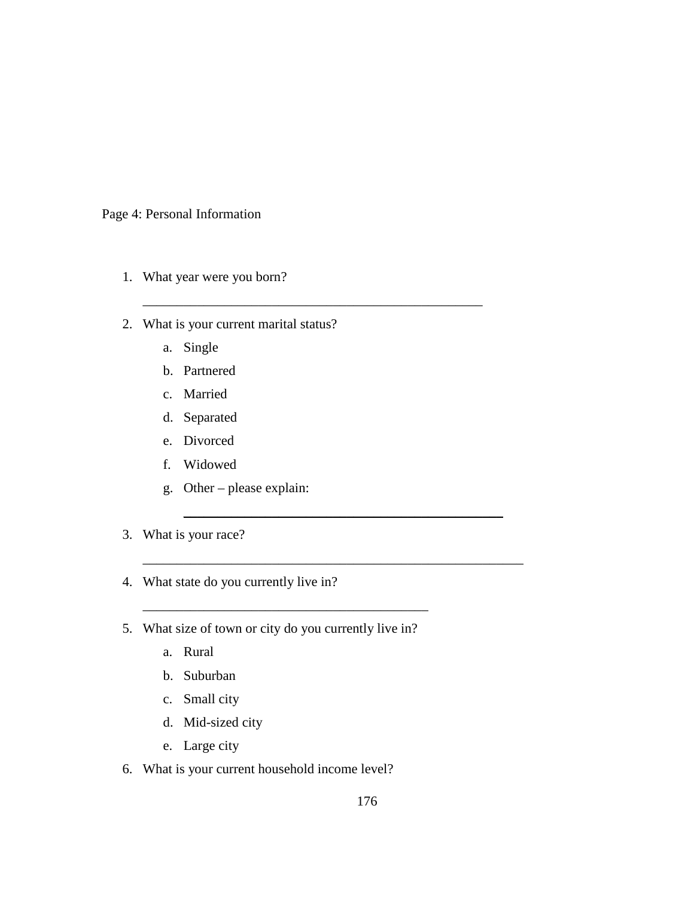Page 4: Personal Information

- 1. What year were you born?
- 2. What is your current marital status?

\_\_\_\_\_\_\_\_\_\_\_\_\_\_\_\_\_\_\_\_\_\_\_\_\_\_\_\_\_\_\_\_\_\_\_\_\_\_\_\_\_\_\_\_\_\_\_\_\_\_

 $\overline{\phantom{a}}$  , and the contract of the contract of the contract of the contract of the contract of the contract of the contract of the contract of the contract of the contract of the contract of the contract of the contrac

\_\_\_\_\_\_\_\_\_\_\_\_\_\_\_\_\_\_\_\_\_\_\_\_\_\_\_\_\_\_\_\_\_\_\_\_\_\_\_\_\_\_\_\_\_\_\_\_\_\_\_\_\_\_\_\_

- a. Single
- b. Partnered
- c. Married
- d. Separated
- e. Divorced
- f. Widowed
- g. Other please explain:
- 3. What is your race?
- 4. What state do you currently live in?
- 5. What size of town or city do you currently live in?

\_\_\_\_\_\_\_\_\_\_\_\_\_\_\_\_\_\_\_\_\_\_\_\_\_\_\_\_\_\_\_\_\_\_\_\_\_\_\_\_\_\_

- a. Rural
- b. Suburban
- c. Small city
- d. Mid-sized city
- e. Large city
- 6. What is your current household income level?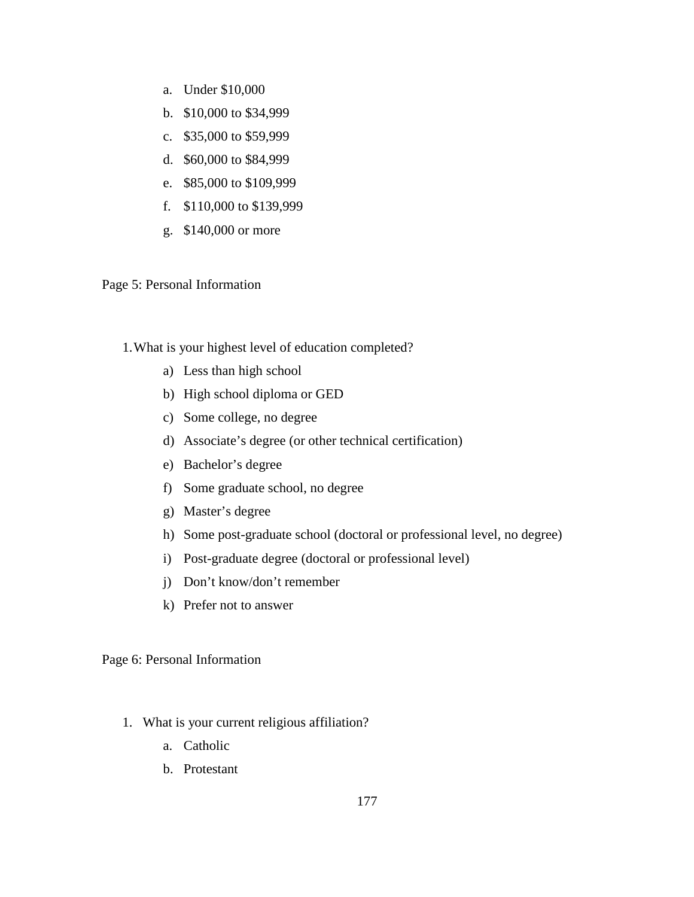- a. Under \$10,000
- b. \$10,000 to \$34,999
- c. \$35,000 to \$59,999
- d. \$60,000 to \$84,999
- e. \$85,000 to \$109,999
- f. \$110,000 to \$139,999
- g. \$140,000 or more

Page 5: Personal Information

1.What is your highest level of education completed?

- a) Less than high school
- b) High school diploma or GED
- c) Some college, no degree
- d) Associate's degree (or other technical certification)
- e) Bachelor's degree
- f) Some graduate school, no degree
- g) Master's degree
- h) Some post-graduate school (doctoral or professional level, no degree)
- i) Post-graduate degree (doctoral or professional level)
- j) Don't know/don't remember
- k) Prefer not to answer

Page 6: Personal Information

- 1. What is your current religious affiliation?
	- a. Catholic
	- b. Protestant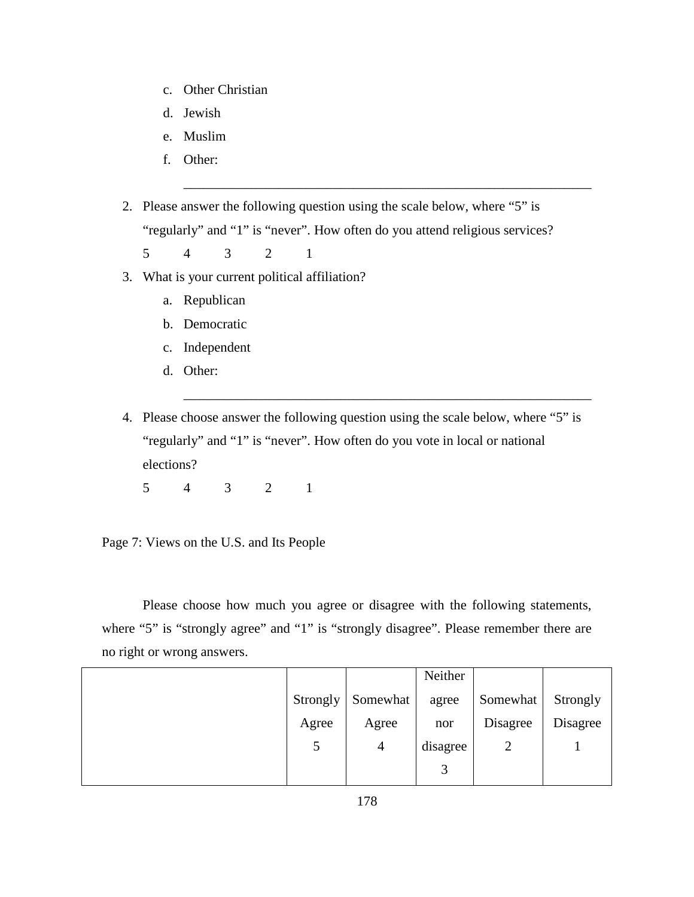- c. Other Christian
- d. Jewish
- e. Muslim
- f. Other:

2. Please answer the following question using the scale below, where "5" is "regularly" and "1" is "never". How often do you attend religious services?

\_\_\_\_\_\_\_\_\_\_\_\_\_\_\_\_\_\_\_\_\_\_\_\_\_\_\_\_\_\_\_\_\_\_\_\_\_\_\_\_\_\_\_\_\_\_\_\_\_\_\_\_\_\_\_\_\_\_\_\_

\_\_\_\_\_\_\_\_\_\_\_\_\_\_\_\_\_\_\_\_\_\_\_\_\_\_\_\_\_\_\_\_\_\_\_\_\_\_\_\_\_\_\_\_\_\_\_\_\_\_\_\_\_\_\_\_\_\_\_\_

5 4 3 2 1

- 3. What is your current political affiliation?
	- a. Republican
	- b. Democratic
	- c. Independent
	- d. Other:

4. Please choose answer the following question using the scale below, where "5" is "regularly" and "1" is "never". How often do you vote in local or national elections?

5 4 3 2 1

Page 7: Views on the U.S. and Its People

Please choose how much you agree or disagree with the following statements, where "5" is "strongly agree" and "1" is "strongly disagree". Please remember there are no right or wrong answers.

|          |                | Neither  |          |          |
|----------|----------------|----------|----------|----------|
| Strongly | Somewhat       | agree    | Somewhat | Strongly |
| Agree    | Agree          | nor      | Disagree | Disagree |
| 5        | $\overline{4}$ | disagree | 2        |          |
|          |                | 3        |          |          |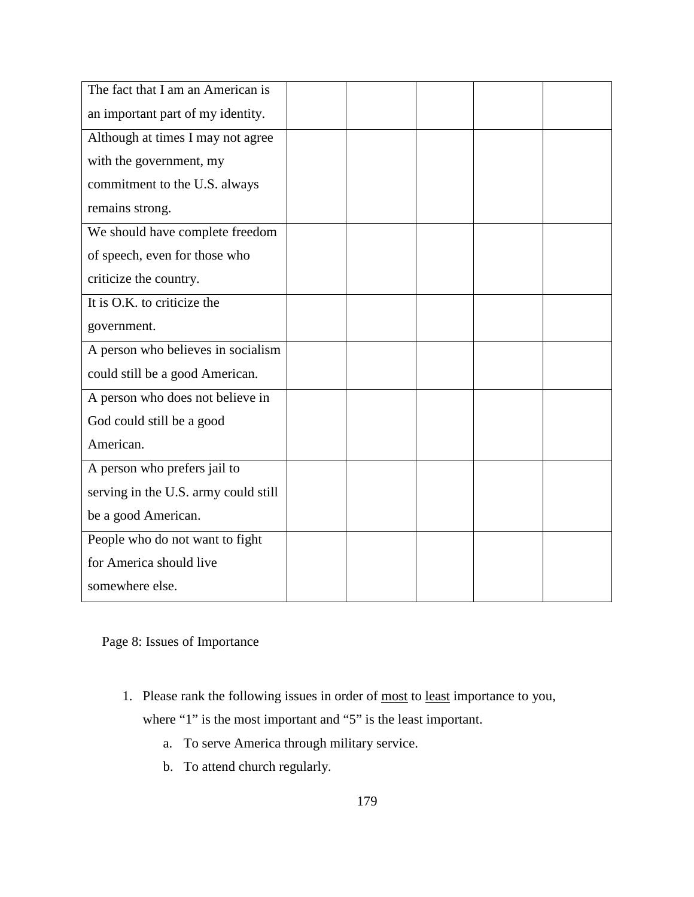| an important part of my identity.<br>Although at times I may not agree<br>with the government, my |  |
|---------------------------------------------------------------------------------------------------|--|
|                                                                                                   |  |
|                                                                                                   |  |
|                                                                                                   |  |
| commitment to the U.S. always                                                                     |  |
| remains strong.                                                                                   |  |
| We should have complete freedom                                                                   |  |
| of speech, even for those who                                                                     |  |
| criticize the country.                                                                            |  |
| It is O.K. to criticize the                                                                       |  |
| government.                                                                                       |  |
| A person who believes in socialism                                                                |  |
| could still be a good American.                                                                   |  |
| A person who does not believe in                                                                  |  |
| God could still be a good                                                                         |  |
| American.                                                                                         |  |
| A person who prefers jail to                                                                      |  |
| serving in the U.S. army could still                                                              |  |
| be a good American.                                                                               |  |
| People who do not want to fight                                                                   |  |
| for America should live                                                                           |  |
| somewhere else.                                                                                   |  |

Page 8: Issues of Importance

- 1. Please rank the following issues in order of most to least importance to you, where "1" is the most important and "5" is the least important.
	- a. To serve America through military service.
	- b. To attend church regularly.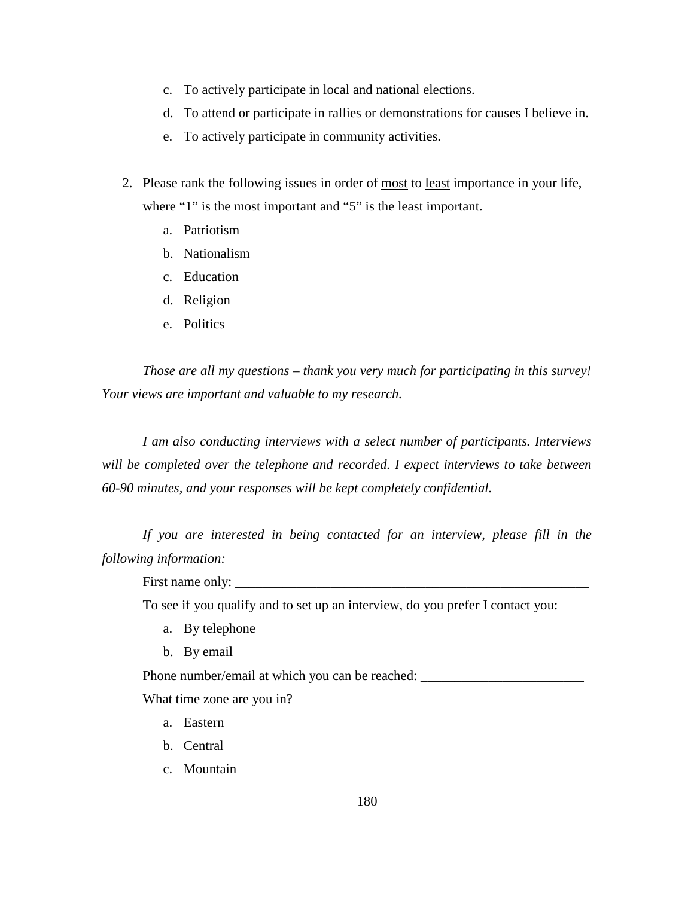- c. To actively participate in local and national elections.
- d. To attend or participate in rallies or demonstrations for causes I believe in.
- e. To actively participate in community activities.
- 2. Please rank the following issues in order of most to least importance in your life, where "1" is the most important and "5" is the least important.
	- a. Patriotism
	- b. Nationalism
	- c. Education
	- d. Religion
	- e. Politics

*Those are all my questions – thank you very much for participating in this survey! Your views are important and valuable to my research.*

*I am also conducting interviews with a select number of participants. Interviews will be completed over the telephone and recorded. I expect interviews to take between 60-90 minutes, and your responses will be kept completely confidential.*

*If you are interested in being contacted for an interview, please fill in the following information:* 

First name only:

To see if you qualify and to set up an interview, do you prefer I contact you:

- a. By telephone
- b. By email

Phone number/email at which you can be reached:

What time zone are you in?

- a. Eastern
- b. Central
- c. Mountain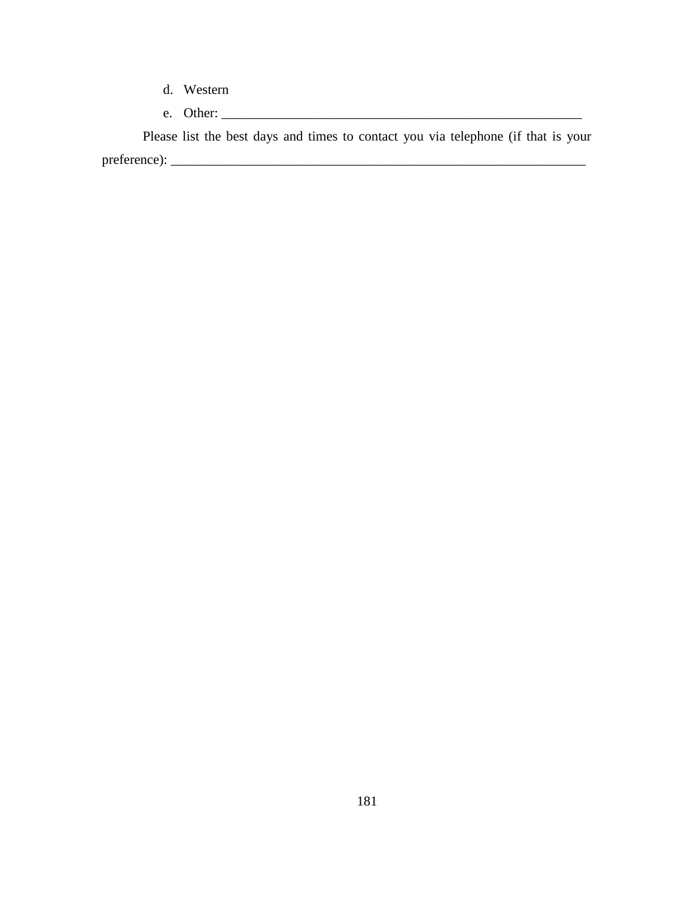- d. Western
- e. Other: \_\_\_\_\_\_\_\_\_\_\_\_\_\_\_\_\_\_\_\_\_\_\_\_\_\_\_\_\_\_\_\_\_\_\_\_\_\_\_\_\_\_\_\_\_\_\_\_\_\_\_\_\_

Please list the best days and times to contact you via telephone (if that is your preference): \_\_\_\_\_\_\_\_\_\_\_\_\_\_\_\_\_\_\_\_\_\_\_\_\_\_\_\_\_\_\_\_\_\_\_\_\_\_\_\_\_\_\_\_\_\_\_\_\_\_\_\_\_\_\_\_\_\_\_\_\_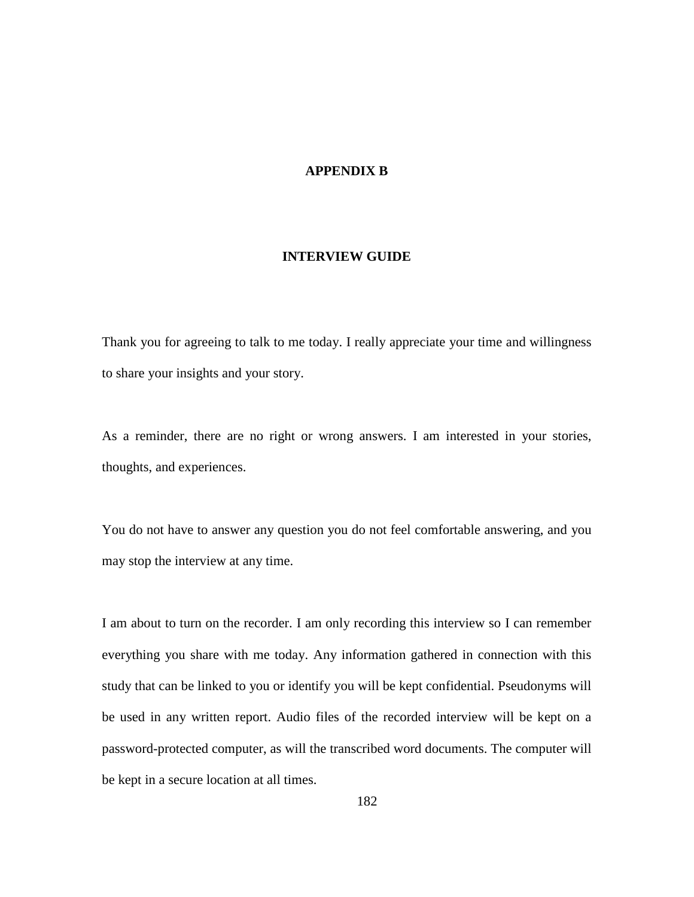# **APPENDIX B**

#### **INTERVIEW GUIDE**

Thank you for agreeing to talk to me today. I really appreciate your time and willingness to share your insights and your story.

As a reminder, there are no right or wrong answers. I am interested in your stories, thoughts, and experiences.

You do not have to answer any question you do not feel comfortable answering, and you may stop the interview at any time.

I am about to turn on the recorder. I am only recording this interview so I can remember everything you share with me today. Any information gathered in connection with this study that can be linked to you or identify you will be kept confidential. Pseudonyms will be used in any written report. Audio files of the recorded interview will be kept on a password-protected computer, as will the transcribed word documents. The computer will be kept in a secure location at all times.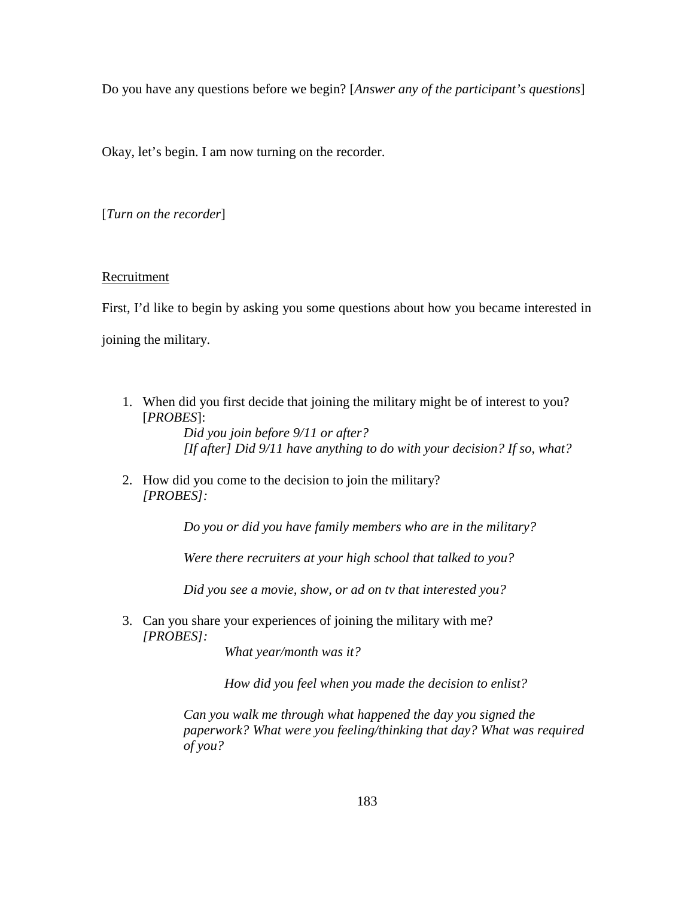Do you have any questions before we begin? [*Answer any of the participant's questions*]

Okay, let's begin. I am now turning on the recorder.

[*Turn on the recorder*]

### Recruitment

First, I'd like to begin by asking you some questions about how you became interested in joining the military.

1. When did you first decide that joining the military might be of interest to you? [*PROBES*]:

*Did you join before 9/11 or after? [If after] Did 9/11 have anything to do with your decision? If so, what?* 

2. How did you come to the decision to join the military? *[PROBES]:*

*Do you or did you have family members who are in the military?*

*Were there recruiters at your high school that talked to you?*

*Did you see a movie, show, or ad on tv that interested you?* 

3. Can you share your experiences of joining the military with me? *[PROBES]:*

*What year/month was it?* 

*How did you feel when you made the decision to enlist?* 

*Can you walk me through what happened the day you signed the paperwork? What were you feeling/thinking that day? What was required of you?*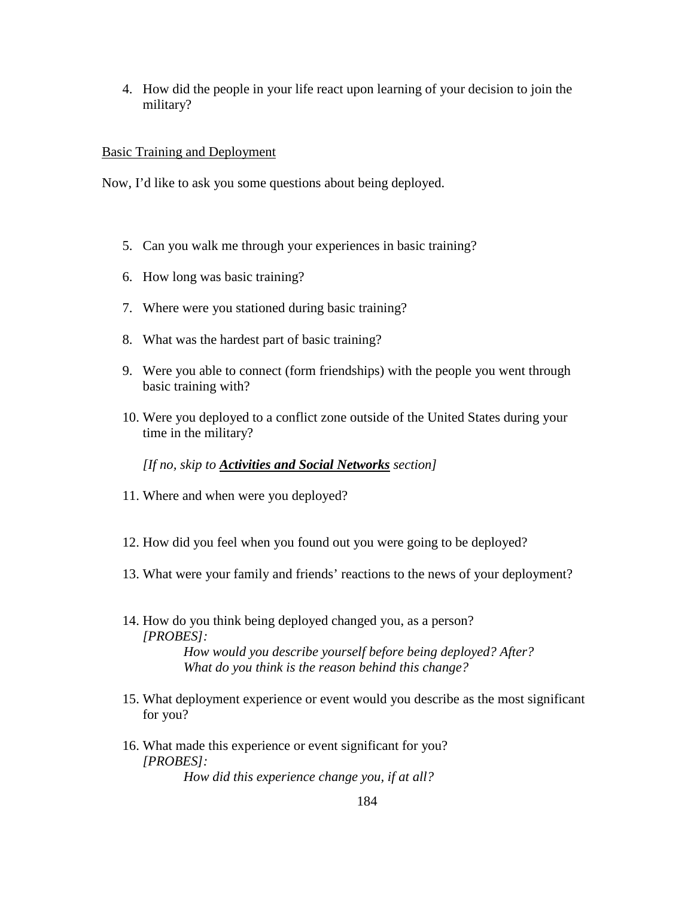4. How did the people in your life react upon learning of your decision to join the military?

### Basic Training and Deployment

Now, I'd like to ask you some questions about being deployed.

- 5. Can you walk me through your experiences in basic training?
- 6. How long was basic training?
- 7. Where were you stationed during basic training?
- 8. What was the hardest part of basic training?
- 9. Were you able to connect (form friendships) with the people you went through basic training with?
- 10. Were you deployed to a conflict zone outside of the United States during your time in the military?

*[If no, skip to Activities and Social Networks section]*

- 11. Where and when were you deployed?
- 12. How did you feel when you found out you were going to be deployed?
- 13. What were your family and friends' reactions to the news of your deployment?
- 14. How do you think being deployed changed you, as a person? *[PROBES]: How would you describe yourself before being deployed? After? What do you think is the reason behind this change?*
- 15. What deployment experience or event would you describe as the most significant for you?
- 16. What made this experience or event significant for you? *[PROBES]: How did this experience change you, if at all?*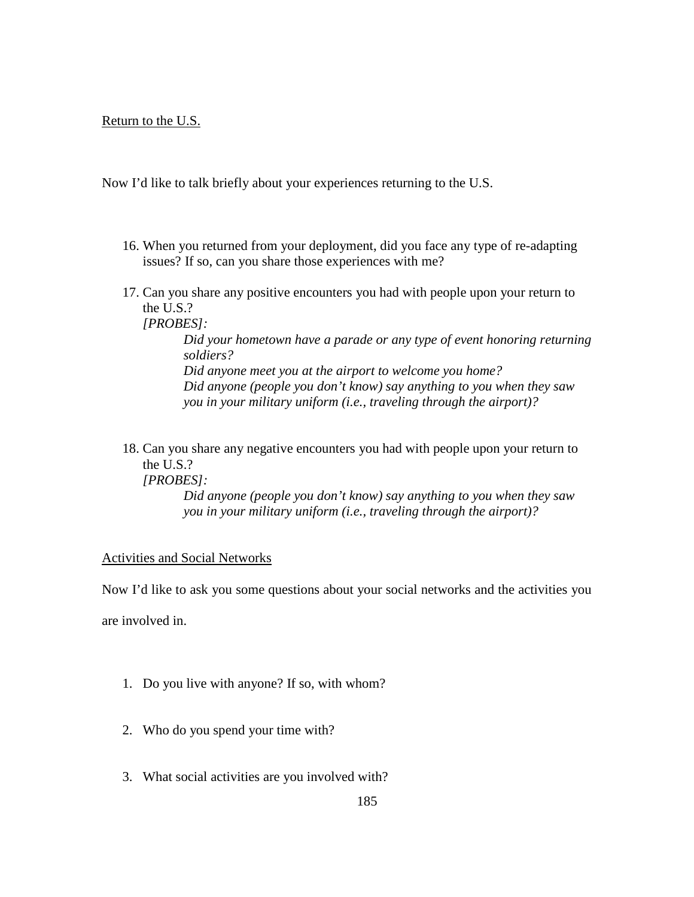### Return to the U.S.

Now I'd like to talk briefly about your experiences returning to the U.S.

- 16. When you returned from your deployment, did you face any type of re-adapting issues? If so, can you share those experiences with me?
- 17. Can you share any positive encounters you had with people upon your return to the U.S.?

*[PROBES]:*

*Did your hometown have a parade or any type of event honoring returning soldiers?* 

*Did anyone meet you at the airport to welcome you home? Did anyone (people you don't know) say anything to you when they saw you in your military uniform (i.e., traveling through the airport)?*

18. Can you share any negative encounters you had with people upon your return to the U.S.?

*[PROBES]:*

*Did anyone (people you don't know) say anything to you when they saw you in your military uniform (i.e., traveling through the airport)?*

### Activities and Social Networks

Now I'd like to ask you some questions about your social networks and the activities you

are involved in.

- 1. Do you live with anyone? If so, with whom?
- 2. Who do you spend your time with?
- 3. What social activities are you involved with?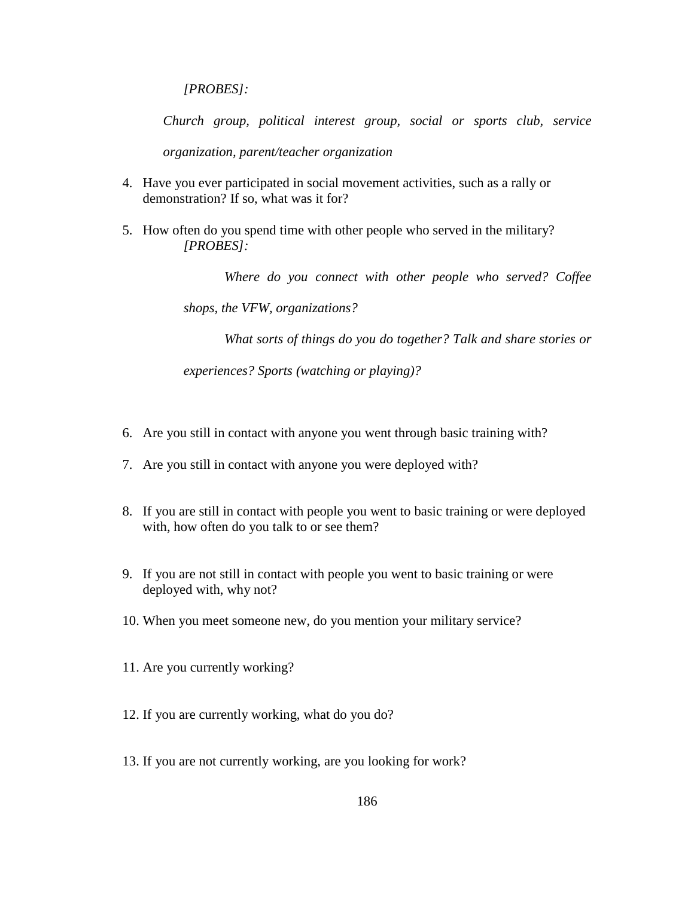*[PROBES]:*

*Church group, political interest group, social or sports club, service organization, parent/teacher organization* 

- 4. Have you ever participated in social movement activities, such as a rally or demonstration? If so, what was it for?
- 5. How often do you spend time with other people who served in the military? *[PROBES]:*

*Where do you connect with other people who served? Coffee* 

*shops, the VFW, organizations?* 

*What sorts of things do you do together? Talk and share stories or* 

*experiences? Sports (watching or playing)?* 

- 6. Are you still in contact with anyone you went through basic training with?
- 7. Are you still in contact with anyone you were deployed with?
- 8. If you are still in contact with people you went to basic training or were deployed with, how often do you talk to or see them?
- 9. If you are not still in contact with people you went to basic training or were deployed with, why not?
- 10. When you meet someone new, do you mention your military service?
- 11. Are you currently working?
- 12. If you are currently working, what do you do?
- 13. If you are not currently working, are you looking for work?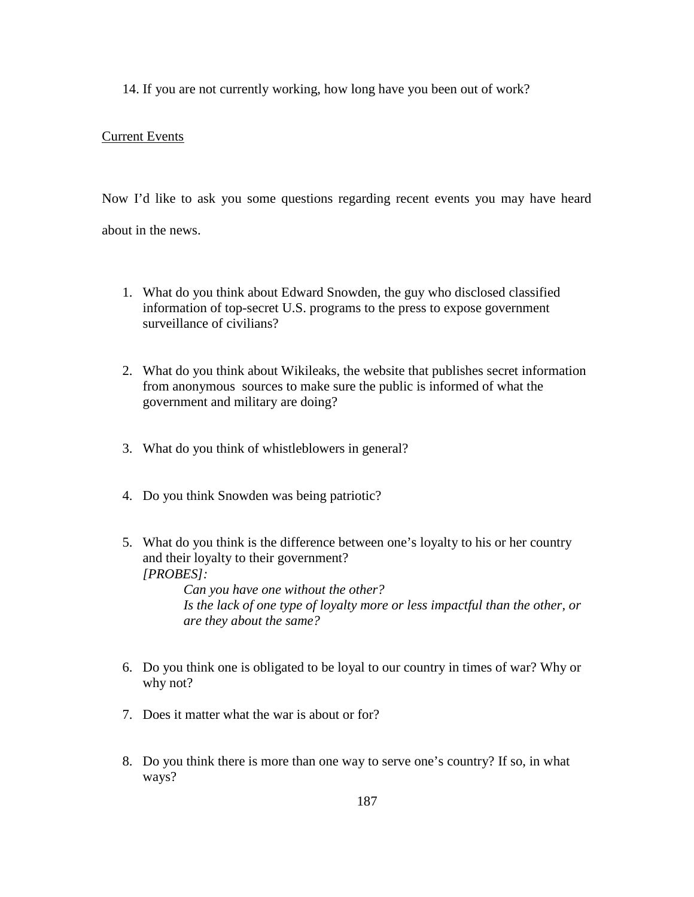14. If you are not currently working, how long have you been out of work?

# Current Events

Now I'd like to ask you some questions regarding recent events you may have heard about in the news.

- 1. What do you think about Edward Snowden, the guy who disclosed classified information of top-secret U.S. programs to the press to expose government surveillance of civilians?
- 2. What do you think about Wikileaks, the website that publishes secret information from anonymous [sources](http://en.wikipedia.org/wiki/Journalism_sourcing) to make sure the public is informed of what the government and military are doing?
- 3. What do you think of whistleblowers in general?
- 4. Do you think Snowden was being patriotic?
- 5. What do you think is the difference between one's loyalty to his or her country and their loyalty to their government? *[PROBES]:*

*Can you have one without the other? Is the lack of one type of loyalty more or less impactful than the other, or are they about the same?*

- 6. Do you think one is obligated to be loyal to our country in times of war? Why or why not?
- 7. Does it matter what the war is about or for?
- 8. Do you think there is more than one way to serve one's country? If so, in what ways?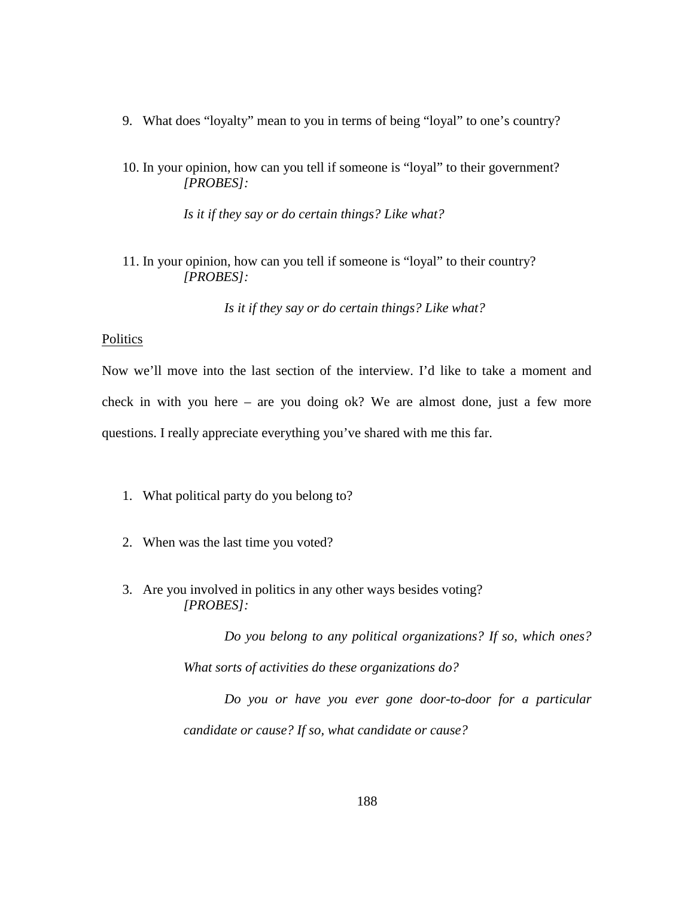- 9. What does "loyalty" mean to you in terms of being "loyal" to one's country?
- 10. In your opinion, how can you tell if someone is "loyal" to their government? *[PROBES]:*

*Is it if they say or do certain things? Like what?*

11. In your opinion, how can you tell if someone is "loyal" to their country? *[PROBES]:*

*Is it if they say or do certain things? Like what?*

#### **Politics**

Now we'll move into the last section of the interview. I'd like to take a moment and check in with you here – are you doing ok? We are almost done, just a few more questions. I really appreciate everything you've shared with me this far.

- 1. What political party do you belong to?
- 2. When was the last time you voted?
- 3. Are you involved in politics in any other ways besides voting? *[PROBES]:*

*Do you belong to any political organizations? If so, which ones? What sorts of activities do these organizations do?* 

*Do you or have you ever gone door-to-door for a particular candidate or cause? If so, what candidate or cause?*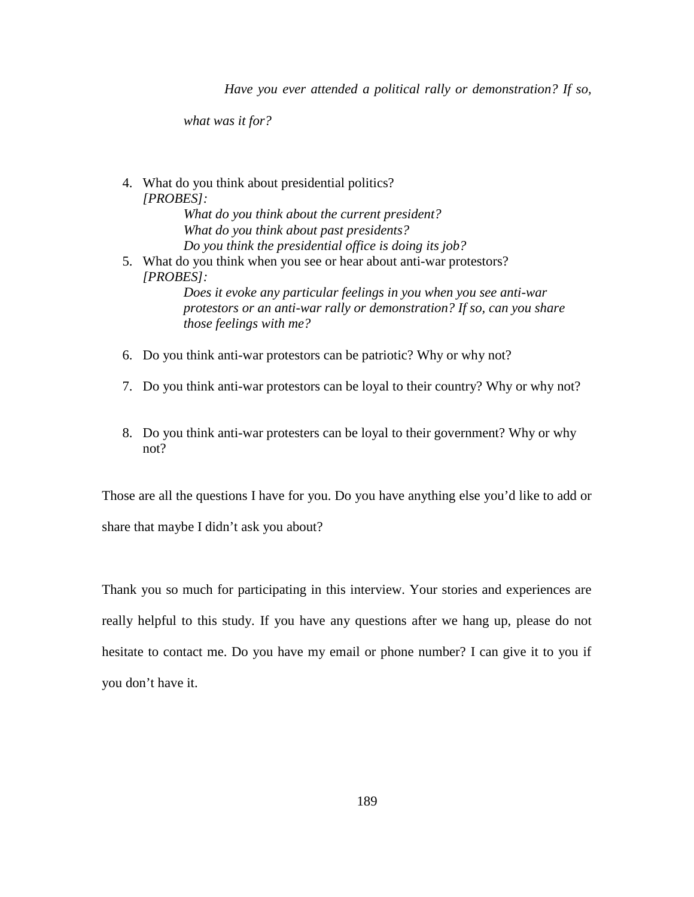*Have you ever attended a political rally or demonstration? If so,* 

*what was it for?* 

- 4. What do you think about presidential politics? *[PROBES]: What do you think about the current president? What do you think about past presidents? Do you think the presidential office is doing its job?* 5. What do you think when you see or hear about anti-war protestors? *[PROBES]: Does it evoke any particular feelings in you when you see anti-war protestors or an anti-war rally or demonstration? If so, can you share those feelings with me?*
- 6. Do you think anti-war protestors can be patriotic? Why or why not?
- 7. Do you think anti-war protestors can be loyal to their country? Why or why not?
- 8. Do you think anti-war protesters can be loyal to their government? Why or why not?

Those are all the questions I have for you. Do you have anything else you'd like to add or share that maybe I didn't ask you about?

Thank you so much for participating in this interview. Your stories and experiences are really helpful to this study. If you have any questions after we hang up, please do not hesitate to contact me. Do you have my email or phone number? I can give it to you if you don't have it.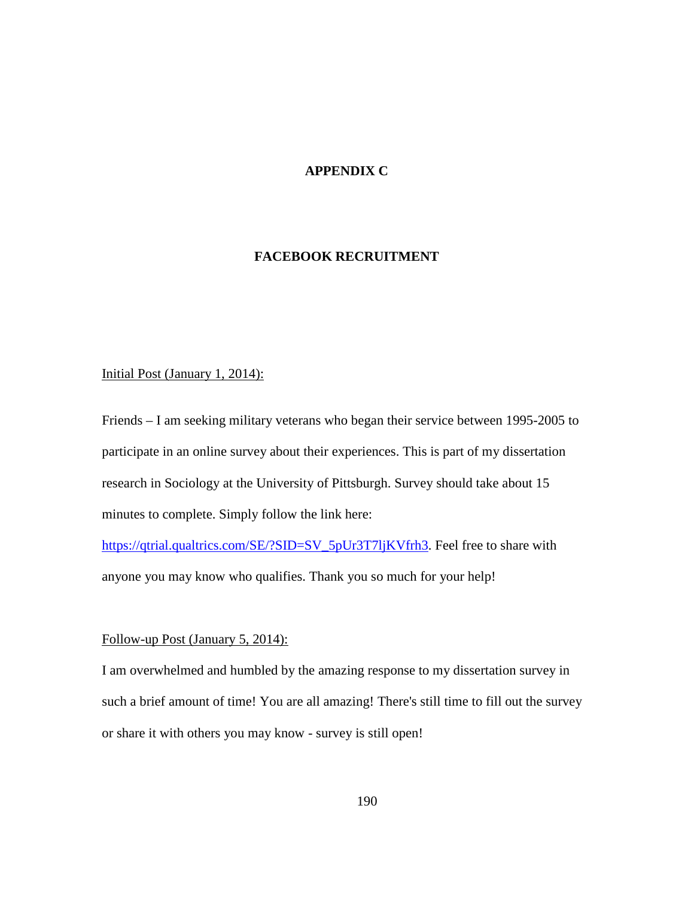# **APPENDIX C**

### **FACEBOOK RECRUITMENT**

### Initial Post (January 1, 2014):

Friends – I am seeking military veterans who began their service between 1995-2005 to participate in an online survey about their experiences. This is part of my dissertation research in Sociology at the University of Pittsburgh. Survey should take about 15 minutes to complete. Simply follow the link here:

[https://qtrial.qualtrics.com/SE/?SID=SV\\_5pUr3T7ljKVfrh3.](https://qtrial.qualtrics.com/SE/?SID=SV_5pUr3T7ljKVfrh3) Feel free to share with anyone you may know who qualifies. Thank you so much for your help!

#### Follow-up Post (January 5, 2014):

I am overwhelmed and humbled by the amazing response to my dissertation survey in such a brief amount of time! You are all amazing! There's still time to fill out the survey or share it with others you may know - survey is still open!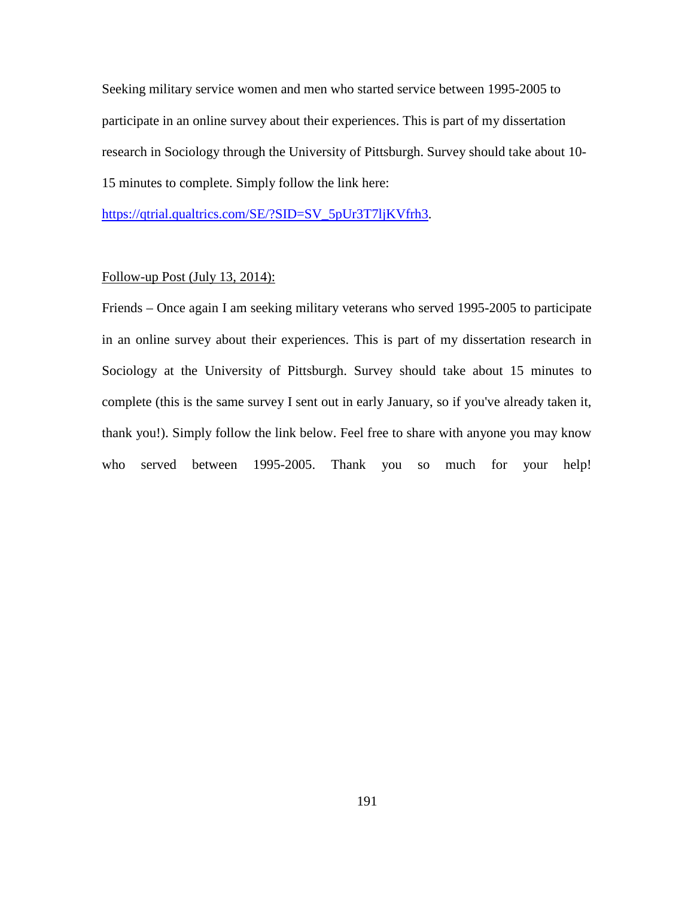Seeking military service women and men who started service between 1995-2005 to participate in an online survey about their experiences. This is part of my dissertation research in Sociology through the University of Pittsburgh. Survey should take about 10- 15 minutes to complete. Simply follow the link here:

[https://qtrial.qualtrics.com/SE/?SID=SV\\_5pUr3T7ljKVfrh3.](https://qtrial.qualtrics.com/SE/?SID=SV_5pUr3T7ljKVfrh3)

### Follow-up Post (July 13, 2014):

Friends – Once again I am seeking military veterans who served 1995-2005 to participate in an online survey about their experiences. This is part of my dissertation research in Sociology at the University of Pittsburgh. Survey should take about 15 minutes to complete (this is the same survey I sent out in early January, so if you've already taken it, thank you!). Simply follow the link below. Feel free to share with anyone you may know who served between 1995-2005. Thank you so much for your help!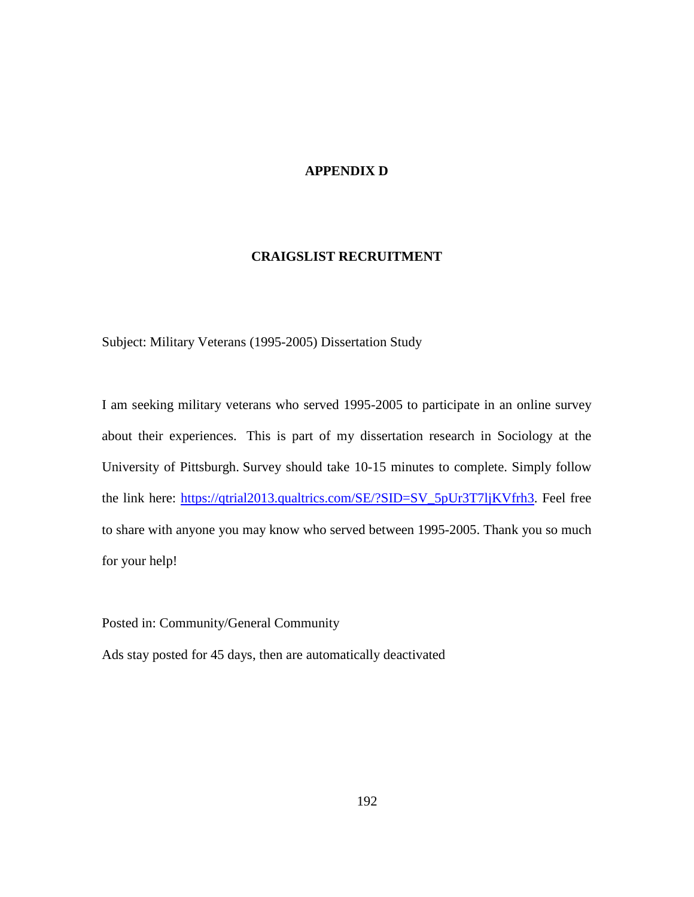# **APPENDIX D**

# **CRAIGSLIST RECRUITMENT**

Subject: Military Veterans (1995-2005) Dissertation Study

I am seeking military veterans who served 1995-2005 to participate in an online survey about their experiences. This is part of my dissertation research in Sociology at the University of Pittsburgh. Survey should take 10-15 minutes to complete. Simply follow the link here: [https://qtrial2013.qualtrics.com/SE/?SID=SV\\_5pUr3T7ljKVfrh3.](https://qtrial2013.qualtrics.com/SE/?SID=SV_5pUr3T7ljKVfrh3) Feel free to share with anyone you may know who served between 1995-2005. Thank you so much for your help!

Posted in: Community/General Community

Ads stay posted for 45 days, then are automatically deactivated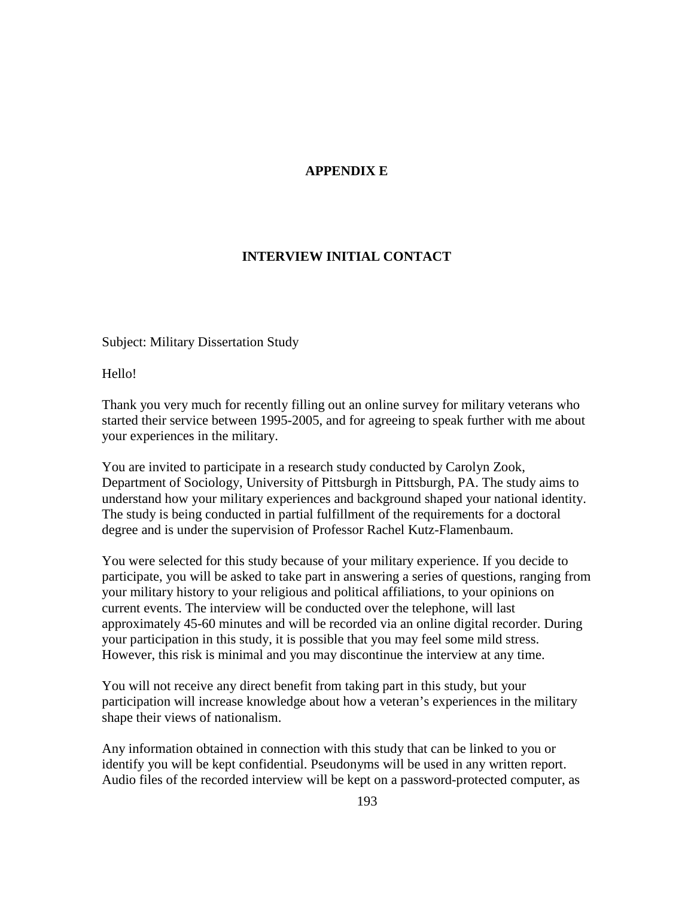# **APPENDIX E**

# **INTERVIEW INITIAL CONTACT**

Subject: Military Dissertation Study

Hello!

Thank you very much for recently filling out an online survey for military veterans who started their service between 1995-2005, and for agreeing to speak further with me about your experiences in the military.

You are invited to participate in a research study conducted by Carolyn Zook, Department of Sociology, University of Pittsburgh in Pittsburgh, PA. The study aims to understand how your military experiences and background shaped your national identity. The study is being conducted in partial fulfillment of the requirements for a doctoral degree and is under the supervision of Professor Rachel Kutz-Flamenbaum.

You were selected for this study because of your military experience. If you decide to participate, you will be asked to take part in answering a series of questions, ranging from your military history to your religious and political affiliations, to your opinions on current events. The interview will be conducted over the telephone, will last approximately 45-60 minutes and will be recorded via an online digital recorder. During your participation in this study, it is possible that you may feel some mild stress. However, this risk is minimal and you may discontinue the interview at any time.

You will not receive any direct benefit from taking part in this study, but your participation will increase knowledge about how a veteran's experiences in the military shape their views of nationalism.

Any information obtained in connection with this study that can be linked to you or identify you will be kept confidential. Pseudonyms will be used in any written report. Audio files of the recorded interview will be kept on a password-protected computer, as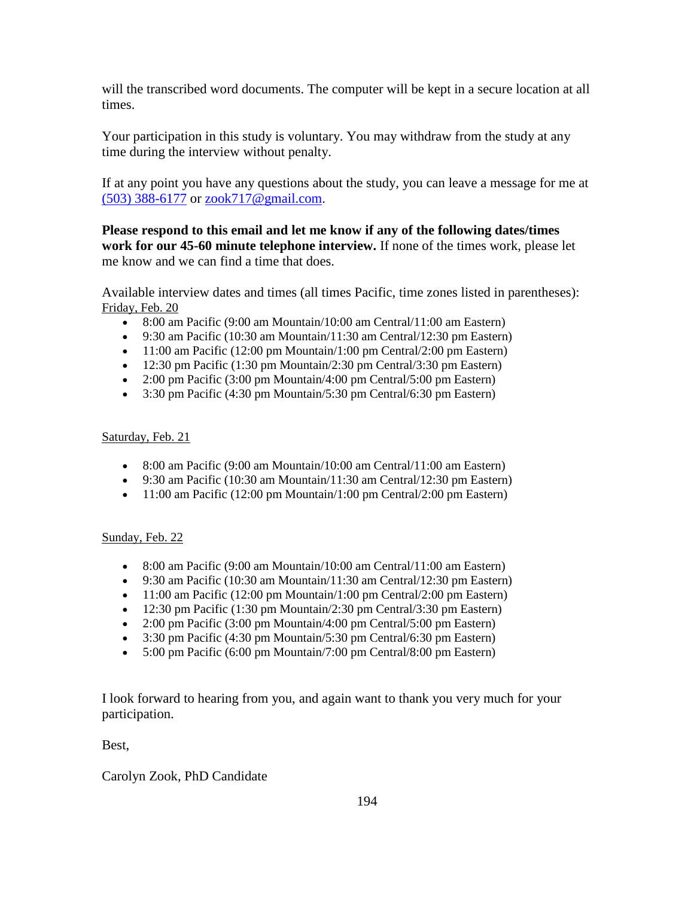will the transcribed word documents. The computer will be kept in a secure location at all times.

Your participation in this study is voluntary. You may withdraw from the study at any time during the interview without penalty.

If at any point you have any questions about the study, you can leave a message for me at [\(503\) 388-6177](tel:%28503%29%20388-6177) or [zook717@gmail.com.](mailto:zook717@gmail.com)

**Please respond to this email and let me know if any of the following dates/times work for our 45-60 minute telephone interview.** If none of the times work, please let me know and we can find a time that does.

Available interview dates and times (all times Pacific, time zones listed in parentheses): Friday, Feb. 20

- 8:00 am Pacific (9:00 am Mountain/10:00 am Central/11:00 am Eastern)
- 9:30 am Pacific (10:30 am Mountain/11:30 am Central/12:30 pm Eastern)
- $\bullet$  11:00 am Pacific (12:00 pm Mountain/1:00 pm Central/2:00 pm Eastern)
- 12:30 pm Pacific  $(1:30 \text{ pm Mountain}/2:30 \text{ pm Central}/3:30 \text{ pm Eastern})$
- 2:00 pm Pacific  $(3:00 \text{ pm}$  Mountain/4:00 pm Central/5:00 pm Eastern)
- $3:30 \text{ pm}$  Pacific (4:30 pm Mountain/5:30 pm Central/6:30 pm Eastern)

### Saturday, Feb. 21

- 8:00 am Pacific (9:00 am Mountain/10:00 am Central/11:00 am Eastern)
- 9:30 am Pacific (10:30 am Mountain/11:30 am Central/12:30 pm Eastern)
- 11:00 am Pacific (12:00 pm Mountain/1:00 pm Central/2:00 pm Eastern)

# Sunday, Feb. 22

- 8:00 am Pacific (9:00 am Mountain/10:00 am Central/11:00 am Eastern)
- 9:30 am Pacific (10:30 am Mountain/11:30 am Central/12:30 pm Eastern)
- 11:00 am Pacific (12:00 pm Mountain/1:00 pm Central/2:00 pm Eastern)
- 12:30 pm Pacific  $(1:30 \text{ pm Mountain}/2:30 \text{ pm Central}/3:30 \text{ pm Eastern})$
- 2:00 pm Pacific  $(3:00 \text{ pm}$  Mountain/4:00 pm Central/5:00 pm Eastern)
- 3:30 pm Pacific (4:30 pm Mountain/5:30 pm Central/6:30 pm Eastern)
- $\bullet$  5:00 pm Pacific (6:00 pm Mountain/7:00 pm Central/8:00 pm Eastern)

I look forward to hearing from you, and again want to thank you very much for your participation.

Best,

# Carolyn Zook, PhD Candidate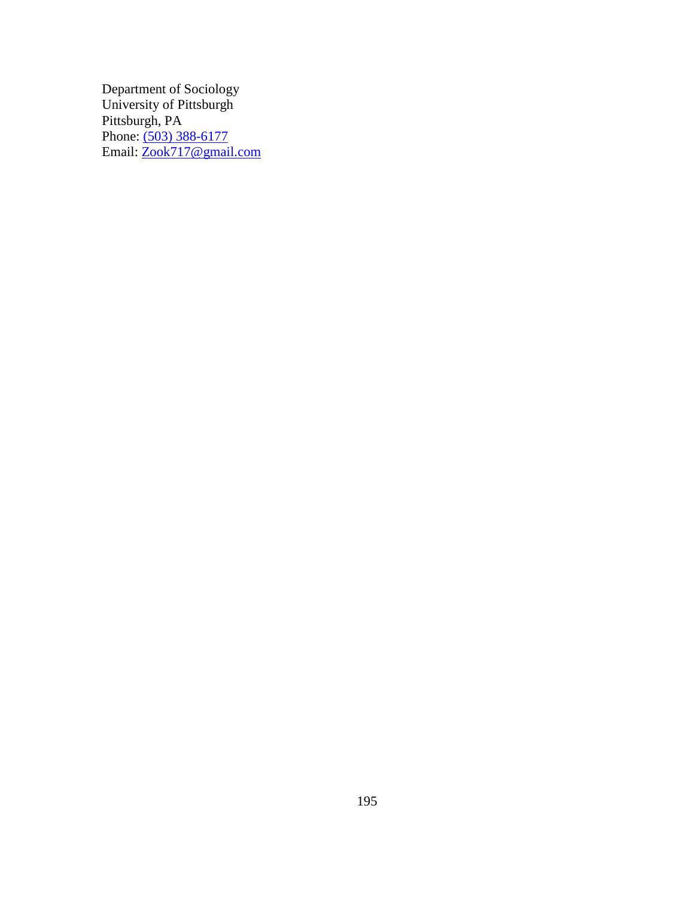Department of Sociology University of Pittsburgh Pittsburgh, PA Phone: [\(503\) 388-6177](tel:%28503%29%20388-6177) Email: <u>Zook717@gmail.com</u>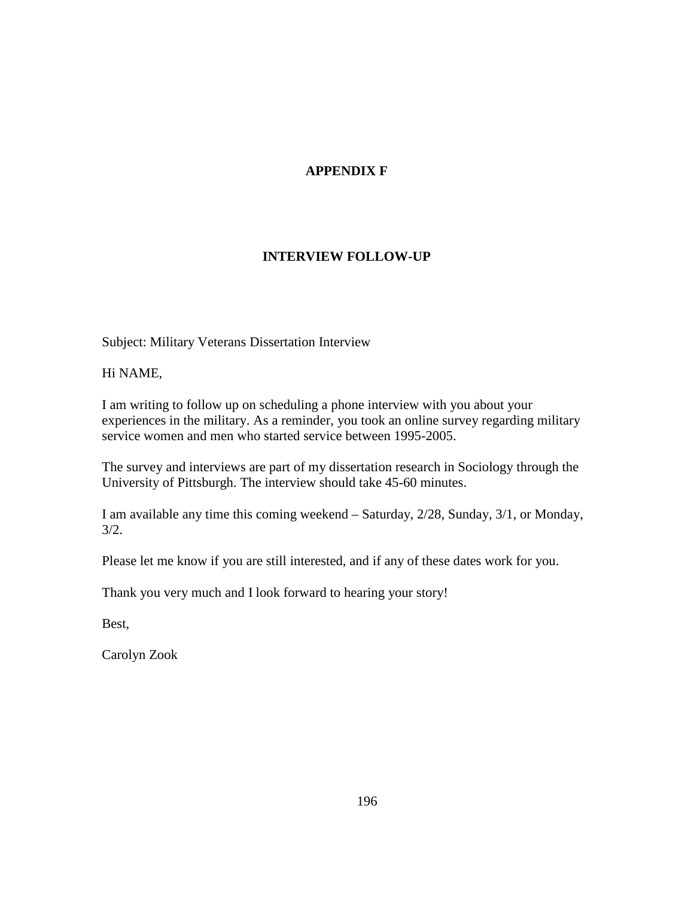# **APPENDIX F**

# **INTERVIEW FOLLOW-UP**

Subject: Military Veterans Dissertation Interview

Hi NAME,

I am writing to follow up on scheduling a phone interview with you about your experiences in the military. As a reminder, you took an online survey regarding military service women and men who started service between 1995-2005.

The survey and interviews are part of my dissertation research in Sociology through the University of Pittsburgh. The interview should take 45-60 minutes.

I am available any time this coming weekend – Saturday, 2/28, Sunday, 3/1, or Monday, 3/2.

Please let me know if you are still interested, and if any of these dates work for you.

Thank you very much and I look forward to hearing your story!

Best,

Carolyn Zook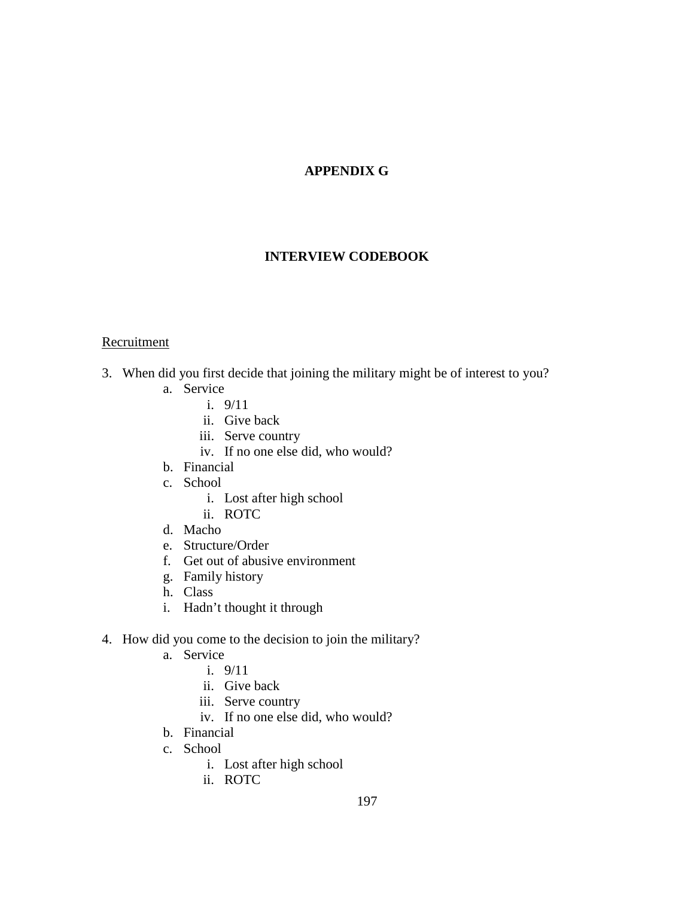# **APPENDIX G**

### **INTERVIEW CODEBOOK**

### **Recruitment**

- 3. When did you first decide that joining the military might be of interest to you?
	- a. Service
		- i. 9/11
		- ii. Give back
		- iii. Serve country
		- iv. If no one else did, who would?
	- b. Financial
	- c. School
		- i. Lost after high school
		- ii. ROTC
	- d. Macho
	- e. Structure/Order
	- f. Get out of abusive environment
	- g. Family history
	- h. Class
	- i. Hadn't thought it through
- 4. How did you come to the decision to join the military?
	- a. Service
		- i. 9/11
		- ii. Give back
		- iii. Serve country
		- iv. If no one else did, who would?
	- b. Financial
	- c. School
		- i. Lost after high school
		- ii. ROTC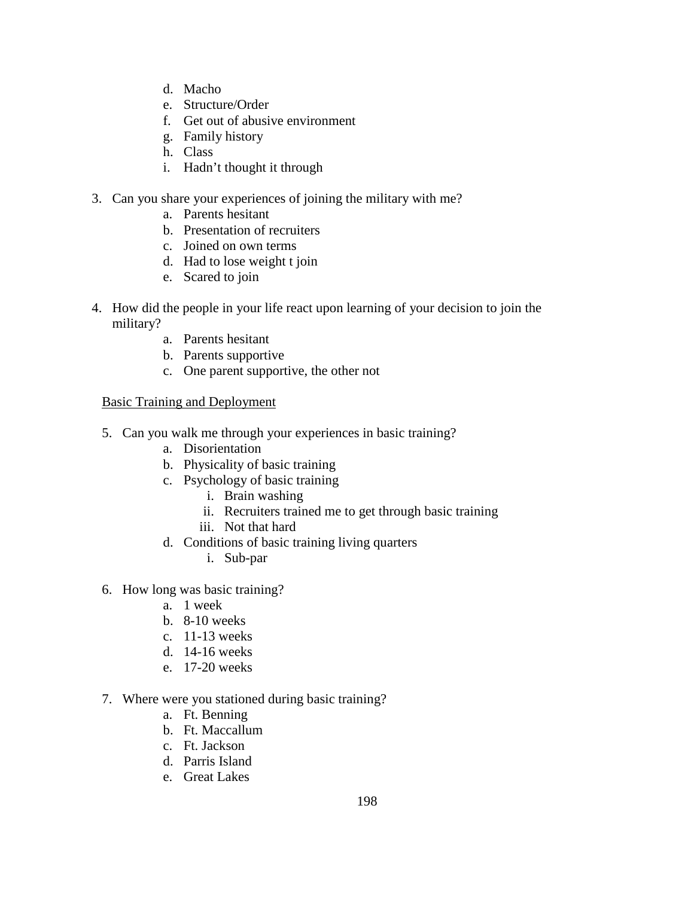- d. Macho
- e. Structure/Order
- f. Get out of abusive environment
- g. Family history
- h. Class
- i. Hadn't thought it through
- 3. Can you share your experiences of joining the military with me?
	- a. Parents hesitant
	- b. Presentation of recruiters
	- c. Joined on own terms
	- d. Had to lose weight t join
	- e. Scared to join
- 4. How did the people in your life react upon learning of your decision to join the military?
	- a. Parents hesitant
	- b. Parents supportive
	- c. One parent supportive, the other not

# Basic Training and Deployment

- 5. Can you walk me through your experiences in basic training?
	- a. Disorientation
	- b. Physicality of basic training
	- c. Psychology of basic training
		- i. Brain washing
		- ii. Recruiters trained me to get through basic training
		- iii. Not that hard
	- d. Conditions of basic training living quarters
		- i. Sub-par
- 6. How long was basic training?
	- a. 1 week
	- b. 8-10 weeks
	- c. 11-13 weeks
	- d. 14-16 weeks
	- e. 17-20 weeks
- 7. Where were you stationed during basic training?
	- a. Ft. Benning
	- b. Ft. Maccallum
	- c. Ft. Jackson
	- d. Parris Island
	- e. Great Lakes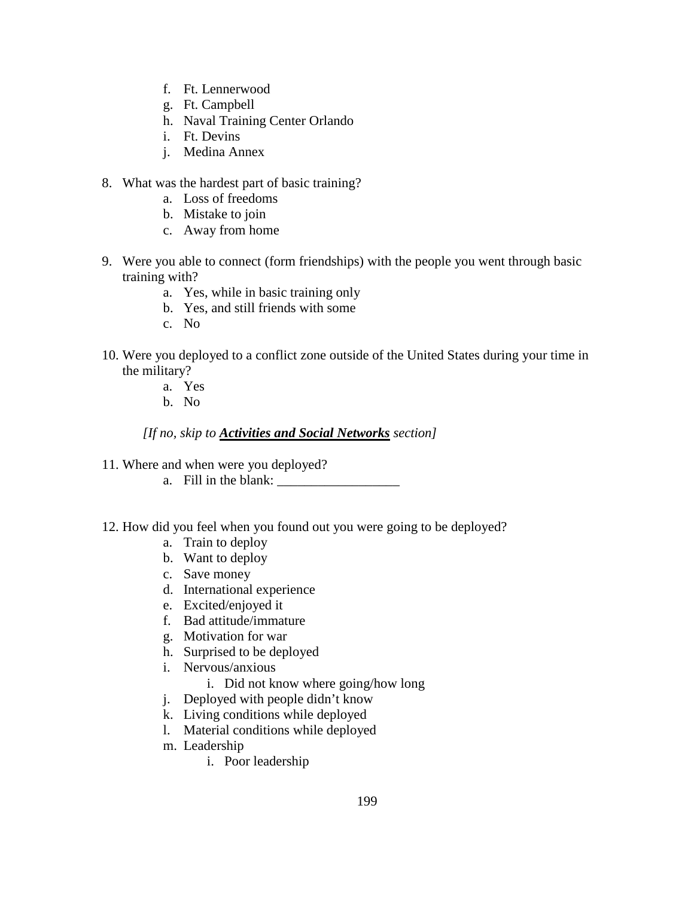- f. Ft. Lennerwood
- g. Ft. Campbell
- h. Naval Training Center Orlando
- i. Ft. Devins
- j. Medina Annex
- 8. What was the hardest part of basic training?
	- a. Loss of freedoms
	- b. Mistake to join
	- c. Away from home
- 9. Were you able to connect (form friendships) with the people you went through basic training with?
	- a. Yes, while in basic training only
	- b. Yes, and still friends with some
	- c. No
- 10. Were you deployed to a conflict zone outside of the United States during your time in the military?
	- a. Yes
	- b. No

*[If no, skip to Activities and Social Networks section]*

- 11. Where and when were you deployed?
	- a. Fill in the blank:
- 12. How did you feel when you found out you were going to be deployed?
	- a. Train to deploy
	- b. Want to deploy
	- c. Save money
	- d. International experience
	- e. Excited/enjoyed it
	- f. Bad attitude/immature
	- g. Motivation for war
	- h. Surprised to be deployed
	- i. Nervous/anxious
		- i. Did not know where going/how long
	- j. Deployed with people didn't know
	- k. Living conditions while deployed
	- l. Material conditions while deployed
	- m. Leadership
		- i. Poor leadership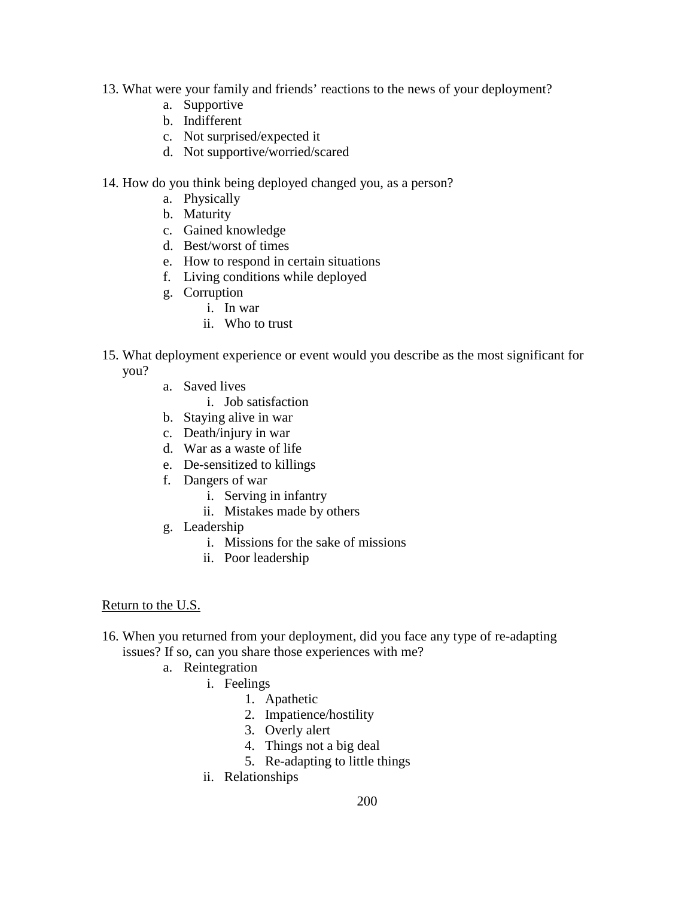- 13. What were your family and friends' reactions to the news of your deployment?
	- a. Supportive
	- b. Indifferent
	- c. Not surprised/expected it
	- d. Not supportive/worried/scared
- 14. How do you think being deployed changed you, as a person?
	- a. Physically
	- b. Maturity
	- c. Gained knowledge
	- d. Best/worst of times
	- e. How to respond in certain situations
	- f. Living conditions while deployed
	- g. Corruption
		- i. In war
		- ii. Who to trust
- 15. What deployment experience or event would you describe as the most significant for you?
	- a. Saved lives
		- i. Job satisfaction
	- b. Staying alive in war
	- c. Death/injury in war
	- d. War as a waste of life
	- e. De-sensitized to killings
	- f. Dangers of war
		- i. Serving in infantry
		- ii. Mistakes made by others
	- g. Leadership
		- i. Missions for the sake of missions
		- ii. Poor leadership

### Return to the U.S.

- 16. When you returned from your deployment, did you face any type of re-adapting issues? If so, can you share those experiences with me?
	- a. Reintegration
		- i. Feelings
			- 1. Apathetic
			- 2. Impatience/hostility
			- 3. Overly alert
			- 4. Things not a big deal
			- 5. Re-adapting to little things
		- ii. Relationships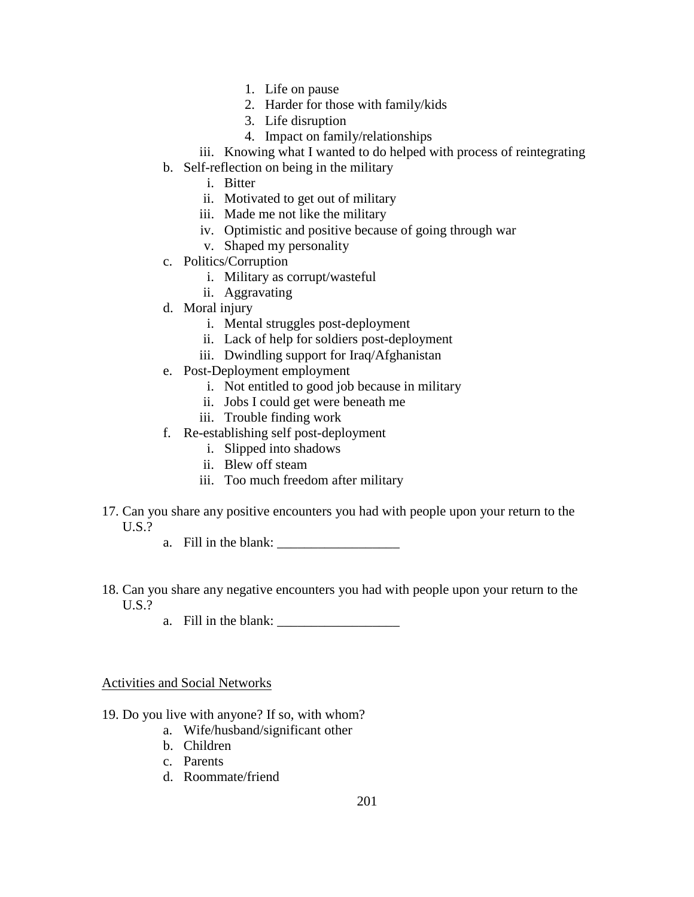- 1. Life on pause
- 2. Harder for those with family/kids
- 3. Life disruption
- 4. Impact on family/relationships
- iii. Knowing what I wanted to do helped with process of reintegrating
- b. Self-reflection on being in the military
	- i. Bitter
	- ii. Motivated to get out of military
	- iii. Made me not like the military
	- iv. Optimistic and positive because of going through war
	- v. Shaped my personality
- c. Politics/Corruption
	- i. Military as corrupt/wasteful
	- ii. Aggravating
- d. Moral injury
	- i. Mental struggles post-deployment
	- ii. Lack of help for soldiers post-deployment
	- iii. Dwindling support for Iraq/Afghanistan
- e. Post-Deployment employment
	- i. Not entitled to good job because in military
	- ii. Jobs I could get were beneath me
	- iii. Trouble finding work
- f. Re-establishing self post-deployment
	- i. Slipped into shadows
	- ii. Blew off steam
	- iii. Too much freedom after military
- 17. Can you share any positive encounters you had with people upon your return to the U.S.?
	- a. Fill in the blank:
- 18. Can you share any negative encounters you had with people upon your return to the U.S.?
	- a. Fill in the blank:

# Activities and Social Networks

- 19. Do you live with anyone? If so, with whom?
	- a. Wife/husband/significant other
	- b. Children
	- c. Parents
	- d. Roommate/friend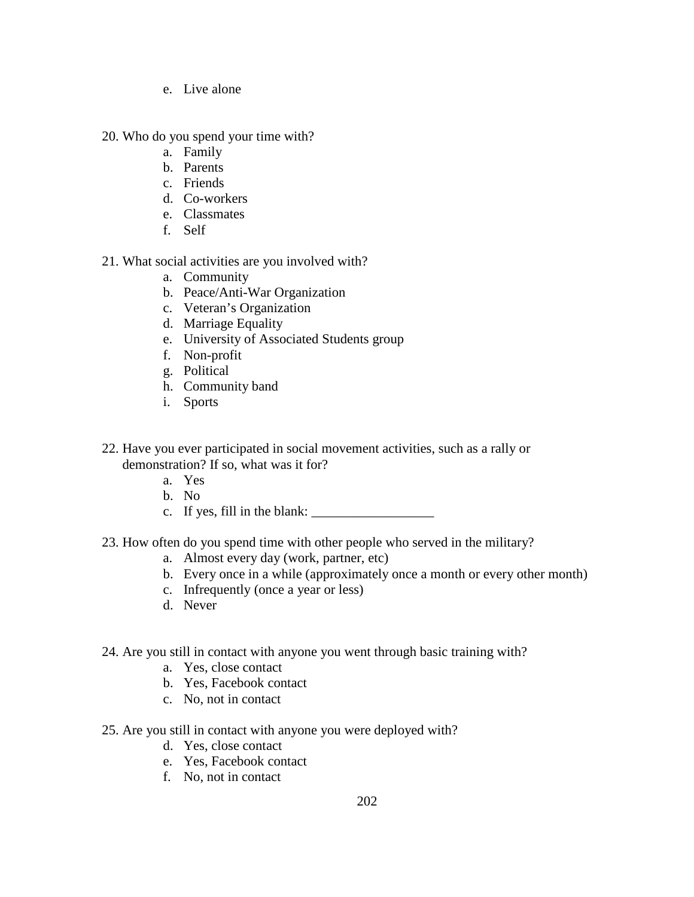- e. Live alone
- 20. Who do you spend your time with?
	- a. Family
	- b. Parents
	- c. Friends
	- d. Co-workers
	- e. Classmates
	- f. Self

# 21. What social activities are you involved with?

- a. Community
- b. Peace/Anti-War Organization
- c. Veteran's Organization
- d. Marriage Equality
- e. University of Associated Students group
- f. Non-profit
- g. Political
- h. Community band
- i. Sports
- 22. Have you ever participated in social movement activities, such as a rally or demonstration? If so, what was it for?
	- a. Yes
	- b. No
	- c. If yes, fill in the blank:
- 23. How often do you spend time with other people who served in the military?
	- a. Almost every day (work, partner, etc)
	- b. Every once in a while (approximately once a month or every other month)
	- c. Infrequently (once a year or less)
	- d. Never

# 24. Are you still in contact with anyone you went through basic training with?

- a. Yes, close contact
- b. Yes, Facebook contact
- c. No, not in contact
- 25. Are you still in contact with anyone you were deployed with?
	- d. Yes, close contact
	- e. Yes, Facebook contact
	- f. No, not in contact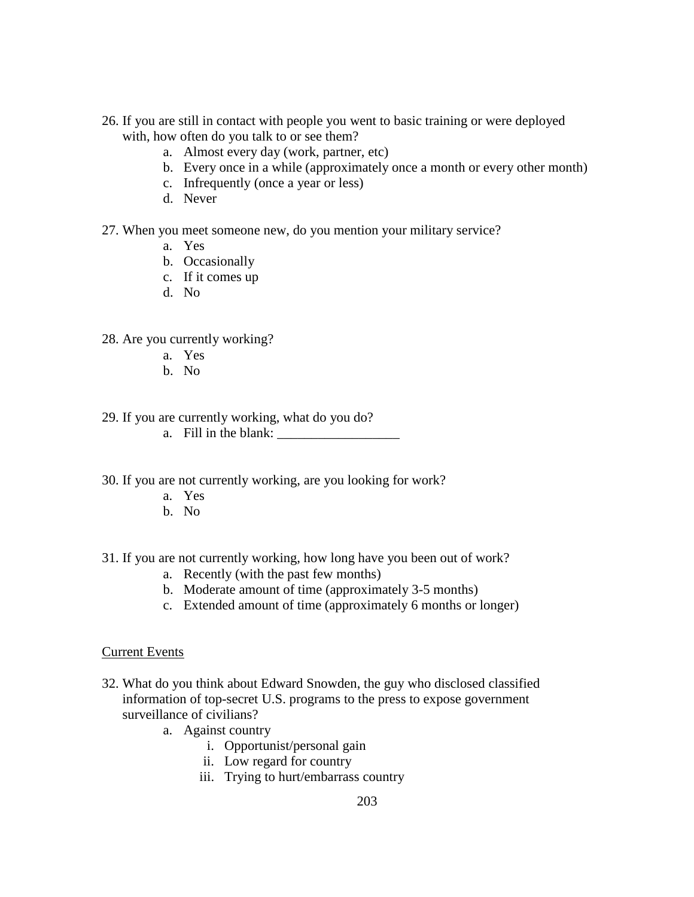- 26. If you are still in contact with people you went to basic training or were deployed with, how often do you talk to or see them?
	- a. Almost every day (work, partner, etc)
	- b. Every once in a while (approximately once a month or every other month)
	- c. Infrequently (once a year or less)
	- d. Never
- 27. When you meet someone new, do you mention your military service?
	- a. Yes
	- b. Occasionally
	- c. If it comes up
	- d. No
- 28. Are you currently working?
	- a. Yes
	- b. No
- 29. If you are currently working, what do you do?
	- a. Fill in the blank:  $\frac{1}{2}$
- 30. If you are not currently working, are you looking for work?
	- a. Yes
	- b. No
- 31. If you are not currently working, how long have you been out of work?
	- a. Recently (with the past few months)
	- b. Moderate amount of time (approximately 3-5 months)
	- c. Extended amount of time (approximately 6 months or longer)

### Current Events

- 32. What do you think about Edward Snowden, the guy who disclosed classified information of top-secret U.S. programs to the press to expose government surveillance of civilians?
	- a. Against country
		- i. Opportunist/personal gain
		- ii. Low regard for country
		- iii. Trying to hurt/embarrass country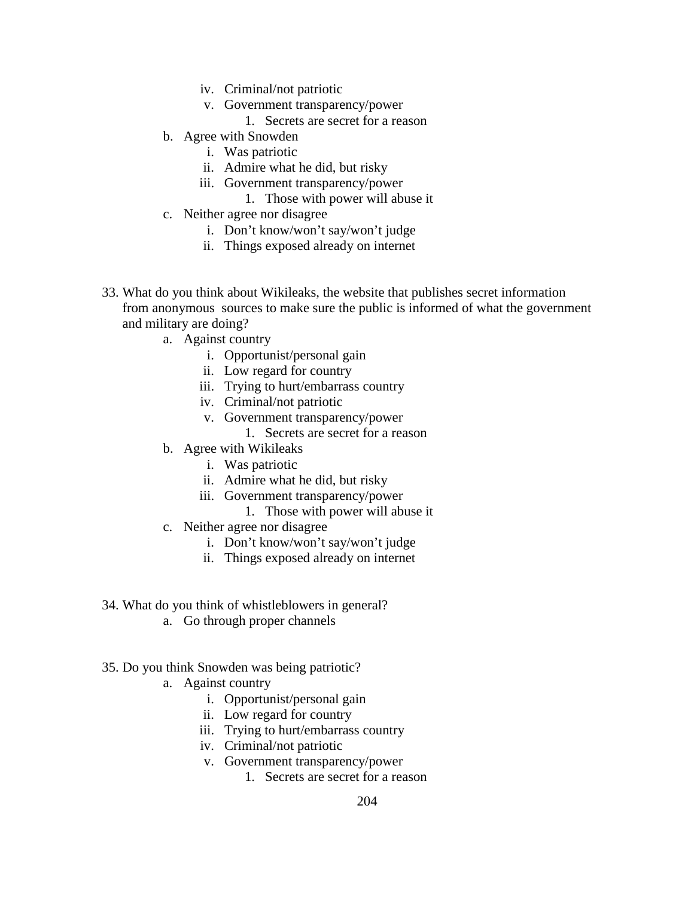- iv. Criminal/not patriotic
- v. Government transparency/power
	- 1. Secrets are secret for a reason
- b. Agree with Snowden
	- i. Was patriotic
	- ii. Admire what he did, but risky
	- iii. Government transparency/power
		- 1. Those with power will abuse it
- c. Neither agree nor disagree
	- i. Don't know/won't say/won't judge
	- ii. Things exposed already on internet
- 33. What do you think about Wikileaks, the website that publishes secret information from anonymous [sources](http://en.wikipedia.org/wiki/Journalism_sourcing) to make sure the public is informed of what the government and military are doing?
	- a. Against country
		- i. Opportunist/personal gain
		- ii. Low regard for country
		- iii. Trying to hurt/embarrass country
		- iv. Criminal/not patriotic
		- v. Government transparency/power
			- 1. Secrets are secret for a reason
	- b. Agree with Wikileaks
		- i. Was patriotic
		- ii. Admire what he did, but risky
		- iii. Government transparency/power
			- 1. Those with power will abuse it
	- c. Neither agree nor disagree
		- i. Don't know/won't say/won't judge
		- ii. Things exposed already on internet
- 34. What do you think of whistleblowers in general?
	- a. Go through proper channels
- 35. Do you think Snowden was being patriotic?
	- a. Against country
		- i. Opportunist/personal gain
		- ii. Low regard for country
		- iii. Trying to hurt/embarrass country
		- iv. Criminal/not patriotic
		- v. Government transparency/power
			- 1. Secrets are secret for a reason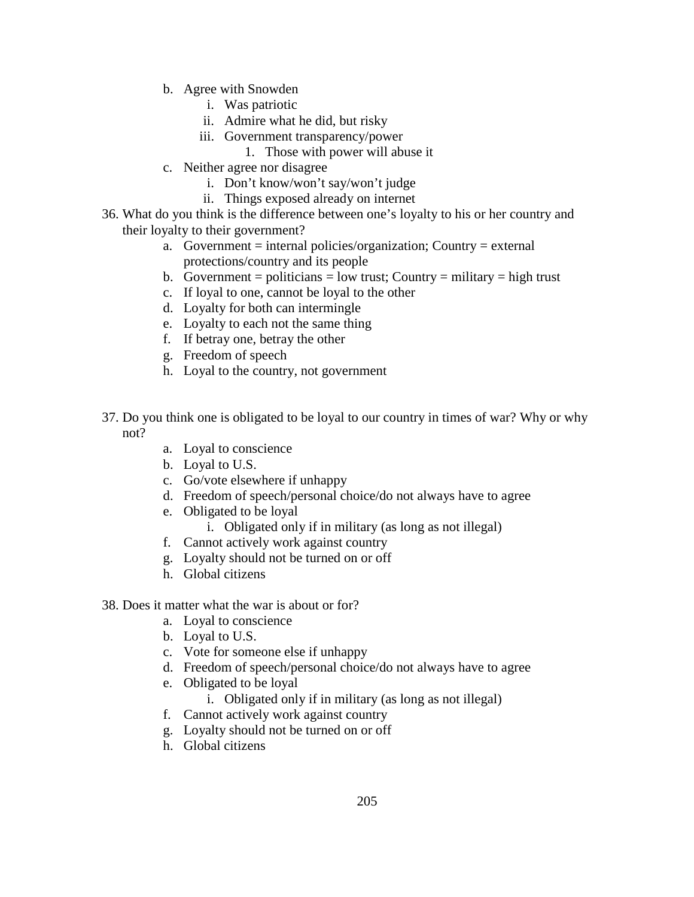- b. Agree with Snowden
	- i. Was patriotic
	- ii. Admire what he did, but risky
	- iii. Government transparency/power
		- 1. Those with power will abuse it
- c. Neither agree nor disagree
	- i. Don't know/won't say/won't judge
	- ii. Things exposed already on internet
- 36. What do you think is the difference between one's loyalty to his or her country and their loyalty to their government?
	- a. Government = internal policies/organization; Country = external protections/country and its people
	- b. Government = politicians = low trust; Country = military = high trust
	- c. If loyal to one, cannot be loyal to the other
	- d. Loyalty for both can intermingle
	- e. Loyalty to each not the same thing
	- f. If betray one, betray the other
	- g. Freedom of speech
	- h. Loyal to the country, not government
- 37. Do you think one is obligated to be loyal to our country in times of war? Why or why not?
	- a. Loyal to conscience
	- b. Loyal to U.S.
	- c. Go/vote elsewhere if unhappy
	- d. Freedom of speech/personal choice/do not always have to agree
	- e. Obligated to be loyal
		- i. Obligated only if in military (as long as not illegal)
	- f. Cannot actively work against country
	- g. Loyalty should not be turned on or off
	- h. Global citizens

# 38. Does it matter what the war is about or for?

- a. Loyal to conscience
- b. Loyal to U.S.
- c. Vote for someone else if unhappy
- d. Freedom of speech/personal choice/do not always have to agree
- e. Obligated to be loyal
	- i. Obligated only if in military (as long as not illegal)
- f. Cannot actively work against country
- g. Loyalty should not be turned on or off
- h. Global citizens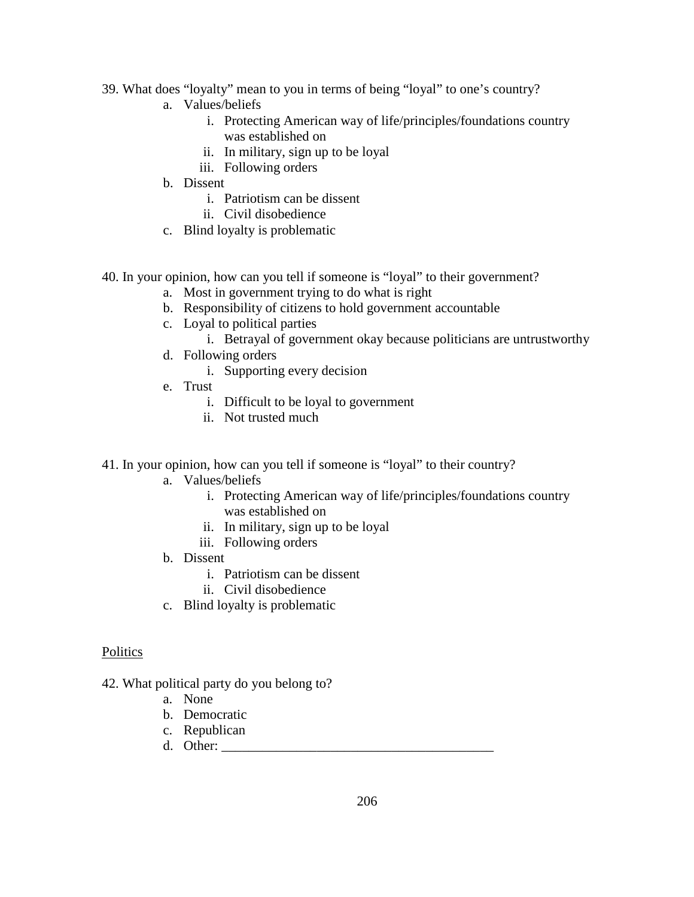- 39. What does "loyalty" mean to you in terms of being "loyal" to one's country?
	- a. Values/beliefs
		- i. Protecting American way of life/principles/foundations country was established on
		- ii. In military, sign up to be loyal
		- iii. Following orders
	- b. Dissent
		- i. Patriotism can be dissent
		- ii. Civil disobedience
	- c. Blind loyalty is problematic
- 40. In your opinion, how can you tell if someone is "loyal" to their government?
	- a. Most in government trying to do what is right
	- b. Responsibility of citizens to hold government accountable
	- c. Loyal to political parties
		- i. Betrayal of government okay because politicians are untrustworthy
	- d. Following orders
		- i. Supporting every decision
	- e. Trust
		- i. Difficult to be loyal to government
		- ii. Not trusted much
- 41. In your opinion, how can you tell if someone is "loyal" to their country?
	- a. Values/beliefs
		- i. Protecting American way of life/principles/foundations country was established on
		- ii. In military, sign up to be loyal
		- iii. Following orders
	- b. Dissent
		- i. Patriotism can be dissent
		- ii. Civil disobedience
	- c. Blind loyalty is problematic

## **Politics**

- 42. What political party do you belong to?
	- a. None
	- b. Democratic
	- c. Republican
	- d. Other:  $\blacksquare$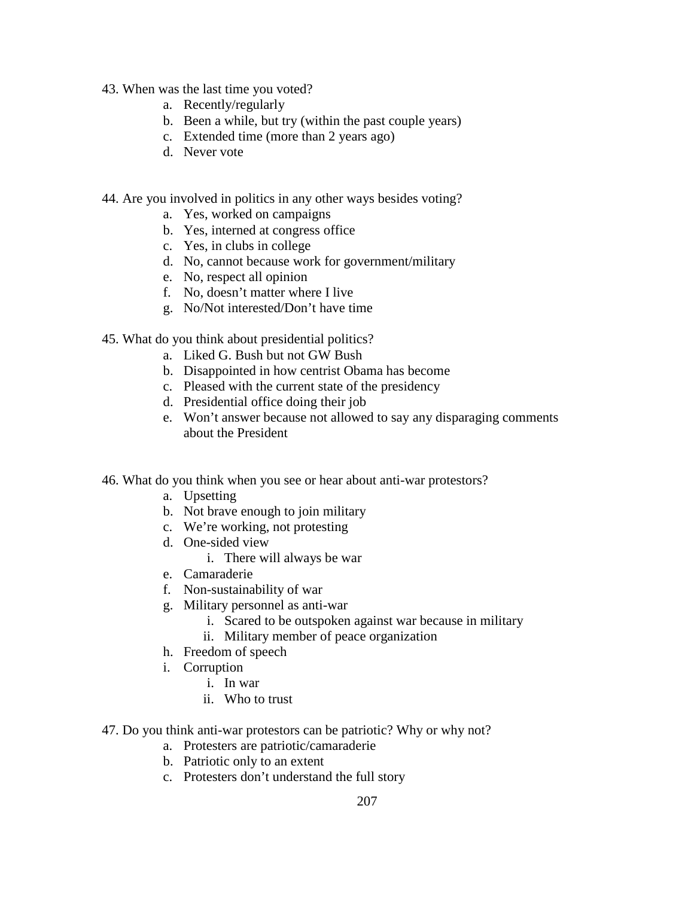- 43. When was the last time you voted?
	- a. Recently/regularly
	- b. Been a while, but try (within the past couple years)
	- c. Extended time (more than 2 years ago)
	- d. Never vote
- 44. Are you involved in politics in any other ways besides voting?
	- a. Yes, worked on campaigns
	- b. Yes, interned at congress office
	- c. Yes, in clubs in college
	- d. No, cannot because work for government/military
	- e. No, respect all opinion
	- f. No, doesn't matter where I live
	- g. No/Not interested/Don't have time
- 45. What do you think about presidential politics?
	- a. Liked G. Bush but not GW Bush
	- b. Disappointed in how centrist Obama has become
	- c. Pleased with the current state of the presidency
	- d. Presidential office doing their job
	- e. Won't answer because not allowed to say any disparaging comments about the President
- 46. What do you think when you see or hear about anti-war protestors?
	- a. Upsetting
	- b. Not brave enough to join military
	- c. We're working, not protesting
	- d. One-sided view
		- i. There will always be war
	- e. Camaraderie
	- f. Non-sustainability of war
	- g. Military personnel as anti-war
		- i. Scared to be outspoken against war because in military
		- ii. Military member of peace organization
	- h. Freedom of speech
	- i. Corruption
		- i. In war
		- ii. Who to trust
- 47. Do you think anti-war protestors can be patriotic? Why or why not?
	- a. Protesters are patriotic/camaraderie
	- b. Patriotic only to an extent
	- c. Protesters don't understand the full story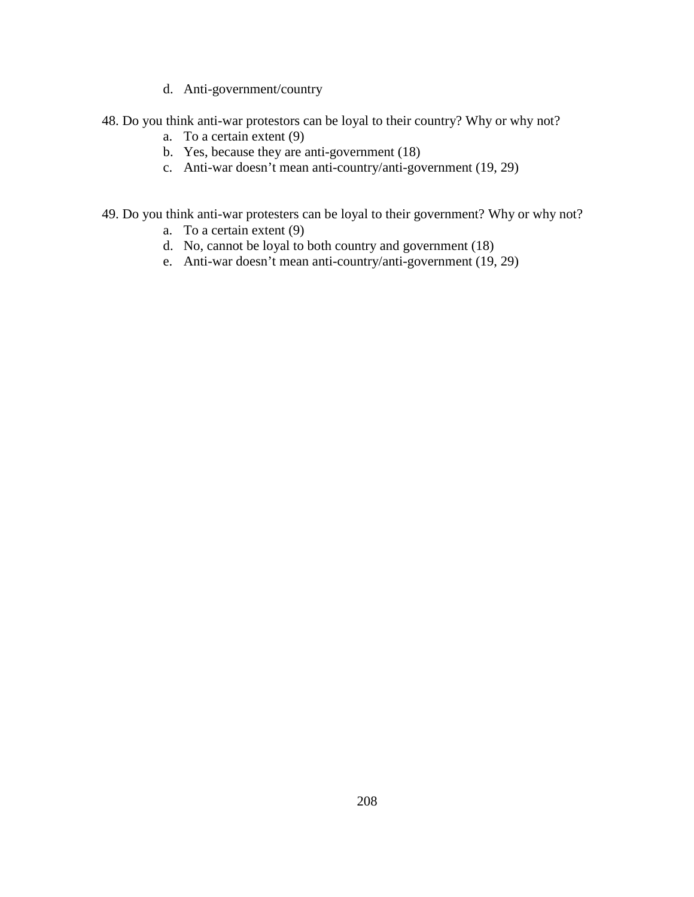- d. Anti-government/country
- 48. Do you think anti-war protestors can be loyal to their country? Why or why not?
	- a. To a certain extent (9)
	- b. Yes, because they are anti-government (18)
	- c. Anti-war doesn't mean anti-country/anti-government (19, 29)
- 49. Do you think anti-war protesters can be loyal to their government? Why or why not?
	- a. To a certain extent (9)
	- d. No, cannot be loyal to both country and government (18)
	- e. Anti-war doesn't mean anti-country/anti-government (19, 29)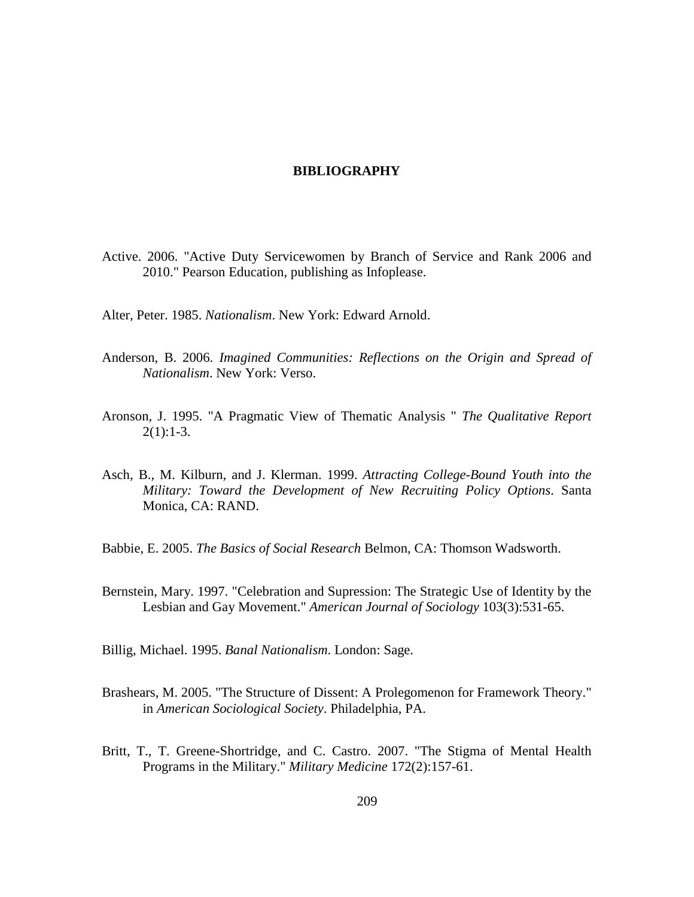## **BIBLIOGRAPHY**

- Active. 2006. "Active Duty Servicewomen by Branch of Service and Rank 2006 and 2010." Pearson Education, publishing as Infoplease.
- Alter, Peter. 1985. *Nationalism*. New York: Edward Arnold.
- Anderson, B. 2006. *Imagined Communities: Reflections on the Origin and Spread of Nationalism*. New York: Verso.
- Aronson, J. 1995. "A Pragmatic View of Thematic Analysis " *The Qualitative Report*  $2(1):1-3.$
- Asch, B., M. Kilburn, and J. Klerman. 1999. *Attracting College-Bound Youth into the Military: Toward the Development of New Recruiting Policy Options*. Santa Monica, CA: RAND.
- Babbie, E. 2005. *The Basics of Social Research* Belmon, CA: Thomson Wadsworth.
- Bernstein, Mary. 1997. "Celebration and Supression: The Strategic Use of Identity by the Lesbian and Gay Movement." *American Journal of Sociology* 103(3):531-65.
- Billig, Michael. 1995. *Banal Nationalism*. London: Sage.
- Brashears, M. 2005. "The Structure of Dissent: A Prolegomenon for Framework Theory." in *American Sociological Society*. Philadelphia, PA.
- Britt, T., T. Greene-Shortridge, and C. Castro. 2007. "The Stigma of Mental Health Programs in the Military." *Military Medicine* 172(2):157-61.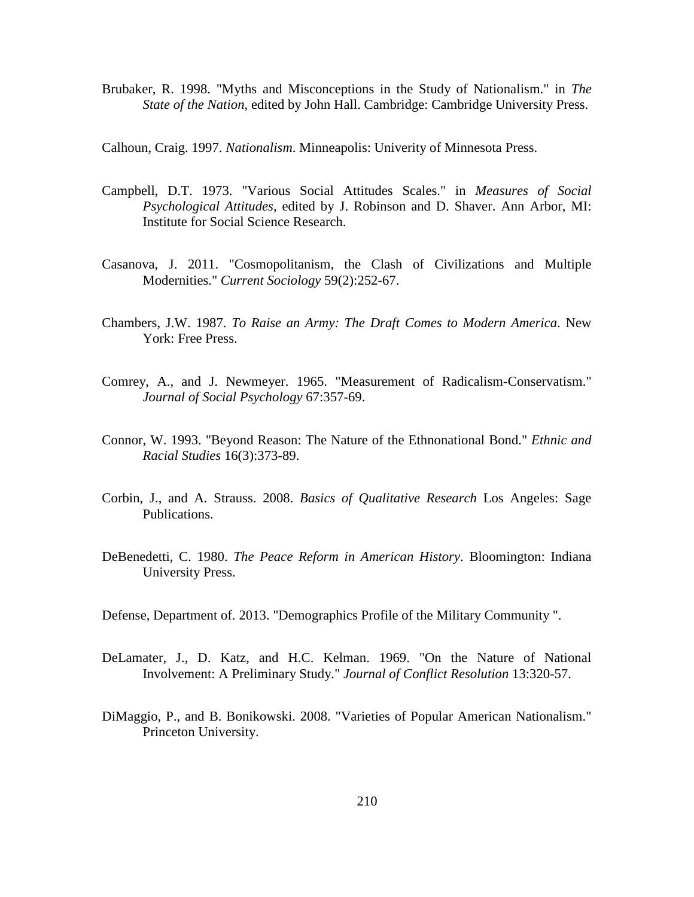Brubaker, R. 1998. "Myths and Misconceptions in the Study of Nationalism." in *The State of the Nation*, edited by John Hall. Cambridge: Cambridge University Press.

Calhoun, Craig. 1997. *Nationalism*. Minneapolis: Univerity of Minnesota Press.

- Campbell, D.T. 1973. "Various Social Attitudes Scales." in *Measures of Social Psychological Attitudes*, edited by J. Robinson and D. Shaver. Ann Arbor, MI: Institute for Social Science Research.
- Casanova, J. 2011. "Cosmopolitanism, the Clash of Civilizations and Multiple Modernities." *Current Sociology* 59(2):252-67.
- Chambers, J.W. 1987. *To Raise an Army: The Draft Comes to Modern America*. New York: Free Press.
- Comrey, A., and J. Newmeyer. 1965. "Measurement of Radicalism-Conservatism." *Journal of Social Psychology* 67:357-69.
- Connor, W. 1993. "Beyond Reason: The Nature of the Ethnonational Bond." *Ethnic and Racial Studies* 16(3):373-89.
- Corbin, J., and A. Strauss. 2008. *Basics of Qualitative Research* Los Angeles: Sage Publications.
- DeBenedetti, C. 1980. *The Peace Reform in American History*. Bloomington: Indiana University Press.
- Defense, Department of. 2013. "Demographics Profile of the Military Community ".
- DeLamater, J., D. Katz, and H.C. Kelman. 1969. "On the Nature of National Involvement: A Preliminary Study." *Journal of Conflict Resolution* 13:320-57.
- DiMaggio, P., and B. Bonikowski. 2008. "Varieties of Popular American Nationalism." Princeton University.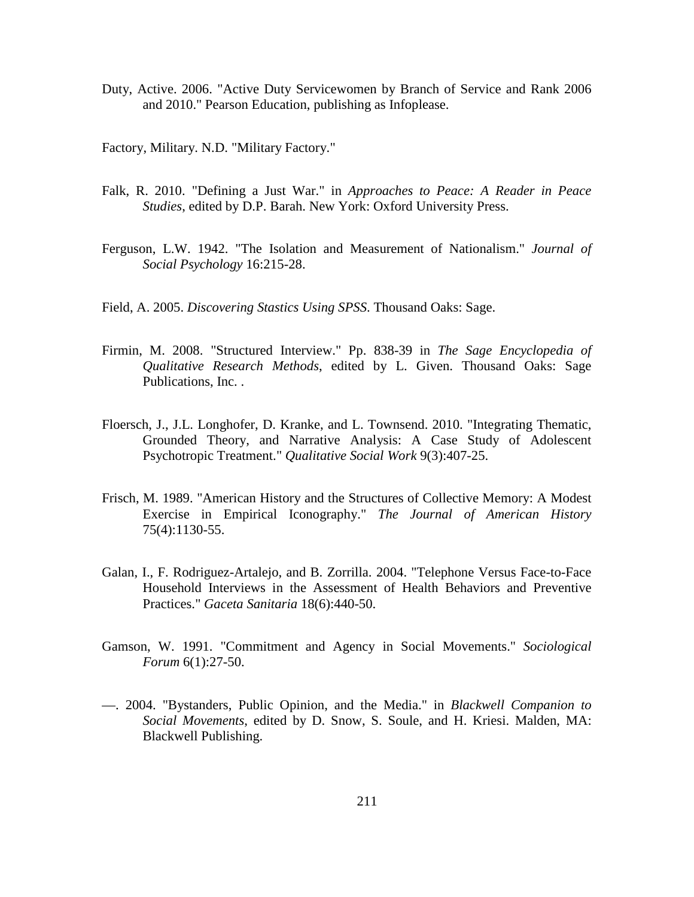Duty, Active. 2006. "Active Duty Servicewomen by Branch of Service and Rank 2006 and 2010." Pearson Education, publishing as Infoplease.

Factory, Military. N.D. "Military Factory."

- Falk, R. 2010. "Defining a Just War." in *Approaches to Peace: A Reader in Peace Studies*, edited by D.P. Barah. New York: Oxford University Press.
- Ferguson, L.W. 1942. "The Isolation and Measurement of Nationalism." *Journal of Social Psychology* 16:215-28.
- Field, A. 2005. *Discovering Stastics Using SPSS*. Thousand Oaks: Sage.
- Firmin, M. 2008. "Structured Interview." Pp. 838-39 in *The Sage Encyclopedia of Qualitative Research Methods*, edited by L. Given. Thousand Oaks: Sage Publications, Inc. .
- Floersch, J., J.L. Longhofer, D. Kranke, and L. Townsend. 2010. "Integrating Thematic, Grounded Theory, and Narrative Analysis: A Case Study of Adolescent Psychotropic Treatment." *Qualitative Social Work* 9(3):407-25.
- Frisch, M. 1989. "American History and the Structures of Collective Memory: A Modest Exercise in Empirical Iconography." *The Journal of American History* 75(4):1130-55.
- Galan, I., F. Rodriguez-Artalejo, and B. Zorrilla. 2004. "Telephone Versus Face-to-Face Household Interviews in the Assessment of Health Behaviors and Preventive Practices." *Gaceta Sanitaria* 18(6):440-50.
- Gamson, W. 1991. "Commitment and Agency in Social Movements." *Sociological Forum* 6(1):27-50.
- —. 2004. "Bystanders, Public Opinion, and the Media." in *Blackwell Companion to Social Movements*, edited by D. Snow, S. Soule, and H. Kriesi. Malden, MA: Blackwell Publishing.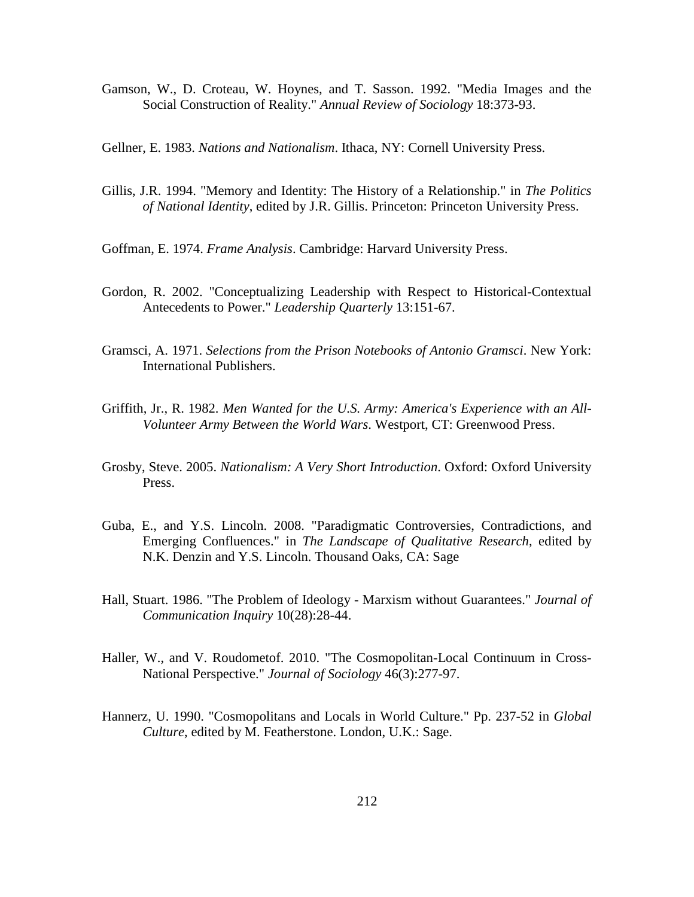Gamson, W., D. Croteau, W. Hoynes, and T. Sasson. 1992. "Media Images and the Social Construction of Reality." *Annual Review of Sociology* 18:373-93.

Gellner, E. 1983. *Nations and Nationalism*. Ithaca, NY: Cornell University Press.

- Gillis, J.R. 1994. "Memory and Identity: The History of a Relationship." in *The Politics of National Identity*, edited by J.R. Gillis. Princeton: Princeton University Press.
- Goffman, E. 1974. *Frame Analysis*. Cambridge: Harvard University Press.
- Gordon, R. 2002. "Conceptualizing Leadership with Respect to Historical-Contextual Antecedents to Power." *Leadership Quarterly* 13:151-67.
- Gramsci, A. 1971. *Selections from the Prison Notebooks of Antonio Gramsci*. New York: International Publishers.
- Griffith, Jr., R. 1982. *Men Wanted for the U.S. Army: America's Experience with an All-Volunteer Army Between the World Wars*. Westport, CT: Greenwood Press.
- Grosby, Steve. 2005. *Nationalism: A Very Short Introduction*. Oxford: Oxford University Press.
- Guba, E., and Y.S. Lincoln. 2008. "Paradigmatic Controversies, Contradictions, and Emerging Confluences." in *The Landscape of Qualitative Research*, edited by N.K. Denzin and Y.S. Lincoln. Thousand Oaks, CA: Sage
- Hall, Stuart. 1986. "The Problem of Ideology Marxism without Guarantees." *Journal of Communication Inquiry* 10(28):28-44.
- Haller, W., and V. Roudometof. 2010. "The Cosmopolitan-Local Continuum in Cross-National Perspective." *Journal of Sociology* 46(3):277-97.
- Hannerz, U. 1990. "Cosmopolitans and Locals in World Culture." Pp. 237-52 in *Global Culture*, edited by M. Featherstone. London, U.K.: Sage.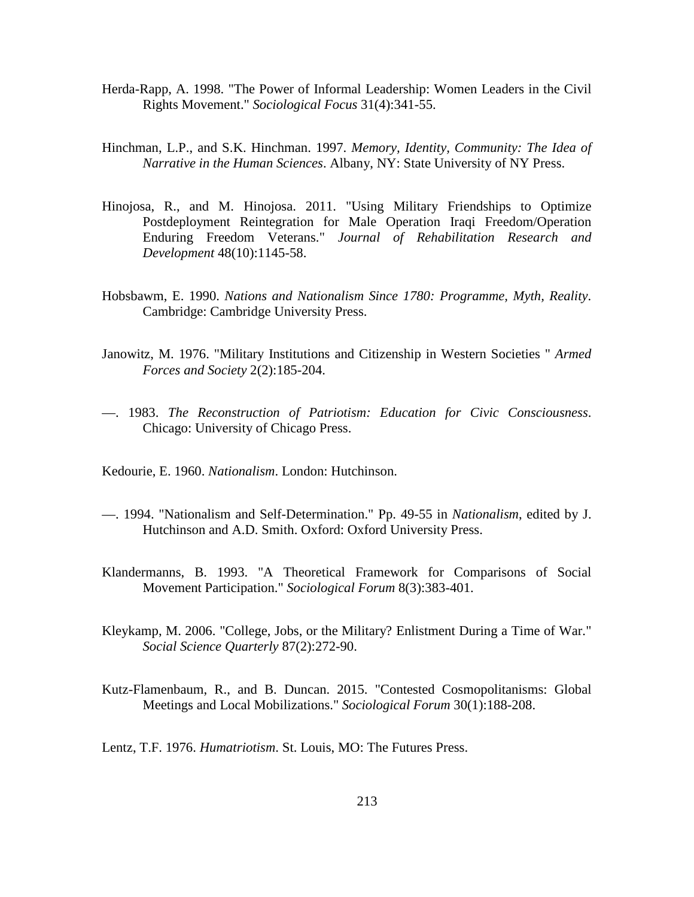- Herda-Rapp, A. 1998. "The Power of Informal Leadership: Women Leaders in the Civil Rights Movement." *Sociological Focus* 31(4):341-55.
- Hinchman, L.P., and S.K. Hinchman. 1997. *Memory, Identity, Community: The Idea of Narrative in the Human Sciences*. Albany, NY: State University of NY Press.
- Hinojosa, R., and M. Hinojosa. 2011. "Using Military Friendships to Optimize Postdeployment Reintegration for Male Operation Iraqi Freedom/Operation Enduring Freedom Veterans." *Journal of Rehabilitation Research and Development* 48(10):1145-58.
- Hobsbawm, E. 1990. *Nations and Nationalism Since 1780: Programme, Myth, Reality*. Cambridge: Cambridge University Press.
- Janowitz, M. 1976. "Military Institutions and Citizenship in Western Societies " *Armed Forces and Society* 2(2):185-204.
- —. 1983. *The Reconstruction of Patriotism: Education for Civic Consciousness*. Chicago: University of Chicago Press.
- Kedourie, E. 1960. *Nationalism*. London: Hutchinson.
- —. 1994. "Nationalism and Self-Determination." Pp. 49-55 in *Nationalism*, edited by J. Hutchinson and A.D. Smith. Oxford: Oxford University Press.
- Klandermanns, B. 1993. "A Theoretical Framework for Comparisons of Social Movement Participation." *Sociological Forum* 8(3):383-401.
- Kleykamp, M. 2006. "College, Jobs, or the Military? Enlistment During a Time of War." *Social Science Quarterly* 87(2):272-90.
- Kutz-Flamenbaum, R., and B. Duncan. 2015. "Contested Cosmopolitanisms: Global Meetings and Local Mobilizations." *Sociological Forum* 30(1):188-208.
- Lentz, T.F. 1976. *Humatriotism*. St. Louis, MO: The Futures Press.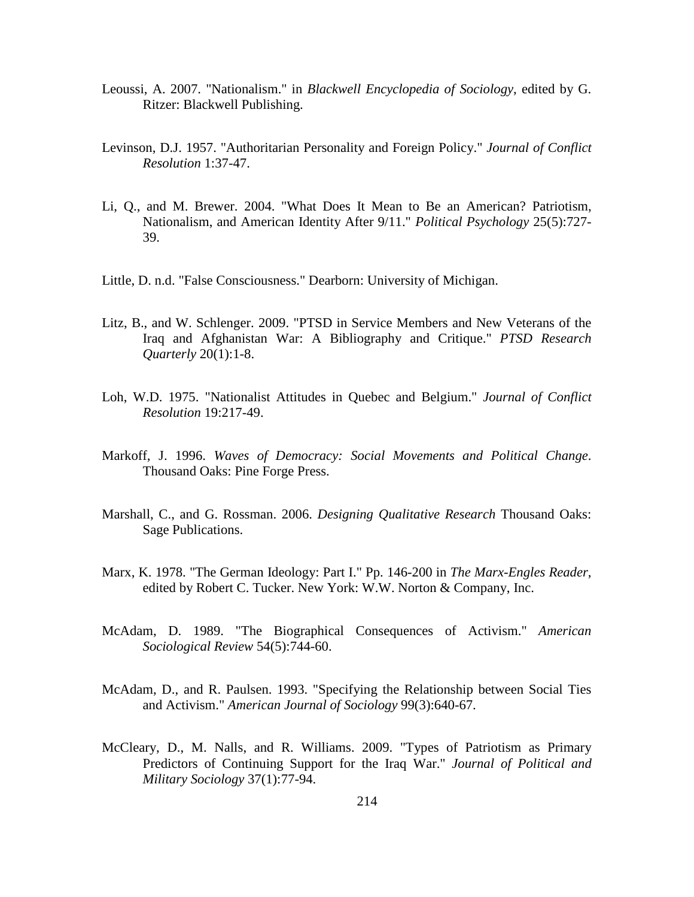- Leoussi, A. 2007. "Nationalism." in *Blackwell Encyclopedia of Sociology*, edited by G. Ritzer: Blackwell Publishing.
- Levinson, D.J. 1957. "Authoritarian Personality and Foreign Policy." *Journal of Conflict Resolution* 1:37-47.
- Li, Q., and M. Brewer. 2004. "What Does It Mean to Be an American? Patriotism, Nationalism, and American Identity After 9/11." *Political Psychology* 25(5):727- 39.
- Little, D. n.d. "False Consciousness." Dearborn: University of Michigan.
- Litz, B., and W. Schlenger. 2009. "PTSD in Service Members and New Veterans of the Iraq and Afghanistan War: A Bibliography and Critique." *PTSD Research Quarterly* 20(1):1-8.
- Loh, W.D. 1975. "Nationalist Attitudes in Quebec and Belgium." *Journal of Conflict Resolution* 19:217-49.
- Markoff, J. 1996. *Waves of Democracy: Social Movements and Political Change*. Thousand Oaks: Pine Forge Press.
- Marshall, C., and G. Rossman. 2006. *Designing Qualitative Research* Thousand Oaks: Sage Publications.
- Marx, K. 1978. "The German Ideology: Part I." Pp. 146-200 in *The Marx-Engles Reader*, edited by Robert C. Tucker. New York: W.W. Norton & Company, Inc.
- McAdam, D. 1989. "The Biographical Consequences of Activism." *American Sociological Review* 54(5):744-60.
- McAdam, D., and R. Paulsen. 1993. "Specifying the Relationship between Social Ties and Activism." *American Journal of Sociology* 99(3):640-67.
- McCleary, D., M. Nalls, and R. Williams. 2009. "Types of Patriotism as Primary Predictors of Continuing Support for the Iraq War." *Journal of Political and Military Sociology* 37(1):77-94.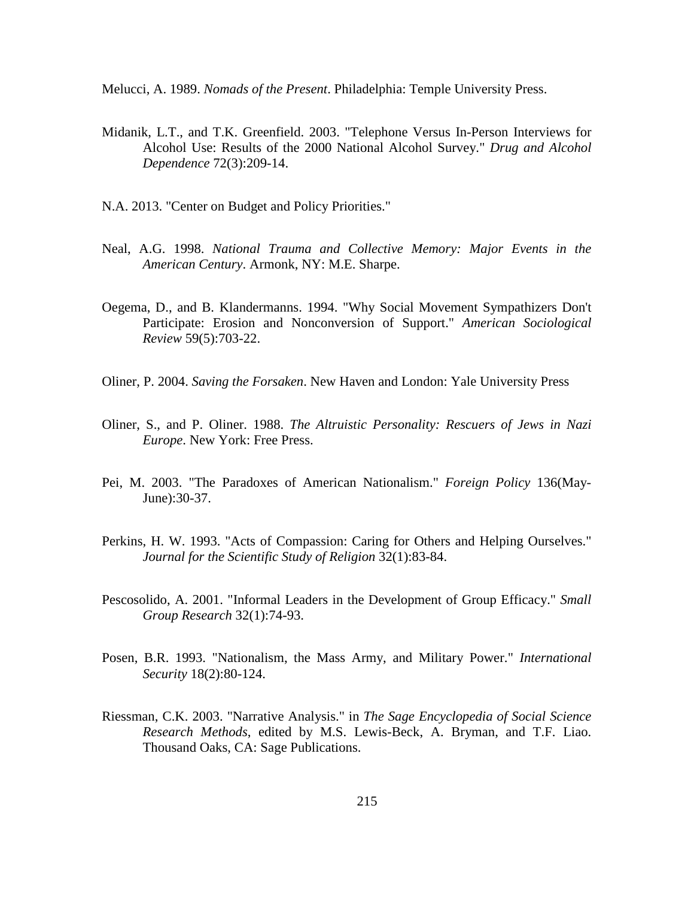Melucci, A. 1989. *Nomads of the Present*. Philadelphia: Temple University Press.

- Midanik, L.T., and T.K. Greenfield. 2003. "Telephone Versus In-Person Interviews for Alcohol Use: Results of the 2000 National Alcohol Survey." *Drug and Alcohol Dependence* 72(3):209-14.
- N.A. 2013. "Center on Budget and Policy Priorities."
- Neal, A.G. 1998. *National Trauma and Collective Memory: Major Events in the American Century*. Armonk, NY: M.E. Sharpe.
- Oegema, D., and B. Klandermanns. 1994. "Why Social Movement Sympathizers Don't Participate: Erosion and Nonconversion of Support." *American Sociological Review* 59(5):703-22.
- Oliner, P. 2004. *Saving the Forsaken*. New Haven and London: Yale University Press
- Oliner, S., and P. Oliner. 1988. *The Altruistic Personality: Rescuers of Jews in Nazi Europe*. New York: Free Press.
- Pei, M. 2003. "The Paradoxes of American Nationalism." *Foreign Policy* 136(May-June):30-37.
- Perkins, H. W. 1993. "Acts of Compassion: Caring for Others and Helping Ourselves." *Journal for the Scientific Study of Religion* 32(1):83-84.
- Pescosolido, A. 2001. "Informal Leaders in the Development of Group Efficacy." *Small Group Research* 32(1):74-93.
- Posen, B.R. 1993. "Nationalism, the Mass Army, and Military Power." *International Security* 18(2):80-124.
- Riessman, C.K. 2003. "Narrative Analysis." in *The Sage Encyclopedia of Social Science Research Methods*, edited by M.S. Lewis-Beck, A. Bryman, and T.F. Liao. Thousand Oaks, CA: Sage Publications.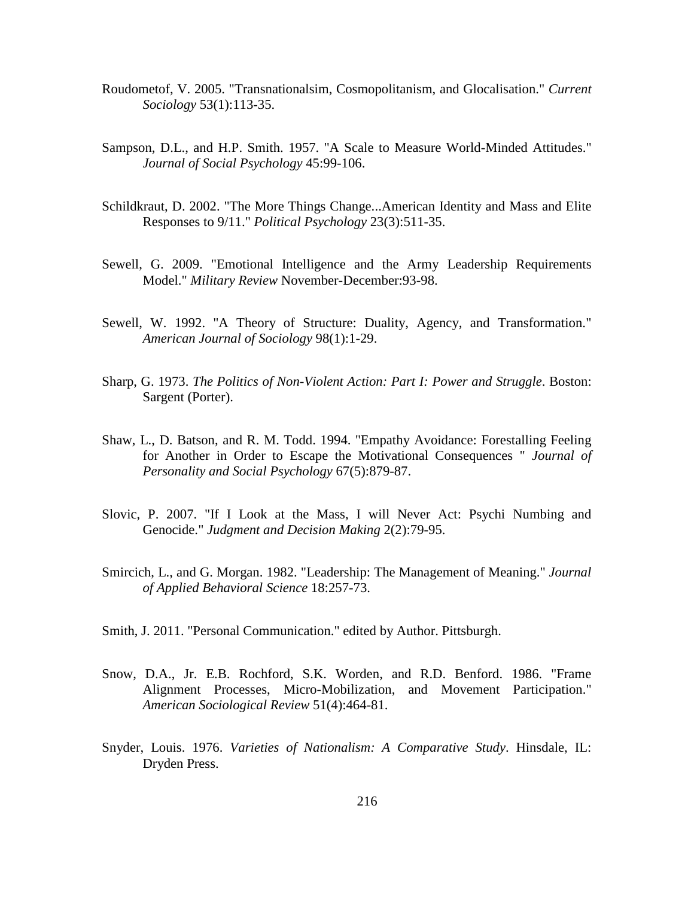- Roudometof, V. 2005. "Transnationalsim, Cosmopolitanism, and Glocalisation." *Current Sociology* 53(1):113-35.
- Sampson, D.L., and H.P. Smith. 1957. "A Scale to Measure World-Minded Attitudes." *Journal of Social Psychology* 45:99-106.
- Schildkraut, D. 2002. "The More Things Change...American Identity and Mass and Elite Responses to 9/11." *Political Psychology* 23(3):511-35.
- Sewell, G. 2009. "Emotional Intelligence and the Army Leadership Requirements Model." *Military Review* November-December:93-98.
- Sewell, W. 1992. "A Theory of Structure: Duality, Agency, and Transformation." *American Journal of Sociology* 98(1):1-29.
- Sharp, G. 1973. *The Politics of Non-Violent Action: Part I: Power and Struggle*. Boston: Sargent (Porter).
- Shaw, L., D. Batson, and R. M. Todd. 1994. "Empathy Avoidance: Forestalling Feeling for Another in Order to Escape the Motivational Consequences " *Journal of Personality and Social Psychology* 67(5):879-87.
- Slovic, P. 2007. "If I Look at the Mass, I will Never Act: Psychi Numbing and Genocide." *Judgment and Decision Making* 2(2):79-95.
- Smircich, L., and G. Morgan. 1982. "Leadership: The Management of Meaning." *Journal of Applied Behavioral Science* 18:257-73.
- Smith, J. 2011. "Personal Communication." edited by Author. Pittsburgh.
- Snow, D.A., Jr. E.B. Rochford, S.K. Worden, and R.D. Benford. 1986. "Frame Alignment Processes, Micro-Mobilization, and Movement Participation." *American Sociological Review* 51(4):464-81.
- Snyder, Louis. 1976. *Varieties of Nationalism: A Comparative Study*. Hinsdale, IL: Dryden Press.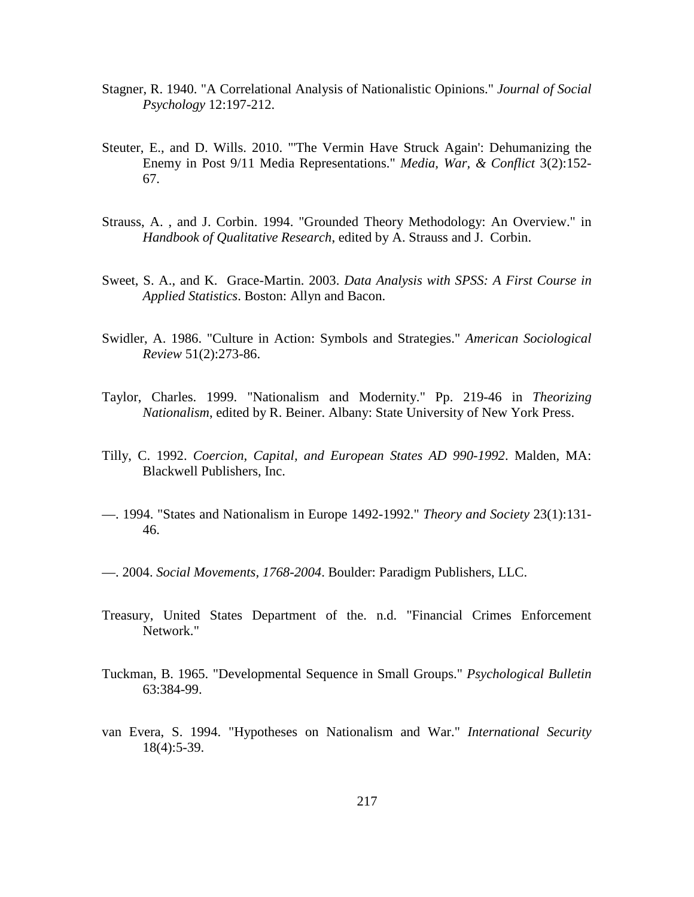- Stagner, R. 1940. "A Correlational Analysis of Nationalistic Opinions." *Journal of Social Psychology* 12:197-212.
- Steuter, E., and D. Wills. 2010. "'The Vermin Have Struck Again': Dehumanizing the Enemy in Post 9/11 Media Representations." *Media, War, & Conflict* 3(2):152- 67.
- Strauss, A. , and J. Corbin. 1994. "Grounded Theory Methodology: An Overview." in *Handbook of Qualitative Research*, edited by A. Strauss and J. Corbin.
- Sweet, S. A., and K. Grace-Martin. 2003. *Data Analysis with SPSS: A First Course in Applied Statistics*. Boston: Allyn and Bacon.
- Swidler, A. 1986. "Culture in Action: Symbols and Strategies." *American Sociological Review* 51(2):273-86.
- Taylor, Charles. 1999. "Nationalism and Modernity." Pp. 219-46 in *Theorizing Nationalism*, edited by R. Beiner. Albany: State University of New York Press.
- Tilly, C. 1992. *Coercion, Capital, and European States AD 990-1992*. Malden, MA: Blackwell Publishers, Inc.
- —. 1994. "States and Nationalism in Europe 1492-1992." *Theory and Society* 23(1):131- 46.
- —. 2004. *Social Movements, 1768-2004*. Boulder: Paradigm Publishers, LLC.
- Treasury, United States Department of the. n.d. "Financial Crimes Enforcement Network."
- Tuckman, B. 1965. "Developmental Sequence in Small Groups." *Psychological Bulletin* 63:384-99.
- van Evera, S. 1994. "Hypotheses on Nationalism and War." *International Security* 18(4):5-39.